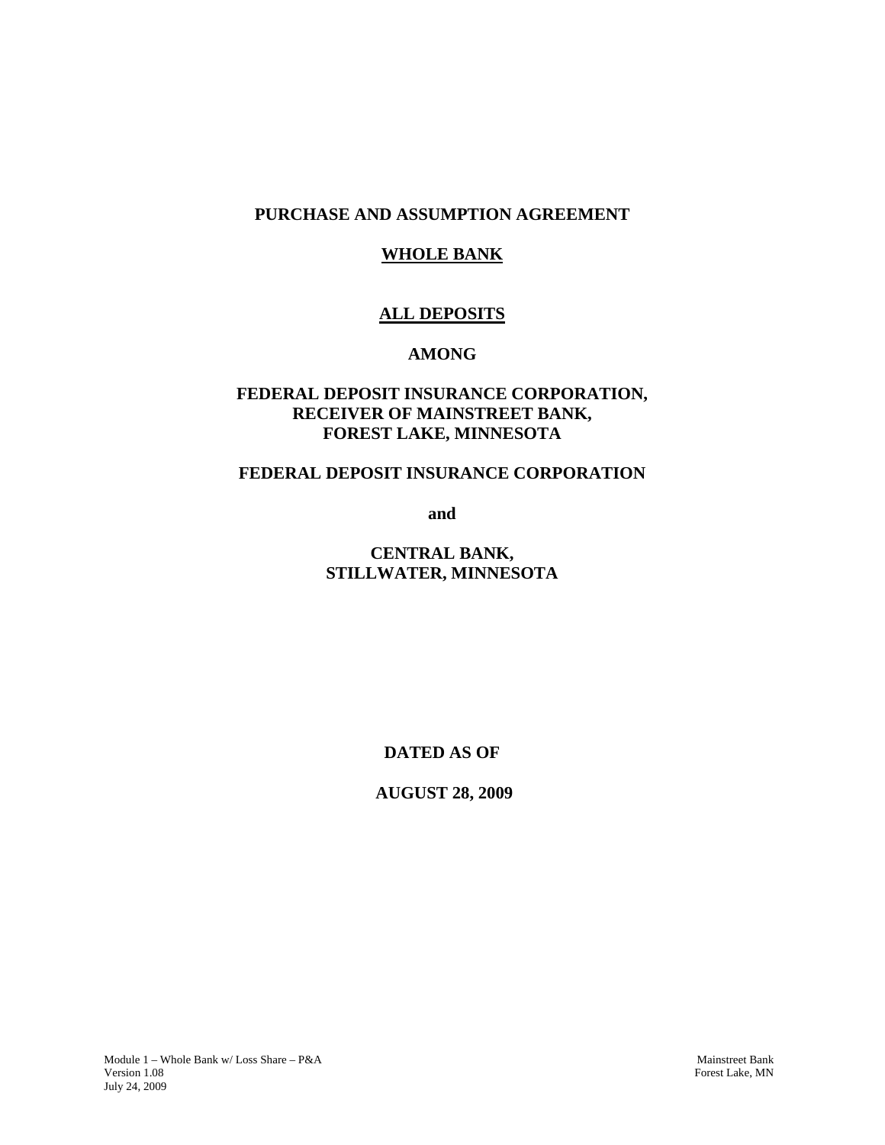#### **PURCHASE AND ASSUMPTION AGREEMENT**

#### **WHOLE BANK**

#### **ALL DEPOSITS**

#### **AMONG**

#### **FEDERAL DEPOSIT INSURANCE CORPORATION, RECEIVER OF MAINSTREET BANK, FOREST LAKE, MINNESOTA**

#### **FEDERAL DEPOSIT INSURANCE CORPORATION**

**and** 

**CENTRAL BANK, STILLWATER, MINNESOTA** 

**DATED AS OF**

 **AUGUST 28, 2009**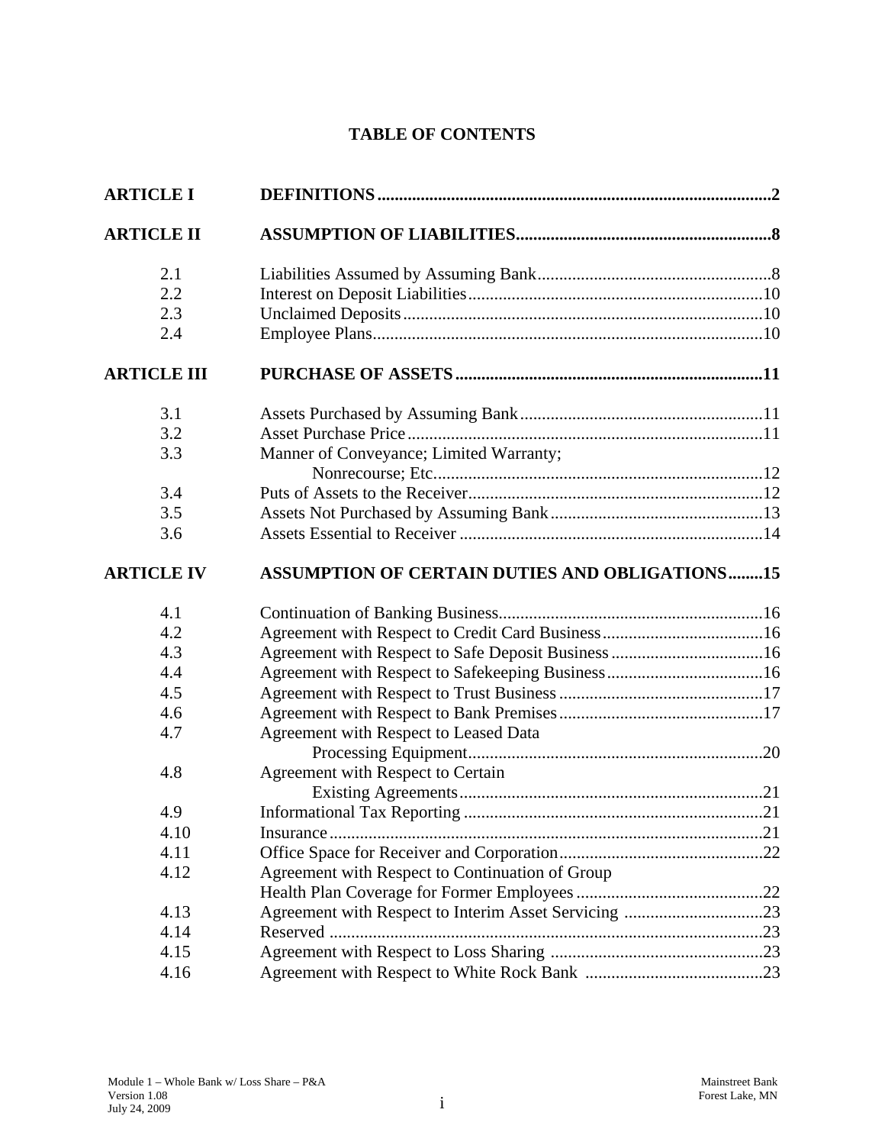# **TABLE OF CONTENTS**

| <b>ARTICLE I</b>   |                                                       |  |
|--------------------|-------------------------------------------------------|--|
| <b>ARTICLE II</b>  |                                                       |  |
| 2.1                |                                                       |  |
| 2.2                |                                                       |  |
| 2.3                |                                                       |  |
| 2.4                |                                                       |  |
| <b>ARTICLE III</b> |                                                       |  |
| 3.1                |                                                       |  |
| 3.2                |                                                       |  |
| 3.3                | Manner of Conveyance; Limited Warranty;               |  |
|                    |                                                       |  |
| 3.4                |                                                       |  |
| 3.5                |                                                       |  |
| 3.6                |                                                       |  |
| <b>ARTICLE IV</b>  | <b>ASSUMPTION OF CERTAIN DUTIES AND OBLIGATIONS15</b> |  |
| 4.1                |                                                       |  |
| 4.2                |                                                       |  |
| 4.3                |                                                       |  |
| 4.4                |                                                       |  |
| 4.5                |                                                       |  |
| 4.6                |                                                       |  |
| 4.7                | Agreement with Respect to Leased Data                 |  |
|                    |                                                       |  |
| 4.8                | Agreement with Respect to Certain                     |  |
|                    |                                                       |  |
| 4.9                |                                                       |  |
| 4.10               |                                                       |  |
| 4.11               |                                                       |  |
| 4.12               | Agreement with Respect to Continuation of Group       |  |
|                    |                                                       |  |
| 4.13               |                                                       |  |
| 4.14               |                                                       |  |
| 4.15               |                                                       |  |
| 4.16               |                                                       |  |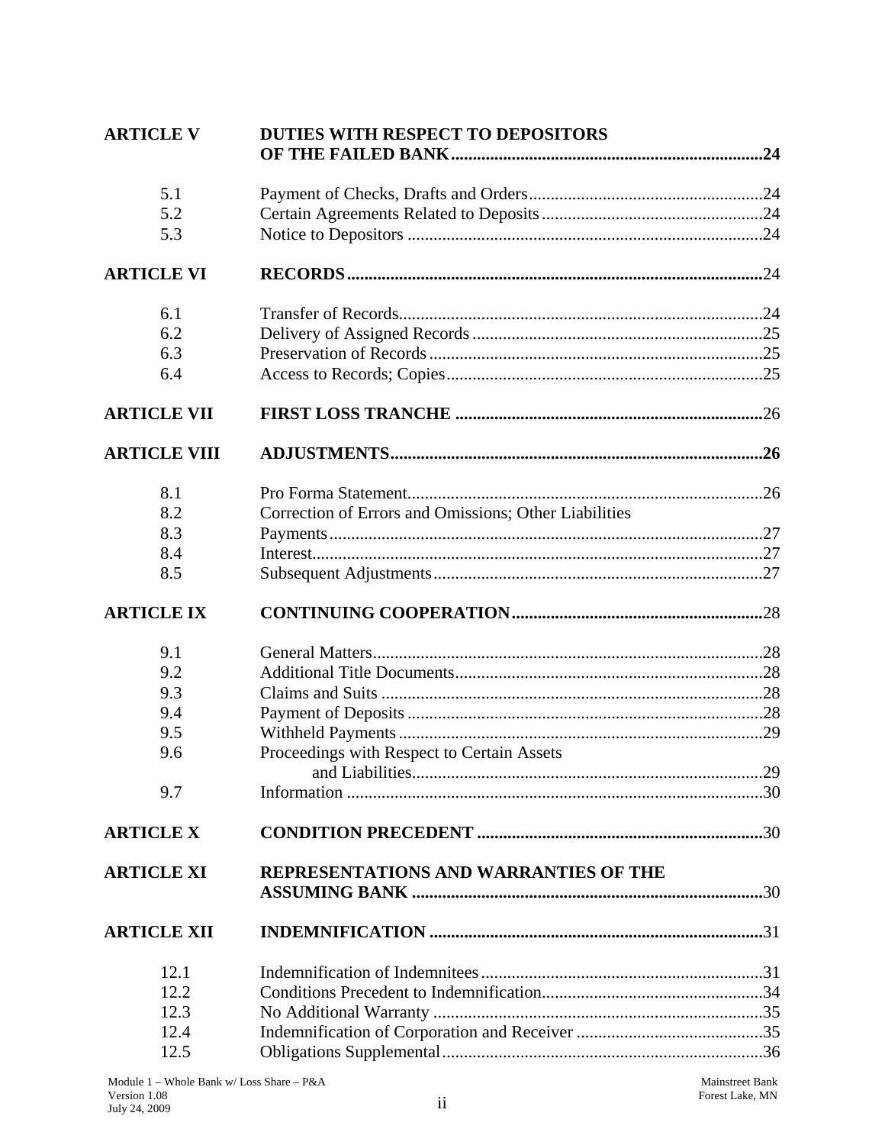| <b>ARTICLE V</b>    | DUTIES WITH RESPECT TO DEPOSITORS                     |  |
|---------------------|-------------------------------------------------------|--|
|                     |                                                       |  |
| 5.1                 |                                                       |  |
| 5.2                 |                                                       |  |
| 5.3                 |                                                       |  |
| <b>ARTICLE VI</b>   |                                                       |  |
| 6.1                 |                                                       |  |
| 6.2                 |                                                       |  |
| 6.3                 |                                                       |  |
| 6.4                 |                                                       |  |
| <b>ARTICLE VII</b>  |                                                       |  |
| <b>ARTICLE VIII</b> |                                                       |  |
| 8.1                 |                                                       |  |
| 8.2                 | Correction of Errors and Omissions; Other Liabilities |  |
| 8.3                 |                                                       |  |
| 8.4                 |                                                       |  |
| 8.5                 |                                                       |  |
| <b>ARTICLE IX</b>   |                                                       |  |
| 9.1                 |                                                       |  |
| 9.2                 |                                                       |  |
| 9.3                 |                                                       |  |
| 9.4                 |                                                       |  |
| 9.5                 |                                                       |  |
| 9.6                 | Proceedings with Respect to Certain Assets            |  |
|                     |                                                       |  |
| 9.7                 |                                                       |  |
| <b>ARTICLE X</b>    |                                                       |  |
| <b>ARTICLE XI</b>   | <b>REPRESENTATIONS AND WARRANTIES OF THE</b>          |  |
| <b>ARTICLE XII</b>  |                                                       |  |
| 12.1                |                                                       |  |
| 12.2                |                                                       |  |
| 12.3                |                                                       |  |
| 12.4                |                                                       |  |
| 12.5                |                                                       |  |
|                     |                                                       |  |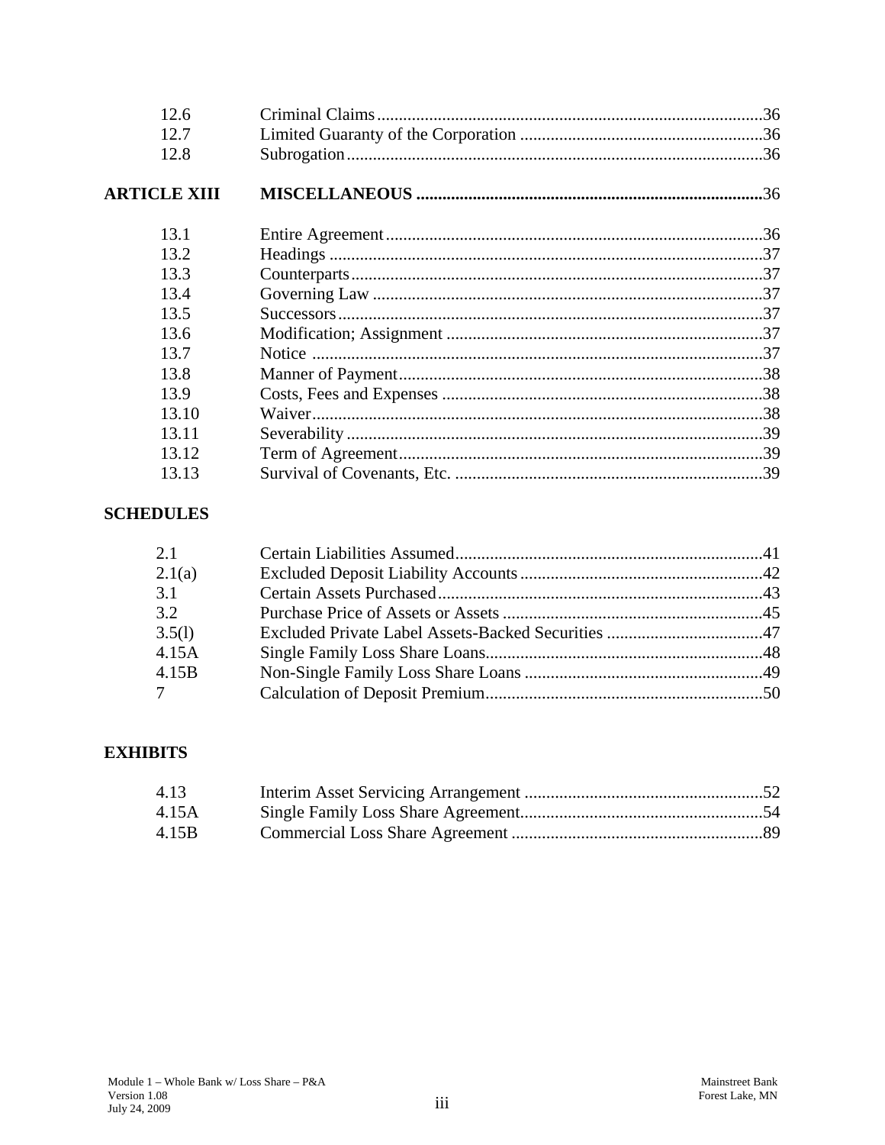| 12.6                |  |
|---------------------|--|
| 12.7                |  |
| 12.8                |  |
| <b>ARTICLE XIII</b> |  |
| 13.1                |  |
| 13.2                |  |
| 13.3                |  |
| 13.4                |  |
| 13.5                |  |
| 13.6                |  |
| 13.7                |  |
| 13.8                |  |
| 13.9                |  |
| 13.10               |  |
| 13.11               |  |
| 13.12               |  |
| 13.13               |  |
|                     |  |

### **SCHEDULES**

| 2.1    |  |
|--------|--|
| 2.1(a) |  |
| 3.1    |  |
| 3.2    |  |
| 3.5(l) |  |
| 4.15A  |  |
| 4.15B  |  |
| 7      |  |
|        |  |

## **EXHIBITS**

| 4.13  |  |
|-------|--|
| 4.15A |  |
| 4.15B |  |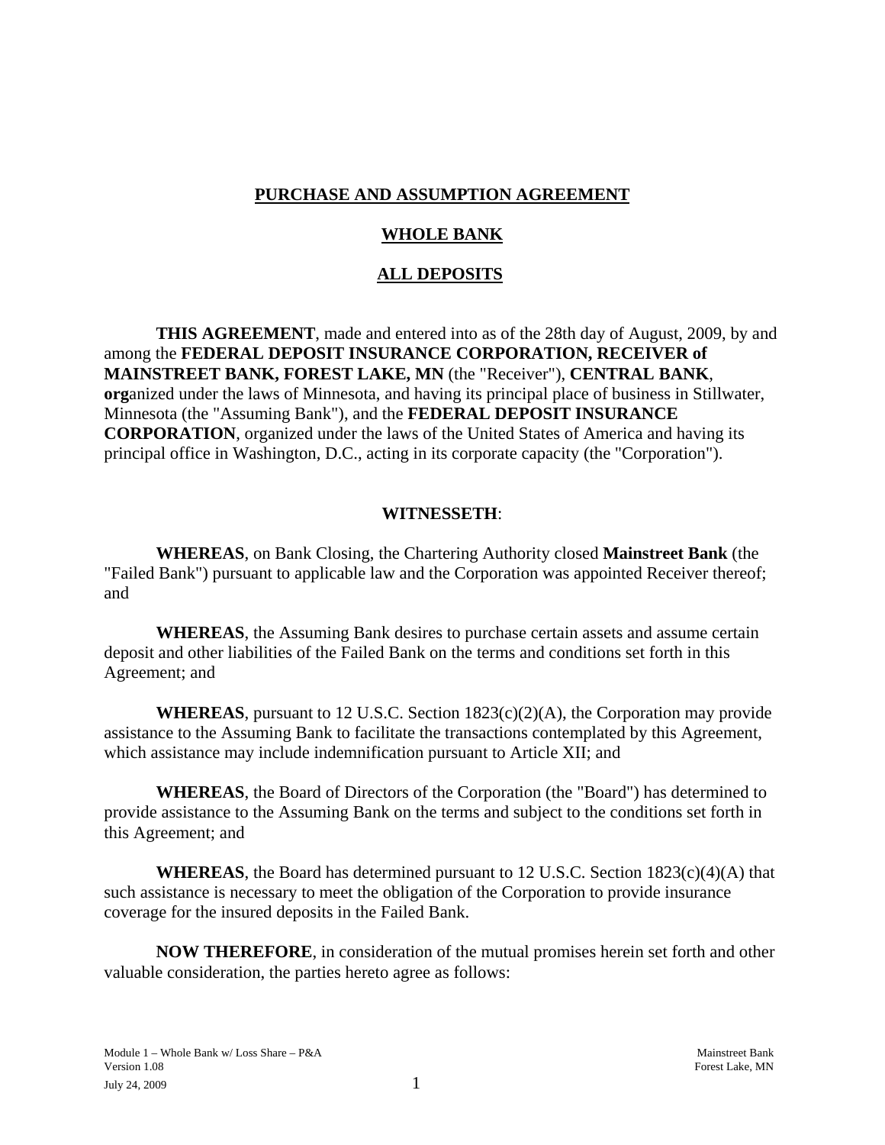### **PURCHASE AND ASSUMPTION AGREEMENT**

### **WHOLE BANK**

### **ALL DEPOSITS**

 **THIS AGREEMENT**, made and entered into as of the 28th day of August, 2009, by and among the **FEDERAL DEPOSIT INSURANCE CORPORATION, RECEIVER of MAINSTREET BANK, FOREST LAKE, MN** (the "Receiver"), **CENTRAL BANK**, **org**anized under the laws of Minnesota, and having its principal place of business in Stillwater, Minnesota (the "Assuming Bank"), and the **FEDERAL DEPOSIT INSURANCE CORPORATION**, organized under the laws of the United States of America and having its principal office in Washington, D.C., acting in its corporate capacity (the "Corporation").

#### **WITNESSETH**:

**WHEREAS**, on Bank Closing, the Chartering Authority closed **Mainstreet Bank** (the "Failed Bank") pursuant to applicable law and the Corporation was appointed Receiver thereof; and

**WHEREAS**, the Assuming Bank desires to purchase certain assets and assume certain deposit and other liabilities of the Failed Bank on the terms and conditions set forth in this Agreement; and

**WHEREAS**, pursuant to 12 U.S.C. Section 1823(c)(2)(A), the Corporation may provide assistance to the Assuming Bank to facilitate the transactions contemplated by this Agreement, which assistance may include indemnification pursuant to Article XII; and

**WHEREAS**, the Board of Directors of the Corporation (the "Board") has determined to provide assistance to the Assuming Bank on the terms and subject to the conditions set forth in this Agreement; and

**WHEREAS**, the Board has determined pursuant to 12 U.S.C. Section 1823(c)(4)(A) that such assistance is necessary to meet the obligation of the Corporation to provide insurance coverage for the insured deposits in the Failed Bank.

 **NOW THEREFORE**, in consideration of the mutual promises herein set forth and other valuable consideration, the parties hereto agree as follows: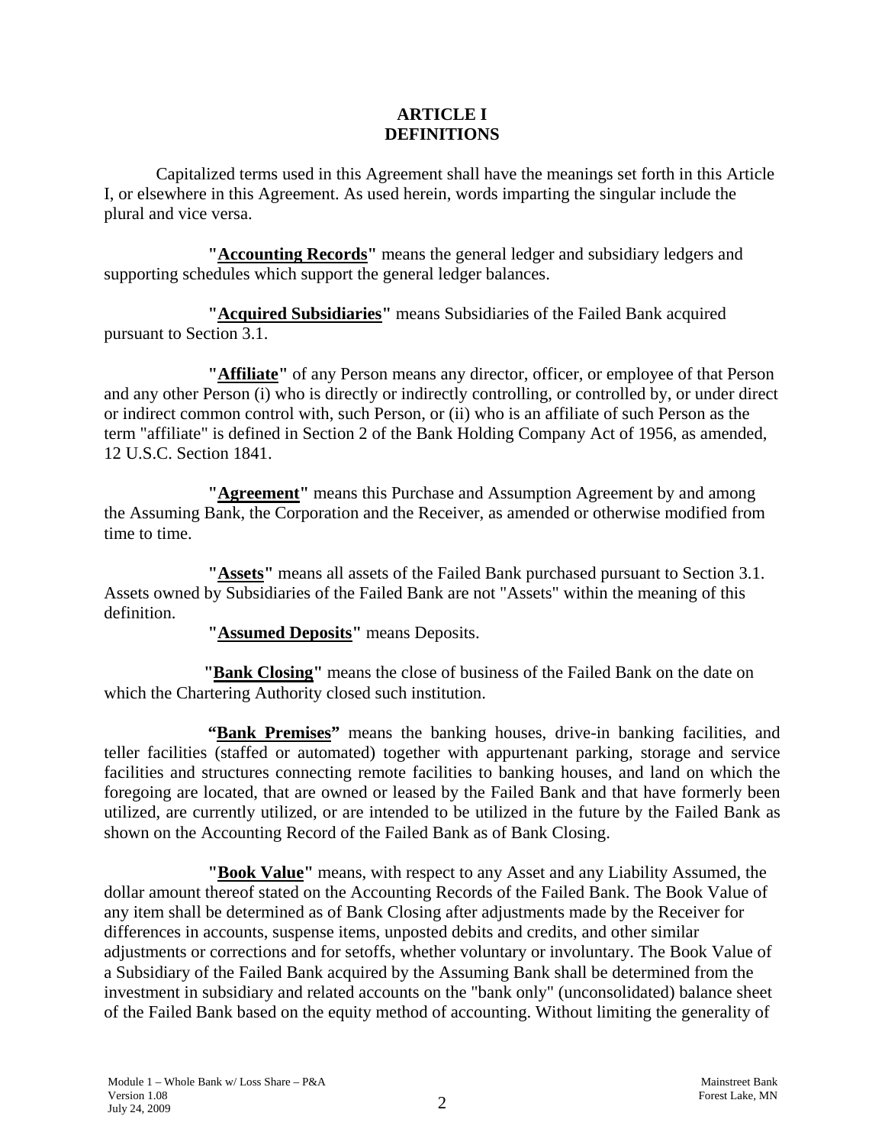#### **ARTICLE I DEFINITIONS**

<span id="page-5-0"></span>Capitalized terms used in this Agreement shall have the meanings set forth in this Article I, or elsewhere in this Agreement. As used herein, words imparting the singular include the plural and vice versa.

**"Accounting Records"** means the general ledger and subsidiary ledgers and supporting schedules which support the general ledger balances.

**"Acquired Subsidiaries"** means Subsidiaries of the Failed Bank acquired pursuant to Section 3.1.

**"Affiliate"** of any Person means any director, officer, or employee of that Person and any other Person (i) who is directly or indirectly controlling, or controlled by, or under direct or indirect common control with, such Person, or (ii) who is an affiliate of such Person as the term "affiliate" is defined in Section 2 of the Bank Holding Company Act of 1956, as amended, 12 U.S.C. Section 1841.

**"Agreement"** means this Purchase and Assumption Agreement by and among the Assuming Bank, the Corporation and the Receiver, as amended or otherwise modified from time to time.

**"Assets"** means all assets of the Failed Bank purchased pursuant to Section 3.1. Assets owned by Subsidiaries of the Failed Bank are not "Assets" within the meaning of this definition.

**"Assumed Deposits"** means Deposits.

**"Bank Closing"** means the close of business of the Failed Bank on the date on which the Chartering Authority closed such institution.

"Bank Premises" means the banking houses, drive-in banking facilities, and teller facilities (staffed or automated) together with appurtenant parking, storage and service facilities and structures connecting remote facilities to banking houses, and land on which the foregoing are located, that are owned or leased by the Failed Bank and that have formerly been utilized, are currently utilized, or are intended to be utilized in the future by the Failed Bank as shown on the Accounting Record of the Failed Bank as of Bank Closing.

**"Book Value"** means, with respect to any Asset and any Liability Assumed, the dollar amount thereof stated on the Accounting Records of the Failed Bank. The Book Value of any item shall be determined as of Bank Closing after adjustments made by the Receiver for differences in accounts, suspense items, unposted debits and credits, and other similar adjustments or corrections and for setoffs, whether voluntary or involuntary. The Book Value of a Subsidiary of the Failed Bank acquired by the Assuming Bank shall be determined from the investment in subsidiary and related accounts on the "bank only" (unconsolidated) balance sheet of the Failed Bank based on the equity method of accounting. Without limiting the generality of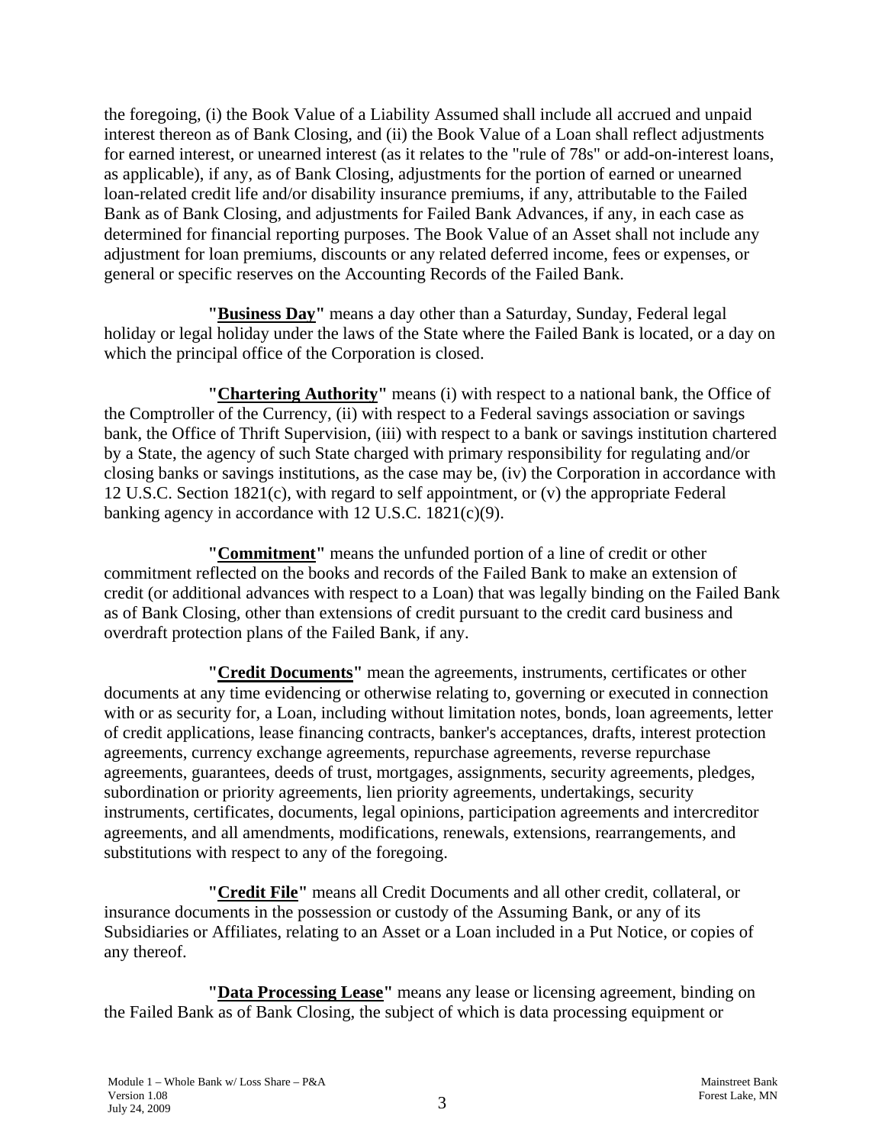the foregoing, (i) the Book Value of a Liability Assumed shall include all accrued and unpaid interest thereon as of Bank Closing, and (ii) the Book Value of a Loan shall reflect adjustments for earned interest, or unearned interest (as it relates to the "rule of 78s" or add-on-interest loans, as applicable), if any, as of Bank Closing, adjustments for the portion of earned or unearned loan-related credit life and/or disability insurance premiums, if any, attributable to the Failed Bank as of Bank Closing, and adjustments for Failed Bank Advances, if any, in each case as determined for financial reporting purposes. The Book Value of an Asset shall not include any adjustment for loan premiums, discounts or any related deferred income, fees or expenses, or general or specific reserves on the Accounting Records of the Failed Bank.

**"Business Day"** means a day other than a Saturday, Sunday, Federal legal holiday or legal holiday under the laws of the State where the Failed Bank is located, or a day on which the principal office of the Corporation is closed.

**"Chartering Authority"** means (i) with respect to a national bank, the Office of the Comptroller of the Currency, (ii) with respect to a Federal savings association or savings bank, the Office of Thrift Supervision, (iii) with respect to a bank or savings institution chartered by a State, the agency of such State charged with primary responsibility for regulating and/or closing banks or savings institutions, as the case may be, (iv) the Corporation in accordance with 12 U.S.C. Section 1821(c), with regard to self appointment, or (v) the appropriate Federal banking agency in accordance with 12 U.S.C. 1821(c)(9).

**"Commitment"** means the unfunded portion of a line of credit or other commitment reflected on the books and records of the Failed Bank to make an extension of credit (or additional advances with respect to a Loan) that was legally binding on the Failed Bank as of Bank Closing, other than extensions of credit pursuant to the credit card business and overdraft protection plans of the Failed Bank, if any.

**"Credit Documents"** mean the agreements, instruments, certificates or other documents at any time evidencing or otherwise relating to, governing or executed in connection with or as security for, a Loan, including without limitation notes, bonds, loan agreements, letter of credit applications, lease financing contracts, banker's acceptances, drafts, interest protection agreements, currency exchange agreements, repurchase agreements, reverse repurchase agreements, guarantees, deeds of trust, mortgages, assignments, security agreements, pledges, subordination or priority agreements, lien priority agreements, undertakings, security instruments, certificates, documents, legal opinions, participation agreements and intercreditor agreements, and all amendments, modifications, renewals, extensions, rearrangements, and substitutions with respect to any of the foregoing.

**"Credit File"** means all Credit Documents and all other credit, collateral, or insurance documents in the possession or custody of the Assuming Bank, or any of its Subsidiaries or Affiliates, relating to an Asset or a Loan included in a Put Notice, or copies of any thereof.

**"Data Processing Lease"** means any lease or licensing agreement, binding on the Failed Bank as of Bank Closing, the subject of which is data processing equipment or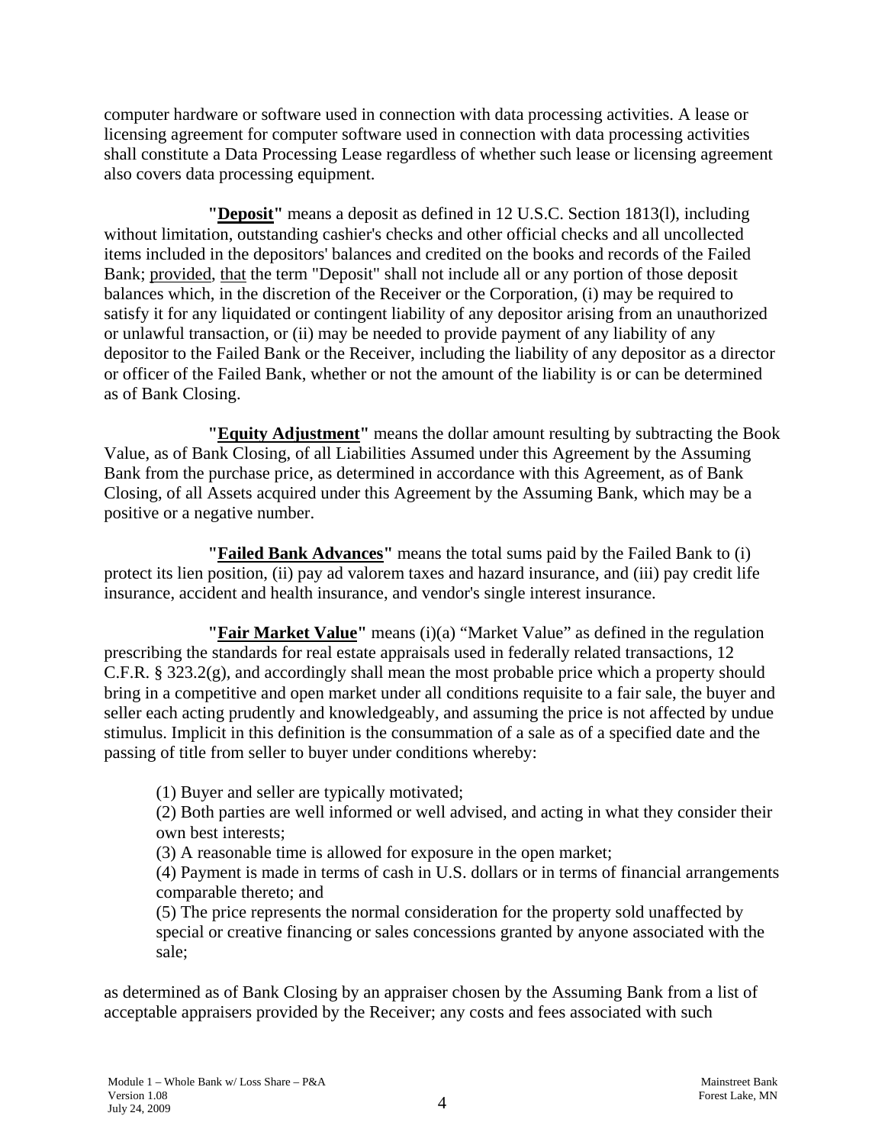computer hardware or software used in connection with data processing activities. A lease or licensing agreement for computer software used in connection with data processing activities shall constitute a Data Processing Lease regardless of whether such lease or licensing agreement also covers data processing equipment.

**"Deposit"** means a deposit as defined in 12 U.S.C. Section 1813(l), including without limitation, outstanding cashier's checks and other official checks and all uncollected items included in the depositors' balances and credited on the books and records of the Failed Bank; provided, that the term "Deposit" shall not include all or any portion of those deposit balances which, in the discretion of the Receiver or the Corporation, (i) may be required to satisfy it for any liquidated or contingent liability of any depositor arising from an unauthorized or unlawful transaction, or (ii) may be needed to provide payment of any liability of any depositor to the Failed Bank or the Receiver, including the liability of any depositor as a director or officer of the Failed Bank, whether or not the amount of the liability is or can be determined as of Bank Closing.

**"Equity Adjustment"** means the dollar amount resulting by subtracting the Book Value, as of Bank Closing, of all Liabilities Assumed under this Agreement by the Assuming Bank from the purchase price, as determined in accordance with this Agreement, as of Bank Closing, of all Assets acquired under this Agreement by the Assuming Bank, which may be a positive or a negative number.

**"Failed Bank Advances"** means the total sums paid by the Failed Bank to (i) protect its lien position, (ii) pay ad valorem taxes and hazard insurance, and (iii) pay credit life insurance, accident and health insurance, and vendor's single interest insurance.

**"Fair Market Value"** means (i)(a) "Market Value" as defined in the regulation prescribing the standards for real estate appraisals used in federally related transactions, 12 C.F.R. § 323.2(g), and accordingly shall mean the most probable price which a property should bring in a competitive and open market under all conditions requisite to a fair sale, the buyer and seller each acting prudently and knowledgeably, and assuming the price is not affected by undue stimulus. Implicit in this definition is the consummation of a sale as of a specified date and the passing of title from seller to buyer under conditions whereby:

(1) Buyer and seller are typically motivated;

(2) Both parties are well informed or well advised, and acting in what they consider their own best interests;

(3) A reasonable time is allowed for exposure in the open market;

(4) Payment is made in terms of cash in U.S. dollars or in terms of financial arrangements comparable thereto; and

(5) The price represents the normal consideration for the property sold unaffected by special or creative financing or sales concessions granted by anyone associated with the sale;

as determined as of Bank Closing by an appraiser chosen by the Assuming Bank from a list of acceptable appraisers provided by the Receiver; any costs and fees associated with such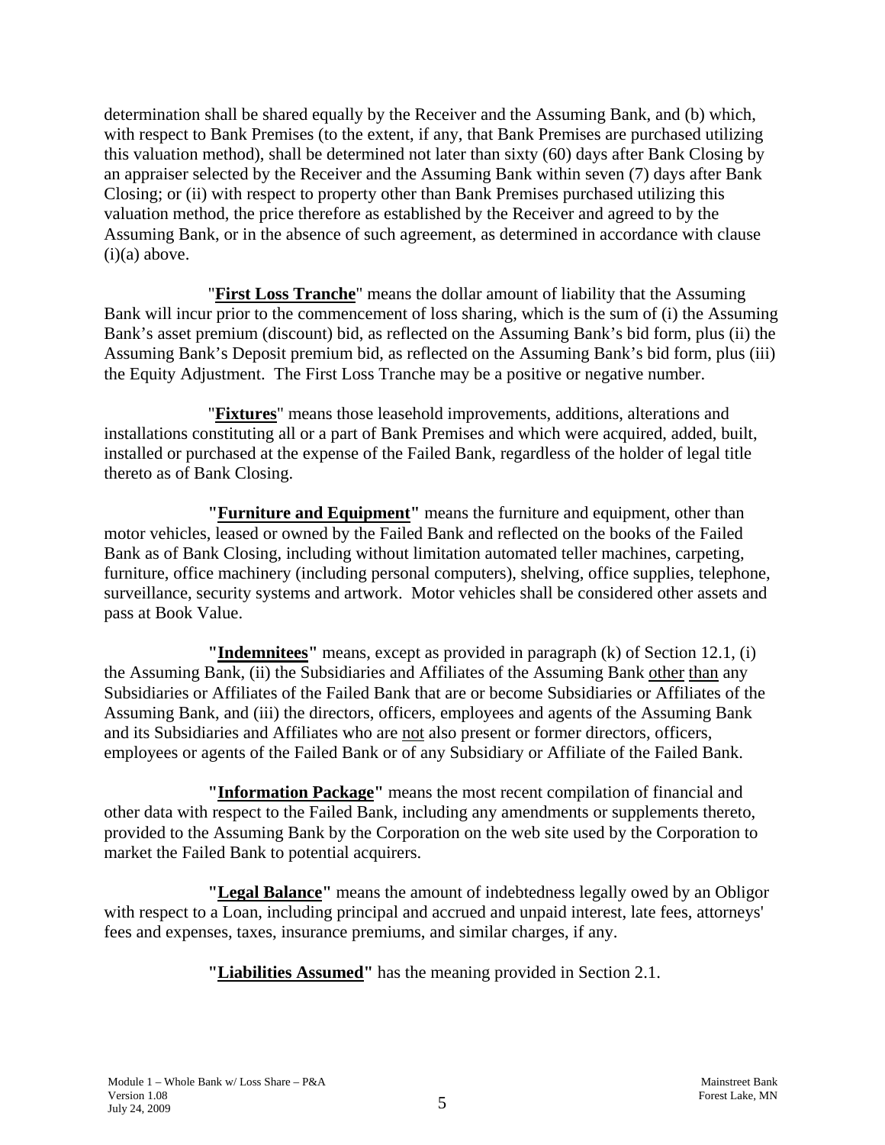determination shall be shared equally by the Receiver and the Assuming Bank, and (b) which, with respect to Bank Premises (to the extent, if any, that Bank Premises are purchased utilizing this valuation method), shall be determined not later than sixty (60) days after Bank Closing by an appraiser selected by the Receiver and the Assuming Bank within seven (7) days after Bank Closing; or (ii) with respect to property other than Bank Premises purchased utilizing this valuation method, the price therefore as established by the Receiver and agreed to by the Assuming Bank, or in the absence of such agreement, as determined in accordance with clause  $(i)(a)$  above.

"**First Loss Tranche**" means the dollar amount of liability that the Assuming Bank will incur prior to the commencement of loss sharing, which is the sum of (i) the Assuming Bank's asset premium (discount) bid, as reflected on the Assuming Bank's bid form, plus (ii) the Assuming Bank's Deposit premium bid, as reflected on the Assuming Bank's bid form, plus (iii) the Equity Adjustment. The First Loss Tranche may be a positive or negative number.

"**Fixtures**" means those leasehold improvements, additions, alterations and installations constituting all or a part of Bank Premises and which were acquired, added, built, installed or purchased at the expense of the Failed Bank, regardless of the holder of legal title thereto as of Bank Closing.

**"Furniture and Equipment"** means the furniture and equipment, other than motor vehicles, leased or owned by the Failed Bank and reflected on the books of the Failed Bank as of Bank Closing, including without limitation automated teller machines, carpeting, furniture, office machinery (including personal computers), shelving, office supplies, telephone, surveillance, security systems and artwork. Motor vehicles shall be considered other assets and pass at Book Value.

**"Indemnitees"** means, except as provided in paragraph (k) of Section 12.1, (i) the Assuming Bank, (ii) the Subsidiaries and Affiliates of the Assuming Bank other than any Subsidiaries or Affiliates of the Failed Bank that are or become Subsidiaries or Affiliates of the Assuming Bank, and (iii) the directors, officers, employees and agents of the Assuming Bank and its Subsidiaries and Affiliates who are not also present or former directors, officers, employees or agents of the Failed Bank or of any Subsidiary or Affiliate of the Failed Bank.

**"Information Package"** means the most recent compilation of financial and other data with respect to the Failed Bank, including any amendments or supplements thereto, provided to the Assuming Bank by the Corporation on the web site used by the Corporation to market the Failed Bank to potential acquirers.

**"Legal Balance"** means the amount of indebtedness legally owed by an Obligor with respect to a Loan, including principal and accrued and unpaid interest, late fees, attorneys' fees and expenses, taxes, insurance premiums, and similar charges, if any.

**"Liabilities Assumed"** has the meaning provided in Section 2.1.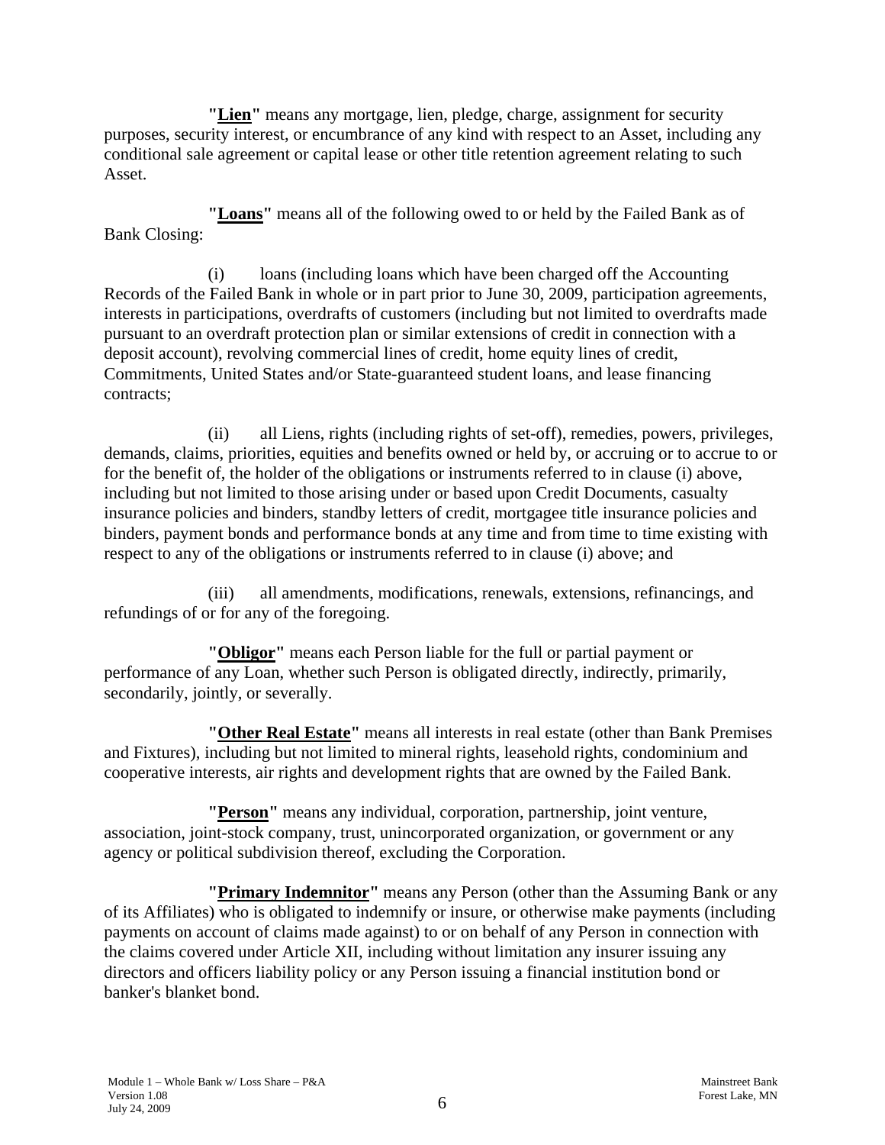**"Lien"** means any mortgage, lien, pledge, charge, assignment for security purposes, security interest, or encumbrance of any kind with respect to an Asset, including any conditional sale agreement or capital lease or other title retention agreement relating to such Asset.

**"Loans"** means all of the following owed to or held by the Failed Bank as of Bank Closing:

(i) loans (including loans which have been charged off the Accounting Records of the Failed Bank in whole or in part prior to June 30, 2009, participation agreements, interests in participations, overdrafts of customers (including but not limited to overdrafts made pursuant to an overdraft protection plan or similar extensions of credit in connection with a deposit account), revolving commercial lines of credit, home equity lines of credit, Commitments, United States and/or State-guaranteed student loans, and lease financing contracts;

(ii) all Liens, rights (including rights of set-off), remedies, powers, privileges, demands, claims, priorities, equities and benefits owned or held by, or accruing or to accrue to or for the benefit of, the holder of the obligations or instruments referred to in clause (i) above, including but not limited to those arising under or based upon Credit Documents, casualty insurance policies and binders, standby letters of credit, mortgagee title insurance policies and binders, payment bonds and performance bonds at any time and from time to time existing with respect to any of the obligations or instruments referred to in clause (i) above; and

(iii) all amendments, modifications, renewals, extensions, refinancings, and refundings of or for any of the foregoing.

**"Obligor"** means each Person liable for the full or partial payment or performance of any Loan, whether such Person is obligated directly, indirectly, primarily, secondarily, jointly, or severally.

**"Other Real Estate"** means all interests in real estate (other than Bank Premises and Fixtures), including but not limited to mineral rights, leasehold rights, condominium and cooperative interests, air rights and development rights that are owned by the Failed Bank.

**"Person"** means any individual, corporation, partnership, joint venture, association, joint-stock company, trust, unincorporated organization, or government or any agency or political subdivision thereof, excluding the Corporation.

**"Primary Indemnitor"** means any Person (other than the Assuming Bank or any of its Affiliates) who is obligated to indemnify or insure, or otherwise make payments (including payments on account of claims made against) to or on behalf of any Person in connection with the claims covered under Article XII, including without limitation any insurer issuing any directors and officers liability policy or any Person issuing a financial institution bond or banker's blanket bond.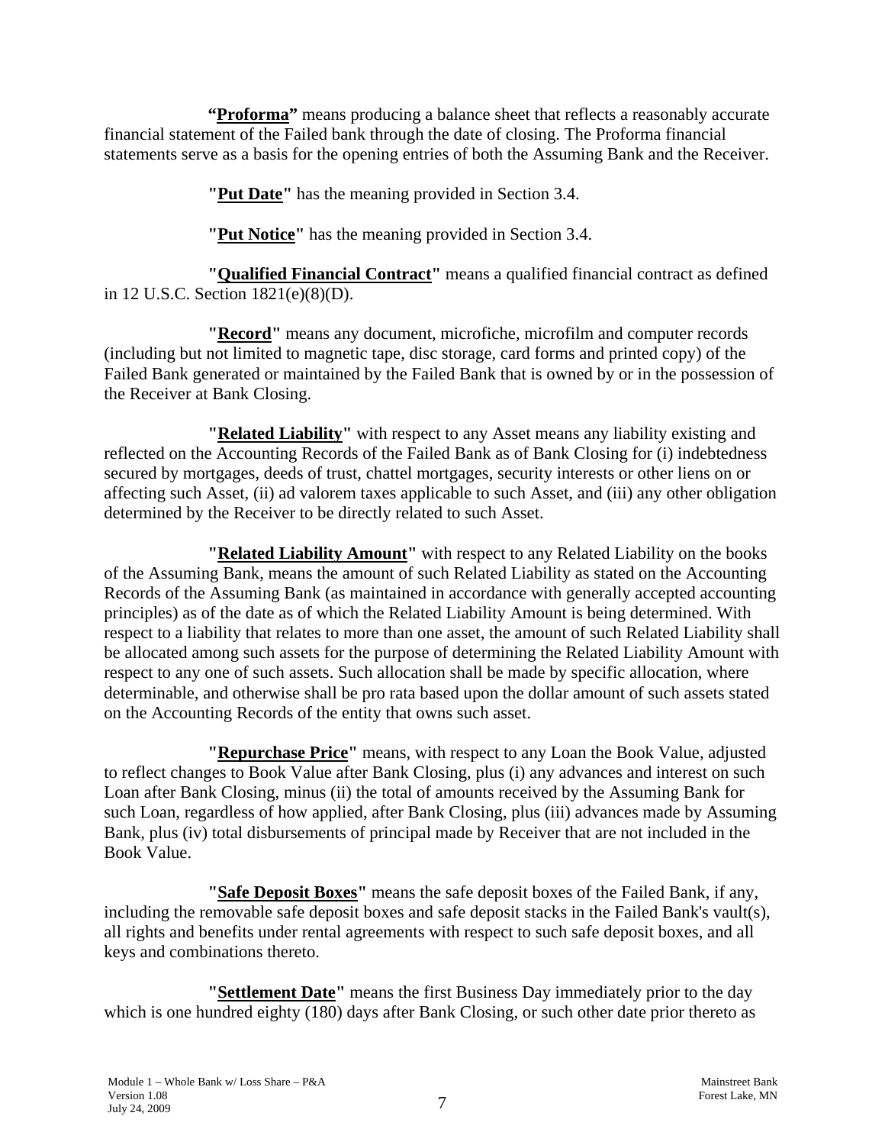<span id="page-10-0"></span> **"Proforma"** means producing a balance sheet that reflects a reasonably accurate financial statement of the Failed bank through the date of closing. The Proforma financial statements serve as a basis for the opening entries of both the Assuming Bank and the Receiver.

**"Put Date"** has the meaning provided in Section 3.4.

**"Put Notice"** has the meaning provided in Section 3.4.

**"Qualified Financial Contract"** means a qualified financial contract as defined in 12 U.S.C. Section 1821(e)(8)(D).

**"Record"** means any document, microfiche, microfilm and computer records (including but not limited to magnetic tape, disc storage, card forms and printed copy) of the Failed Bank generated or maintained by the Failed Bank that is owned by or in the possession of the Receiver at Bank Closing.

**"Related Liability"** with respect to any Asset means any liability existing and reflected on the Accounting Records of the Failed Bank as of Bank Closing for (i) indebtedness secured by mortgages, deeds of trust, chattel mortgages, security interests or other liens on or affecting such Asset, (ii) ad valorem taxes applicable to such Asset, and (iii) any other obligation determined by the Receiver to be directly related to such Asset.

**"Related Liability Amount"** with respect to any Related Liability on the books of the Assuming Bank, means the amount of such Related Liability as stated on the Accounting Records of the Assuming Bank (as maintained in accordance with generally accepted accounting principles) as of the date as of which the Related Liability Amount is being determined. With respect to a liability that relates to more than one asset, the amount of such Related Liability shall be allocated among such assets for the purpose of determining the Related Liability Amount with respect to any one of such assets. Such allocation shall be made by specific allocation, where determinable, and otherwise shall be pro rata based upon the dollar amount of such assets stated on the Accounting Records of the entity that owns such asset.

 **"Repurchase Price"** means, with respect to any Loan the Book Value, adjusted to reflect changes to Book Value after Bank Closing, plus (i) any advances and interest on such Loan after Bank Closing, minus (ii) the total of amounts received by the Assuming Bank for such Loan, regardless of how applied, after Bank Closing, plus (iii) advances made by Assuming Bank, plus (iv) total disbursements of principal made by Receiver that are not included in the Book Value.

**"Safe Deposit Boxes"** means the safe deposit boxes of the Failed Bank, if any, including the removable safe deposit boxes and safe deposit stacks in the Failed Bank's vault(s), all rights and benefits under rental agreements with respect to such safe deposit boxes, and all keys and combinations thereto.

**"Settlement Date"** means the first Business Day immediately prior to the day which is one hundred eighty (180) days after Bank Closing, or such other date prior thereto as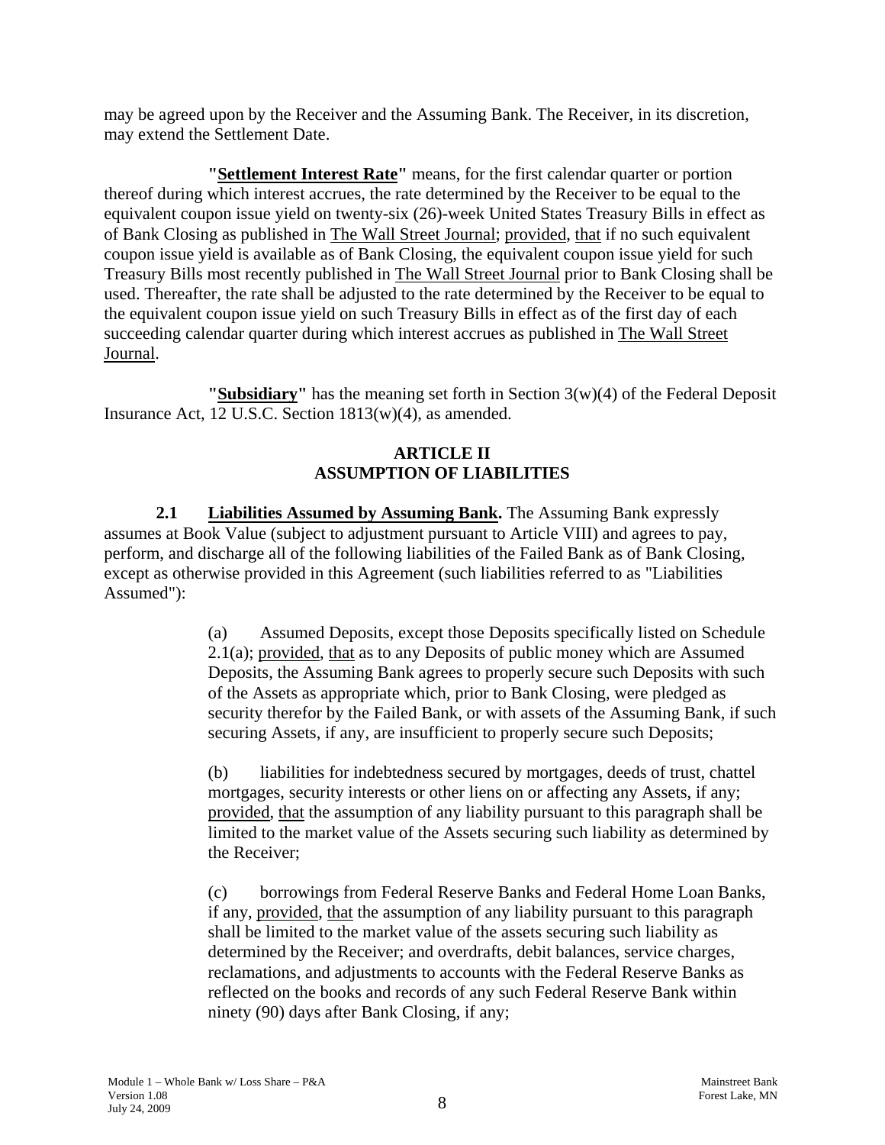<span id="page-11-0"></span>may be agreed upon by the Receiver and the Assuming Bank. The Receiver, in its discretion, may extend the Settlement Date.

**"Settlement Interest Rate"** means, for the first calendar quarter or portion thereof during which interest accrues, the rate determined by the Receiver to be equal to the equivalent coupon issue yield on twenty-six (26)-week United States Treasury Bills in effect as of Bank Closing as published in The Wall Street Journal; provided, that if no such equivalent coupon issue yield is available as of Bank Closing, the equivalent coupon issue yield for such Treasury Bills most recently published in The Wall Street Journal prior to Bank Closing shall be used. Thereafter, the rate shall be adjusted to the rate determined by the Receiver to be equal to the equivalent coupon issue yield on such Treasury Bills in effect as of the first day of each succeeding calendar quarter during which interest accrues as published in The Wall Street Journal.

**"Subsidiary"** has the meaning set forth in Section 3(w)(4) of the Federal Deposit Insurance Act, 12 U.S.C. Section 1813(w)(4), as amended.

## **ARTICLE II ASSUMPTION OF LIABILITIES**

 **2.1 Liabilities Assumed by Assuming Bank.** The Assuming Bank expressly assumes at Book Value (subject to adjustment pursuant to Article VIII) and agrees to pay, perform, and discharge all of the following liabilities of the Failed Bank as of Bank Closing, except as otherwise provided in this Agreement (such liabilities referred to as "Liabilities Assumed"):

> (a) Assumed Deposits, except those Deposits specifically listed on Schedule 2.1(a); provided, that as to any Deposits of public money which are Assumed Deposits, the Assuming Bank agrees to properly secure such Deposits with such of the Assets as appropriate which, prior to Bank Closing, were pledged as security therefor by the Failed Bank, or with assets of the Assuming Bank, if such securing Assets, if any, are insufficient to properly secure such Deposits;

(b) liabilities for indebtedness secured by mortgages, deeds of trust, chattel mortgages, security interests or other liens on or affecting any Assets, if any; provided, that the assumption of any liability pursuant to this paragraph shall be limited to the market value of the Assets securing such liability as determined by the Receiver;

(c) borrowings from Federal Reserve Banks and Federal Home Loan Banks, if any, provided, that the assumption of any liability pursuant to this paragraph shall be limited to the market value of the assets securing such liability as determined by the Receiver; and overdrafts, debit balances, service charges, reclamations, and adjustments to accounts with the Federal Reserve Banks as reflected on the books and records of any such Federal Reserve Bank within ninety (90) days after Bank Closing, if any;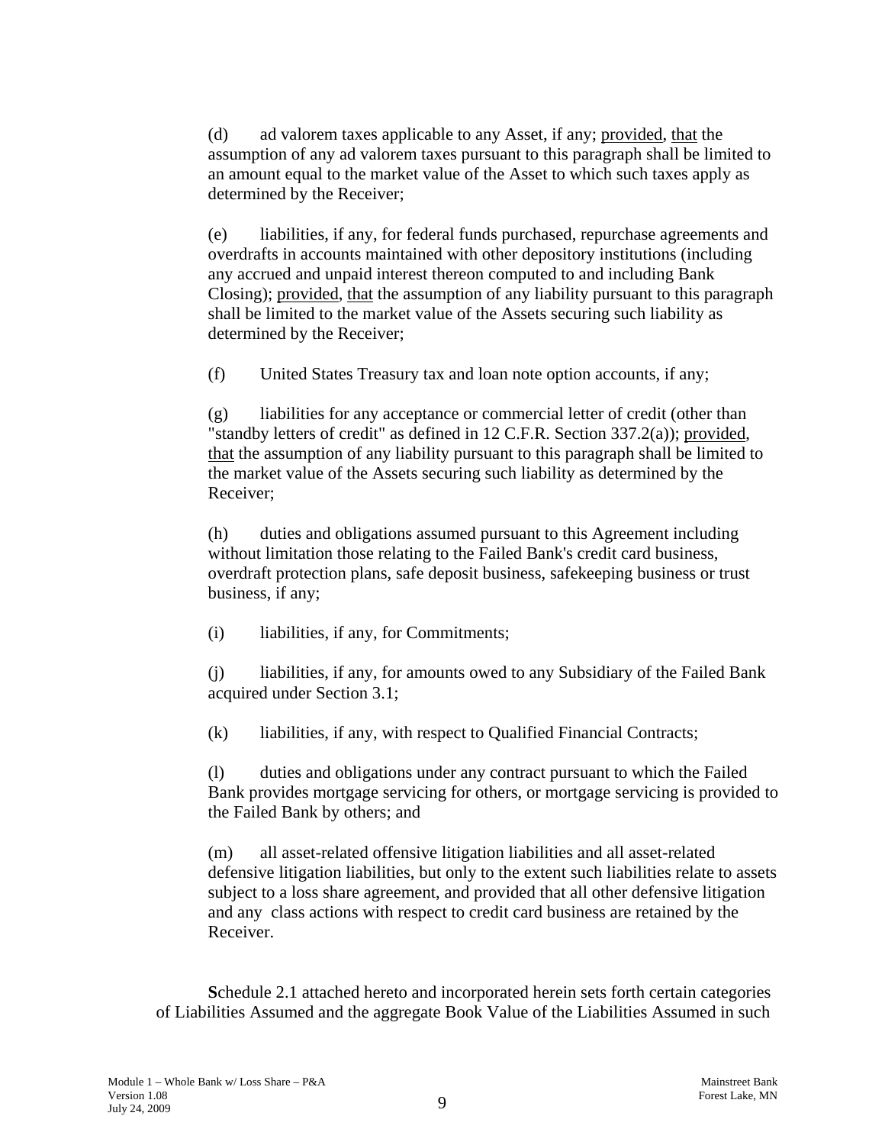(d) ad valorem taxes applicable to any Asset, if any; provided, that the assumption of any ad valorem taxes pursuant to this paragraph shall be limited to an amount equal to the market value of the Asset to which such taxes apply as determined by the Receiver;

(e) liabilities, if any, for federal funds purchased, repurchase agreements and overdrafts in accounts maintained with other depository institutions (including any accrued and unpaid interest thereon computed to and including Bank Closing); provided, that the assumption of any liability pursuant to this paragraph shall be limited to the market value of the Assets securing such liability as determined by the Receiver;

(f) United States Treasury tax and loan note option accounts, if any;

(g) liabilities for any acceptance or commercial letter of credit (other than "standby letters of credit" as defined in 12 C.F.R. Section 337.2(a)); provided, that the assumption of any liability pursuant to this paragraph shall be limited to the market value of the Assets securing such liability as determined by the Receiver;

(h) duties and obligations assumed pursuant to this Agreement including without limitation those relating to the Failed Bank's credit card business, overdraft protection plans, safe deposit business, safekeeping business or trust business, if any;

(i) liabilities, if any, for Commitments;

(j) liabilities, if any, for amounts owed to any Subsidiary of the Failed Bank acquired under Section 3.1;

(k) liabilities, if any, with respect to Qualified Financial Contracts;

(l) duties and obligations under any contract pursuant to which the Failed Bank provides mortgage servicing for others, or mortgage servicing is provided to the Failed Bank by others; and

(m) all asset-related offensive litigation liabilities and all asset-related defensive litigation liabilities, but only to the extent such liabilities relate to assets subject to a loss share agreement, and provided that all other defensive litigation and any class actions with respect to credit card business are retained by the Receiver.

**S**chedule 2.1 attached hereto and incorporated herein sets forth certain categories of Liabilities Assumed and the aggregate Book Value of the Liabilities Assumed in such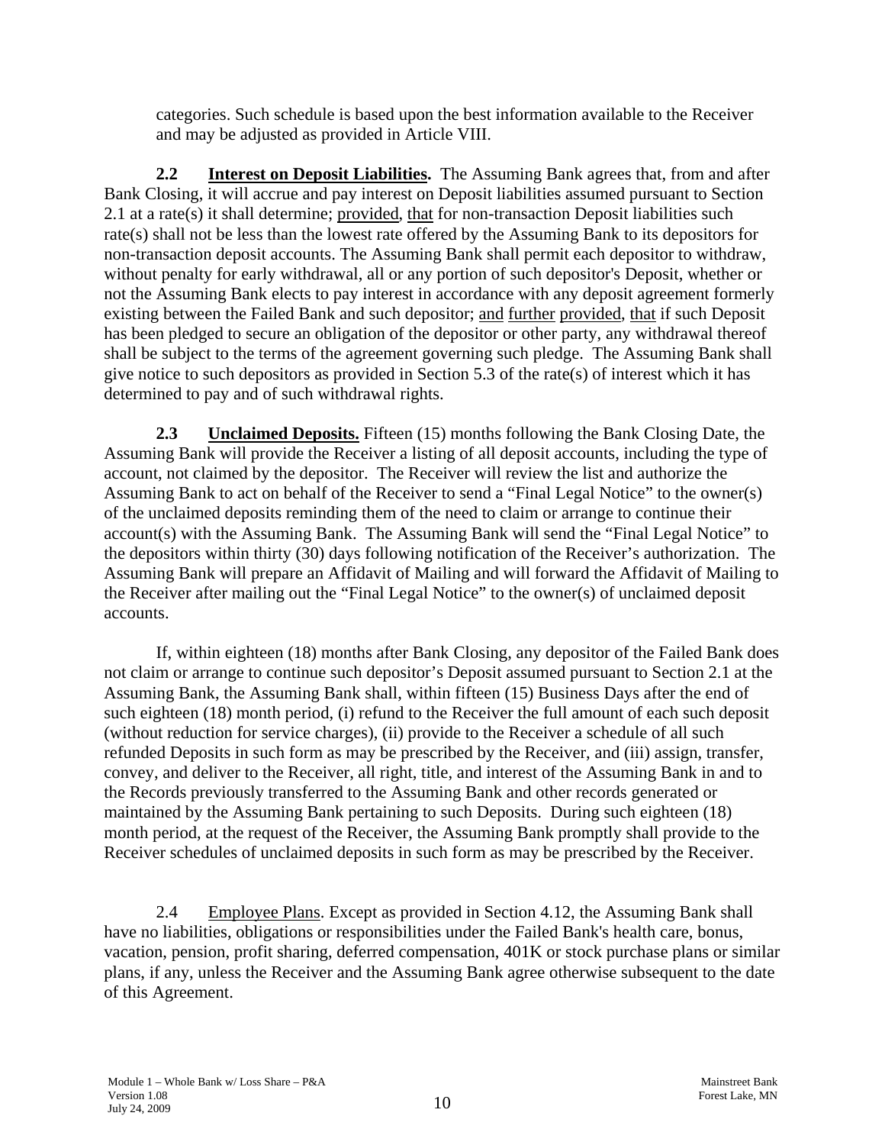<span id="page-13-0"></span>categories. Such schedule is based upon the best information available to the Receiver and may be adjusted as provided in Article VIII.

**2.2 Interest on Deposit Liabilities.** The Assuming Bank agrees that, from and after Bank Closing, it will accrue and pay interest on Deposit liabilities assumed pursuant to Section 2.1 at a rate(s) it shall determine; provided, that for non-transaction Deposit liabilities such rate(s) shall not be less than the lowest rate offered by the Assuming Bank to its depositors for non-transaction deposit accounts. The Assuming Bank shall permit each depositor to withdraw, without penalty for early withdrawal, all or any portion of such depositor's Deposit, whether or not the Assuming Bank elects to pay interest in accordance with any deposit agreement formerly existing between the Failed Bank and such depositor; and further provided, that if such Deposit has been pledged to secure an obligation of the depositor or other party, any withdrawal thereof shall be subject to the terms of the agreement governing such pledge. The Assuming Bank shall give notice to such depositors as provided in Section 5.3 of the rate(s) of interest which it has determined to pay and of such withdrawal rights.

**2.3 Unclaimed Deposits.** Fifteen (15) months following the Bank Closing Date, the Assuming Bank will provide the Receiver a listing of all deposit accounts, including the type of account, not claimed by the depositor. The Receiver will review the list and authorize the Assuming Bank to act on behalf of the Receiver to send a "Final Legal Notice" to the owner(s) of the unclaimed deposits reminding them of the need to claim or arrange to continue their account(s) with the Assuming Bank. The Assuming Bank will send the "Final Legal Notice" to the depositors within thirty (30) days following notification of the Receiver's authorization. The Assuming Bank will prepare an Affidavit of Mailing and will forward the Affidavit of Mailing to the Receiver after mailing out the "Final Legal Notice" to the owner(s) of unclaimed deposit accounts.

If, within eighteen (18) months after Bank Closing, any depositor of the Failed Bank does not claim or arrange to continue such depositor's Deposit assumed pursuant to Section 2.1 at the Assuming Bank, the Assuming Bank shall, within fifteen (15) Business Days after the end of such eighteen (18) month period, (i) refund to the Receiver the full amount of each such deposit (without reduction for service charges), (ii) provide to the Receiver a schedule of all such refunded Deposits in such form as may be prescribed by the Receiver, and (iii) assign, transfer, convey, and deliver to the Receiver, all right, title, and interest of the Assuming Bank in and to the Records previously transferred to the Assuming Bank and other records generated or maintained by the Assuming Bank pertaining to such Deposits. During such eighteen (18) month period, at the request of the Receiver, the Assuming Bank promptly shall provide to the Receiver schedules of unclaimed deposits in such form as may be prescribed by the Receiver.

2.4 Employee Plans. Except as provided in Section 4.12, the Assuming Bank shall have no liabilities, obligations or responsibilities under the Failed Bank's health care, bonus, vacation, pension, profit sharing, deferred compensation, 401K or stock purchase plans or similar plans, if any, unless the Receiver and the Assuming Bank agree otherwise subsequent to the date of this Agreement.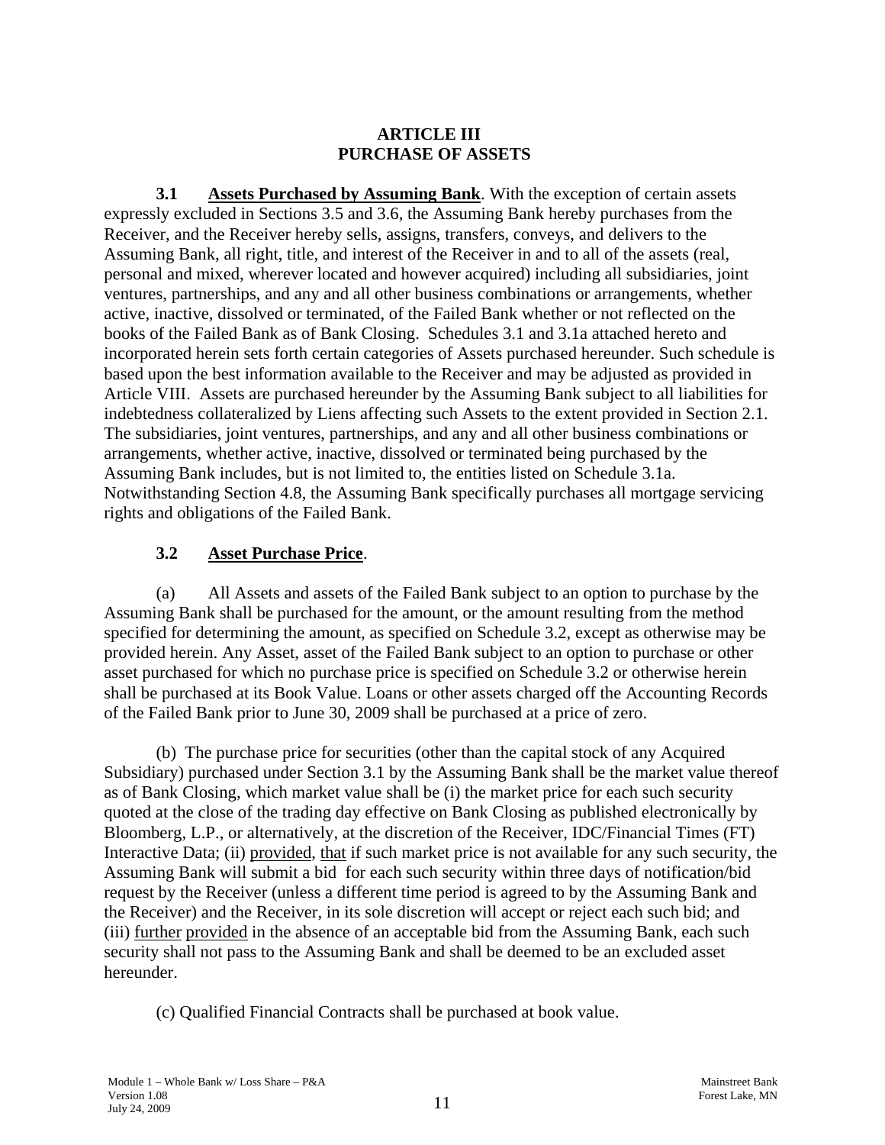### **ARTICLE III PURCHASE OF ASSETS**

<span id="page-14-0"></span>Assuming Bank includes, but is not limited to, the entities listed on Schedule 3.1a.  **3.1 Assets Purchased by Assuming Bank**. With the exception of certain assets expressly excluded in Sections 3.5 and 3.6, the Assuming Bank hereby purchases from the Receiver, and the Receiver hereby sells, assigns, transfers, conveys, and delivers to the Assuming Bank, all right, title, and interest of the Receiver in and to all of the assets (real, personal and mixed, wherever located and however acquired) including all subsidiaries, joint ventures, partnerships, and any and all other business combinations or arrangements, whether active, inactive, dissolved or terminated, of the Failed Bank whether or not reflected on the books of the Failed Bank as of Bank Closing. Schedules 3.1 and 3.1a attached hereto and incorporated herein sets forth certain categories of Assets purchased hereunder. Such schedule is based upon the best information available to the Receiver and may be adjusted as provided in Article VIII. Assets are purchased hereunder by the Assuming Bank subject to all liabilities for indebtedness collateralized by Liens affecting such Assets to the extent provided in Section 2.1. The subsidiaries, joint ventures, partnerships, and any and all other business combinations or arrangements, whether active, inactive, dissolved or terminated being purchased by the Notwithstanding Section 4.8, the Assuming Bank specifically purchases all mortgage servicing rights and obligations of the Failed Bank.

### **3.2 Asset Purchase Price**.

(a) All Assets and assets of the Failed Bank subject to an option to purchase by the Assuming Bank shall be purchased for the amount, or the amount resulting from the method specified for determining the amount, as specified on Schedule 3.2, except as otherwise may be provided herein. Any Asset, asset of the Failed Bank subject to an option to purchase or other asset purchased for which no purchase price is specified on Schedule 3.2 or otherwise herein shall be purchased at its Book Value. Loans or other assets charged off the Accounting Records of the Failed Bank prior to June 30, 2009 shall be purchased at a price of zero.

(b) The purchase price for securities (other than the capital stock of any Acquired Subsidiary) purchased under Section 3.1 by the Assuming Bank shall be the market value thereof as of Bank Closing, which market value shall be (i) the market price for each such security quoted at the close of the trading day effective on Bank Closing as published electronically by Bloomberg, L.P., or alternatively, at the discretion of the Receiver, IDC/Financial Times (FT) Interactive Data; (ii) provided, that if such market price is not available for any such security, the Assuming Bank will submit a bid for each such security within three days of notification/bid request by the Receiver (unless a different time period is agreed to by the Assuming Bank and the Receiver) and the Receiver, in its sole discretion will accept or reject each such bid; and (iii) further provided in the absence of an acceptable bid from the Assuming Bank, each such security shall not pass to the Assuming Bank and shall be deemed to be an excluded asset hereunder.

(c) Qualified Financial Contracts shall be purchased at book value.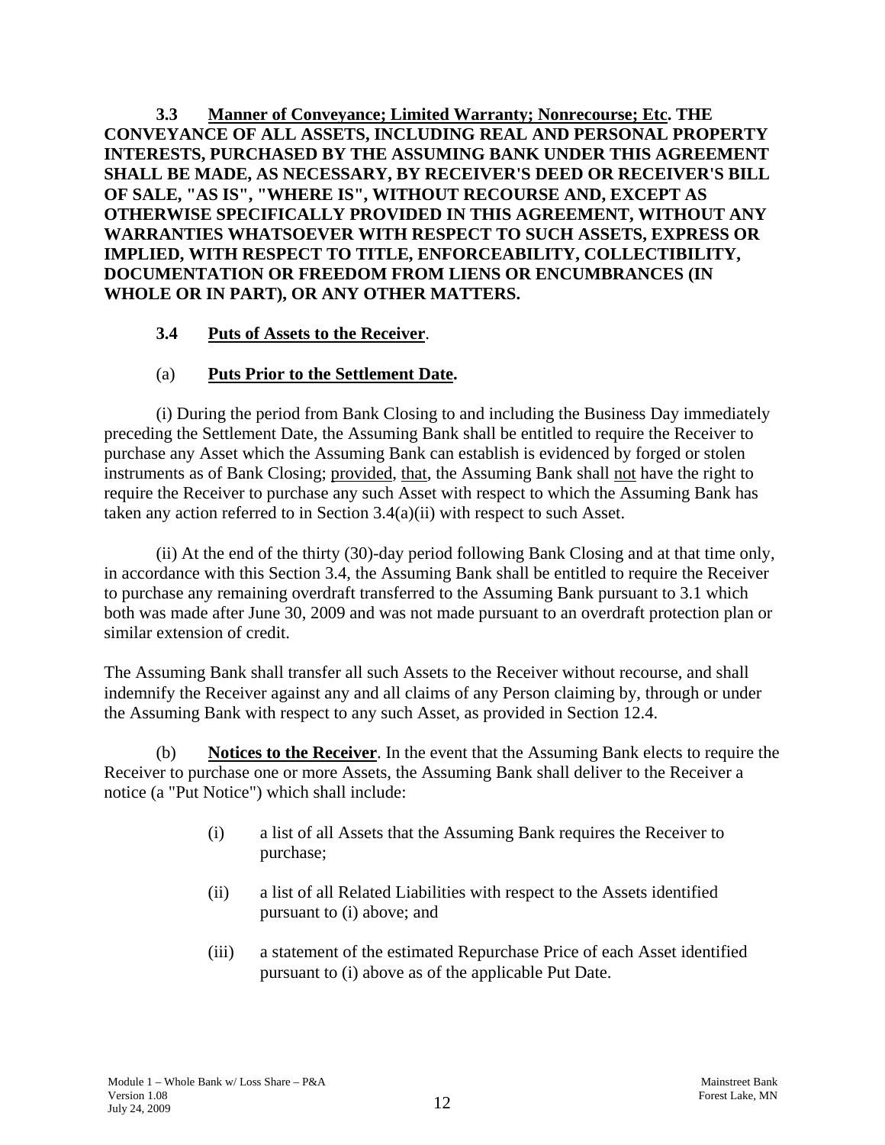<span id="page-15-0"></span> **3.3 Manner of Conveyance; Limited Warranty; Nonrecourse; Etc. THE CONVEYANCE OF ALL ASSETS, INCLUDING REAL AND PERSONAL PROPERTY INTERESTS, PURCHASED BY THE ASSUMING BANK UNDER THIS AGREEMENT SHALL BE MADE, AS NECESSARY, BY RECEIVER'S DEED OR RECEIVER'S BILL OF SALE, "AS IS", "WHERE IS", WITHOUT RECOURSE AND, EXCEPT AS OTHERWISE SPECIFICALLY PROVIDED IN THIS AGREEMENT, WITHOUT ANY WARRANTIES WHATSOEVER WITH RESPECT TO SUCH ASSETS, EXPRESS OR IMPLIED, WITH RESPECT TO TITLE, ENFORCEABILITY, COLLECTIBILITY, DOCUMENTATION OR FREEDOM FROM LIENS OR ENCUMBRANCES (IN WHOLE OR IN PART), OR ANY OTHER MATTERS.** 

### **3.4 Puts of Assets to the Receiver**.

### (a) **Puts Prior to the Settlement Date.**

(i) During the period from Bank Closing to and including the Business Day immediately preceding the Settlement Date, the Assuming Bank shall be entitled to require the Receiver to purchase any Asset which the Assuming Bank can establish is evidenced by forged or stolen instruments as of Bank Closing; provided, that, the Assuming Bank shall not have the right to require the Receiver to purchase any such Asset with respect to which the Assuming Bank has taken any action referred to in Section 3.4(a)(ii) with respect to such Asset.

(ii) At the end of the thirty (30)-day period following Bank Closing and at that time only, in accordance with this Section 3.4, the Assuming Bank shall be entitled to require the Receiver to purchase any remaining overdraft transferred to the Assuming Bank pursuant to 3.1 which both was made after June 30, 2009 and was not made pursuant to an overdraft protection plan or similar extension of credit.

The Assuming Bank shall transfer all such Assets to the Receiver without recourse, and shall indemnify the Receiver against any and all claims of any Person claiming by, through or under the Assuming Bank with respect to any such Asset, as provided in Section 12.4.

(b) **Notices to the Receiver**. In the event that the Assuming Bank elects to require the Receiver to purchase one or more Assets, the Assuming Bank shall deliver to the Receiver a notice (a "Put Notice") which shall include:

- (i) a list of all Assets that the Assuming Bank requires the Receiver to purchase;
- (ii) a list of all Related Liabilities with respect to the Assets identified pursuant to (i) above; and
- (iii) a statement of the estimated Repurchase Price of each Asset identified pursuant to (i) above as of the applicable Put Date.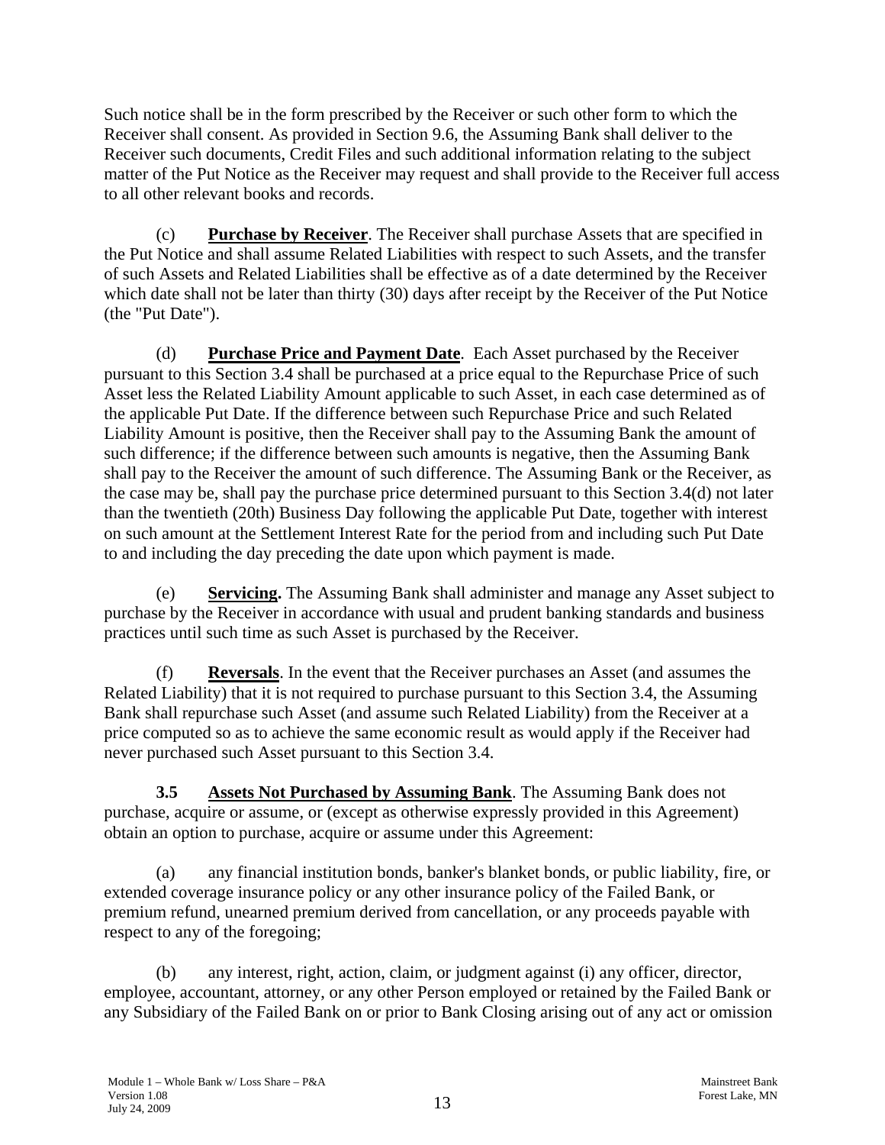<span id="page-16-0"></span>Such notice shall be in the form prescribed by the Receiver or such other form to which the Receiver shall consent. As provided in Section 9.6, the Assuming Bank shall deliver to the Receiver such documents, Credit Files and such additional information relating to the subject matter of the Put Notice as the Receiver may request and shall provide to the Receiver full access to all other relevant books and records.

(c) **Purchase by Receiver**. The Receiver shall purchase Assets that are specified in the Put Notice and shall assume Related Liabilities with respect to such Assets, and the transfer of such Assets and Related Liabilities shall be effective as of a date determined by the Receiver which date shall not be later than thirty (30) days after receipt by the Receiver of the Put Notice (the "Put Date").

(d) **Purchase Price and Payment Date**. Each Asset purchased by the Receiver pursuant to this Section 3.4 shall be purchased at a price equal to the Repurchase Price of such Asset less the Related Liability Amount applicable to such Asset, in each case determined as of the applicable Put Date. If the difference between such Repurchase Price and such Related Liability Amount is positive, then the Receiver shall pay to the Assuming Bank the amount of such difference; if the difference between such amounts is negative, then the Assuming Bank shall pay to the Receiver the amount of such difference. The Assuming Bank or the Receiver, as the case may be, shall pay the purchase price determined pursuant to this Section 3.4(d) not later than the twentieth (20th) Business Day following the applicable Put Date, together with interest on such amount at the Settlement Interest Rate for the period from and including such Put Date to and including the day preceding the date upon which payment is made.

(e) **Servicing.** The Assuming Bank shall administer and manage any Asset subject to purchase by the Receiver in accordance with usual and prudent banking standards and business practices until such time as such Asset is purchased by the Receiver.

(f) **Reversals**. In the event that the Receiver purchases an Asset (and assumes the Related Liability) that it is not required to purchase pursuant to this Section 3.4, the Assuming Bank shall repurchase such Asset (and assume such Related Liability) from the Receiver at a price computed so as to achieve the same economic result as would apply if the Receiver had never purchased such Asset pursuant to this Section 3.4.

**3.5 Assets Not Purchased by Assuming Bank**. The Assuming Bank does not purchase, acquire or assume, or (except as otherwise expressly provided in this Agreement) obtain an option to purchase, acquire or assume under this Agreement:

(a) any financial institution bonds, banker's blanket bonds, or public liability, fire, or extended coverage insurance policy or any other insurance policy of the Failed Bank, or premium refund, unearned premium derived from cancellation, or any proceeds payable with respect to any of the foregoing;

(b) any interest, right, action, claim, or judgment against (i) any officer, director, employee, accountant, attorney, or any other Person employed or retained by the Failed Bank or any Subsidiary of the Failed Bank on or prior to Bank Closing arising out of any act or omission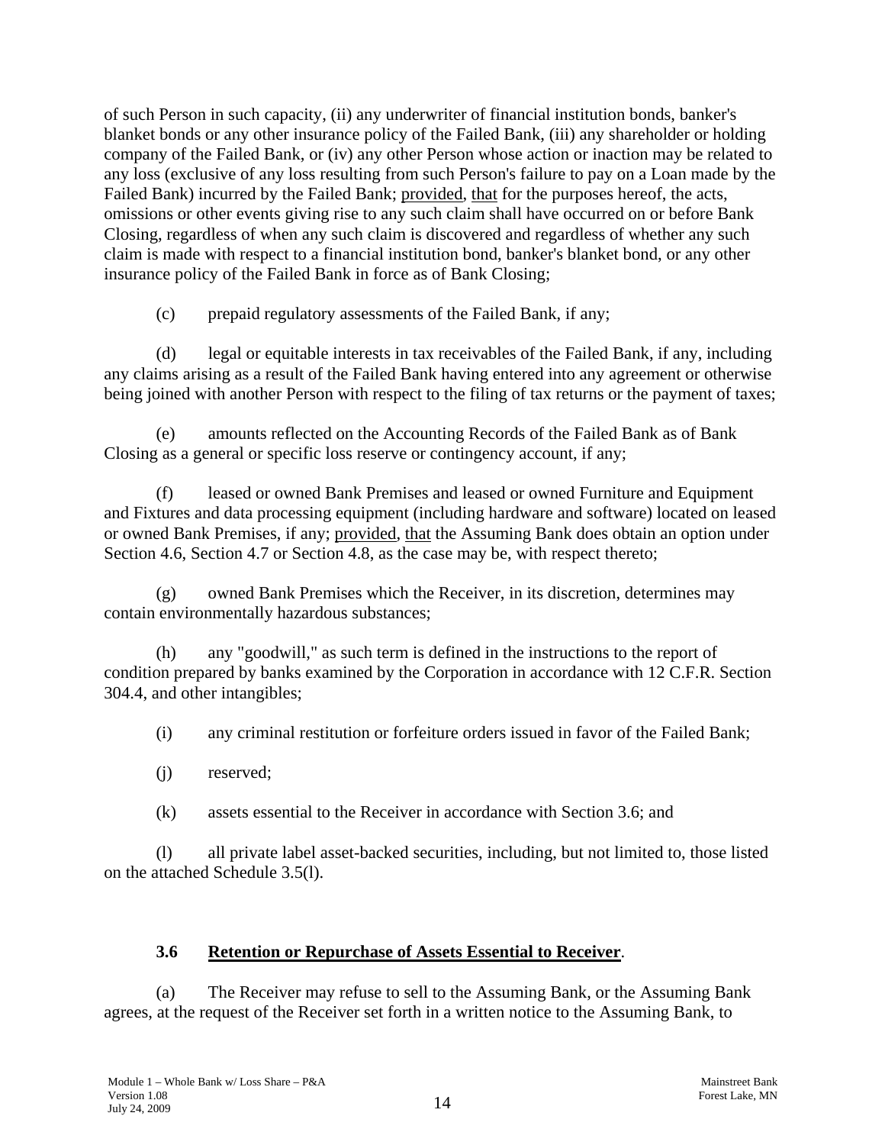<span id="page-17-0"></span>of such Person in such capacity, (ii) any underwriter of financial institution bonds, banker's blanket bonds or any other insurance policy of the Failed Bank, (iii) any shareholder or holding company of the Failed Bank, or (iv) any other Person whose action or inaction may be related to any loss (exclusive of any loss resulting from such Person's failure to pay on a Loan made by the Failed Bank) incurred by the Failed Bank; provided, that for the purposes hereof, the acts, omissions or other events giving rise to any such claim shall have occurred on or before Bank Closing, regardless of when any such claim is discovered and regardless of whether any such claim is made with respect to a financial institution bond, banker's blanket bond, or any other insurance policy of the Failed Bank in force as of Bank Closing;

(c) prepaid regulatory assessments of the Failed Bank, if any;

(d) legal or equitable interests in tax receivables of the Failed Bank, if any, including any claims arising as a result of the Failed Bank having entered into any agreement or otherwise being joined with another Person with respect to the filing of tax returns or the payment of taxes;

(e) amounts reflected on the Accounting Records of the Failed Bank as of Bank Closing as a general or specific loss reserve or contingency account, if any;

(f) leased or owned Bank Premises and leased or owned Furniture and Equipment and Fixtures and data processing equipment (including hardware and software) located on leased or owned Bank Premises, if any; provided, that the Assuming Bank does obtain an option under Section 4.6, Section 4.7 or Section 4.8, as the case may be, with respect thereto;

(g) owned Bank Premises which the Receiver, in its discretion, determines may contain environmentally hazardous substances;

(h) any "goodwill," as such term is defined in the instructions to the report of condition prepared by banks examined by the Corporation in accordance with 12 C.F.R. Section 304.4, and other intangibles;

(i) any criminal restitution or forfeiture orders issued in favor of the Failed Bank;

- (j) reserved;
- (k) assets essential to the Receiver in accordance with Section 3.6; and

(l) all private label asset-backed securities, including, but not limited to, those listed on the attached Schedule 3.5(l).

#### **3.6 Retention or Repurchase of Assets Essential to Receiver**.

(a) The Receiver may refuse to sell to the Assuming Bank, or the Assuming Bank agrees, at the request of the Receiver set forth in a written notice to the Assuming Bank, to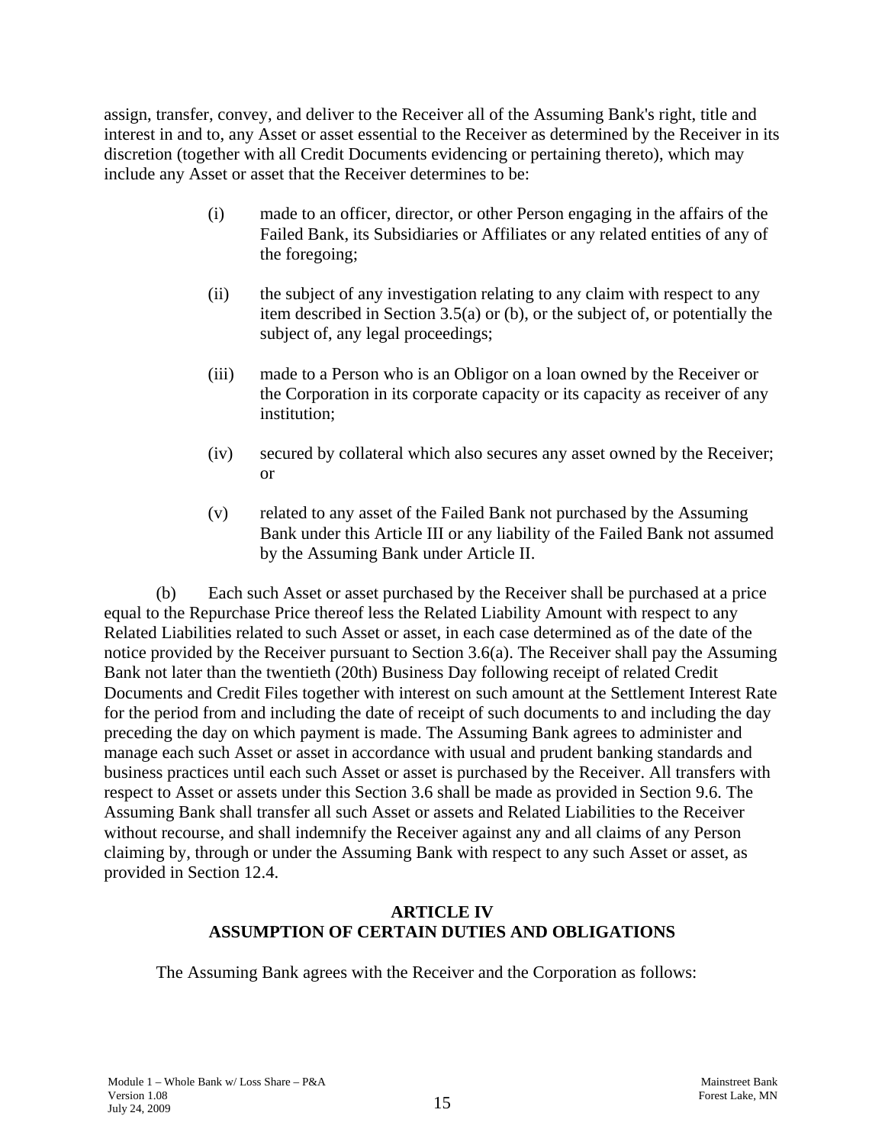<span id="page-18-0"></span>assign, transfer, convey, and deliver to the Receiver all of the Assuming Bank's right, title and interest in and to, any Asset or asset essential to the Receiver as determined by the Receiver in its discretion (together with all Credit Documents evidencing or pertaining thereto), which may include any Asset or asset that the Receiver determines to be:

- (i) made to an officer, director, or other Person engaging in the affairs of the Failed Bank, its Subsidiaries or Affiliates or any related entities of any of the foregoing;
- (ii) the subject of any investigation relating to any claim with respect to any item described in Section 3.5(a) or (b), or the subject of, or potentially the subject of, any legal proceedings;
- (iii) made to a Person who is an Obligor on a loan owned by the Receiver or the Corporation in its corporate capacity or its capacity as receiver of any institution;
- (iv) secured by collateral which also secures any asset owned by the Receiver; or
- (v) related to any asset of the Failed Bank not purchased by the Assuming Bank under this Article III or any liability of the Failed Bank not assumed by the Assuming Bank under Article II.

(b) Each such Asset or asset purchased by the Receiver shall be purchased at a price equal to the Repurchase Price thereof less the Related Liability Amount with respect to any Related Liabilities related to such Asset or asset, in each case determined as of the date of the notice provided by the Receiver pursuant to Section 3.6(a). The Receiver shall pay the Assuming Bank not later than the twentieth (20th) Business Day following receipt of related Credit Documents and Credit Files together with interest on such amount at the Settlement Interest Rate for the period from and including the date of receipt of such documents to and including the day preceding the day on which payment is made. The Assuming Bank agrees to administer and manage each such Asset or asset in accordance with usual and prudent banking standards and business practices until each such Asset or asset is purchased by the Receiver. All transfers with respect to Asset or assets under this Section 3.6 shall be made as provided in Section 9.6. The Assuming Bank shall transfer all such Asset or assets and Related Liabilities to the Receiver without recourse, and shall indemnify the Receiver against any and all claims of any Person claiming by, through or under the Assuming Bank with respect to any such Asset or asset, as provided in Section 12.4.

#### **ARTICLE IV ASSUMPTION OF CERTAIN DUTIES AND OBLIGATIONS**

The Assuming Bank agrees with the Receiver and the Corporation as follows: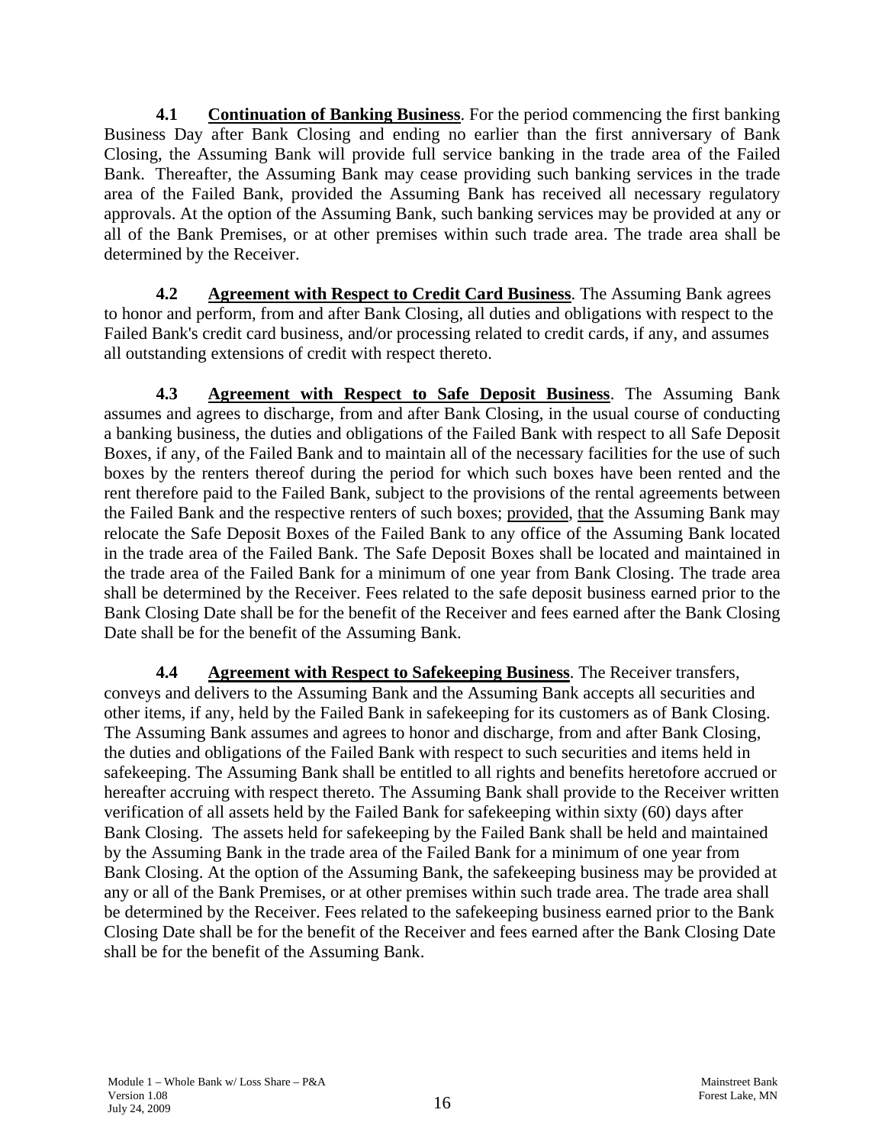<span id="page-19-0"></span> **4.1 Continuation of Banking Business**. For the period commencing the first banking Business Day after Bank Closing and ending no earlier than the first anniversary of Bank Closing, the Assuming Bank will provide full service banking in the trade area of the Failed Bank. Thereafter, the Assuming Bank may cease providing such banking services in the trade area of the Failed Bank, provided the Assuming Bank has received all necessary regulatory approvals. At the option of the Assuming Bank, such banking services may be provided at any or all of the Bank Premises, or at other premises within such trade area. The trade area shall be determined by the Receiver.

**4.2 Agreement with Respect to Credit Card Business**. The Assuming Bank agrees to honor and perform, from and after Bank Closing, all duties and obligations with respect to the Failed Bank's credit card business, and/or processing related to credit cards, if any, and assumes all outstanding extensions of credit with respect thereto.

**4.3 Agreement with Respect to Safe Deposit Business**. The Assuming Bank assumes and agrees to discharge, from and after Bank Closing, in the usual course of conducting a banking business, the duties and obligations of the Failed Bank with respect to all Safe Deposit Boxes, if any, of the Failed Bank and to maintain all of the necessary facilities for the use of such boxes by the renters thereof during the period for which such boxes have been rented and the rent therefore paid to the Failed Bank, subject to the provisions of the rental agreements between the Failed Bank and the respective renters of such boxes; provided, that the Assuming Bank may relocate the Safe Deposit Boxes of the Failed Bank to any office of the Assuming Bank located in the trade area of the Failed Bank. The Safe Deposit Boxes shall be located and maintained in the trade area of the Failed Bank for a minimum of one year from Bank Closing. The trade area shall be determined by the Receiver. Fees related to the safe deposit business earned prior to the Bank Closing Date shall be for the benefit of the Receiver and fees earned after the Bank Closing Date shall be for the benefit of the Assuming Bank.

**4.4 Agreement with Respect to Safekeeping Business**. The Receiver transfers, conveys and delivers to the Assuming Bank and the Assuming Bank accepts all securities and other items, if any, held by the Failed Bank in safekeeping for its customers as of Bank Closing. The Assuming Bank assumes and agrees to honor and discharge, from and after Bank Closing, the duties and obligations of the Failed Bank with respect to such securities and items held in safekeeping. The Assuming Bank shall be entitled to all rights and benefits heretofore accrued or hereafter accruing with respect thereto. The Assuming Bank shall provide to the Receiver written verification of all assets held by the Failed Bank for safekeeping within sixty (60) days after Bank Closing. The assets held for safekeeping by the Failed Bank shall be held and maintained by the Assuming Bank in the trade area of the Failed Bank for a minimum of one year from Bank Closing. At the option of the Assuming Bank, the safekeeping business may be provided at any or all of the Bank Premises, or at other premises within such trade area. The trade area shall be determined by the Receiver. Fees related to the safekeeping business earned prior to the Bank Closing Date shall be for the benefit of the Receiver and fees earned after the Bank Closing Date shall be for the benefit of the Assuming Bank.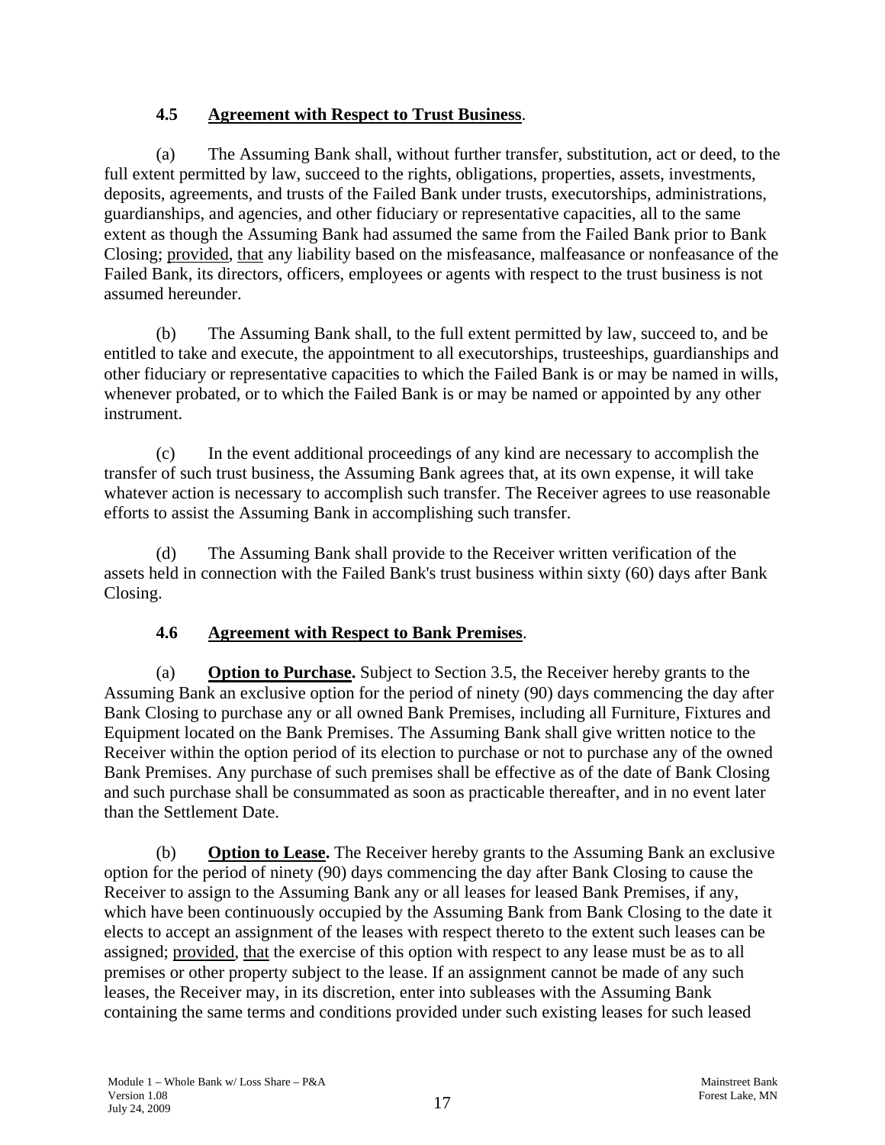## **4.5 Agreement with Respect to Trust Business**.

<span id="page-20-0"></span>(a) The Assuming Bank shall, without further transfer, substitution, act or deed, to the full extent permitted by law, succeed to the rights, obligations, properties, assets, investments, deposits, agreements, and trusts of the Failed Bank under trusts, executorships, administrations, guardianships, and agencies, and other fiduciary or representative capacities, all to the same extent as though the Assuming Bank had assumed the same from the Failed Bank prior to Bank Closing; provided, that any liability based on the misfeasance, malfeasance or nonfeasance of the Failed Bank, its directors, officers, employees or agents with respect to the trust business is not assumed hereunder.

(b) The Assuming Bank shall, to the full extent permitted by law, succeed to, and be entitled to take and execute, the appointment to all executorships, trusteeships, guardianships and other fiduciary or representative capacities to which the Failed Bank is or may be named in wills, whenever probated, or to which the Failed Bank is or may be named or appointed by any other instrument.

(c) In the event additional proceedings of any kind are necessary to accomplish the transfer of such trust business, the Assuming Bank agrees that, at its own expense, it will take whatever action is necessary to accomplish such transfer. The Receiver agrees to use reasonable efforts to assist the Assuming Bank in accomplishing such transfer.

(d) The Assuming Bank shall provide to the Receiver written verification of the assets held in connection with the Failed Bank's trust business within sixty (60) days after Bank Closing.

# **4.6 Agreement with Respect to Bank Premises**.

(a) **Option to Purchase.** Subject to Section 3.5, the Receiver hereby grants to the Assuming Bank an exclusive option for the period of ninety (90) days commencing the day after Bank Closing to purchase any or all owned Bank Premises, including all Furniture, Fixtures and Equipment located on the Bank Premises. The Assuming Bank shall give written notice to the Receiver within the option period of its election to purchase or not to purchase any of the owned Bank Premises. Any purchase of such premises shall be effective as of the date of Bank Closing and such purchase shall be consummated as soon as practicable thereafter, and in no event later than the Settlement Date.

(b) **Option to Lease.** The Receiver hereby grants to the Assuming Bank an exclusive option for the period of ninety (90) days commencing the day after Bank Closing to cause the Receiver to assign to the Assuming Bank any or all leases for leased Bank Premises, if any, which have been continuously occupied by the Assuming Bank from Bank Closing to the date it elects to accept an assignment of the leases with respect thereto to the extent such leases can be assigned; provided, that the exercise of this option with respect to any lease must be as to all premises or other property subject to the lease. If an assignment cannot be made of any such leases, the Receiver may, in its discretion, enter into subleases with the Assuming Bank containing the same terms and conditions provided under such existing leases for such leased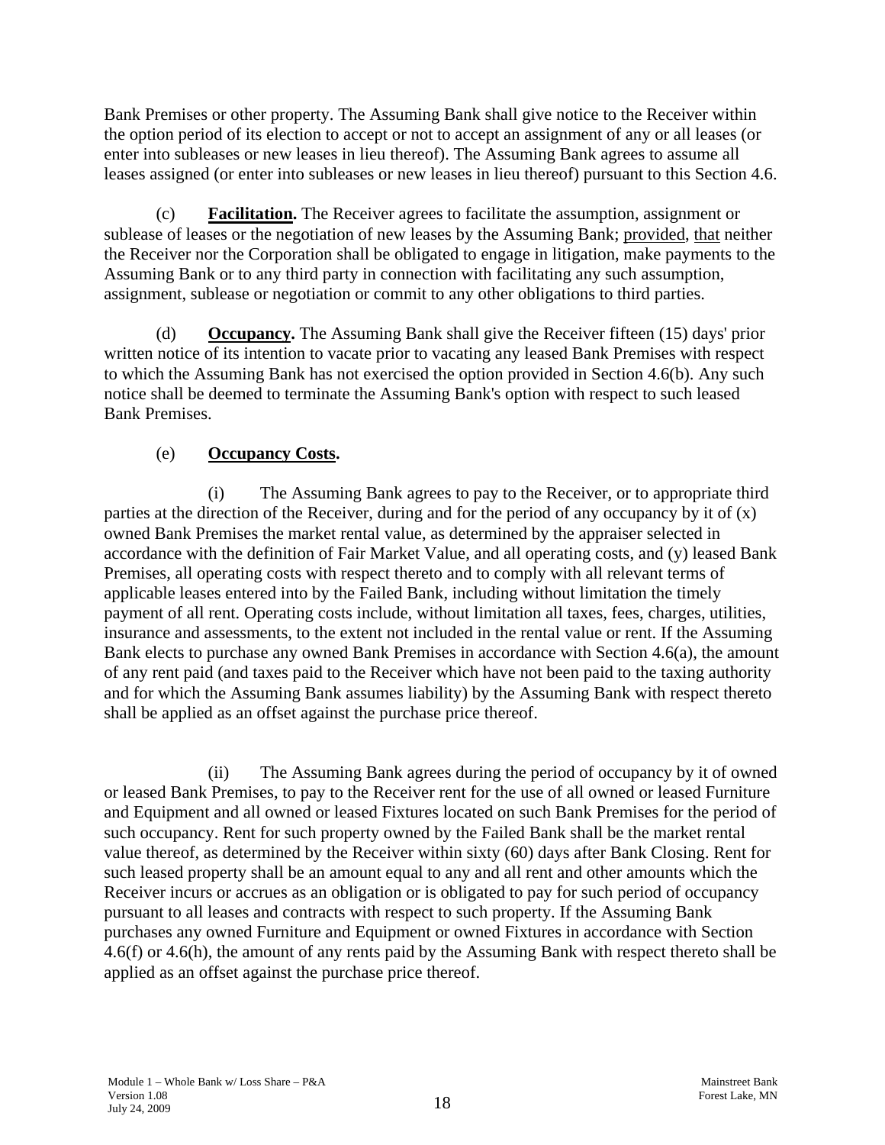Bank Premises or other property. The Assuming Bank shall give notice to the Receiver within the option period of its election to accept or not to accept an assignment of any or all leases (or enter into subleases or new leases in lieu thereof). The Assuming Bank agrees to assume all leases assigned (or enter into subleases or new leases in lieu thereof) pursuant to this Section 4.6.

(c) **Facilitation.** The Receiver agrees to facilitate the assumption, assignment or sublease of leases or the negotiation of new leases by the Assuming Bank; provided, that neither the Receiver nor the Corporation shall be obligated to engage in litigation, make payments to the Assuming Bank or to any third party in connection with facilitating any such assumption, assignment, sublease or negotiation or commit to any other obligations to third parties.

(d) **Occupancy.** The Assuming Bank shall give the Receiver fifteen (15) days' prior written notice of its intention to vacate prior to vacating any leased Bank Premises with respect to which the Assuming Bank has not exercised the option provided in Section 4.6(b). Any such notice shall be deemed to terminate the Assuming Bank's option with respect to such leased Bank Premises.

### (e) **Occupancy Costs.**

(i) The Assuming Bank agrees to pay to the Receiver, or to appropriate third parties at the direction of the Receiver, during and for the period of any occupancy by it of (x) owned Bank Premises the market rental value, as determined by the appraiser selected in accordance with the definition of Fair Market Value, and all operating costs, and (y) leased Bank Premises, all operating costs with respect thereto and to comply with all relevant terms of applicable leases entered into by the Failed Bank, including without limitation the timely payment of all rent. Operating costs include, without limitation all taxes, fees, charges, utilities, insurance and assessments, to the extent not included in the rental value or rent. If the Assuming Bank elects to purchase any owned Bank Premises in accordance with Section 4.6(a), the amount of any rent paid (and taxes paid to the Receiver which have not been paid to the taxing authority and for which the Assuming Bank assumes liability) by the Assuming Bank with respect thereto shall be applied as an offset against the purchase price thereof.

(ii) The Assuming Bank agrees during the period of occupancy by it of owned or leased Bank Premises, to pay to the Receiver rent for the use of all owned or leased Furniture and Equipment and all owned or leased Fixtures located on such Bank Premises for the period of such occupancy. Rent for such property owned by the Failed Bank shall be the market rental value thereof, as determined by the Receiver within sixty (60) days after Bank Closing. Rent for such leased property shall be an amount equal to any and all rent and other amounts which the Receiver incurs or accrues as an obligation or is obligated to pay for such period of occupancy pursuant to all leases and contracts with respect to such property. If the Assuming Bank purchases any owned Furniture and Equipment or owned Fixtures in accordance with Section 4.6(f) or 4.6(h), the amount of any rents paid by the Assuming Bank with respect thereto shall be applied as an offset against the purchase price thereof.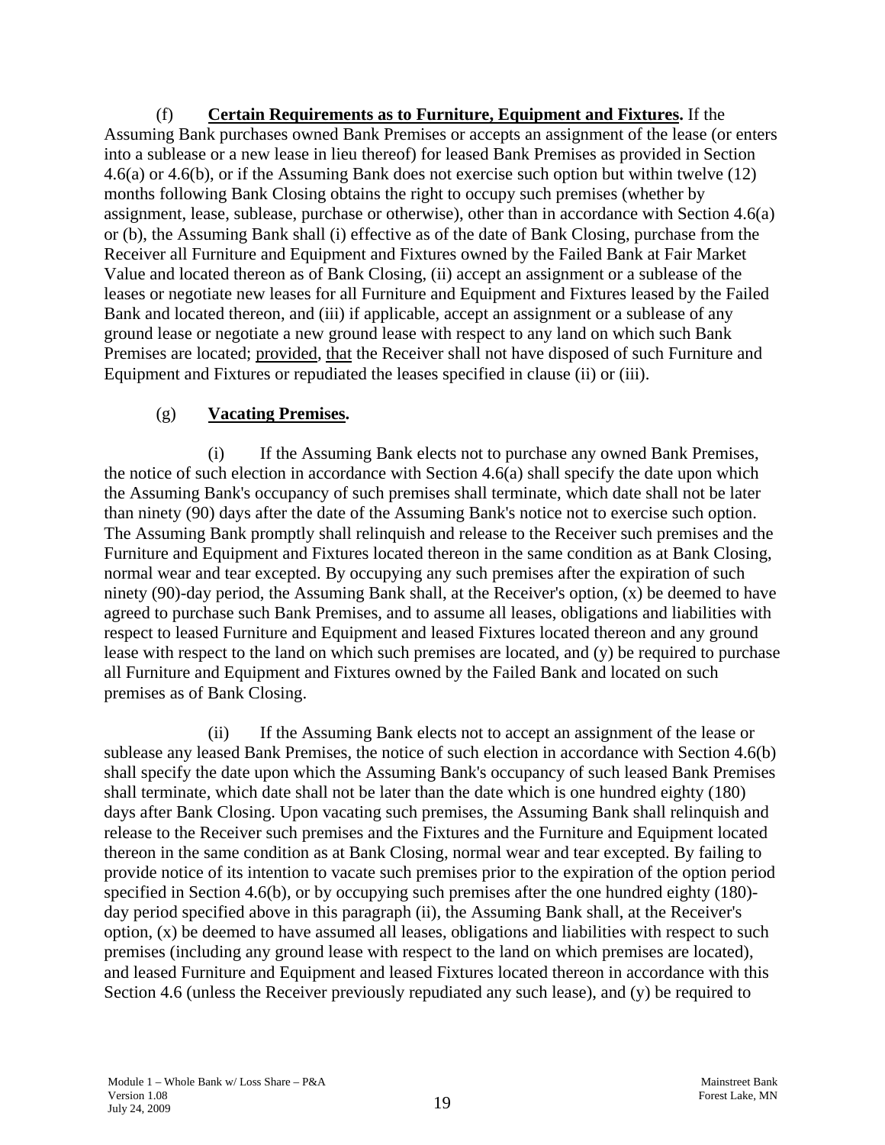(f) **Certain Requirements as to Furniture, Equipment and Fixtures.** If the Assuming Bank purchases owned Bank Premises or accepts an assignment of the lease (or enters into a sublease or a new lease in lieu thereof) for leased Bank Premises as provided in Section 4.6(a) or 4.6(b), or if the Assuming Bank does not exercise such option but within twelve (12) months following Bank Closing obtains the right to occupy such premises (whether by assignment, lease, sublease, purchase or otherwise), other than in accordance with Section 4.6(a) or (b), the Assuming Bank shall (i) effective as of the date of Bank Closing, purchase from the Receiver all Furniture and Equipment and Fixtures owned by the Failed Bank at Fair Market Value and located thereon as of Bank Closing, (ii) accept an assignment or a sublease of the leases or negotiate new leases for all Furniture and Equipment and Fixtures leased by the Failed Bank and located thereon, and (iii) if applicable, accept an assignment or a sublease of any ground lease or negotiate a new ground lease with respect to any land on which such Bank Premises are located; provided, that the Receiver shall not have disposed of such Furniture and Equipment and Fixtures or repudiated the leases specified in clause (ii) or (iii).

## (g) **Vacating Premises.**

(i) If the Assuming Bank elects not to purchase any owned Bank Premises, the notice of such election in accordance with Section 4.6(a) shall specify the date upon which the Assuming Bank's occupancy of such premises shall terminate, which date shall not be later than ninety (90) days after the date of the Assuming Bank's notice not to exercise such option. The Assuming Bank promptly shall relinquish and release to the Receiver such premises and the Furniture and Equipment and Fixtures located thereon in the same condition as at Bank Closing, normal wear and tear excepted. By occupying any such premises after the expiration of such ninety (90)-day period, the Assuming Bank shall, at the Receiver's option, (x) be deemed to have agreed to purchase such Bank Premises, and to assume all leases, obligations and liabilities with respect to leased Furniture and Equipment and leased Fixtures located thereon and any ground lease with respect to the land on which such premises are located, and (y) be required to purchase all Furniture and Equipment and Fixtures owned by the Failed Bank and located on such premises as of Bank Closing.

(ii) If the Assuming Bank elects not to accept an assignment of the lease or sublease any leased Bank Premises, the notice of such election in accordance with Section 4.6(b) shall specify the date upon which the Assuming Bank's occupancy of such leased Bank Premises shall terminate, which date shall not be later than the date which is one hundred eighty (180) days after Bank Closing. Upon vacating such premises, the Assuming Bank shall relinquish and release to the Receiver such premises and the Fixtures and the Furniture and Equipment located thereon in the same condition as at Bank Closing, normal wear and tear excepted. By failing to provide notice of its intention to vacate such premises prior to the expiration of the option period specified in Section 4.6(b), or by occupying such premises after the one hundred eighty (180) day period specified above in this paragraph (ii), the Assuming Bank shall, at the Receiver's option, (x) be deemed to have assumed all leases, obligations and liabilities with respect to such premises (including any ground lease with respect to the land on which premises are located), and leased Furniture and Equipment and leased Fixtures located thereon in accordance with this Section 4.6 (unless the Receiver previously repudiated any such lease), and (y) be required to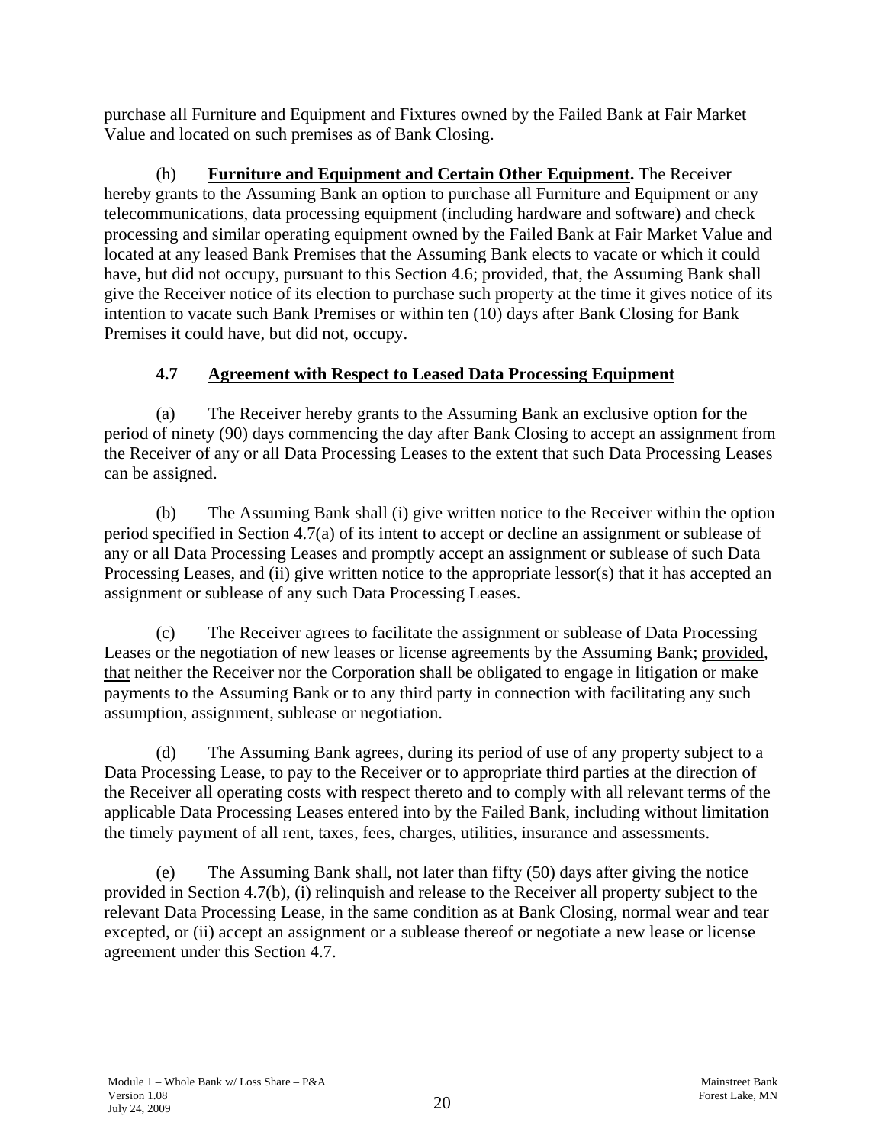<span id="page-23-0"></span>purchase all Furniture and Equipment and Fixtures owned by the Failed Bank at Fair Market Value and located on such premises as of Bank Closing.

(h) **Furniture and Equipment and Certain Other Equipment.** The Receiver hereby grants to the Assuming Bank an option to purchase all Furniture and Equipment or any telecommunications, data processing equipment (including hardware and software) and check processing and similar operating equipment owned by the Failed Bank at Fair Market Value and located at any leased Bank Premises that the Assuming Bank elects to vacate or which it could have, but did not occupy, pursuant to this Section 4.6; provided, that, the Assuming Bank shall give the Receiver notice of its election to purchase such property at the time it gives notice of its intention to vacate such Bank Premises or within ten (10) days after Bank Closing for Bank Premises it could have, but did not, occupy.

# **4.7 Agreement with Respect to Leased Data Processing Equipment**

(a) The Receiver hereby grants to the Assuming Bank an exclusive option for the period of ninety (90) days commencing the day after Bank Closing to accept an assignment from the Receiver of any or all Data Processing Leases to the extent that such Data Processing Leases can be assigned.

(b) The Assuming Bank shall (i) give written notice to the Receiver within the option period specified in Section 4.7(a) of its intent to accept or decline an assignment or sublease of any or all Data Processing Leases and promptly accept an assignment or sublease of such Data Processing Leases, and (ii) give written notice to the appropriate lessor(s) that it has accepted an assignment or sublease of any such Data Processing Leases.

(c) The Receiver agrees to facilitate the assignment or sublease of Data Processing Leases or the negotiation of new leases or license agreements by the Assuming Bank; provided, that neither the Receiver nor the Corporation shall be obligated to engage in litigation or make payments to the Assuming Bank or to any third party in connection with facilitating any such assumption, assignment, sublease or negotiation.

(d) The Assuming Bank agrees, during its period of use of any property subject to a Data Processing Lease, to pay to the Receiver or to appropriate third parties at the direction of the Receiver all operating costs with respect thereto and to comply with all relevant terms of the applicable Data Processing Leases entered into by the Failed Bank, including without limitation the timely payment of all rent, taxes, fees, charges, utilities, insurance and assessments.

(e) The Assuming Bank shall, not later than fifty (50) days after giving the notice provided in Section 4.7(b), (i) relinquish and release to the Receiver all property subject to the relevant Data Processing Lease, in the same condition as at Bank Closing, normal wear and tear excepted, or (ii) accept an assignment or a sublease thereof or negotiate a new lease or license agreement under this Section 4.7.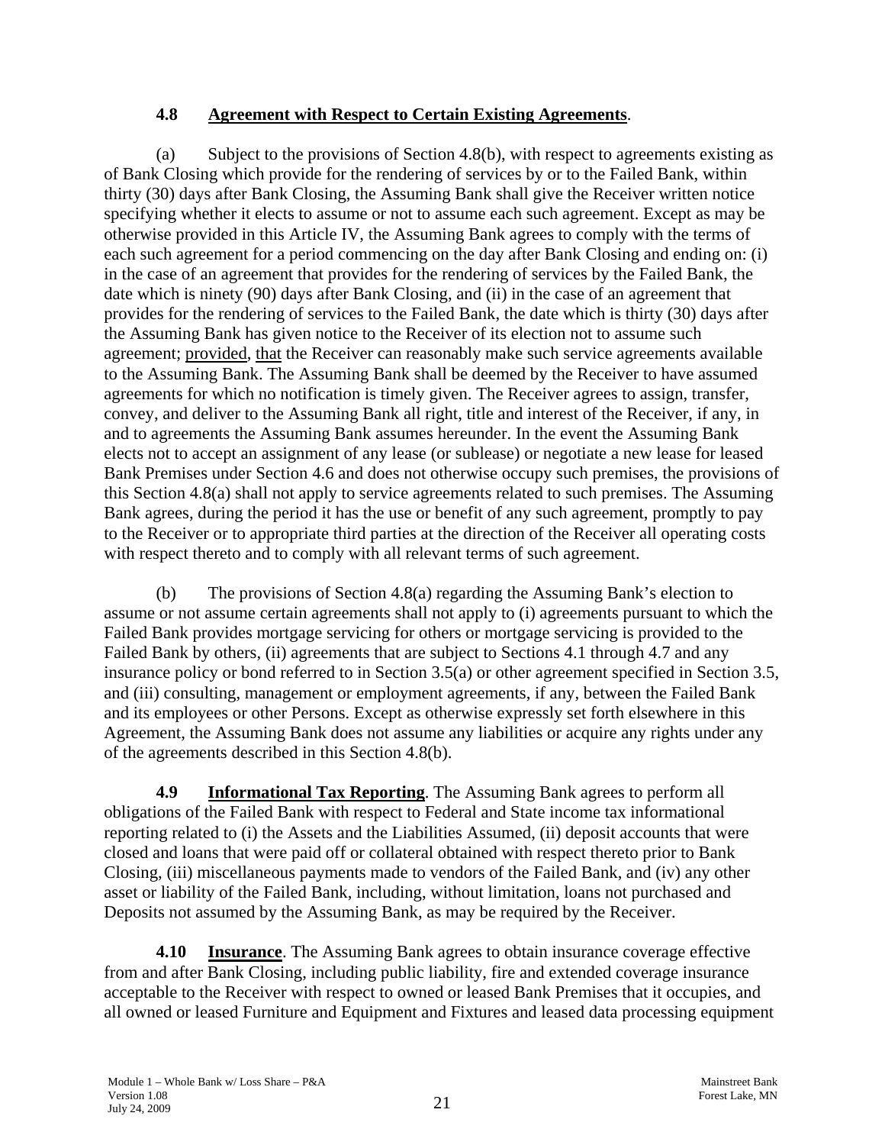### **4.8 Agreement with Respect to Certain Existing Agreements**.

<span id="page-24-0"></span>(a) Subject to the provisions of Section 4.8(b), with respect to agreements existing as of Bank Closing which provide for the rendering of services by or to the Failed Bank, within thirty (30) days after Bank Closing, the Assuming Bank shall give the Receiver written notice specifying whether it elects to assume or not to assume each such agreement. Except as may be otherwise provided in this Article IV, the Assuming Bank agrees to comply with the terms of each such agreement for a period commencing on the day after Bank Closing and ending on: (i) in the case of an agreement that provides for the rendering of services by the Failed Bank, the date which is ninety (90) days after Bank Closing, and (ii) in the case of an agreement that provides for the rendering of services to the Failed Bank, the date which is thirty (30) days after the Assuming Bank has given notice to the Receiver of its election not to assume such agreement; provided, that the Receiver can reasonably make such service agreements available to the Assuming Bank. The Assuming Bank shall be deemed by the Receiver to have assumed agreements for which no notification is timely given. The Receiver agrees to assign, transfer, convey, and deliver to the Assuming Bank all right, title and interest of the Receiver, if any, in and to agreements the Assuming Bank assumes hereunder. In the event the Assuming Bank elects not to accept an assignment of any lease (or sublease) or negotiate a new lease for leased Bank Premises under Section 4.6 and does not otherwise occupy such premises, the provisions of this Section 4.8(a) shall not apply to service agreements related to such premises. The Assuming Bank agrees, during the period it has the use or benefit of any such agreement, promptly to pay to the Receiver or to appropriate third parties at the direction of the Receiver all operating costs with respect thereto and to comply with all relevant terms of such agreement.

(b) The provisions of Section 4.8(a) regarding the Assuming Bank's election to assume or not assume certain agreements shall not apply to (i) agreements pursuant to which the Failed Bank provides mortgage servicing for others or mortgage servicing is provided to the Failed Bank by others, (ii) agreements that are subject to Sections 4.1 through 4.7 and any insurance policy or bond referred to in Section 3.5(a) or other agreement specified in Section 3.5, and (iii) consulting, management or employment agreements, if any, between the Failed Bank and its employees or other Persons. Except as otherwise expressly set forth elsewhere in this Agreement, the Assuming Bank does not assume any liabilities or acquire any rights under any of the agreements described in this Section 4.8(b).

**4.9 Informational Tax Reporting**. The Assuming Bank agrees to perform all obligations of the Failed Bank with respect to Federal and State income tax informational reporting related to (i) the Assets and the Liabilities Assumed, (ii) deposit accounts that were closed and loans that were paid off or collateral obtained with respect thereto prior to Bank Closing, (iii) miscellaneous payments made to vendors of the Failed Bank, and (iv) any other asset or liability of the Failed Bank, including, without limitation, loans not purchased and Deposits not assumed by the Assuming Bank, as may be required by the Receiver.

**4.10 Insurance**. The Assuming Bank agrees to obtain insurance coverage effective from and after Bank Closing, including public liability, fire and extended coverage insurance acceptable to the Receiver with respect to owned or leased Bank Premises that it occupies, and all owned or leased Furniture and Equipment and Fixtures and leased data processing equipment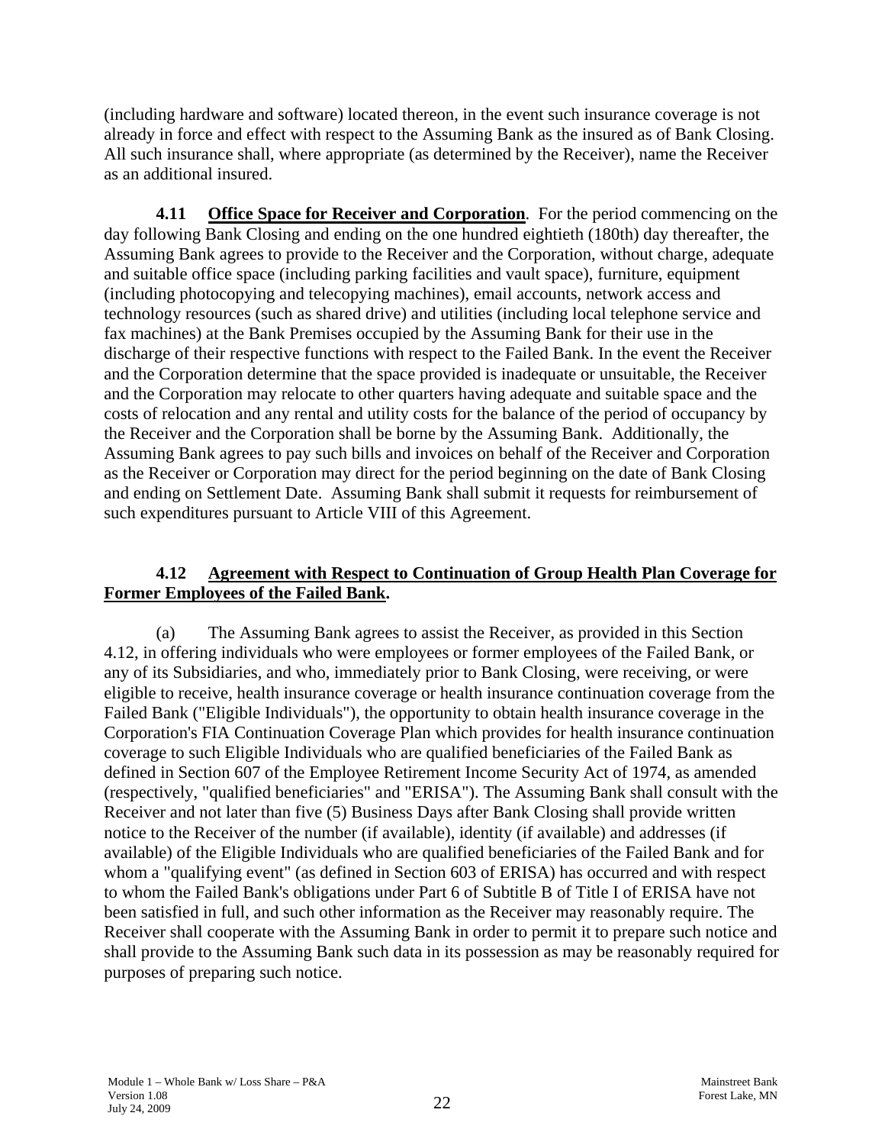<span id="page-25-0"></span>(including hardware and software) located thereon, in the event such insurance coverage is not already in force and effect with respect to the Assuming Bank as the insured as of Bank Closing. All such insurance shall, where appropriate (as determined by the Receiver), name the Receiver as an additional insured.

**4.11** Office Space for Receiver and Corporation. For the period commencing on the day following Bank Closing and ending on the one hundred eightieth (180th) day thereafter, the Assuming Bank agrees to provide to the Receiver and the Corporation, without charge, adequate and suitable office space (including parking facilities and vault space), furniture, equipment (including photocopying and telecopying machines), email accounts, network access and technology resources (such as shared drive) and utilities (including local telephone service and fax machines) at the Bank Premises occupied by the Assuming Bank for their use in the discharge of their respective functions with respect to the Failed Bank. In the event the Receiver and the Corporation determine that the space provided is inadequate or unsuitable, the Receiver and the Corporation may relocate to other quarters having adequate and suitable space and the costs of relocation and any rental and utility costs for the balance of the period of occupancy by the Receiver and the Corporation shall be borne by the Assuming Bank. Additionally, the Assuming Bank agrees to pay such bills and invoices on behalf of the Receiver and Corporation as the Receiver or Corporation may direct for the period beginning on the date of Bank Closing and ending on Settlement Date. Assuming Bank shall submit it requests for reimbursement of such expenditures pursuant to Article VIII of this Agreement.

### **4.12 Agreement with Respect to Continuation of Group Health Plan Coverage for Former Employees of the Failed Bank.**

(a) The Assuming Bank agrees to assist the Receiver, as provided in this Section 4.12, in offering individuals who were employees or former employees of the Failed Bank, or any of its Subsidiaries, and who, immediately prior to Bank Closing, were receiving, or were eligible to receive, health insurance coverage or health insurance continuation coverage from the Failed Bank ("Eligible Individuals"), the opportunity to obtain health insurance coverage in the Corporation's FIA Continuation Coverage Plan which provides for health insurance continuation coverage to such Eligible Individuals who are qualified beneficiaries of the Failed Bank as defined in Section 607 of the Employee Retirement Income Security Act of 1974, as amended (respectively, "qualified beneficiaries" and "ERISA"). The Assuming Bank shall consult with the Receiver and not later than five (5) Business Days after Bank Closing shall provide written notice to the Receiver of the number (if available), identity (if available) and addresses (if available) of the Eligible Individuals who are qualified beneficiaries of the Failed Bank and for whom a "qualifying event" (as defined in Section 603 of ERISA) has occurred and with respect to whom the Failed Bank's obligations under Part 6 of Subtitle B of Title I of ERISA have not been satisfied in full, and such other information as the Receiver may reasonably require. The Receiver shall cooperate with the Assuming Bank in order to permit it to prepare such notice and shall provide to the Assuming Bank such data in its possession as may be reasonably required for purposes of preparing such notice.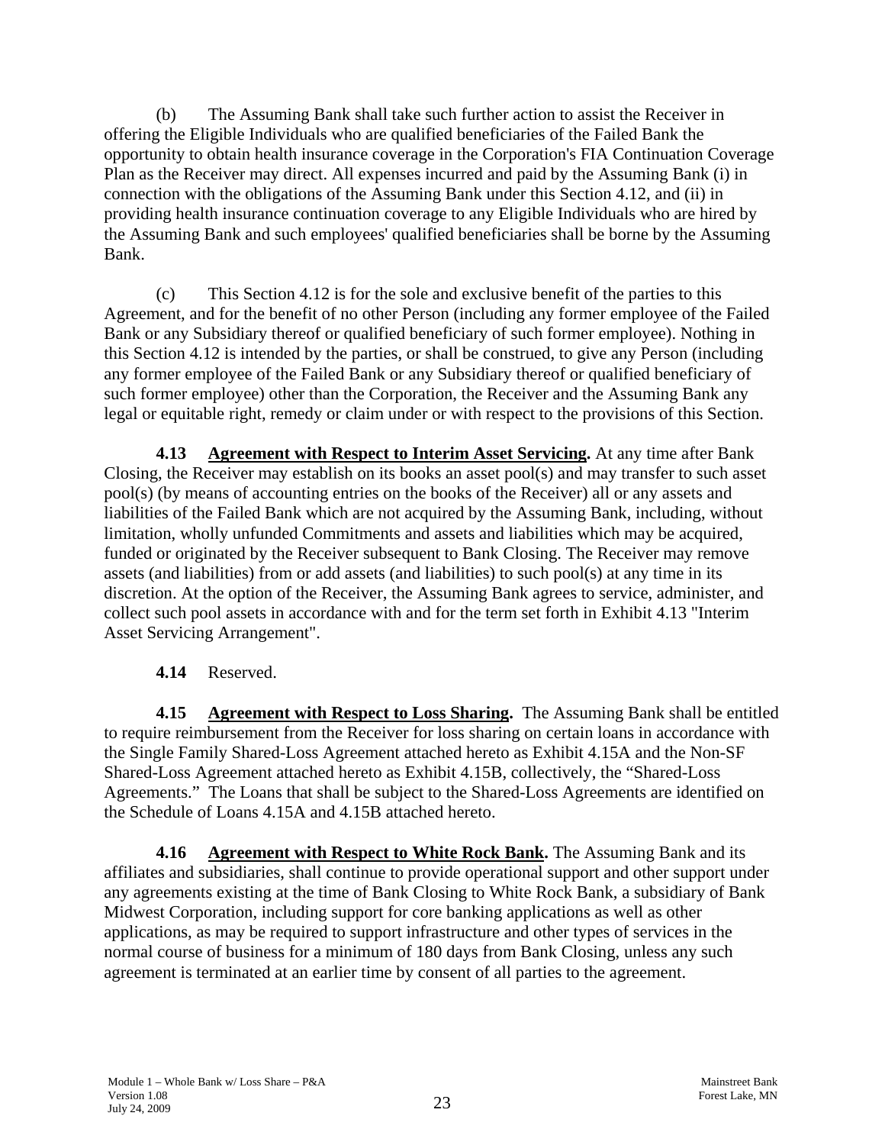<span id="page-26-0"></span>(b) The Assuming Bank shall take such further action to assist the Receiver in offering the Eligible Individuals who are qualified beneficiaries of the Failed Bank the opportunity to obtain health insurance coverage in the Corporation's FIA Continuation Coverage Plan as the Receiver may direct. All expenses incurred and paid by the Assuming Bank (i) in connection with the obligations of the Assuming Bank under this Section 4.12, and (ii) in providing health insurance continuation coverage to any Eligible Individuals who are hired by the Assuming Bank and such employees' qualified beneficiaries shall be borne by the Assuming Bank.

(c) This Section 4.12 is for the sole and exclusive benefit of the parties to this Agreement, and for the benefit of no other Person (including any former employee of the Failed Bank or any Subsidiary thereof or qualified beneficiary of such former employee). Nothing in this Section 4.12 is intended by the parties, or shall be construed, to give any Person (including any former employee of the Failed Bank or any Subsidiary thereof or qualified beneficiary of such former employee) other than the Corporation, the Receiver and the Assuming Bank any legal or equitable right, remedy or claim under or with respect to the provisions of this Section.

**4.13 Agreement with Respect to Interim Asset Servicing.** At any time after Bank Closing, the Receiver may establish on its books an asset pool(s) and may transfer to such asset pool(s) (by means of accounting entries on the books of the Receiver) all or any assets and liabilities of the Failed Bank which are not acquired by the Assuming Bank, including, without limitation, wholly unfunded Commitments and assets and liabilities which may be acquired, funded or originated by the Receiver subsequent to Bank Closing. The Receiver may remove assets (and liabilities) from or add assets (and liabilities) to such pool(s) at any time in its discretion. At the option of the Receiver, the Assuming Bank agrees to service, administer, and collect such pool assets in accordance with and for the term set forth in Exhibit 4.13 "Interim Asset Servicing Arrangement".

## **4.14** Reserved.

**4.15 Agreement with Respect to Loss Sharing.** The Assuming Bank shall be entitled to require reimbursement from the Receiver for loss sharing on certain loans in accordance with the Single Family Shared-Loss Agreement attached hereto as Exhibit 4.15A and the Non-SF Shared-Loss Agreement attached hereto as Exhibit 4.15B, collectively, the "Shared-Loss Agreements." The Loans that shall be subject to the Shared-Loss Agreements are identified on the Schedule of Loans 4.15A and 4.15B attached hereto.

**4.16 Agreement with Respect to White Rock Bank.** The Assuming Bank and its affiliates and subsidiaries, shall continue to provide operational support and other support under any agreements existing at the time of Bank Closing to White Rock Bank, a subsidiary of Bank Midwest Corporation, including support for core banking applications as well as other applications, as may be required to support infrastructure and other types of services in the normal course of business for a minimum of 180 days from Bank Closing, unless any such agreement is terminated at an earlier time by consent of all parties to the agreement.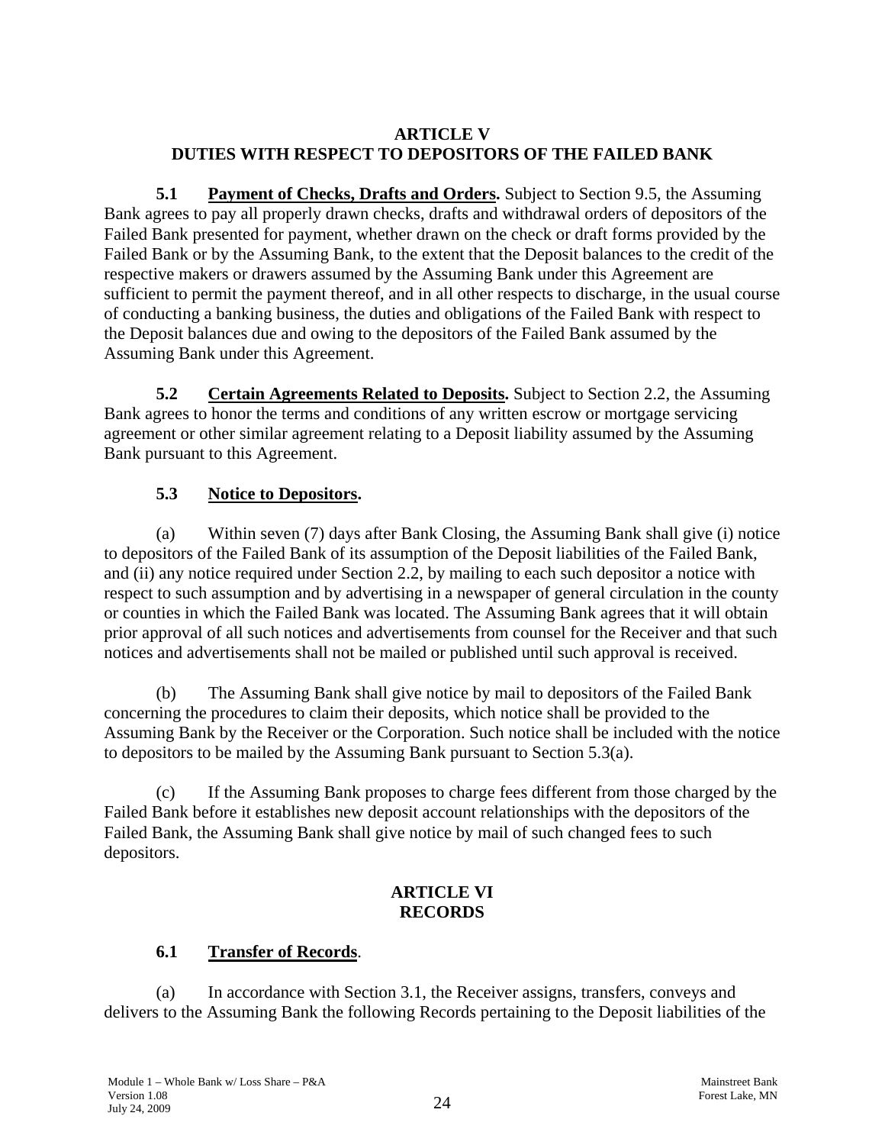## <span id="page-27-0"></span> **ARTICLE V DUTIES WITH RESPECT TO DEPOSITORS OF THE FAILED BANK**

 **5.1 Payment of Checks, Drafts and Orders.** Subject to Section 9.5, the Assuming Bank agrees to pay all properly drawn checks, drafts and withdrawal orders of depositors of the Failed Bank presented for payment, whether drawn on the check or draft forms provided by the Failed Bank or by the Assuming Bank, to the extent that the Deposit balances to the credit of the respective makers or drawers assumed by the Assuming Bank under this Agreement are sufficient to permit the payment thereof, and in all other respects to discharge, in the usual course of conducting a banking business, the duties and obligations of the Failed Bank with respect to the Deposit balances due and owing to the depositors of the Failed Bank assumed by the Assuming Bank under this Agreement.

**5.2 Certain Agreements Related to Deposits.** Subject to Section 2.2, the Assuming Bank agrees to honor the terms and conditions of any written escrow or mortgage servicing agreement or other similar agreement relating to a Deposit liability assumed by the Assuming Bank pursuant to this Agreement.

# **5.3 Notice to Depositors.**

(a) Within seven (7) days after Bank Closing, the Assuming Bank shall give (i) notice to depositors of the Failed Bank of its assumption of the Deposit liabilities of the Failed Bank, and (ii) any notice required under Section 2.2, by mailing to each such depositor a notice with respect to such assumption and by advertising in a newspaper of general circulation in the county or counties in which the Failed Bank was located. The Assuming Bank agrees that it will obtain prior approval of all such notices and advertisements from counsel for the Receiver and that such notices and advertisements shall not be mailed or published until such approval is received.

(b) The Assuming Bank shall give notice by mail to depositors of the Failed Bank concerning the procedures to claim their deposits, which notice shall be provided to the Assuming Bank by the Receiver or the Corporation. Such notice shall be included with the notice to depositors to be mailed by the Assuming Bank pursuant to Section 5.3(a).

(c) If the Assuming Bank proposes to charge fees different from those charged by the Failed Bank before it establishes new deposit account relationships with the depositors of the Failed Bank, the Assuming Bank shall give notice by mail of such changed fees to such depositors.

#### **ARTICLE VI RECORDS**

## **6.1 Transfer of Records**.

(a) In accordance with Section 3.1, the Receiver assigns, transfers, conveys and delivers to the Assuming Bank the following Records pertaining to the Deposit liabilities of the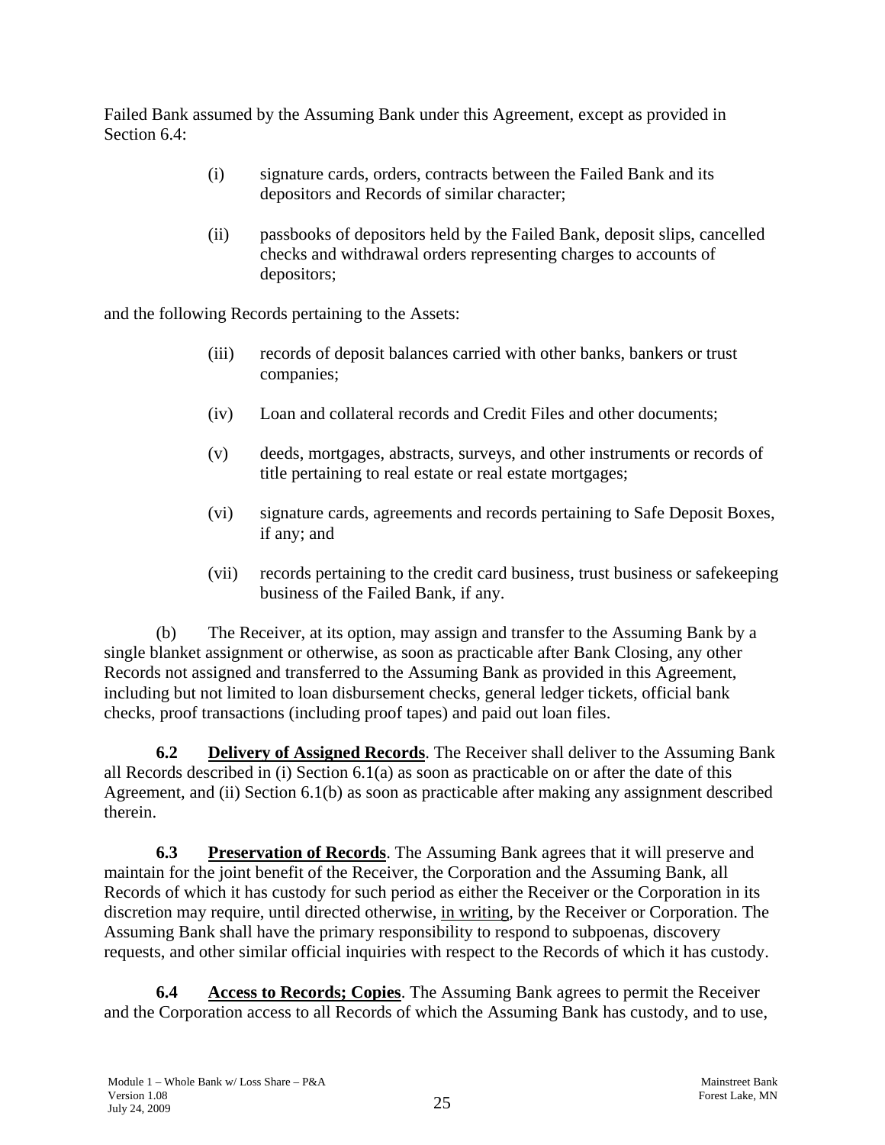<span id="page-28-0"></span>Failed Bank assumed by the Assuming Bank under this Agreement, except as provided in Section 6.4:

- (i) signature cards, orders, contracts between the Failed Bank and its depositors and Records of similar character;
- (ii) passbooks of depositors held by the Failed Bank, deposit slips, cancelled checks and withdrawal orders representing charges to accounts of depositors;

and the following Records pertaining to the Assets:

- (iii) records of deposit balances carried with other banks, bankers or trust companies;
- (iv) Loan and collateral records and Credit Files and other documents;
- (v) deeds, mortgages, abstracts, surveys, and other instruments or records of title pertaining to real estate or real estate mortgages;
- (vi) signature cards, agreements and records pertaining to Safe Deposit Boxes, if any; and
- (vii) records pertaining to the credit card business, trust business or safekeeping business of the Failed Bank, if any.

(b) The Receiver, at its option, may assign and transfer to the Assuming Bank by a single blanket assignment or otherwise, as soon as practicable after Bank Closing, any other Records not assigned and transferred to the Assuming Bank as provided in this Agreement, including but not limited to loan disbursement checks, general ledger tickets, official bank checks, proof transactions (including proof tapes) and paid out loan files.

**6.2 Delivery of Assigned Records**. The Receiver shall deliver to the Assuming Bank all Records described in (i) Section 6.1(a) as soon as practicable on or after the date of this Agreement, and (ii) Section 6.1(b) as soon as practicable after making any assignment described therein.

**6.3 Preservation of Records**. The Assuming Bank agrees that it will preserve and maintain for the joint benefit of the Receiver, the Corporation and the Assuming Bank, all Records of which it has custody for such period as either the Receiver or the Corporation in its discretion may require, until directed otherwise, in writing, by the Receiver or Corporation. The Assuming Bank shall have the primary responsibility to respond to subpoenas, discovery requests, and other similar official inquiries with respect to the Records of which it has custody.

**6.4** Access to Records; Copies. The Assuming Bank agrees to permit the Receiver and the Corporation access to all Records of which the Assuming Bank has custody, and to use,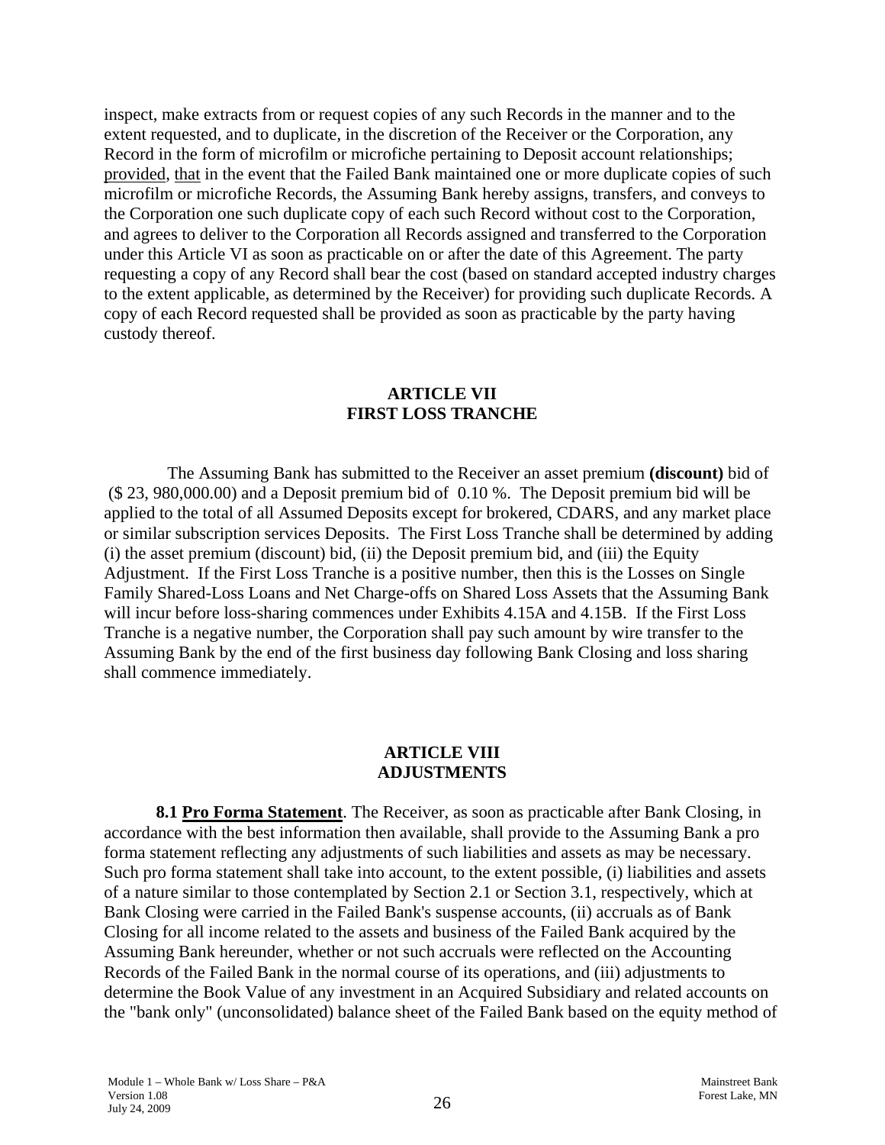<span id="page-29-0"></span>inspect, make extracts from or request copies of any such Records in the manner and to the extent requested, and to duplicate, in the discretion of the Receiver or the Corporation, any Record in the form of microfilm or microfiche pertaining to Deposit account relationships; provided, that in the event that the Failed Bank maintained one or more duplicate copies of such microfilm or microfiche Records, the Assuming Bank hereby assigns, transfers, and conveys to the Corporation one such duplicate copy of each such Record without cost to the Corporation, and agrees to deliver to the Corporation all Records assigned and transferred to the Corporation under this Article VI as soon as practicable on or after the date of this Agreement. The party requesting a copy of any Record shall bear the cost (based on standard accepted industry charges to the extent applicable, as determined by the Receiver) for providing such duplicate Records. A copy of each Record requested shall be provided as soon as practicable by the party having custody thereof.

#### **ARTICLE VII FIRST LOSS TRANCHE**

 The Assuming Bank has submitted to the Receiver an asset premium **(discount)** bid of (\$ 23, 980,000.00) and a Deposit premium bid of 0.10 %. The Deposit premium bid will be applied to the total of all Assumed Deposits except for brokered, CDARS, and any market place or similar subscription services Deposits. The First Loss Tranche shall be determined by adding (i) the asset premium (discount) bid, (ii) the Deposit premium bid, and (iii) the Equity Adjustment. If the First Loss Tranche is a positive number, then this is the Losses on Single Family Shared-Loss Loans and Net Charge-offs on Shared Loss Assets that the Assuming Bank will incur before loss-sharing commences under Exhibits 4.15A and 4.15B. If the First Loss Tranche is a negative number, the Corporation shall pay such amount by wire transfer to the Assuming Bank by the end of the first business day following Bank Closing and loss sharing shall commence immediately.

#### **ARTICLE VIII ADJUSTMENTS**

**8.1 Pro Forma Statement**. The Receiver, as soon as practicable after Bank Closing, in accordance with the best information then available, shall provide to the Assuming Bank a pro forma statement reflecting any adjustments of such liabilities and assets as may be necessary. Such pro forma statement shall take into account, to the extent possible, (i) liabilities and assets of a nature similar to those contemplated by Section 2.1 or Section 3.1, respectively, which at Bank Closing were carried in the Failed Bank's suspense accounts, (ii) accruals as of Bank Closing for all income related to the assets and business of the Failed Bank acquired by the Assuming Bank hereunder, whether or not such accruals were reflected on the Accounting Records of the Failed Bank in the normal course of its operations, and (iii) adjustments to determine the Book Value of any investment in an Acquired Subsidiary and related accounts on the "bank only" (unconsolidated) balance sheet of the Failed Bank based on the equity method of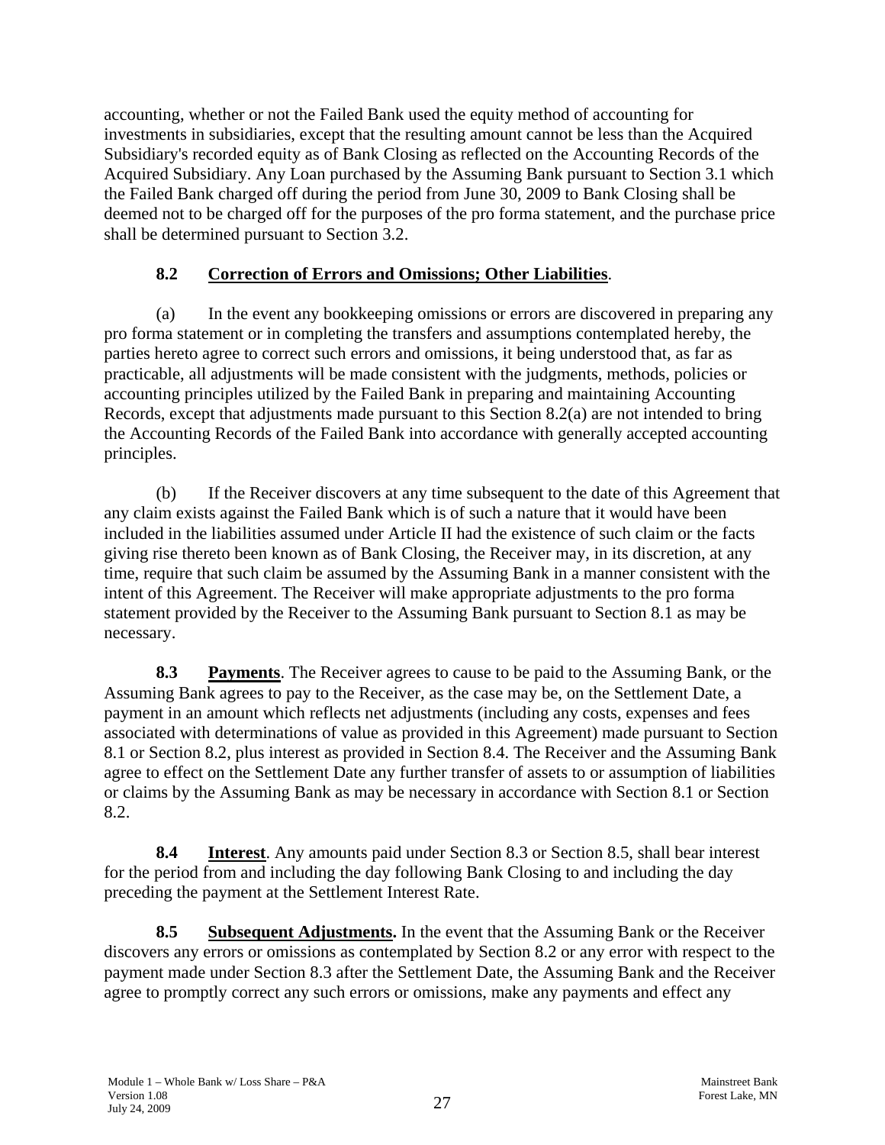<span id="page-30-0"></span>accounting, whether or not the Failed Bank used the equity method of accounting for investments in subsidiaries, except that the resulting amount cannot be less than the Acquired Subsidiary's recorded equity as of Bank Closing as reflected on the Accounting Records of the Acquired Subsidiary. Any Loan purchased by the Assuming Bank pursuant to Section 3.1 which the Failed Bank charged off during the period from June 30, 2009 to Bank Closing shall be deemed not to be charged off for the purposes of the pro forma statement, and the purchase price shall be determined pursuant to Section 3.2.

# **8.2 Correction of Errors and Omissions; Other Liabilities**.

(a) In the event any bookkeeping omissions or errors are discovered in preparing any pro forma statement or in completing the transfers and assumptions contemplated hereby, the parties hereto agree to correct such errors and omissions, it being understood that, as far as practicable, all adjustments will be made consistent with the judgments, methods, policies or accounting principles utilized by the Failed Bank in preparing and maintaining Accounting Records, except that adjustments made pursuant to this Section 8.2(a) are not intended to bring the Accounting Records of the Failed Bank into accordance with generally accepted accounting principles.

(b) If the Receiver discovers at any time subsequent to the date of this Agreement that any claim exists against the Failed Bank which is of such a nature that it would have been included in the liabilities assumed under Article II had the existence of such claim or the facts giving rise thereto been known as of Bank Closing, the Receiver may, in its discretion, at any time, require that such claim be assumed by the Assuming Bank in a manner consistent with the intent of this Agreement. The Receiver will make appropriate adjustments to the pro forma statement provided by the Receiver to the Assuming Bank pursuant to Section 8.1 as may be necessary.

**8.3 Payments**. The Receiver agrees to cause to be paid to the Assuming Bank, or the Assuming Bank agrees to pay to the Receiver, as the case may be, on the Settlement Date, a payment in an amount which reflects net adjustments (including any costs, expenses and fees associated with determinations of value as provided in this Agreement) made pursuant to Section 8.1 or Section 8.2, plus interest as provided in Section 8.4. The Receiver and the Assuming Bank agree to effect on the Settlement Date any further transfer of assets to or assumption of liabilities or claims by the Assuming Bank as may be necessary in accordance with Section 8.1 or Section 8.2.

**8.4 Interest**. Any amounts paid under Section 8.3 or Section 8.5, shall bear interest for the period from and including the day following Bank Closing to and including the day preceding the payment at the Settlement Interest Rate.

**8.5 Subsequent Adjustments.** In the event that the Assuming Bank or the Receiver discovers any errors or omissions as contemplated by Section 8.2 or any error with respect to the payment made under Section 8.3 after the Settlement Date, the Assuming Bank and the Receiver agree to promptly correct any such errors or omissions, make any payments and effect any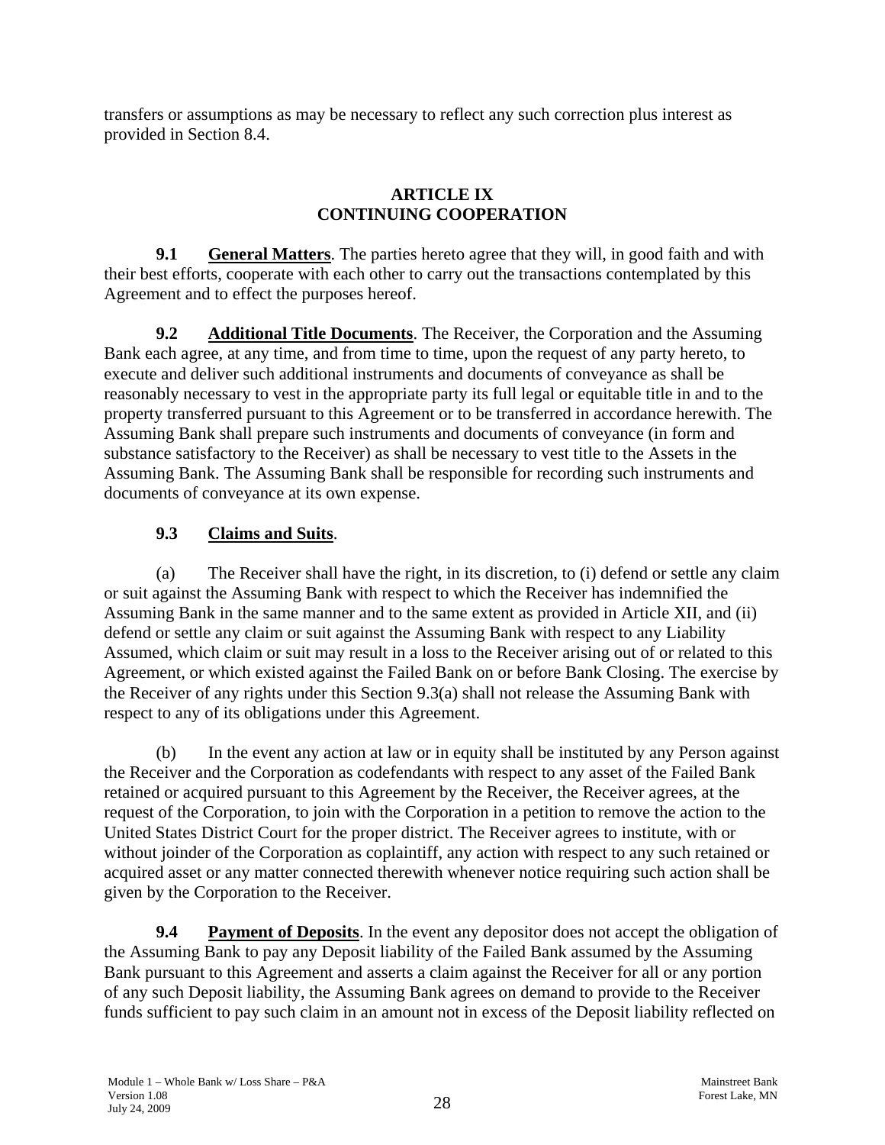<span id="page-31-0"></span>transfers or assumptions as may be necessary to reflect any such correction plus interest as provided in Section 8.4.

### **ARTICLE IX CONTINUING COOPERATION**

**9.1** General Matters. The parties hereto agree that they will, in good faith and with their best efforts, cooperate with each other to carry out the transactions contemplated by this Agreement and to effect the purposes hereof.

**9.2** Additional Title Documents. The Receiver, the Corporation and the Assuming Bank each agree, at any time, and from time to time, upon the request of any party hereto, to execute and deliver such additional instruments and documents of conveyance as shall be reasonably necessary to vest in the appropriate party its full legal or equitable title in and to the property transferred pursuant to this Agreement or to be transferred in accordance herewith. The Assuming Bank shall prepare such instruments and documents of conveyance (in form and substance satisfactory to the Receiver) as shall be necessary to vest title to the Assets in the Assuming Bank. The Assuming Bank shall be responsible for recording such instruments and documents of conveyance at its own expense.

# **9.3 Claims and Suits**.

(a) The Receiver shall have the right, in its discretion, to (i) defend or settle any claim or suit against the Assuming Bank with respect to which the Receiver has indemnified the Assuming Bank in the same manner and to the same extent as provided in Article XII, and (ii) defend or settle any claim or suit against the Assuming Bank with respect to any Liability Assumed, which claim or suit may result in a loss to the Receiver arising out of or related to this Agreement, or which existed against the Failed Bank on or before Bank Closing. The exercise by the Receiver of any rights under this Section 9.3(a) shall not release the Assuming Bank with respect to any of its obligations under this Agreement.

(b) In the event any action at law or in equity shall be instituted by any Person against the Receiver and the Corporation as codefendants with respect to any asset of the Failed Bank retained or acquired pursuant to this Agreement by the Receiver, the Receiver agrees, at the request of the Corporation, to join with the Corporation in a petition to remove the action to the United States District Court for the proper district. The Receiver agrees to institute, with or without joinder of the Corporation as coplaintiff, any action with respect to any such retained or acquired asset or any matter connected therewith whenever notice requiring such action shall be given by the Corporation to the Receiver.

**9.4 Payment of Deposits**. In the event any depositor does not accept the obligation of the Assuming Bank to pay any Deposit liability of the Failed Bank assumed by the Assuming Bank pursuant to this Agreement and asserts a claim against the Receiver for all or any portion of any such Deposit liability, the Assuming Bank agrees on demand to provide to the Receiver funds sufficient to pay such claim in an amount not in excess of the Deposit liability reflected on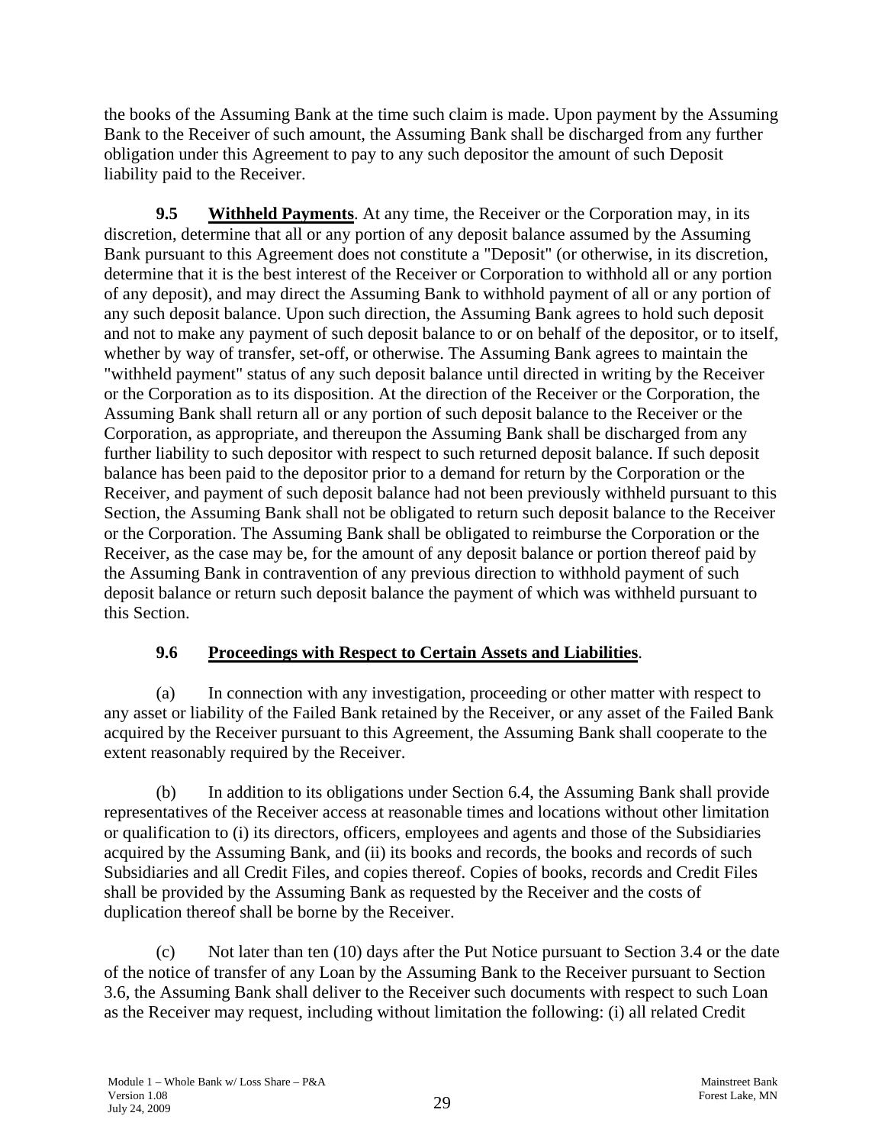<span id="page-32-0"></span>the books of the Assuming Bank at the time such claim is made. Upon payment by the Assuming Bank to the Receiver of such amount, the Assuming Bank shall be discharged from any further obligation under this Agreement to pay to any such depositor the amount of such Deposit liability paid to the Receiver.

**9.5** Withheld Payments. At any time, the Receiver or the Corporation may, in its discretion, determine that all or any portion of any deposit balance assumed by the Assuming Bank pursuant to this Agreement does not constitute a "Deposit" (or otherwise, in its discretion, determine that it is the best interest of the Receiver or Corporation to withhold all or any portion of any deposit), and may direct the Assuming Bank to withhold payment of all or any portion of any such deposit balance. Upon such direction, the Assuming Bank agrees to hold such deposit and not to make any payment of such deposit balance to or on behalf of the depositor, or to itself, whether by way of transfer, set-off, or otherwise. The Assuming Bank agrees to maintain the "withheld payment" status of any such deposit balance until directed in writing by the Receiver or the Corporation as to its disposition. At the direction of the Receiver or the Corporation, the Assuming Bank shall return all or any portion of such deposit balance to the Receiver or the Corporation, as appropriate, and thereupon the Assuming Bank shall be discharged from any further liability to such depositor with respect to such returned deposit balance. If such deposit balance has been paid to the depositor prior to a demand for return by the Corporation or the Receiver, and payment of such deposit balance had not been previously withheld pursuant to this Section, the Assuming Bank shall not be obligated to return such deposit balance to the Receiver or the Corporation. The Assuming Bank shall be obligated to reimburse the Corporation or the Receiver, as the case may be, for the amount of any deposit balance or portion thereof paid by the Assuming Bank in contravention of any previous direction to withhold payment of such deposit balance or return such deposit balance the payment of which was withheld pursuant to this Section.

# **9.6 Proceedings with Respect to Certain Assets and Liabilities**.

(a) In connection with any investigation, proceeding or other matter with respect to any asset or liability of the Failed Bank retained by the Receiver, or any asset of the Failed Bank acquired by the Receiver pursuant to this Agreement, the Assuming Bank shall cooperate to the extent reasonably required by the Receiver.

(b) In addition to its obligations under Section 6.4, the Assuming Bank shall provide representatives of the Receiver access at reasonable times and locations without other limitation or qualification to (i) its directors, officers, employees and agents and those of the Subsidiaries acquired by the Assuming Bank, and (ii) its books and records, the books and records of such Subsidiaries and all Credit Files, and copies thereof. Copies of books, records and Credit Files shall be provided by the Assuming Bank as requested by the Receiver and the costs of duplication thereof shall be borne by the Receiver.

(c) Not later than ten (10) days after the Put Notice pursuant to Section 3.4 or the date of the notice of transfer of any Loan by the Assuming Bank to the Receiver pursuant to Section 3.6, the Assuming Bank shall deliver to the Receiver such documents with respect to such Loan as the Receiver may request, including without limitation the following: (i) all related Credit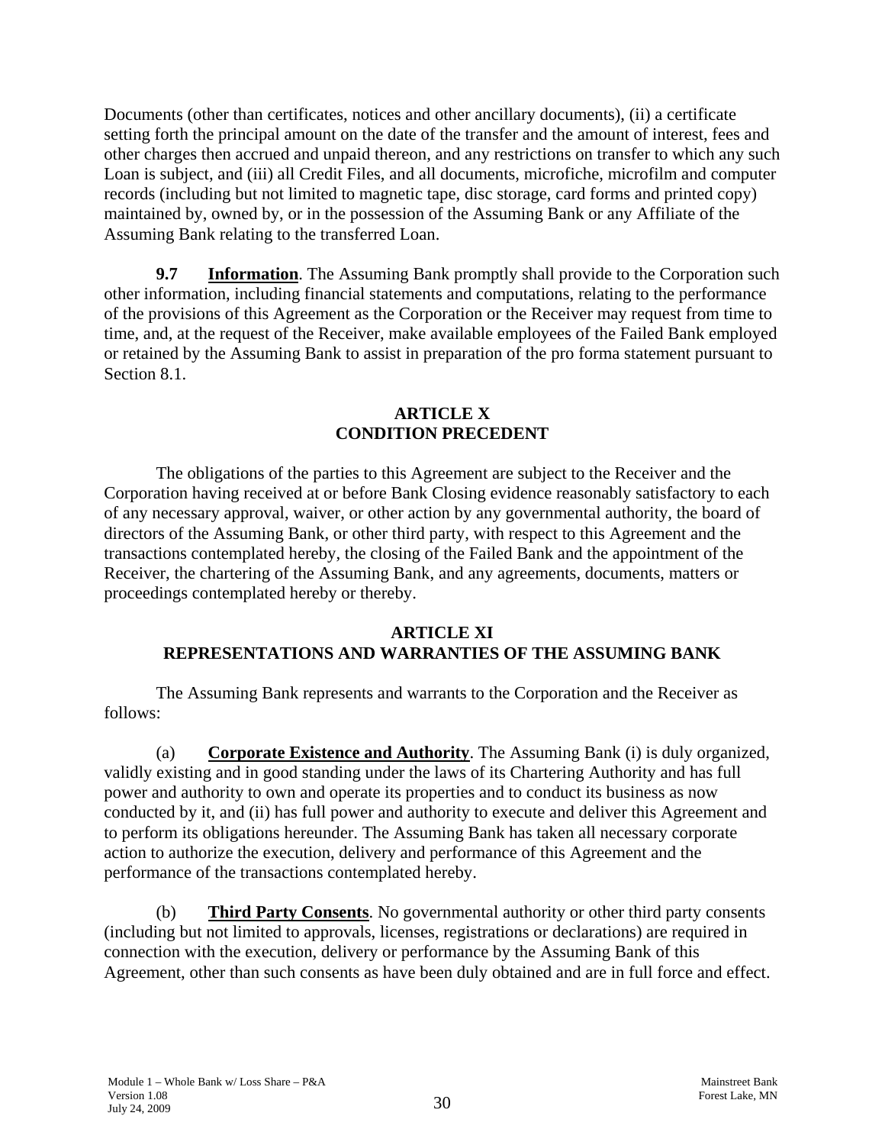<span id="page-33-0"></span>Documents (other than certificates, notices and other ancillary documents), (ii) a certificate setting forth the principal amount on the date of the transfer and the amount of interest, fees and other charges then accrued and unpaid thereon, and any restrictions on transfer to which any such Loan is subject, and (iii) all Credit Files, and all documents, microfiche, microfilm and computer records (including but not limited to magnetic tape, disc storage, card forms and printed copy) maintained by, owned by, or in the possession of the Assuming Bank or any Affiliate of the Assuming Bank relating to the transferred Loan.

**9.7 Information**. The Assuming Bank promptly shall provide to the Corporation such other information, including financial statements and computations, relating to the performance of the provisions of this Agreement as the Corporation or the Receiver may request from time to time, and, at the request of the Receiver, make available employees of the Failed Bank employed or retained by the Assuming Bank to assist in preparation of the pro forma statement pursuant to Section 8.1.

### **ARTICLE X CONDITION PRECEDENT**

The obligations of the parties to this Agreement are subject to the Receiver and the Corporation having received at or before Bank Closing evidence reasonably satisfactory to each of any necessary approval, waiver, or other action by any governmental authority, the board of directors of the Assuming Bank, or other third party, with respect to this Agreement and the transactions contemplated hereby, the closing of the Failed Bank and the appointment of the Receiver, the chartering of the Assuming Bank, and any agreements, documents, matters or proceedings contemplated hereby or thereby.

## **ARTICLE XI**

# **REPRESENTATIONS AND WARRANTIES OF THE ASSUMING BANK**

The Assuming Bank represents and warrants to the Corporation and the Receiver as follows:

(a) **Corporate Existence and Authority**. The Assuming Bank (i) is duly organized, validly existing and in good standing under the laws of its Chartering Authority and has full power and authority to own and operate its properties and to conduct its business as now conducted by it, and (ii) has full power and authority to execute and deliver this Agreement and to perform its obligations hereunder. The Assuming Bank has taken all necessary corporate action to authorize the execution, delivery and performance of this Agreement and the performance of the transactions contemplated hereby.

(b) **Third Party Consents**. No governmental authority or other third party consents (including but not limited to approvals, licenses, registrations or declarations) are required in connection with the execution, delivery or performance by the Assuming Bank of this Agreement, other than such consents as have been duly obtained and are in full force and effect.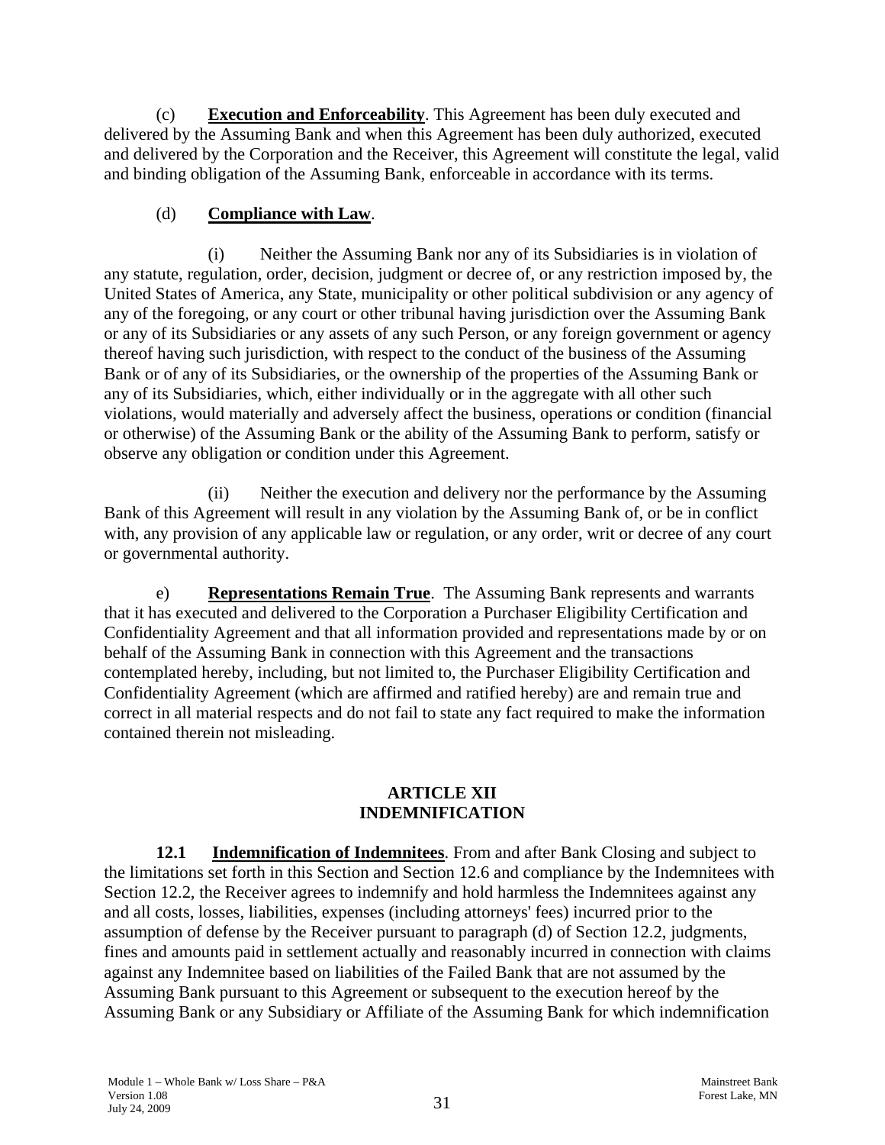<span id="page-34-0"></span> (c) **Execution and Enforceability**. This Agreement has been duly executed and delivered by the Assuming Bank and when this Agreement has been duly authorized, executed and delivered by the Corporation and the Receiver, this Agreement will constitute the legal, valid and binding obligation of the Assuming Bank, enforceable in accordance with its terms.

## (d) **Compliance with Law**.

(i) Neither the Assuming Bank nor any of its Subsidiaries is in violation of any statute, regulation, order, decision, judgment or decree of, or any restriction imposed by, the United States of America, any State, municipality or other political subdivision or any agency of any of the foregoing, or any court or other tribunal having jurisdiction over the Assuming Bank or any of its Subsidiaries or any assets of any such Person, or any foreign government or agency thereof having such jurisdiction, with respect to the conduct of the business of the Assuming Bank or of any of its Subsidiaries, or the ownership of the properties of the Assuming Bank or any of its Subsidiaries, which, either individually or in the aggregate with all other such violations, would materially and adversely affect the business, operations or condition (financial or otherwise) of the Assuming Bank or the ability of the Assuming Bank to perform, satisfy or observe any obligation or condition under this Agreement.

(ii) Neither the execution and delivery nor the performance by the Assuming Bank of this Agreement will result in any violation by the Assuming Bank of, or be in conflict with, any provision of any applicable law or regulation, or any order, writ or decree of any court or governmental authority.

e) **Representations Remain True**. The Assuming Bank represents and warrants that it has executed and delivered to the Corporation a Purchaser Eligibility Certification and Confidentiality Agreement and that all information provided and representations made by or on behalf of the Assuming Bank in connection with this Agreement and the transactions contemplated hereby, including, but not limited to, the Purchaser Eligibility Certification and Confidentiality Agreement (which are affirmed and ratified hereby) are and remain true and correct in all material respects and do not fail to state any fact required to make the information contained therein not misleading.

#### **ARTICLE XII INDEMNIFICATION**

**12.1 Indemnification of Indemnitees**. From and after Bank Closing and subject to the limitations set forth in this Section and Section 12.6 and compliance by the Indemnitees with Section 12.2, the Receiver agrees to indemnify and hold harmless the Indemnitees against any and all costs, losses, liabilities, expenses (including attorneys' fees) incurred prior to the assumption of defense by the Receiver pursuant to paragraph (d) of Section 12.2, judgments, fines and amounts paid in settlement actually and reasonably incurred in connection with claims against any Indemnitee based on liabilities of the Failed Bank that are not assumed by the Assuming Bank pursuant to this Agreement or subsequent to the execution hereof by the Assuming Bank or any Subsidiary or Affiliate of the Assuming Bank for which indemnification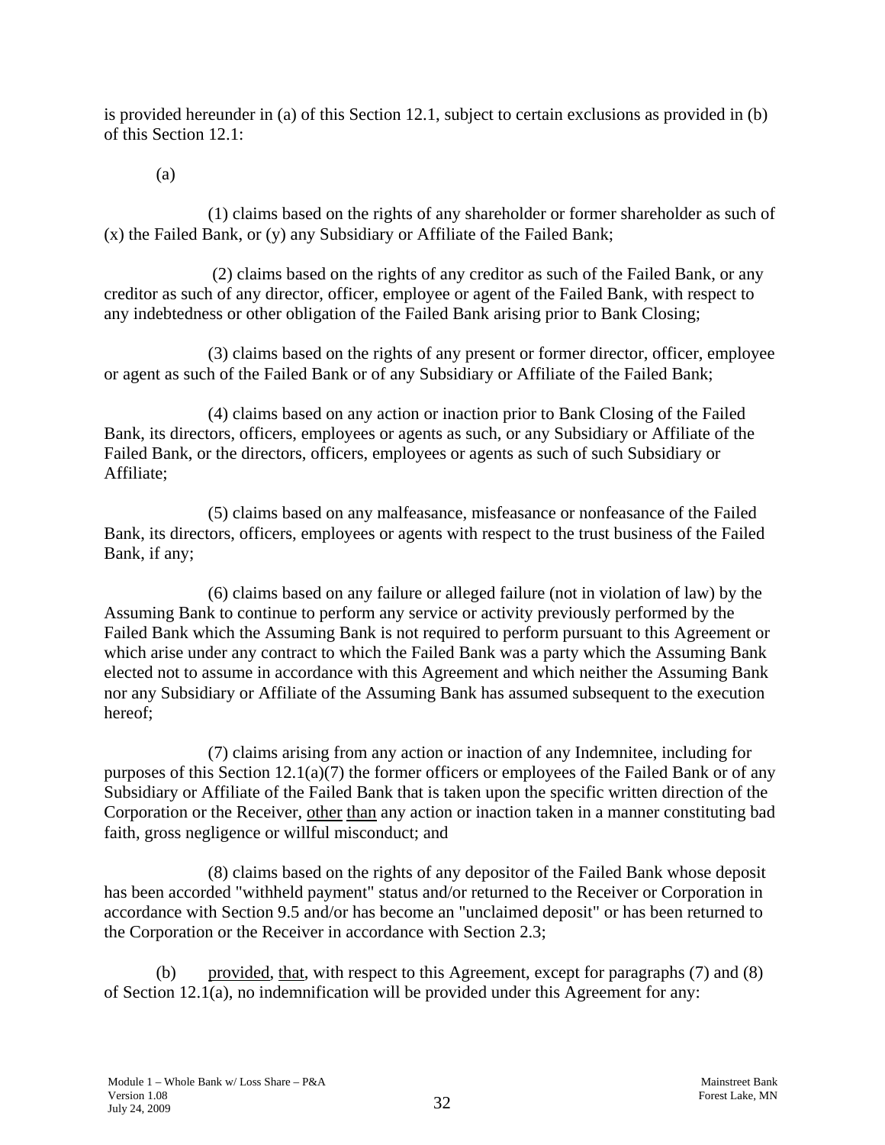is provided hereunder in (a) of this Section 12.1, subject to certain exclusions as provided in (b) of this Section 12.1:

(a)

(1) claims based on the rights of any shareholder or former shareholder as such of (x) the Failed Bank, or (y) any Subsidiary or Affiliate of the Failed Bank;

(2) claims based on the rights of any creditor as such of the Failed Bank, or any creditor as such of any director, officer, employee or agent of the Failed Bank, with respect to any indebtedness or other obligation of the Failed Bank arising prior to Bank Closing;

(3) claims based on the rights of any present or former director, officer, employee or agent as such of the Failed Bank or of any Subsidiary or Affiliate of the Failed Bank;

(4) claims based on any action or inaction prior to Bank Closing of the Failed Bank, its directors, officers, employees or agents as such, or any Subsidiary or Affiliate of the Failed Bank, or the directors, officers, employees or agents as such of such Subsidiary or Affiliate;

(5) claims based on any malfeasance, misfeasance or nonfeasance of the Failed Bank, its directors, officers, employees or agents with respect to the trust business of the Failed Bank, if any;

(6) claims based on any failure or alleged failure (not in violation of law) by the Assuming Bank to continue to perform any service or activity previously performed by the Failed Bank which the Assuming Bank is not required to perform pursuant to this Agreement or which arise under any contract to which the Failed Bank was a party which the Assuming Bank elected not to assume in accordance with this Agreement and which neither the Assuming Bank nor any Subsidiary or Affiliate of the Assuming Bank has assumed subsequent to the execution hereof;

(7) claims arising from any action or inaction of any Indemnitee, including for purposes of this Section 12.1(a)(7) the former officers or employees of the Failed Bank or of any Subsidiary or Affiliate of the Failed Bank that is taken upon the specific written direction of the Corporation or the Receiver, other than any action or inaction taken in a manner constituting bad faith, gross negligence or willful misconduct; and

(8) claims based on the rights of any depositor of the Failed Bank whose deposit has been accorded "withheld payment" status and/or returned to the Receiver or Corporation in accordance with Section 9.5 and/or has become an "unclaimed deposit" or has been returned to the Corporation or the Receiver in accordance with Section 2.3;

(b) provided, that, with respect to this Agreement, except for paragraphs (7) and (8) of Section 12.1(a), no indemnification will be provided under this Agreement for any: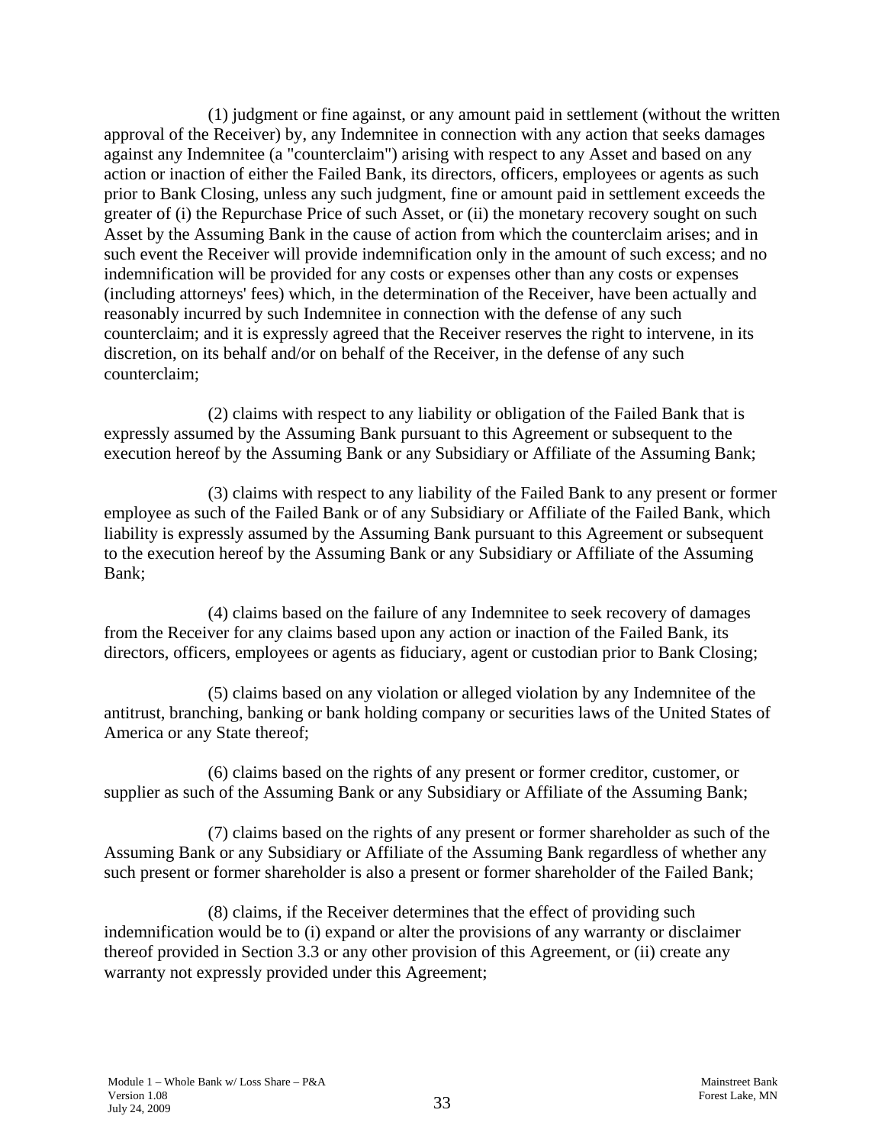(1) judgment or fine against, or any amount paid in settlement (without the written approval of the Receiver) by, any Indemnitee in connection with any action that seeks damages against any Indemnitee (a "counterclaim") arising with respect to any Asset and based on any action or inaction of either the Failed Bank, its directors, officers, employees or agents as such prior to Bank Closing, unless any such judgment, fine or amount paid in settlement exceeds the greater of (i) the Repurchase Price of such Asset, or (ii) the monetary recovery sought on such Asset by the Assuming Bank in the cause of action from which the counterclaim arises; and in such event the Receiver will provide indemnification only in the amount of such excess; and no indemnification will be provided for any costs or expenses other than any costs or expenses (including attorneys' fees) which, in the determination of the Receiver, have been actually and reasonably incurred by such Indemnitee in connection with the defense of any such counterclaim; and it is expressly agreed that the Receiver reserves the right to intervene, in its discretion, on its behalf and/or on behalf of the Receiver, in the defense of any such counterclaim;

(2) claims with respect to any liability or obligation of the Failed Bank that is expressly assumed by the Assuming Bank pursuant to this Agreement or subsequent to the execution hereof by the Assuming Bank or any Subsidiary or Affiliate of the Assuming Bank;

(3) claims with respect to any liability of the Failed Bank to any present or former employee as such of the Failed Bank or of any Subsidiary or Affiliate of the Failed Bank, which liability is expressly assumed by the Assuming Bank pursuant to this Agreement or subsequent to the execution hereof by the Assuming Bank or any Subsidiary or Affiliate of the Assuming Bank;

(4) claims based on the failure of any Indemnitee to seek recovery of damages from the Receiver for any claims based upon any action or inaction of the Failed Bank, its directors, officers, employees or agents as fiduciary, agent or custodian prior to Bank Closing;

(5) claims based on any violation or alleged violation by any Indemnitee of the antitrust, branching, banking or bank holding company or securities laws of the United States of America or any State thereof;

(6) claims based on the rights of any present or former creditor, customer, or supplier as such of the Assuming Bank or any Subsidiary or Affiliate of the Assuming Bank;

(7) claims based on the rights of any present or former shareholder as such of the Assuming Bank or any Subsidiary or Affiliate of the Assuming Bank regardless of whether any such present or former shareholder is also a present or former shareholder of the Failed Bank;

(8) claims, if the Receiver determines that the effect of providing such indemnification would be to (i) expand or alter the provisions of any warranty or disclaimer thereof provided in Section 3.3 or any other provision of this Agreement, or (ii) create any warranty not expressly provided under this Agreement;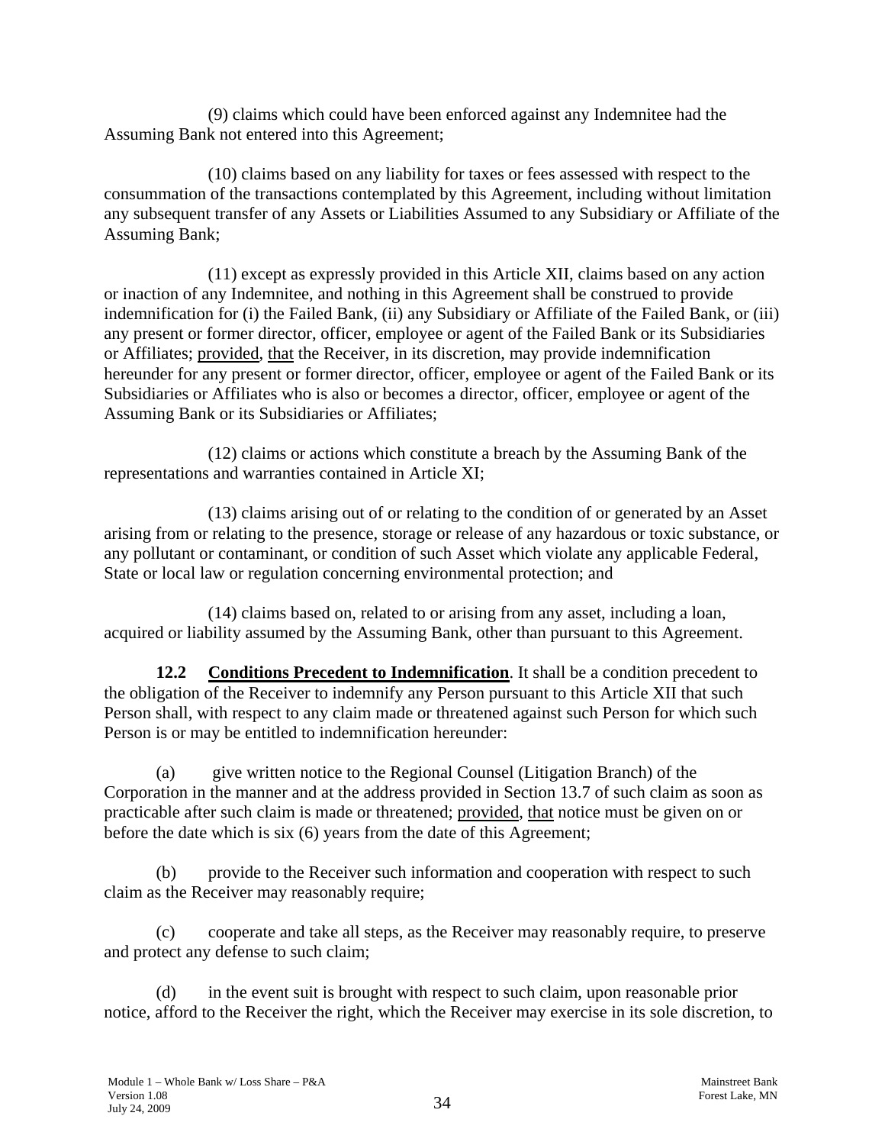(9) claims which could have been enforced against any Indemnitee had the Assuming Bank not entered into this Agreement;

(10) claims based on any liability for taxes or fees assessed with respect to the consummation of the transactions contemplated by this Agreement, including without limitation any subsequent transfer of any Assets or Liabilities Assumed to any Subsidiary or Affiliate of the Assuming Bank;

(11) except as expressly provided in this Article XII, claims based on any action or inaction of any Indemnitee, and nothing in this Agreement shall be construed to provide indemnification for (i) the Failed Bank, (ii) any Subsidiary or Affiliate of the Failed Bank, or (iii) any present or former director, officer, employee or agent of the Failed Bank or its Subsidiaries or Affiliates; provided, that the Receiver, in its discretion, may provide indemnification hereunder for any present or former director, officer, employee or agent of the Failed Bank or its Subsidiaries or Affiliates who is also or becomes a director, officer, employee or agent of the Assuming Bank or its Subsidiaries or Affiliates;

(12) claims or actions which constitute a breach by the Assuming Bank of the representations and warranties contained in Article XI;

(13) claims arising out of or relating to the condition of or generated by an Asset arising from or relating to the presence, storage or release of any hazardous or toxic substance, or any pollutant or contaminant, or condition of such Asset which violate any applicable Federal, State or local law or regulation concerning environmental protection; and

(14) claims based on, related to or arising from any asset, including a loan, acquired or liability assumed by the Assuming Bank, other than pursuant to this Agreement.

**12.2 Conditions Precedent to Indemnification**. It shall be a condition precedent to the obligation of the Receiver to indemnify any Person pursuant to this Article XII that such Person shall, with respect to any claim made or threatened against such Person for which such Person is or may be entitled to indemnification hereunder:

(a) give written notice to the Regional Counsel (Litigation Branch) of the Corporation in the manner and at the address provided in Section 13.7 of such claim as soon as practicable after such claim is made or threatened; provided, that notice must be given on or before the date which is six (6) years from the date of this Agreement;

(b) provide to the Receiver such information and cooperation with respect to such claim as the Receiver may reasonably require;

(c) cooperate and take all steps, as the Receiver may reasonably require, to preserve and protect any defense to such claim;

(d) in the event suit is brought with respect to such claim, upon reasonable prior notice, afford to the Receiver the right, which the Receiver may exercise in its sole discretion, to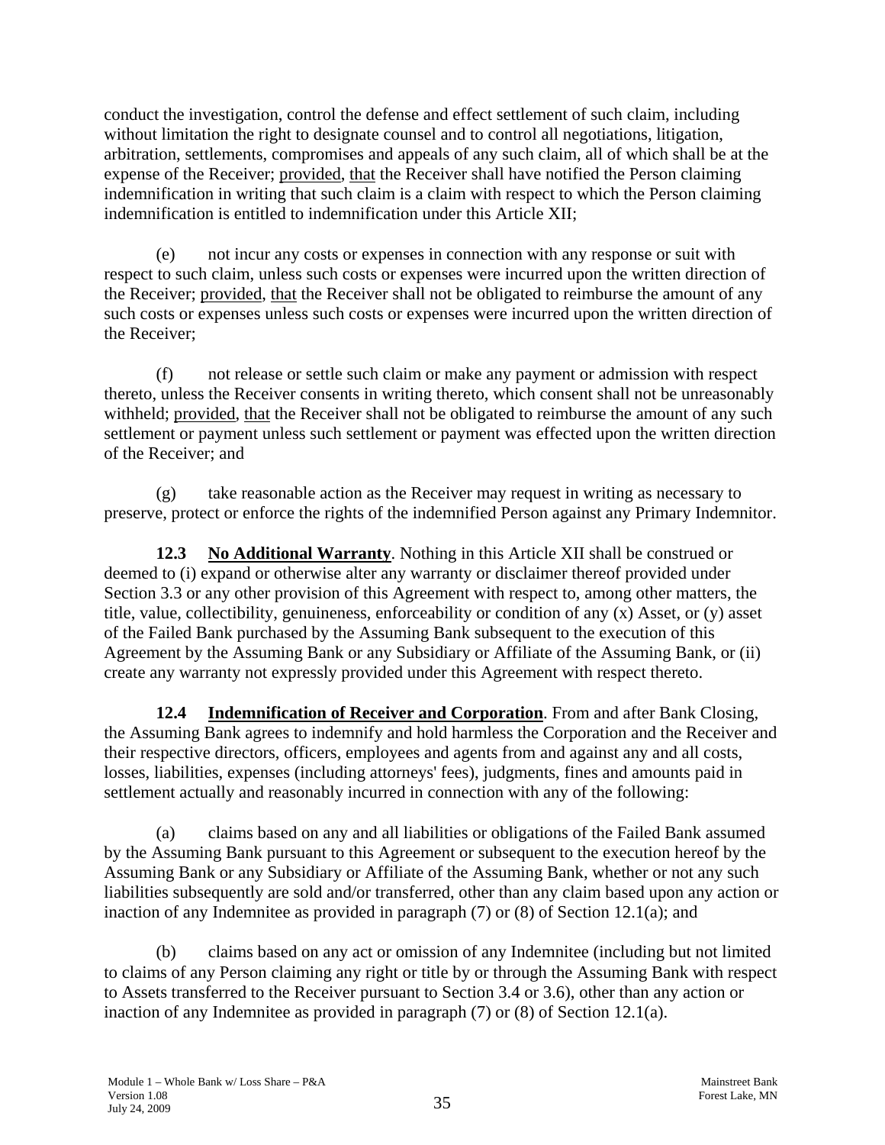conduct the investigation, control the defense and effect settlement of such claim, including without limitation the right to designate counsel and to control all negotiations, litigation, arbitration, settlements, compromises and appeals of any such claim, all of which shall be at the expense of the Receiver; provided, that the Receiver shall have notified the Person claiming indemnification in writing that such claim is a claim with respect to which the Person claiming indemnification is entitled to indemnification under this Article XII;

(e) not incur any costs or expenses in connection with any response or suit with respect to such claim, unless such costs or expenses were incurred upon the written direction of the Receiver; provided, that the Receiver shall not be obligated to reimburse the amount of any such costs or expenses unless such costs or expenses were incurred upon the written direction of the Receiver;

(f) not release or settle such claim or make any payment or admission with respect thereto, unless the Receiver consents in writing thereto, which consent shall not be unreasonably withheld; provided, that the Receiver shall not be obligated to reimburse the amount of any such settlement or payment unless such settlement or payment was effected upon the written direction of the Receiver; and

(g) take reasonable action as the Receiver may request in writing as necessary to preserve, protect or enforce the rights of the indemnified Person against any Primary Indemnitor.

**12.3** No Additional Warranty. Nothing in this Article XII shall be construed or deemed to (i) expand or otherwise alter any warranty or disclaimer thereof provided under Section 3.3 or any other provision of this Agreement with respect to, among other matters, the title, value, collectibility, genuineness, enforceability or condition of any (x) Asset, or (y) asset of the Failed Bank purchased by the Assuming Bank subsequent to the execution of this Agreement by the Assuming Bank or any Subsidiary or Affiliate of the Assuming Bank, or (ii) create any warranty not expressly provided under this Agreement with respect thereto.

**12.4 Indemnification of Receiver and Corporation**. From and after Bank Closing, the Assuming Bank agrees to indemnify and hold harmless the Corporation and the Receiver and their respective directors, officers, employees and agents from and against any and all costs, losses, liabilities, expenses (including attorneys' fees), judgments, fines and amounts paid in settlement actually and reasonably incurred in connection with any of the following:

(a) claims based on any and all liabilities or obligations of the Failed Bank assumed by the Assuming Bank pursuant to this Agreement or subsequent to the execution hereof by the Assuming Bank or any Subsidiary or Affiliate of the Assuming Bank, whether or not any such liabilities subsequently are sold and/or transferred, other than any claim based upon any action or inaction of any Indemnitee as provided in paragraph (7) or (8) of Section 12.1(a); and

(b) claims based on any act or omission of any Indemnitee (including but not limited to claims of any Person claiming any right or title by or through the Assuming Bank with respect to Assets transferred to the Receiver pursuant to Section 3.4 or 3.6), other than any action or inaction of any Indemnitee as provided in paragraph (7) or (8) of Section 12.1(a).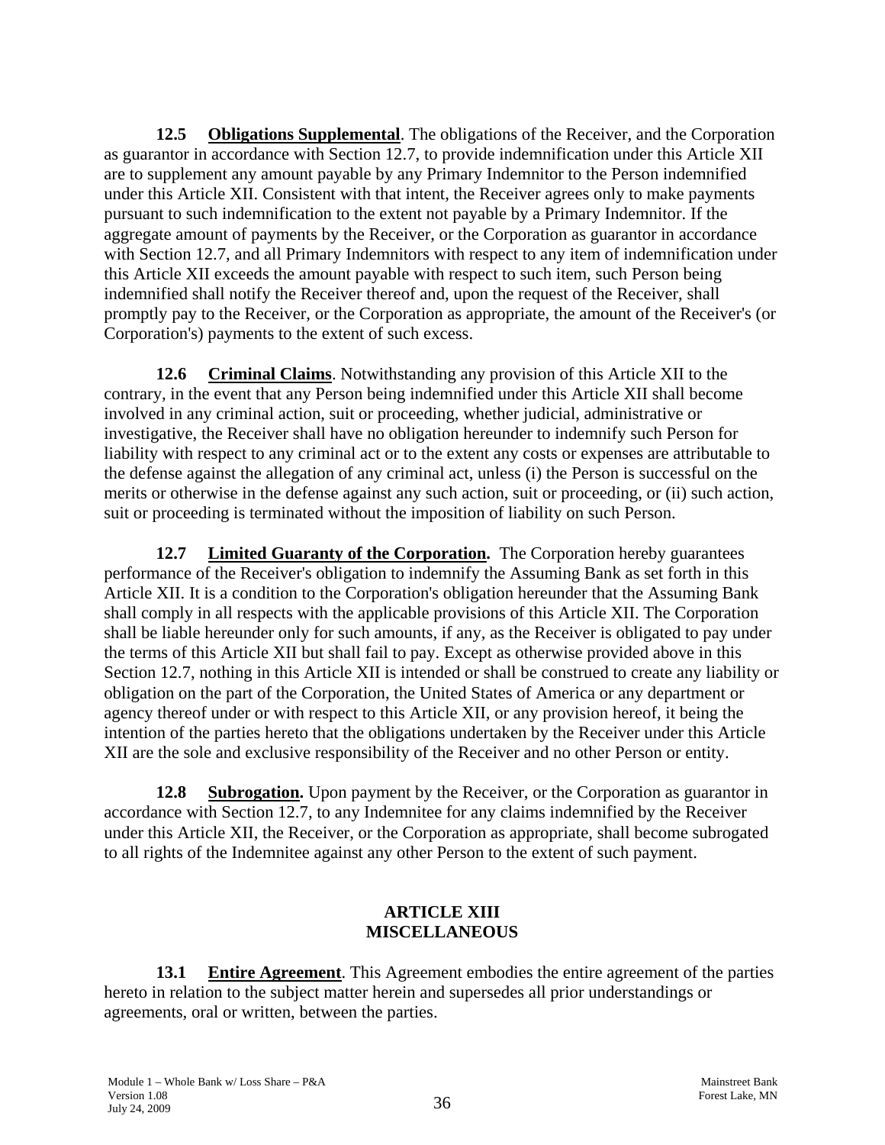**12.5 Obligations Supplemental**. The obligations of the Receiver, and the Corporation as guarantor in accordance with Section 12.7, to provide indemnification under this Article XII are to supplement any amount payable by any Primary Indemnitor to the Person indemnified under this Article XII. Consistent with that intent, the Receiver agrees only to make payments pursuant to such indemnification to the extent not payable by a Primary Indemnitor. If the aggregate amount of payments by the Receiver, or the Corporation as guarantor in accordance with Section 12.7, and all Primary Indemnitors with respect to any item of indemnification under this Article XII exceeds the amount payable with respect to such item, such Person being indemnified shall notify the Receiver thereof and, upon the request of the Receiver, shall promptly pay to the Receiver, or the Corporation as appropriate, the amount of the Receiver's (or Corporation's) payments to the extent of such excess.

**12.6 Criminal Claims**. Notwithstanding any provision of this Article XII to the contrary, in the event that any Person being indemnified under this Article XII shall become involved in any criminal action, suit or proceeding, whether judicial, administrative or investigative, the Receiver shall have no obligation hereunder to indemnify such Person for liability with respect to any criminal act or to the extent any costs or expenses are attributable to the defense against the allegation of any criminal act, unless (i) the Person is successful on the merits or otherwise in the defense against any such action, suit or proceeding, or (ii) such action, suit or proceeding is terminated without the imposition of liability on such Person.

**12.7** Limited Guaranty of the Corporation. The Corporation hereby guarantees performance of the Receiver's obligation to indemnify the Assuming Bank as set forth in this Article XII. It is a condition to the Corporation's obligation hereunder that the Assuming Bank shall comply in all respects with the applicable provisions of this Article XII. The Corporation shall be liable hereunder only for such amounts, if any, as the Receiver is obligated to pay under the terms of this Article XII but shall fail to pay. Except as otherwise provided above in this Section 12.7, nothing in this Article XII is intended or shall be construed to create any liability or obligation on the part of the Corporation, the United States of America or any department or agency thereof under or with respect to this Article XII, or any provision hereof, it being the intention of the parties hereto that the obligations undertaken by the Receiver under this Article XII are the sole and exclusive responsibility of the Receiver and no other Person or entity.

**12.8 Subrogation.** Upon payment by the Receiver, or the Corporation as guarantor in accordance with Section 12.7, to any Indemnitee for any claims indemnified by the Receiver under this Article XII, the Receiver, or the Corporation as appropriate, shall become subrogated to all rights of the Indemnitee against any other Person to the extent of such payment.

### **ARTICLE XIII MISCELLANEOUS**

**13.1 Entire Agreement**. This Agreement embodies the entire agreement of the parties hereto in relation to the subject matter herein and supersedes all prior understandings or agreements, oral or written, between the parties.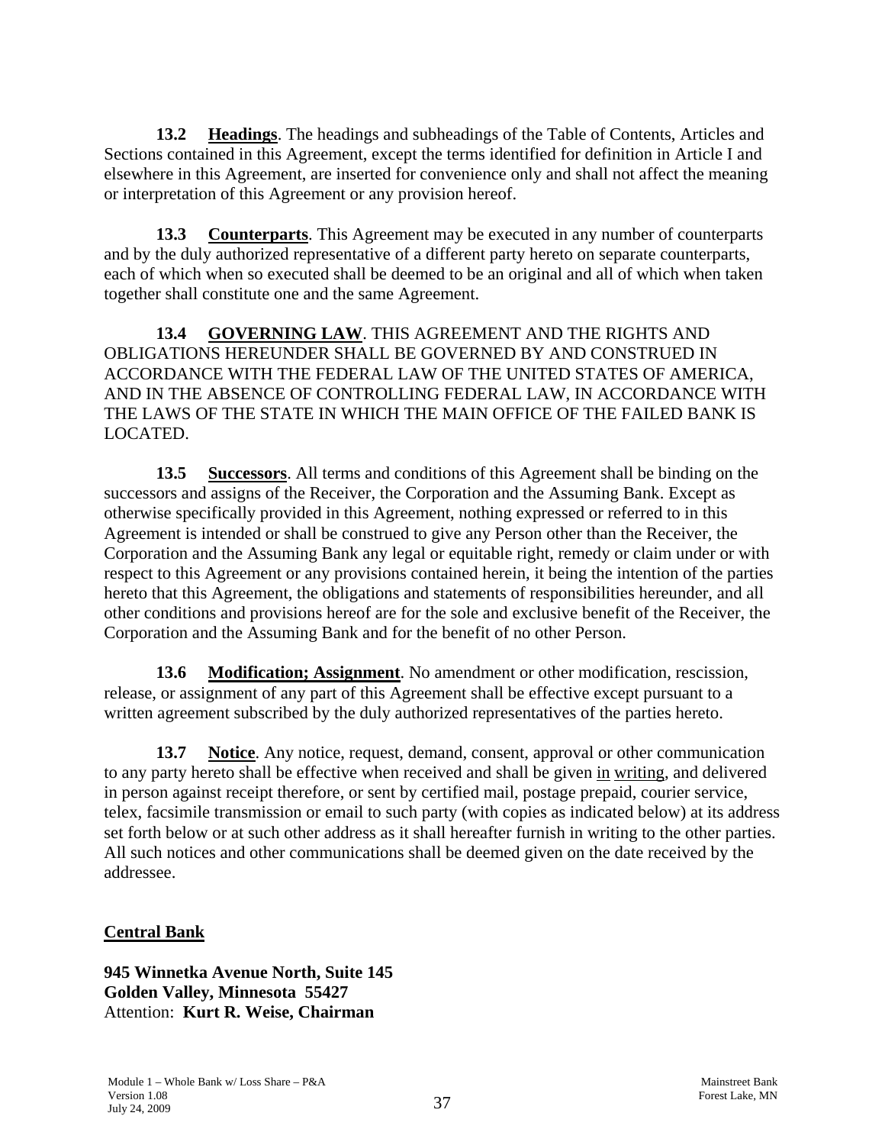**13.2 Headings**. The headings and subheadings of the Table of Contents, Articles and Sections contained in this Agreement, except the terms identified for definition in Article I and elsewhere in this Agreement, are inserted for convenience only and shall not affect the meaning or interpretation of this Agreement or any provision hereof.

**13.3 Counterparts**. This Agreement may be executed in any number of counterparts and by the duly authorized representative of a different party hereto on separate counterparts, each of which when so executed shall be deemed to be an original and all of which when taken together shall constitute one and the same Agreement.

13.4 GOVERNING LAW. THIS AGREEMENT AND THE RIGHTS AND OBLIGATIONS HEREUNDER SHALL BE GOVERNED BY AND CONSTRUED IN ACCORDANCE WITH THE FEDERAL LAW OF THE UNITED STATES OF AMERICA, AND IN THE ABSENCE OF CONTROLLING FEDERAL LAW, IN ACCORDANCE WITH THE LAWS OF THE STATE IN WHICH THE MAIN OFFICE OF THE FAILED BANK IS LOCATED.

**13.5 Successors.** All terms and conditions of this Agreement shall be binding on the successors and assigns of the Receiver, the Corporation and the Assuming Bank. Except as otherwise specifically provided in this Agreement, nothing expressed or referred to in this Agreement is intended or shall be construed to give any Person other than the Receiver, the Corporation and the Assuming Bank any legal or equitable right, remedy or claim under or with respect to this Agreement or any provisions contained herein, it being the intention of the parties hereto that this Agreement, the obligations and statements of responsibilities hereunder, and all other conditions and provisions hereof are for the sole and exclusive benefit of the Receiver, the Corporation and the Assuming Bank and for the benefit of no other Person.

**13.6 Modification; Assignment**. No amendment or other modification, rescission, release, or assignment of any part of this Agreement shall be effective except pursuant to a written agreement subscribed by the duly authorized representatives of the parties hereto.

**13.7 Notice**. Any notice, request, demand, consent, approval or other communication to any party hereto shall be effective when received and shall be given in writing, and delivered in person against receipt therefore, or sent by certified mail, postage prepaid, courier service, telex, facsimile transmission or email to such party (with copies as indicated below) at its address set forth below or at such other address as it shall hereafter furnish in writing to the other parties. All such notices and other communications shall be deemed given on the date received by the addressee.

# **Central Bank**

### **945 Winnetka Avenue North, Suite 145 Golden Valley, Minnesota 55427**  Attention: **Kurt R. Weise, Chairman**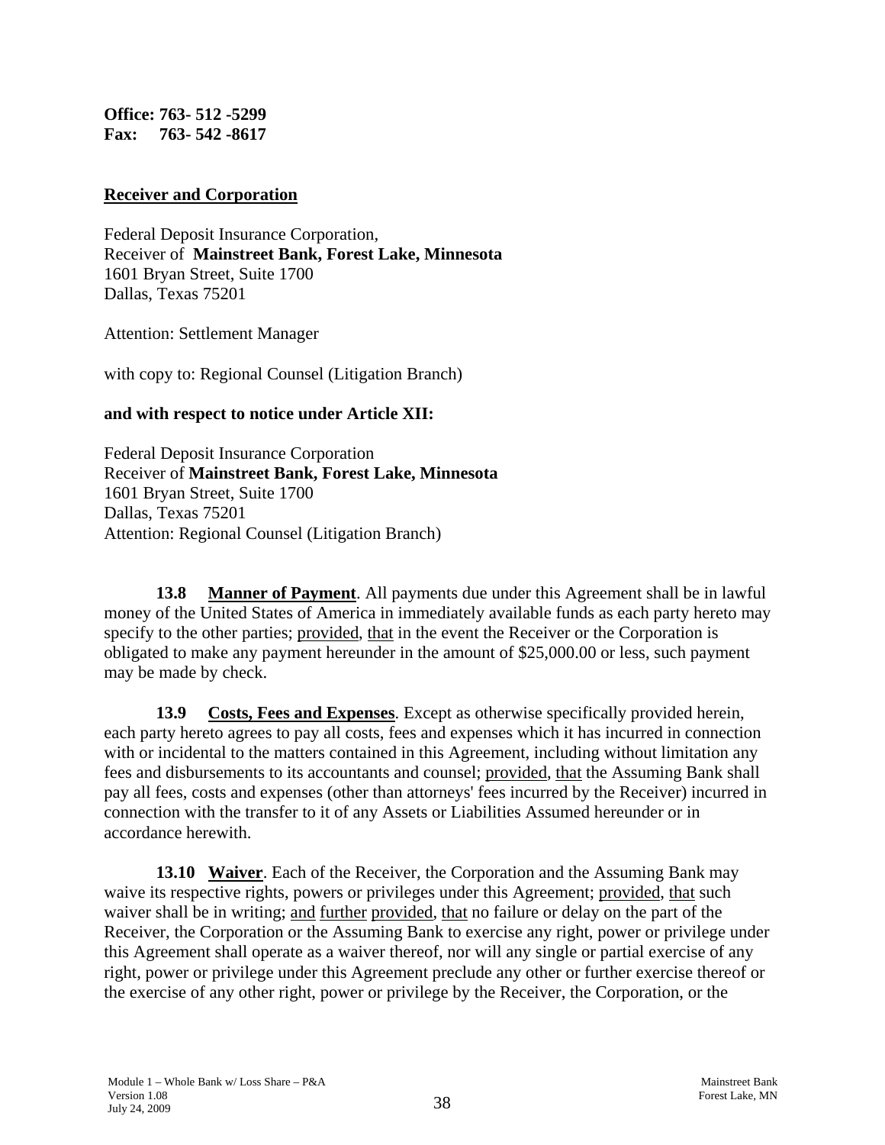**763-542-8617 Office: 763- 512 -5299** 

### **Receiver and Corporation**

Federal Deposit Insurance Corporation, Receiver of **Mainstreet Bank, Forest Lake, Minnesota**  1601 Bryan Street, Suite 1700 Dallas, Texas 75201

Attention: Settlement Manager

with copy to: Regional Counsel (Litigation Branch)

### **and with respect to notice under Article XII:**

Federal Deposit Insurance Corporation Receiver of **Mainstreet Bank, Forest Lake, Minnesota**  1601 Bryan Street, Suite 1700 Dallas, Texas 75201 Attention: Regional Counsel (Litigation Branch)

 **13.8 Manner of Payment**. All payments due under this Agreement shall be in lawful money of the United States of America in immediately available funds as each party hereto may specify to the other parties; provided, that in the event the Receiver or the Corporation is obligated to make any payment hereunder in the amount of \$25,000.00 or less, such payment may be made by check.

**13.9 Costs, Fees and Expenses**. Except as otherwise specifically provided herein, each party hereto agrees to pay all costs, fees and expenses which it has incurred in connection with or incidental to the matters contained in this Agreement, including without limitation any fees and disbursements to its accountants and counsel; provided, that the Assuming Bank shall pay all fees, costs and expenses (other than attorneys' fees incurred by the Receiver) incurred in connection with the transfer to it of any Assets or Liabilities Assumed hereunder or in accordance herewith.

**13.10 Waiver**. Each of the Receiver, the Corporation and the Assuming Bank may waive its respective rights, powers or privileges under this Agreement; provided, that such waiver shall be in writing; and further provided, that no failure or delay on the part of the Receiver, the Corporation or the Assuming Bank to exercise any right, power or privilege under this Agreement shall operate as a waiver thereof, nor will any single or partial exercise of any right, power or privilege under this Agreement preclude any other or further exercise thereof or the exercise of any other right, power or privilege by the Receiver, the Corporation, or the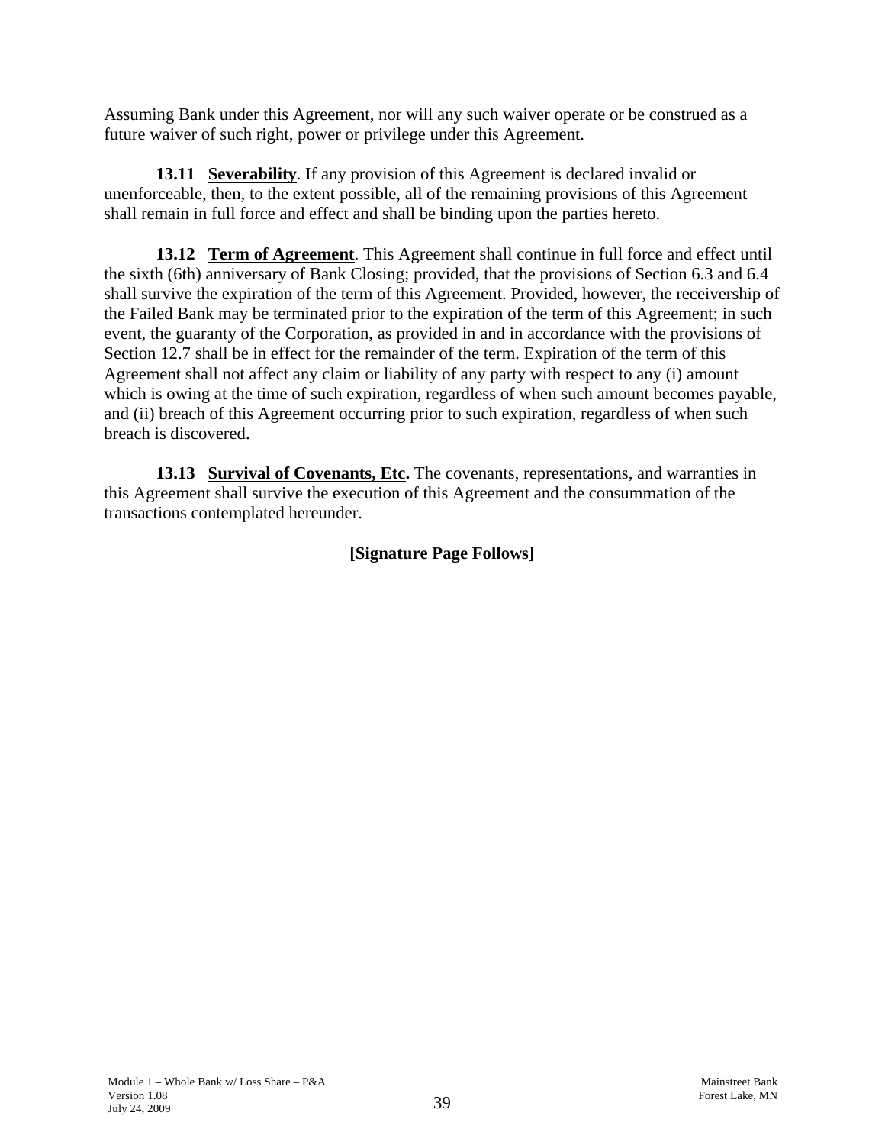Assuming Bank under this Agreement, nor will any such waiver operate or be construed as a future waiver of such right, power or privilege under this Agreement.

**13.11 Severability**. If any provision of this Agreement is declared invalid or unenforceable, then, to the extent possible, all of the remaining provisions of this Agreement shall remain in full force and effect and shall be binding upon the parties hereto.

**13.12 Term of Agreement**. This Agreement shall continue in full force and effect until the sixth (6th) anniversary of Bank Closing; provided, that the provisions of Section 6.3 and 6.4 shall survive the expiration of the term of this Agreement. Provided, however, the receivership of the Failed Bank may be terminated prior to the expiration of the term of this Agreement; in such event, the guaranty of the Corporation, as provided in and in accordance with the provisions of Section 12.7 shall be in effect for the remainder of the term. Expiration of the term of this Agreement shall not affect any claim or liability of any party with respect to any (i) amount which is owing at the time of such expiration, regardless of when such amount becomes payable, and (ii) breach of this Agreement occurring prior to such expiration, regardless of when such breach is discovered.

**13.13 Survival of Covenants, Etc.** The covenants, representations, and warranties in this Agreement shall survive the execution of this Agreement and the consummation of the transactions contemplated hereunder.

# **[Signature Page Follows]**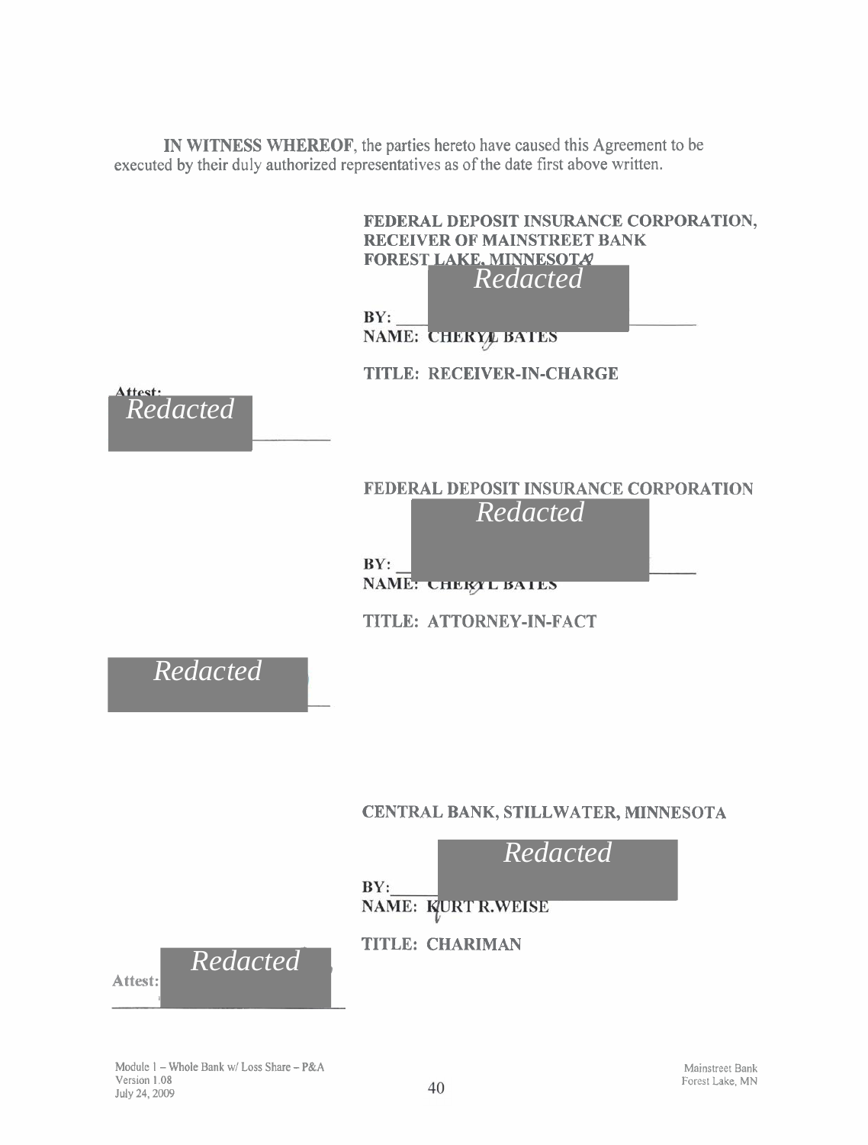**IN WITNESS WHEREOF,** the parties hereto have caused this Agreement to be executed by their duly authorized representatives as of the date first above written.



Module 1 -Whole Bank **w/ Loss** Share - **P&A**  Version 1.08 **July** 24,2009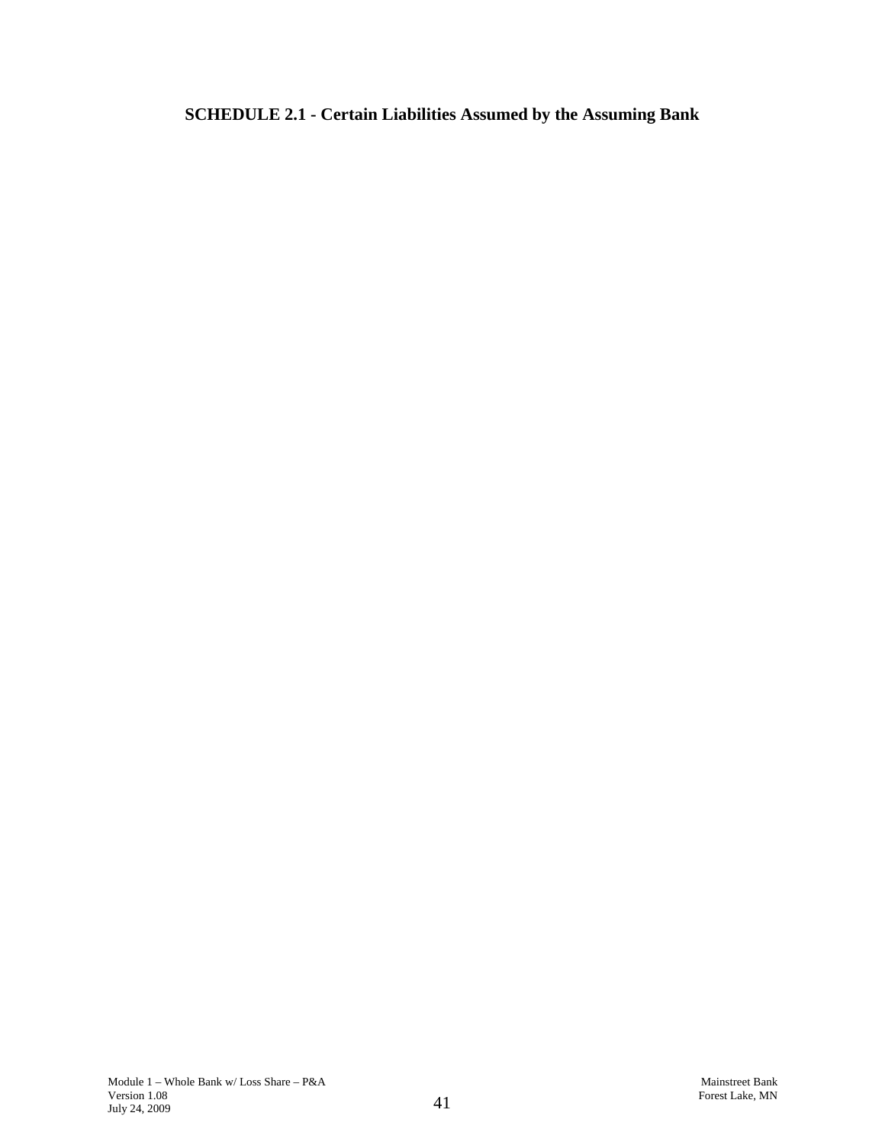**SCHEDULE 2.1 - Certain Liabilities Assumed by the Assuming Bank**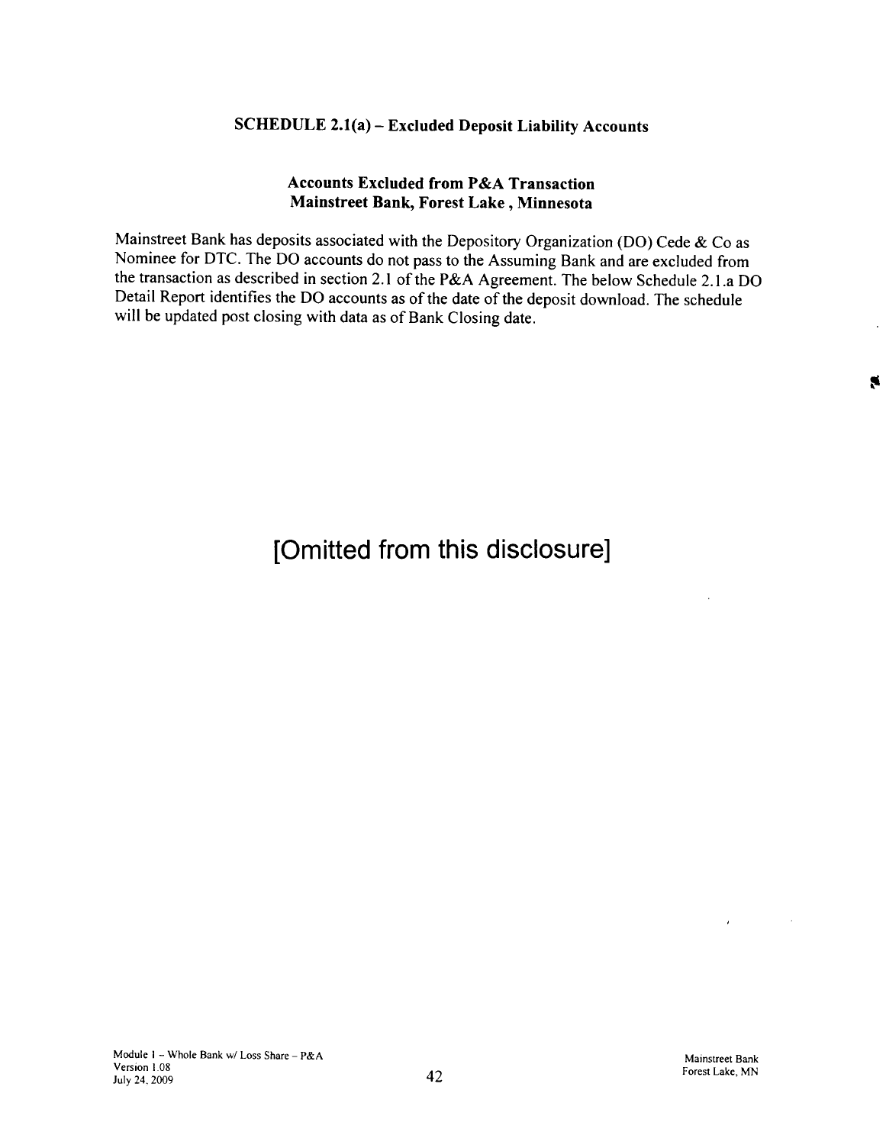# SCHEDULE 2.1(a) - Excluded Deposit Liabilty Accounts

### Accounts Excluded from P&A Transaction Mainstreet Bank, Forest Lake, Minnesota

Mainstreet Bank has deposits associated with the Depository Organization (DO) Cede & Co as Nominee for DTC. The DO accounts do not pass to the Assuming Bank and are excluded from the transaction as described in section 2.1 of the P&A Agreement. The below Schedule 2.1.a DO Detail Report identifies the DO accounts as of the date of the deposit download. The schedule will be updated post closing with data as of Bank Closing date.

# (Omitted from this disclosure)

tl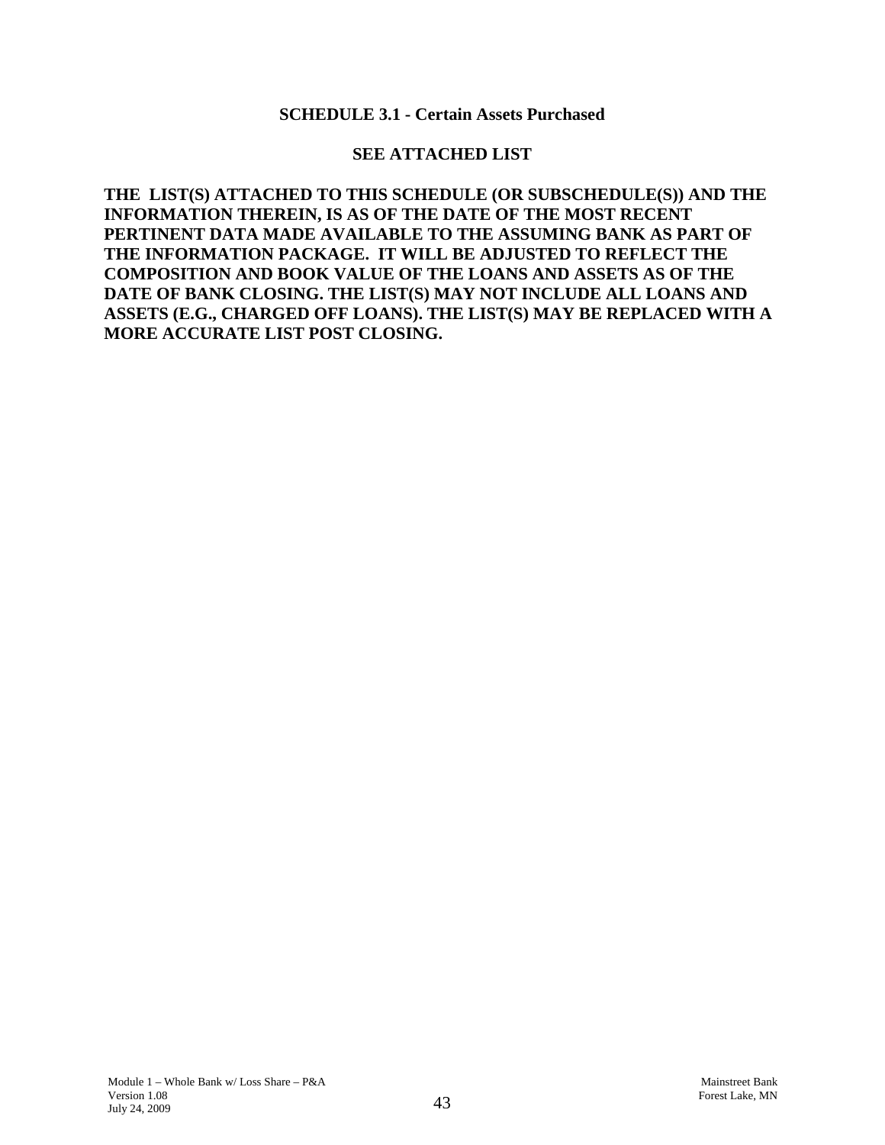### **SCHEDULE 3.1 - Certain Assets Purchased**

### **SEE ATTACHED LIST**

THE LIST(S) ATTACHED TO THIS SCHEDULE (OR SUBSCHEDULE(S)) AND THE **INFORMATION THEREIN, IS AS OF THE DATE OF THE MOST RECENT PERTINENT DATA MADE AVAILABLE TO THE ASSUMING BANK AS PART OF THE INFORMATION PACKAGE. IT WILL BE ADJUSTED TO REFLECT THE COMPOSITION AND BOOK VALUE OF THE LOANS AND ASSETS AS OF THE DATE OF BANK CLOSING. THE LIST(S) MAY NOT INCLUDE ALL LOANS AND ASSETS (E.G., CHARGED OFF LOANS). THE LIST(S) MAY BE REPLACED WITH A MORE ACCURATE LIST POST CLOSING.**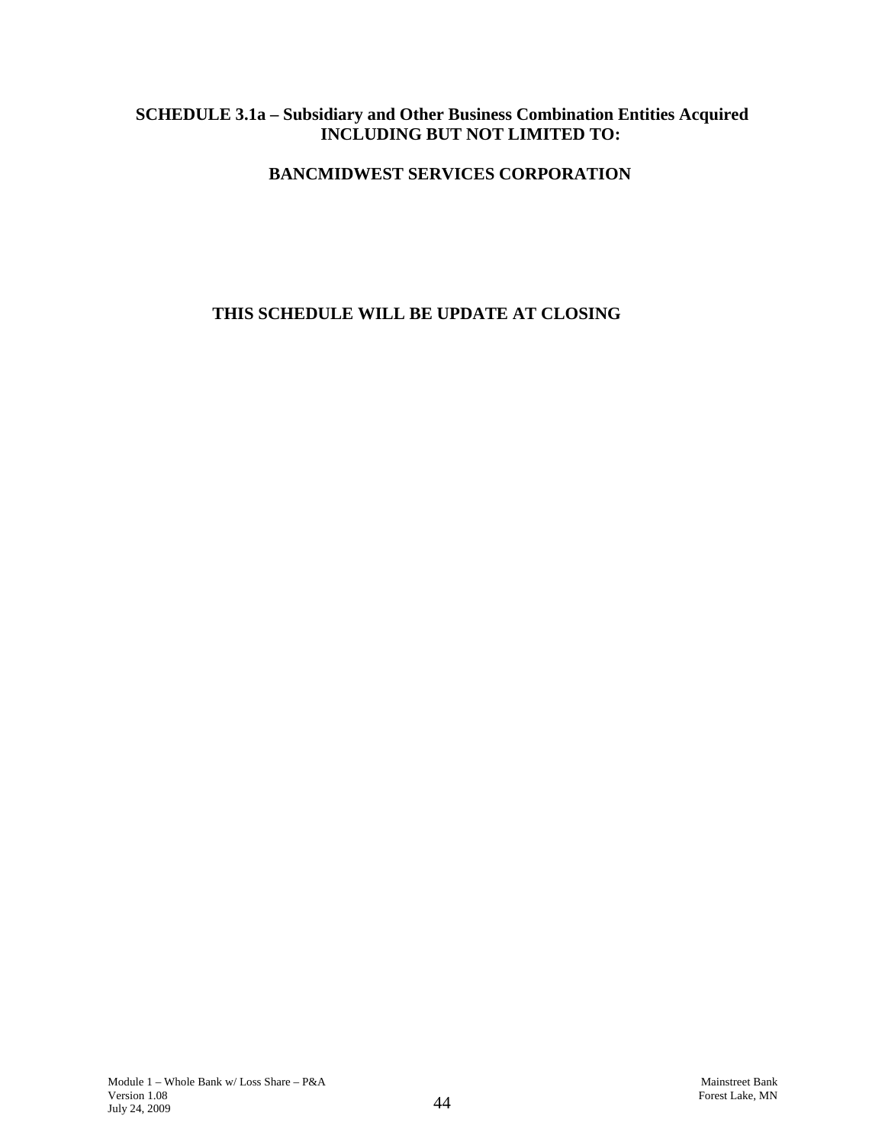### **SCHEDULE 3.1a – Subsidiary and Other Business Combination Entities Acquired INCLUDING BUT NOT LIMITED TO:**

### **BANCMIDWEST SERVICES CORPORATION**

# **THIS SCHEDULE WILL BE UPDATE AT CLOSING**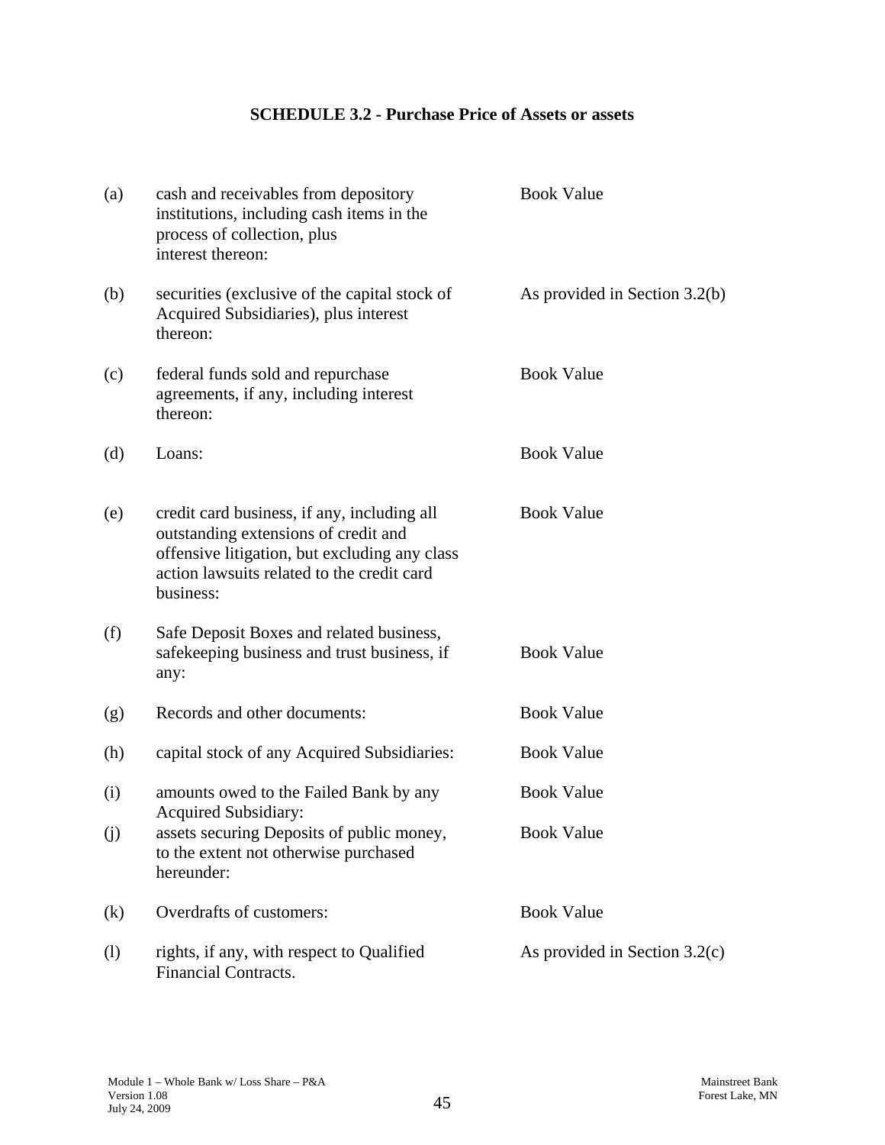# **SCHEDULE 3.2 - Purchase Price of Assets or assets**

| (a) | cash and receivables from depository<br>institutions, including cash items in the<br>process of collection, plus<br>interest thereon:                                                           | <b>Book Value</b>               |
|-----|-------------------------------------------------------------------------------------------------------------------------------------------------------------------------------------------------|---------------------------------|
| (b) | securities (exclusive of the capital stock of<br>Acquired Subsidiaries), plus interest<br>thereon:                                                                                              | As provided in Section $3.2(b)$ |
| (c) | federal funds sold and repurchase<br>agreements, if any, including interest<br>thereon:                                                                                                         | <b>Book Value</b>               |
| (d) | Loans:                                                                                                                                                                                          | <b>Book Value</b>               |
| (e) | credit card business, if any, including all<br>outstanding extensions of credit and<br>offensive litigation, but excluding any class<br>action lawsuits related to the credit card<br>business: | <b>Book Value</b>               |
| (f) | Safe Deposit Boxes and related business,<br>safekeeping business and trust business, if<br>any:                                                                                                 | <b>Book Value</b>               |
| (g) | Records and other documents:                                                                                                                                                                    | <b>Book Value</b>               |
| (h) | capital stock of any Acquired Subsidiaries:                                                                                                                                                     | <b>Book Value</b>               |
| (i) | amounts owed to the Failed Bank by any                                                                                                                                                          | <b>Book Value</b>               |
| (j) | <b>Acquired Subsidiary:</b><br>assets securing Deposits of public money,<br>to the extent not otherwise purchased<br>hereunder:                                                                 | <b>Book Value</b>               |
| (k) | Overdrafts of customers:                                                                                                                                                                        | <b>Book Value</b>               |
| (1) | rights, if any, with respect to Qualified<br>Financial Contracts.                                                                                                                               | As provided in Section $3.2(c)$ |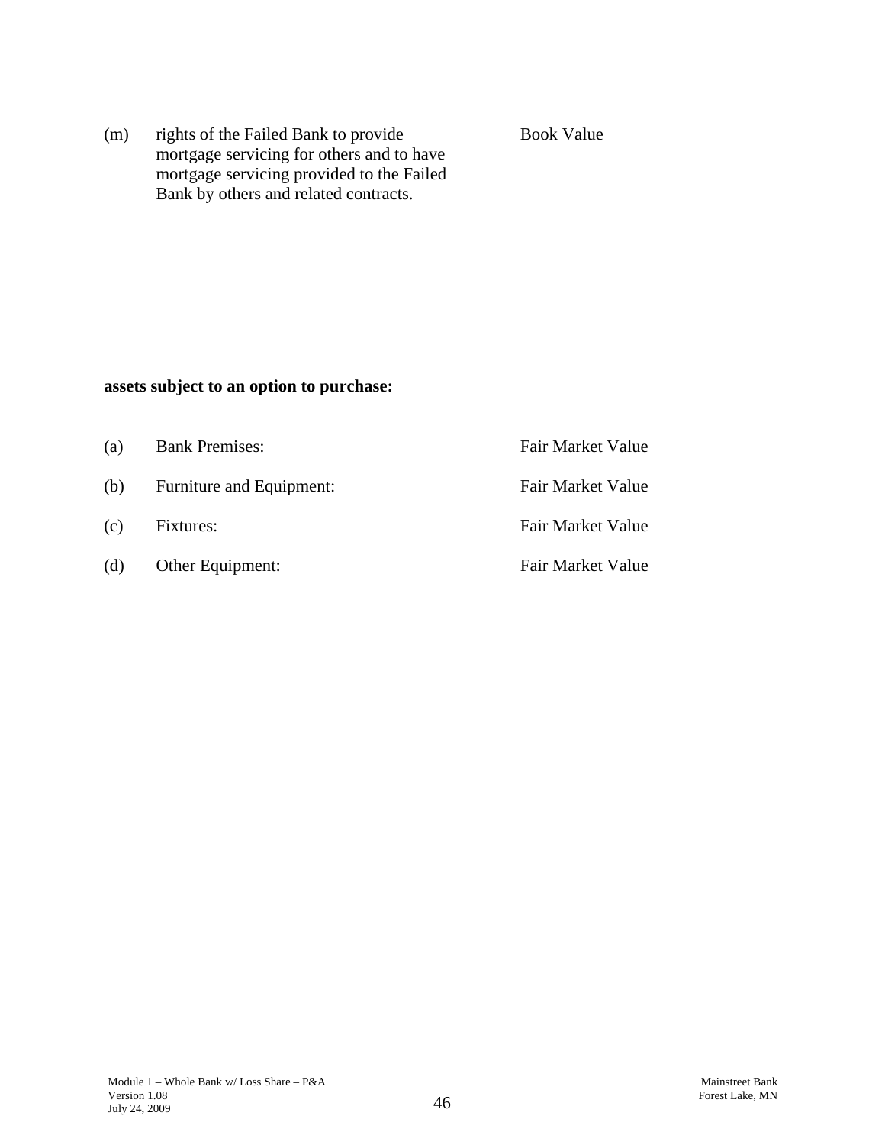(m) rights of the Failed Bank to provide Book Value mortgage servicing for others and to have mortgage servicing provided to the Failed Bank by others and related contracts.

# **assets subject to an option to purchase:**

| (a) | <b>Bank Premises:</b>    | Fair Market Value |
|-----|--------------------------|-------------------|
| (b) | Furniture and Equipment: | Fair Market Value |
| (c) | Fixtures:                | Fair Market Value |
| (d) | Other Equipment:         | Fair Market Value |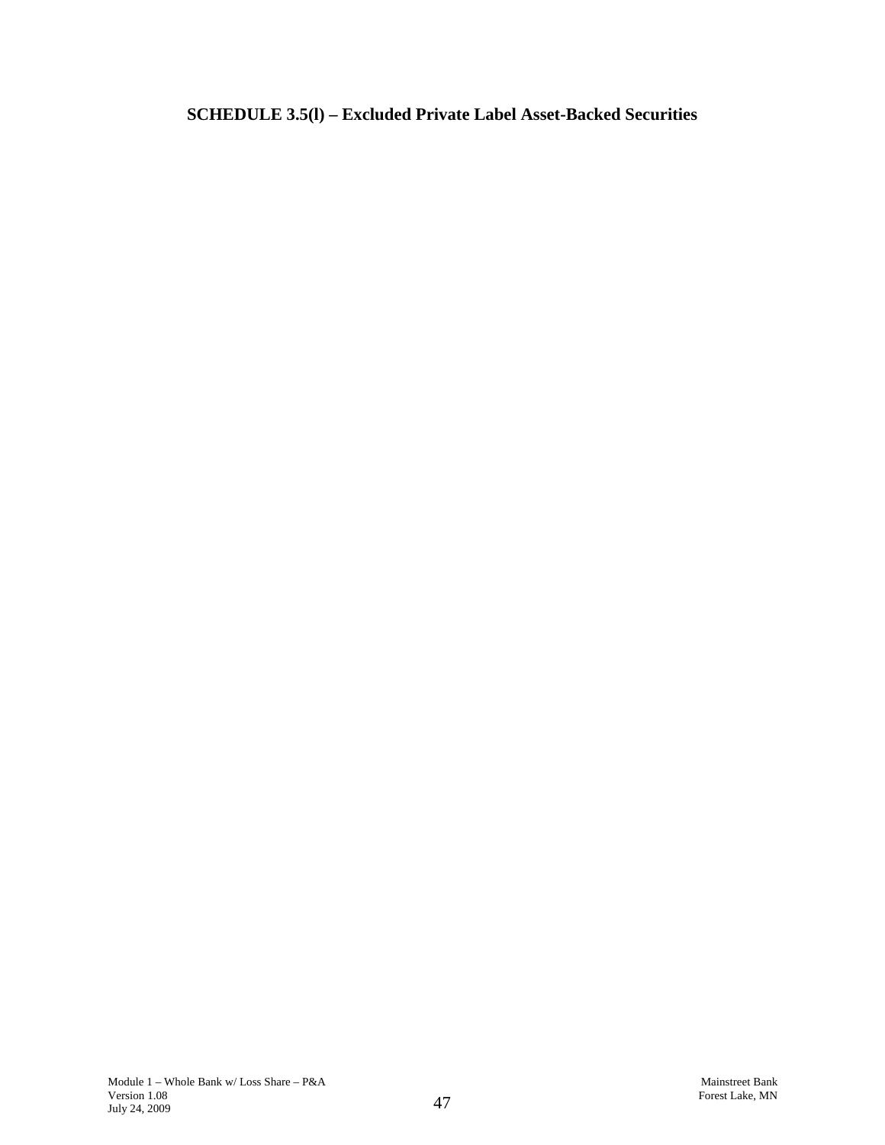# **SCHEDULE 3.5(l) – Excluded Private Label Asset-Backed Securities**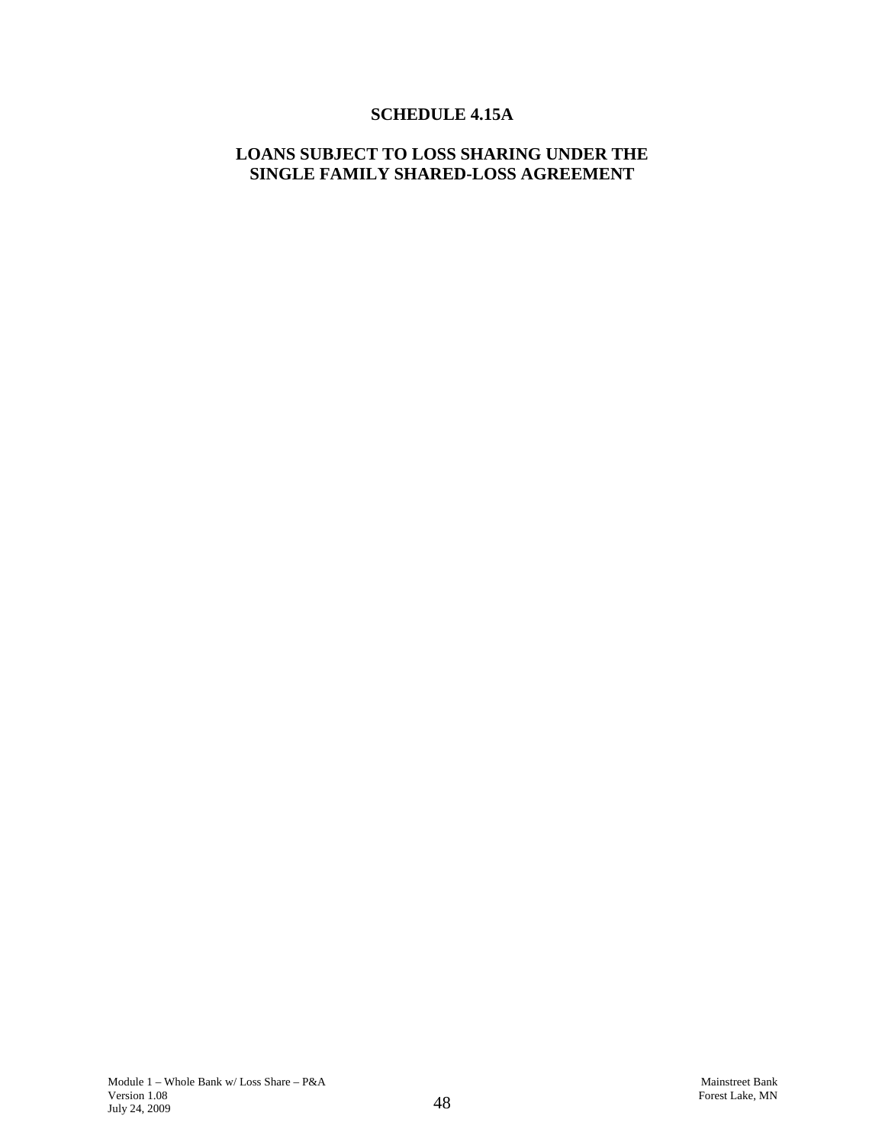# **SCHEDULE 4.15A**

# **LOANS SUBJECT TO LOSS SHARING UNDER THE SINGLE FAMILY SHARED-LOSS AGREEMENT**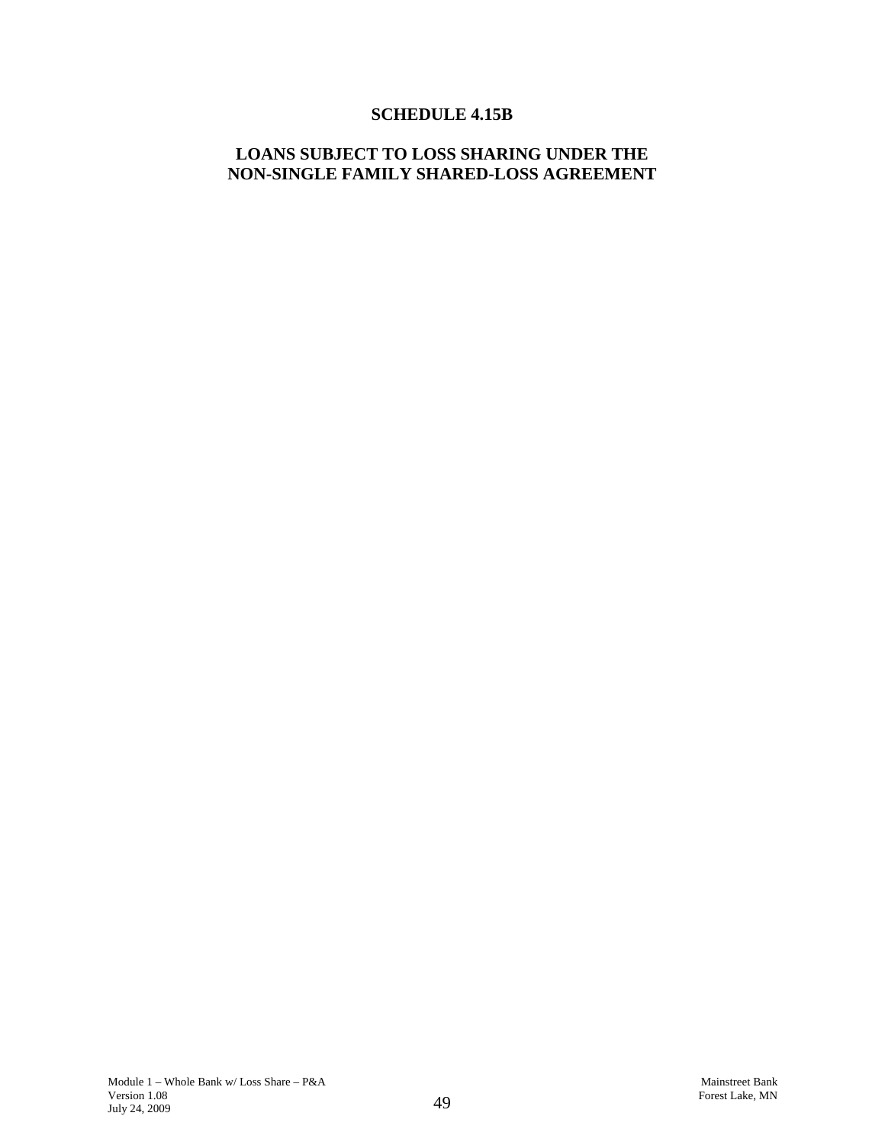### **SCHEDULE 4.15B**

### **LOANS SUBJECT TO LOSS SHARING UNDER THE NON-SINGLE FAMILY SHARED-LOSS AGREEMENT**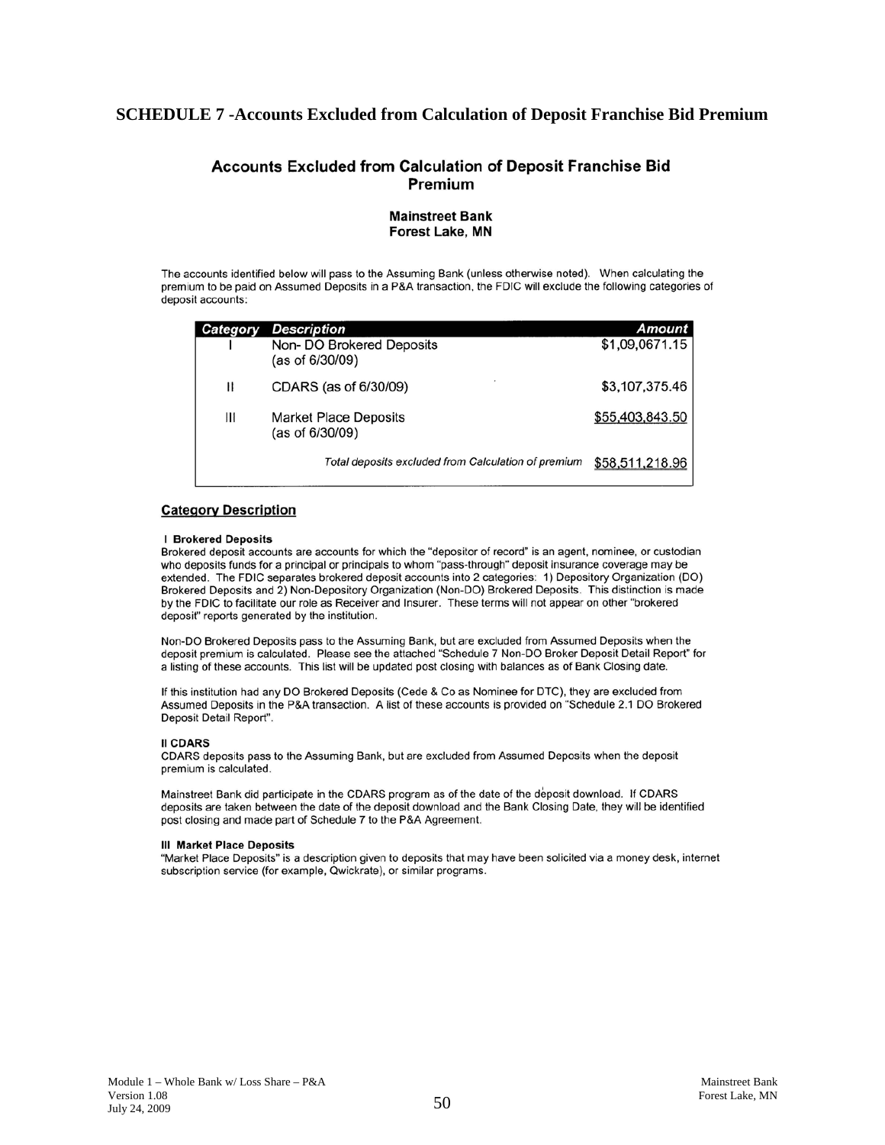### **SCHEDULE 7 -Accounts Excluded from Calculation of Deposit Franchise Bid Premium**

### Accounts Excluded from Calculation of Deposit Franchise Bid Premium

#### **Mainstreet Bank Forest Lake, MN**

The accounts identified below will pass to the Assuming Bank (unless otherwise noted). When calculating the premium to be paid on Assumed Deposits in a P&A transaction, the FDIC will exclude the following categories of deposit accounts:

|              | <b>Category Description</b>                         | Amount          |
|--------------|-----------------------------------------------------|-----------------|
|              | Non-DO Brokered Deposits<br>(as of 6/30/09)         | \$1,09,0671.15  |
| $\mathsf{I}$ | CDARS (as of 6/30/09)                               | \$3,107,375.46  |
| Ш            | <b>Market Place Deposits</b><br>(as of 6/30/09)     | \$55,403,843.50 |
|              | Total deposits excluded from Calculation of premium | \$58,511,218.96 |

#### **Category Description**

#### **I** Brokered Deposits

Brokered deposit accounts are accounts for which the "depositor of record" is an agent, nominee, or custodian who deposits funds for a principal or principals to whom "pass-through" deposit insurance coverage may be extended. The FDIC separates brokered deposit accounts into 2 categories: 1) Depository Organization (DO) Brokered Deposits and 2) Non-Depository Organization (Non-DO) Brokered Deposits. This distinction is made by the FDIC to facilitate our role as Receiver and Insurer. These terms will not appear on other "brokered deposit" reports generated by the institution.

Non-DO Brokered Deposits pass to the Assuming Bank, but are excluded from Assumed Deposits when the deposit premium is calculated. Please see the attached "Schedule 7 Non-DO Broker Deposit Detail Report" for a listing of these accounts. This list will be updated post closing with balances as of Bank Closing date.

If this institution had any DO Brokered Deposits (Cede & Co as Nominee for DTC), they are excluded from Assumed Deposits in the P&A transaction. A list of these accounts is provided on "Schedule 2.1 DO Brokered Deposit Detail Report".

#### **II CDARS**

CDARS deposits pass to the Assuming Bank, but are excluded from Assumed Deposits when the deposit premium is calculated.

Mainstreet Bank did participate in the CDARS program as of the date of the deposit download. If CDARS deposits are taken between the date of the deposit download and the Bank Closing Date, they will be identified post closing and made part of Schedule 7 to the P&A Agreement.

#### **III Market Place Deposits**

"Market Place Deposits" is a description given to deposits that may have been solicited via a money desk, internet subscription service (for example, Qwickrate), or similar programs.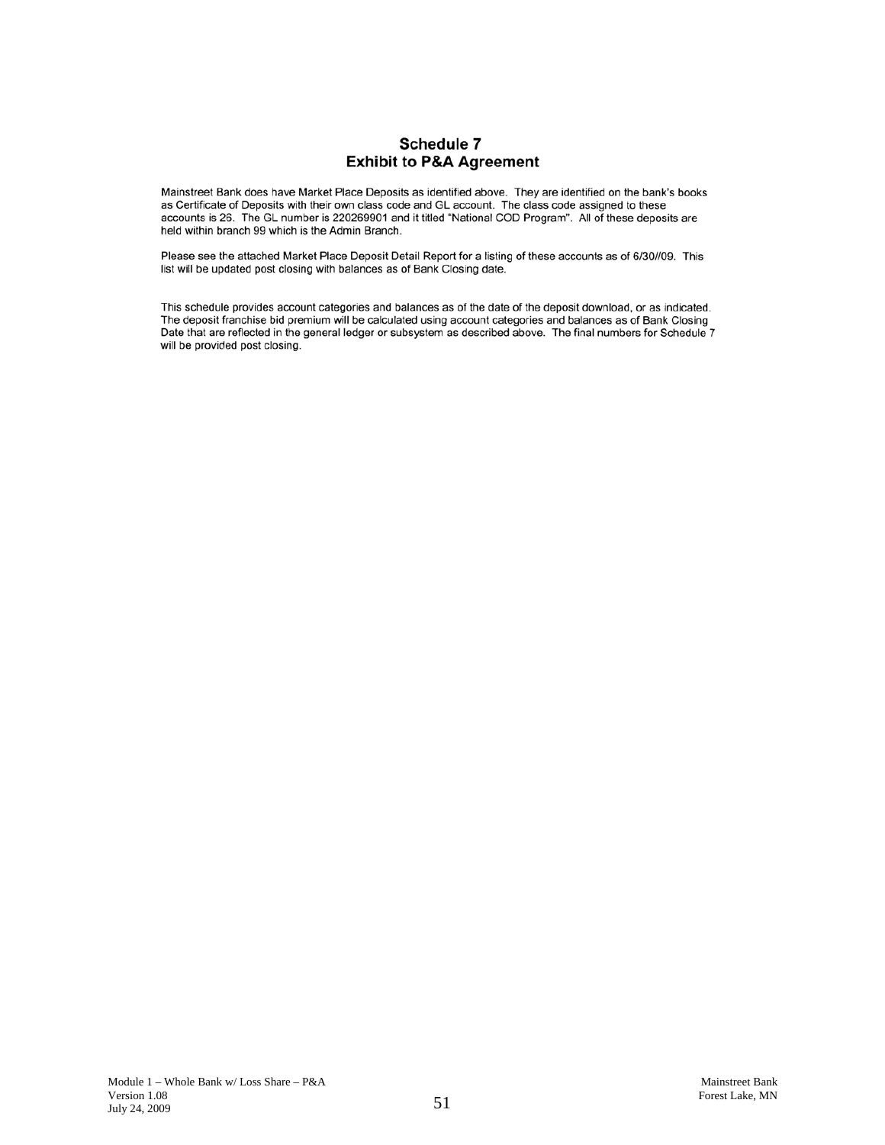### Schedule 7 **Exhibit to P&A Agreement**

Mainstreet Bank does have Market Place Deposits as identified above. They are identified on the bank's books as Certificate of Deposits with their own class code and GL account. The class code assigned to these accounts is 26. The GL number is 220269901 and it titled "National COD Program". All of these deposits are held within branch 99 which is the Admin Branch.

Please see the attached Market Place Deposit Detail Report for a listing of these accounts as of 6/30//09. This list will be updated post closing with balances as of Bank Closing date.

This schedule provides account categories and balances as of the date of the deposit download, or as indicated. The deposit franchise bid premium will be calculated using account categories and balances as of Bank Closing Date that are reflected in the general ledger or subsystem as described above. The final numbers for Schedule 7 will be provided post closing.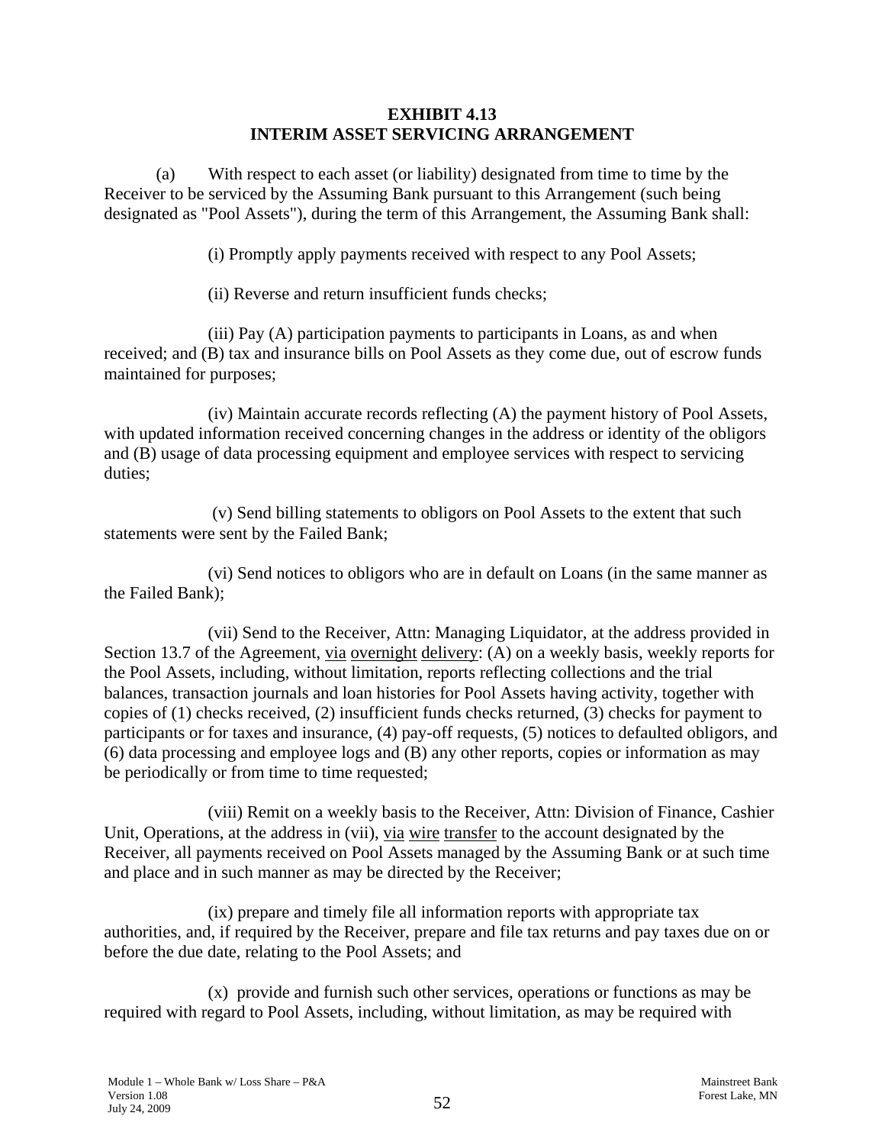### **EXHIBIT 4.13 INTERIM ASSET SERVICING ARRANGEMENT**

(a) With respect to each asset (or liability) designated from time to time by the Receiver to be serviced by the Assuming Bank pursuant to this Arrangement (such being designated as "Pool Assets"), during the term of this Arrangement, the Assuming Bank shall:

(i) Promptly apply payments received with respect to any Pool Assets;

(ii) Reverse and return insufficient funds checks;

(iii) Pay (A) participation payments to participants in Loans, as and when received; and (B) tax and insurance bills on Pool Assets as they come due, out of escrow funds maintained for purposes;

(iv) Maintain accurate records reflecting (A) the payment history of Pool Assets, with updated information received concerning changes in the address or identity of the obligors and (B) usage of data processing equipment and employee services with respect to servicing duties;

 (v) Send billing statements to obligors on Pool Assets to the extent that such statements were sent by the Failed Bank;

(vi) Send notices to obligors who are in default on Loans (in the same manner as the Failed Bank);

(vii) Send to the Receiver, Attn: Managing Liquidator, at the address provided in Section 13.7 of the Agreement, via overnight delivery: (A) on a weekly basis, weekly reports for the Pool Assets, including, without limitation, reports reflecting collections and the trial balances, transaction journals and loan histories for Pool Assets having activity, together with copies of (1) checks received, (2) insufficient funds checks returned, (3) checks for payment to participants or for taxes and insurance, (4) pay-off requests, (5) notices to defaulted obligors, and (6) data processing and employee logs and (B) any other reports, copies or information as may be periodically or from time to time requested;

(viii) Remit on a weekly basis to the Receiver, Attn: Division of Finance, Cashier Unit, Operations, at the address in (vii), via wire transfer to the account designated by the Receiver, all payments received on Pool Assets managed by the Assuming Bank or at such time and place and in such manner as may be directed by the Receiver;

(ix) prepare and timely file all information reports with appropriate tax authorities, and, if required by the Receiver, prepare and file tax returns and pay taxes due on or before the due date, relating to the Pool Assets; and

(x) provide and furnish such other services, operations or functions as may be required with regard to Pool Assets, including, without limitation, as may be required with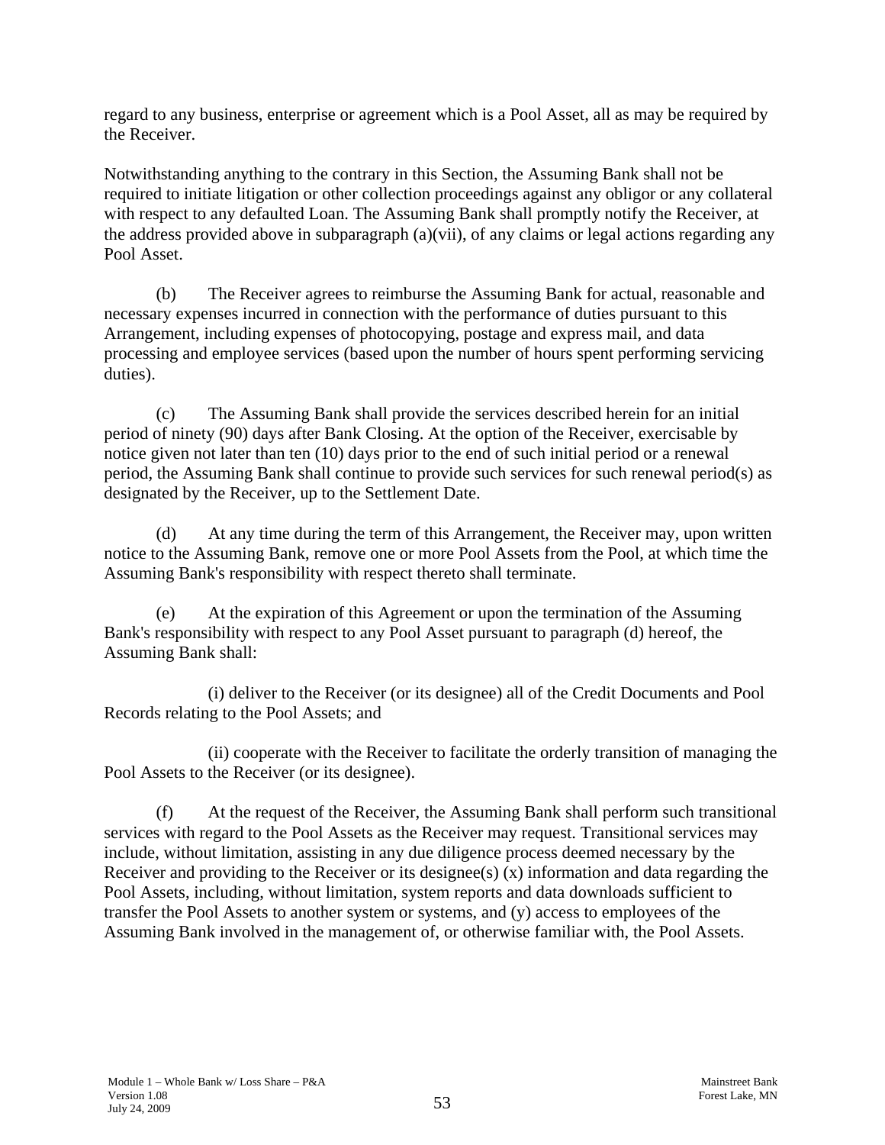regard to any business, enterprise or agreement which is a Pool Asset, all as may be required by the Receiver.

Notwithstanding anything to the contrary in this Section, the Assuming Bank shall not be required to initiate litigation or other collection proceedings against any obligor or any collateral with respect to any defaulted Loan. The Assuming Bank shall promptly notify the Receiver, at the address provided above in subparagraph (a)(vii), of any claims or legal actions regarding any Pool Asset.

(b) The Receiver agrees to reimburse the Assuming Bank for actual, reasonable and necessary expenses incurred in connection with the performance of duties pursuant to this Arrangement, including expenses of photocopying, postage and express mail, and data processing and employee services (based upon the number of hours spent performing servicing duties).

(c) The Assuming Bank shall provide the services described herein for an initial period of ninety (90) days after Bank Closing. At the option of the Receiver, exercisable by notice given not later than ten (10) days prior to the end of such initial period or a renewal period, the Assuming Bank shall continue to provide such services for such renewal period(s) as designated by the Receiver, up to the Settlement Date.

(d) At any time during the term of this Arrangement, the Receiver may, upon written notice to the Assuming Bank, remove one or more Pool Assets from the Pool, at which time the Assuming Bank's responsibility with respect thereto shall terminate.

(e) At the expiration of this Agreement or upon the termination of the Assuming Bank's responsibility with respect to any Pool Asset pursuant to paragraph (d) hereof, the Assuming Bank shall:

(i) deliver to the Receiver (or its designee) all of the Credit Documents and Pool Records relating to the Pool Assets; and

(ii) cooperate with the Receiver to facilitate the orderly transition of managing the Pool Assets to the Receiver (or its designee).

(f) At the request of the Receiver, the Assuming Bank shall perform such transitional services with regard to the Pool Assets as the Receiver may request. Transitional services may include, without limitation, assisting in any due diligence process deemed necessary by the Receiver and providing to the Receiver or its designee(s) (x) information and data regarding the Pool Assets, including, without limitation, system reports and data downloads sufficient to transfer the Pool Assets to another system or systems, and (y) access to employees of the Assuming Bank involved in the management of, or otherwise familiar with, the Pool Assets.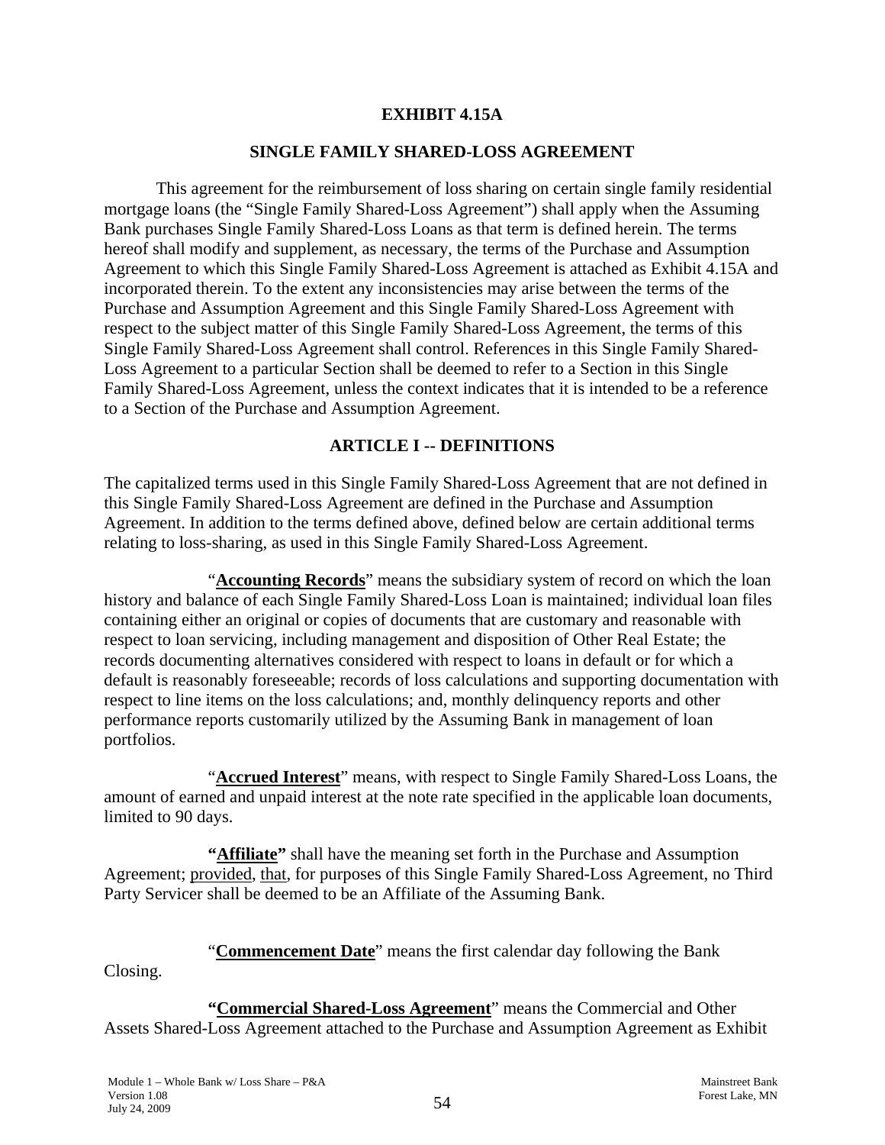### **EXHIBIT 4.15A**

### **SINGLE FAMILY SHARED-LOSS AGREEMENT**

This agreement for the reimbursement of loss sharing on certain single family residential mortgage loans (the "Single Family Shared-Loss Agreement") shall apply when the Assuming Bank purchases Single Family Shared-Loss Loans as that term is defined herein. The terms hereof shall modify and supplement, as necessary, the terms of the Purchase and Assumption Agreement to which this Single Family Shared-Loss Agreement is attached as Exhibit 4.15A and incorporated therein. To the extent any inconsistencies may arise between the terms of the Purchase and Assumption Agreement and this Single Family Shared-Loss Agreement with respect to the subject matter of this Single Family Shared-Loss Agreement, the terms of this Single Family Shared-Loss Agreement shall control. References in this Single Family Shared-Loss Agreement to a particular Section shall be deemed to refer to a Section in this Single Family Shared-Loss Agreement, unless the context indicates that it is intended to be a reference to a Section of the Purchase and Assumption Agreement.

### **ARTICLE I -- DEFINITIONS**

The capitalized terms used in this Single Family Shared-Loss Agreement that are not defined in this Single Family Shared-Loss Agreement are defined in the Purchase and Assumption Agreement. In addition to the terms defined above, defined below are certain additional terms relating to loss-sharing, as used in this Single Family Shared-Loss Agreement.

"**Accounting Records**" means the subsidiary system of record on which the loan history and balance of each Single Family Shared-Loss Loan is maintained; individual loan files containing either an original or copies of documents that are customary and reasonable with respect to loan servicing, including management and disposition of Other Real Estate; the records documenting alternatives considered with respect to loans in default or for which a default is reasonably foreseeable; records of loss calculations and supporting documentation with respect to line items on the loss calculations; and, monthly delinquency reports and other performance reports customarily utilized by the Assuming Bank in management of loan portfolios.

"**Accrued Interest**" means, with respect to Single Family Shared-Loss Loans, the amount of earned and unpaid interest at the note rate specified in the applicable loan documents, limited to 90 days.

**"Affiliate"** shall have the meaning set forth in the Purchase and Assumption Agreement; provided, that, for purposes of this Single Family Shared-Loss Agreement, no Third Party Servicer shall be deemed to be an Affiliate of the Assuming Bank.

"**Commencement Date**" means the first calendar day following the Bank

Closing.

**"Commercial Shared-Loss Agreement**" means the Commercial and Other Assets Shared-Loss Agreement attached to the Purchase and Assumption Agreement as Exhibit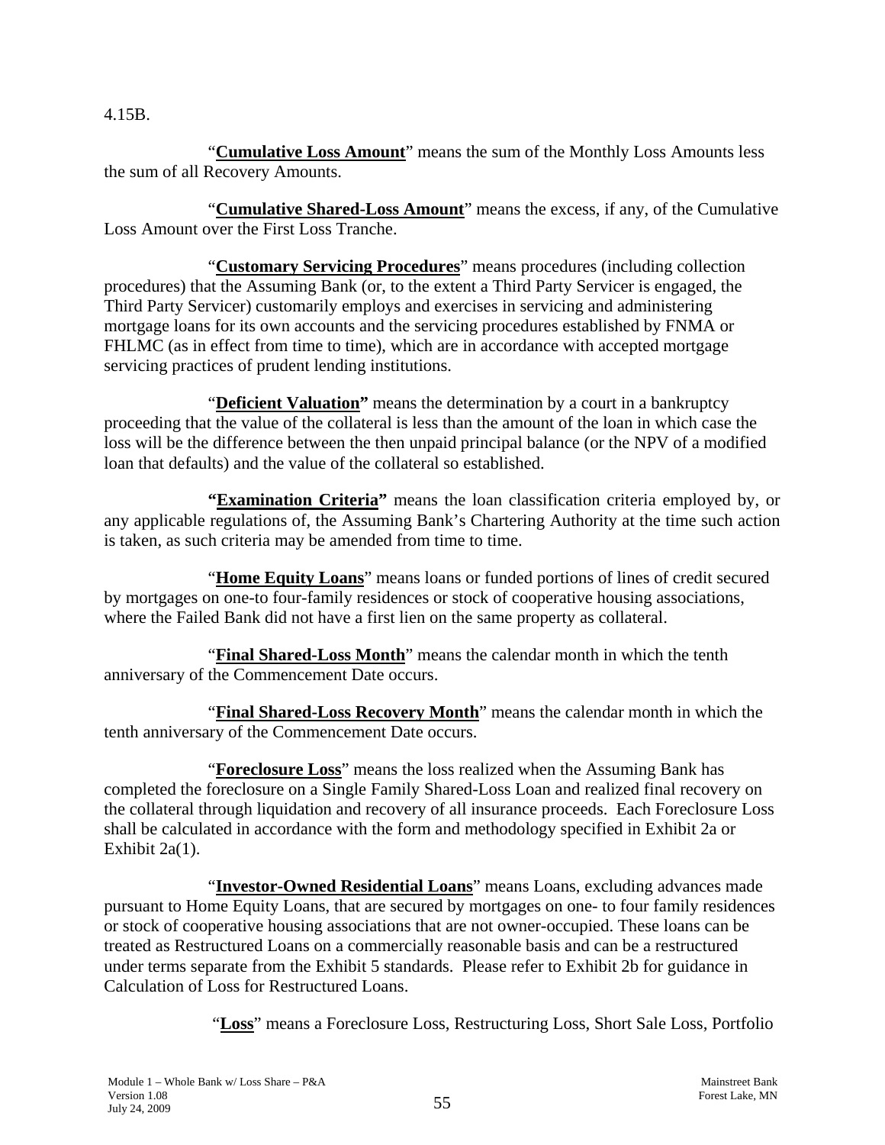4.15B.

"**Cumulative Loss Amount**" means the sum of the Monthly Loss Amounts less the sum of all Recovery Amounts.

"**Cumulative Shared-Loss Amount**" means the excess, if any, of the Cumulative Loss Amount over the First Loss Tranche.

"**Customary Servicing Procedures**" means procedures (including collection procedures) that the Assuming Bank (or, to the extent a Third Party Servicer is engaged, the Third Party Servicer) customarily employs and exercises in servicing and administering mortgage loans for its own accounts and the servicing procedures established by FNMA or FHLMC (as in effect from time to time), which are in accordance with accepted mortgage servicing practices of prudent lending institutions.

"**Deficient Valuation"** means the determination by a court in a bankruptcy proceeding that the value of the collateral is less than the amount of the loan in which case the loss will be the difference between the then unpaid principal balance (or the NPV of a modified loan that defaults) and the value of the collateral so established.

**"Examination Criteria"** means the loan classification criteria employed by, or any applicable regulations of, the Assuming Bank's Chartering Authority at the time such action is taken, as such criteria may be amended from time to time.

"**Home Equity Loans**" means loans or funded portions of lines of credit secured by mortgages on one-to four-family residences or stock of cooperative housing associations, where the Failed Bank did not have a first lien on the same property as collateral.

"**Final Shared-Loss Month**" means the calendar month in which the tenth anniversary of the Commencement Date occurs.

"**Final Shared-Loss Recovery Month**" means the calendar month in which the tenth anniversary of the Commencement Date occurs.

"**Foreclosure Loss**" means the loss realized when the Assuming Bank has completed the foreclosure on a Single Family Shared-Loss Loan and realized final recovery on the collateral through liquidation and recovery of all insurance proceeds. Each Foreclosure Loss shall be calculated in accordance with the form and methodology specified in Exhibit 2a or Exhibit 2a(1).

"**Investor-Owned Residential Loans**" means Loans, excluding advances made pursuant to Home Equity Loans, that are secured by mortgages on one- to four family residences or stock of cooperative housing associations that are not owner-occupied. These loans can be treated as Restructured Loans on a commercially reasonable basis and can be a restructured under terms separate from the Exhibit 5 standards. Please refer to Exhibit 2b for guidance in Calculation of Loss for Restructured Loans.

"**Loss**" means a Foreclosure Loss, Restructuring Loss, Short Sale Loss, Portfolio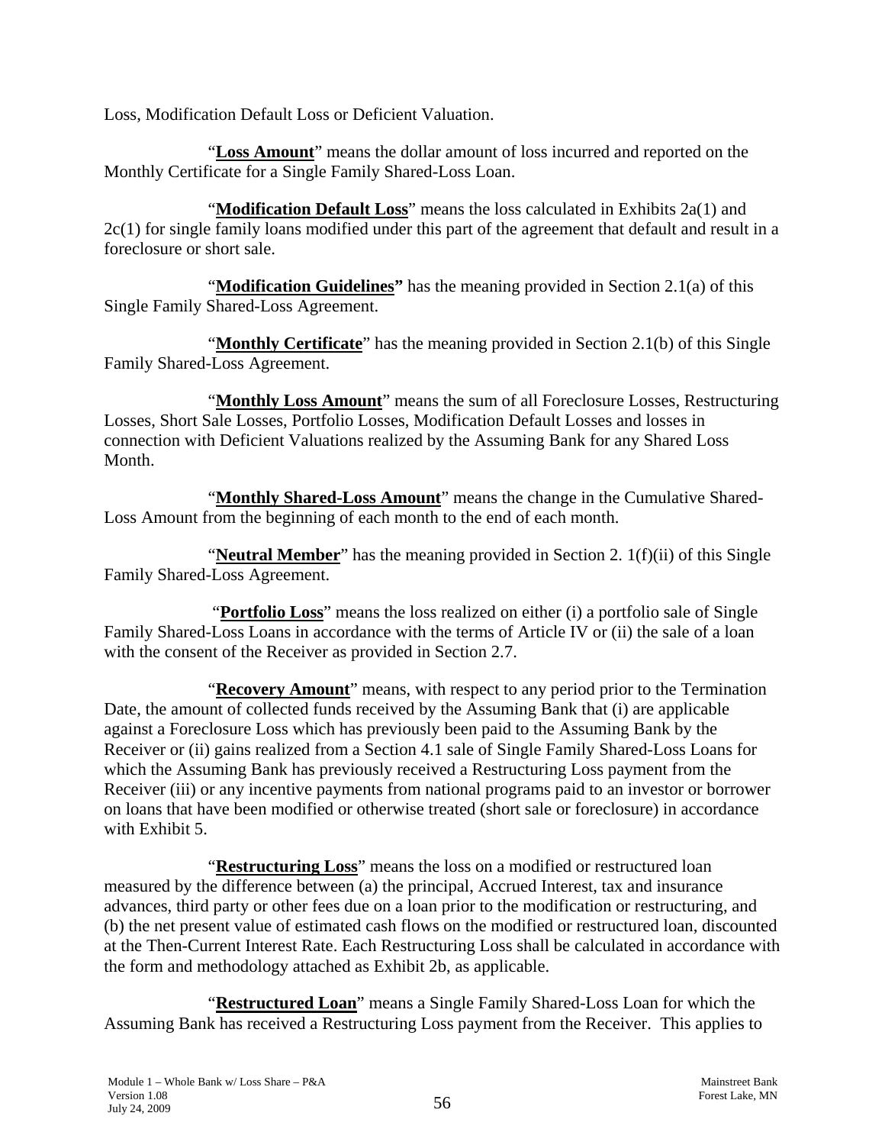Loss, Modification Default Loss or Deficient Valuation.

"**Loss Amount**" means the dollar amount of loss incurred and reported on the Monthly Certificate for a Single Family Shared-Loss Loan.

"**Modification Default Loss**" means the loss calculated in Exhibits 2a(1) and 2c(1) for single family loans modified under this part of the agreement that default and result in a foreclosure or short sale.

"**Modification Guidelines**" has the meaning provided in Section 2.1(a) of this Single Family Shared-Loss Agreement.

"**Monthly Certificate**" has the meaning provided in Section 2.1(b) of this Single Family Shared-Loss Agreement.

"**Monthly Loss Amount**" means the sum of all Foreclosure Losses, Restructuring Losses, Short Sale Losses, Portfolio Losses, Modification Default Losses and losses in connection with Deficient Valuations realized by the Assuming Bank for any Shared Loss Month.

"**Monthly Shared-Loss Amount**" means the change in the Cumulative Shared-Loss Amount from the beginning of each month to the end of each month.

**"Neutral Member**" has the meaning provided in Section 2. 1(f)(ii) of this Single Family Shared-Loss Agreement.

"**Portfolio Loss**" means the loss realized on either (i) a portfolio sale of Single Family Shared-Loss Loans in accordance with the terms of Article IV or (ii) the sale of a loan with the consent of the Receiver as provided in Section 2.7.

"**Recovery Amount**" means, with respect to any period prior to the Termination Date, the amount of collected funds received by the Assuming Bank that (i) are applicable against a Foreclosure Loss which has previously been paid to the Assuming Bank by the Receiver or (ii) gains realized from a Section 4.1 sale of Single Family Shared-Loss Loans for which the Assuming Bank has previously received a Restructuring Loss payment from the Receiver (iii) or any incentive payments from national programs paid to an investor or borrower on loans that have been modified or otherwise treated (short sale or foreclosure) in accordance with Exhibit 5.

"**Restructuring Loss**" means the loss on a modified or restructured loan measured by the difference between (a) the principal, Accrued Interest, tax and insurance advances, third party or other fees due on a loan prior to the modification or restructuring, and (b) the net present value of estimated cash flows on the modified or restructured loan, discounted at the Then-Current Interest Rate. Each Restructuring Loss shall be calculated in accordance with the form and methodology attached as Exhibit 2b, as applicable.

"**Restructured Loan**" means a Single Family Shared-Loss Loan for which the Assuming Bank has received a Restructuring Loss payment from the Receiver. This applies to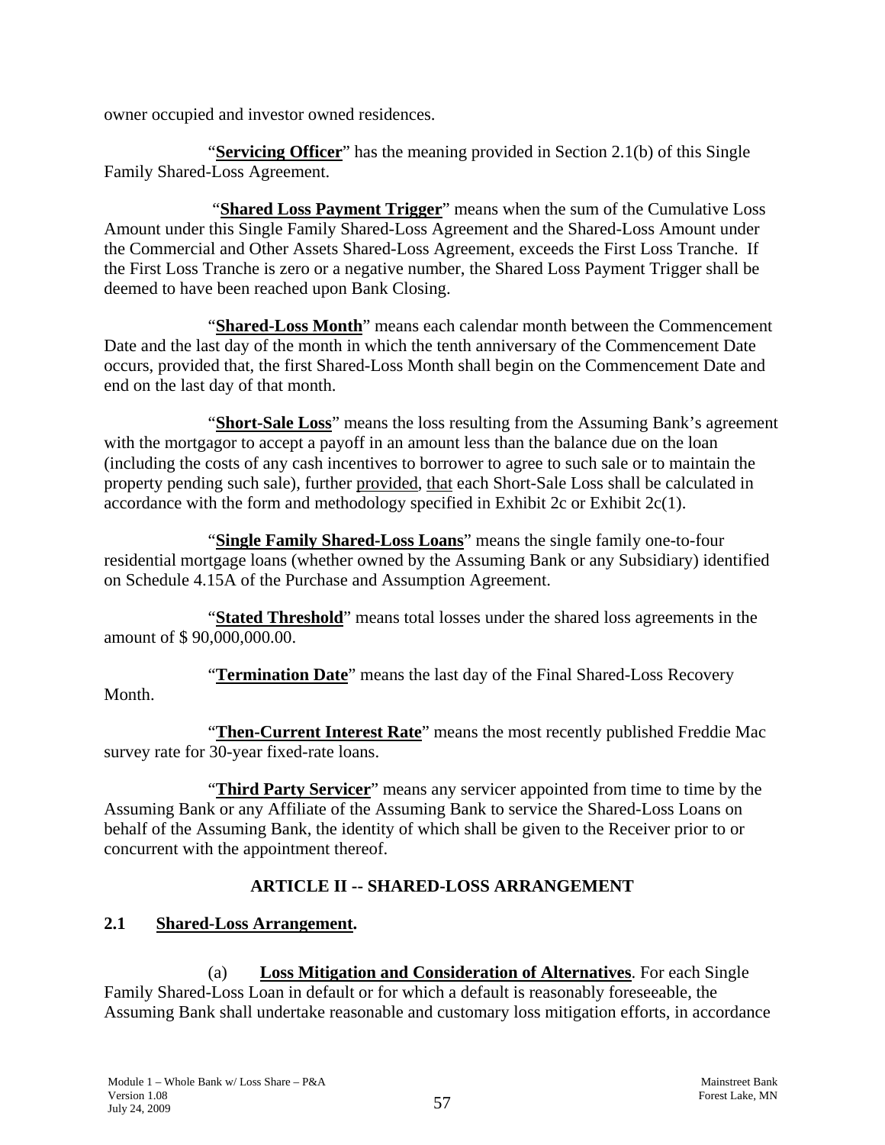owner occupied and investor owned residences.

"**Servicing Officer**" has the meaning provided in Section 2.1(b) of this Single Family Shared-Loss Agreement.

"**Shared Loss Payment Trigger**" means when the sum of the Cumulative Loss Amount under this Single Family Shared-Loss Agreement and the Shared-Loss Amount under the Commercial and Other Assets Shared-Loss Agreement, exceeds the First Loss Tranche. If the First Loss Tranche is zero or a negative number, the Shared Loss Payment Trigger shall be deemed to have been reached upon Bank Closing.

"**Shared-Loss Month**" means each calendar month between the Commencement Date and the last day of the month in which the tenth anniversary of the Commencement Date occurs, provided that, the first Shared-Loss Month shall begin on the Commencement Date and end on the last day of that month.

"**Short-Sale Loss**" means the loss resulting from the Assuming Bank's agreement with the mortgagor to accept a payoff in an amount less than the balance due on the loan (including the costs of any cash incentives to borrower to agree to such sale or to maintain the property pending such sale), further provided, that each Short-Sale Loss shall be calculated in accordance with the form and methodology specified in Exhibit 2c or Exhibit  $2c(1)$ .

"**Single Family Shared-Loss Loans**" means the single family one-to-four residential mortgage loans (whether owned by the Assuming Bank or any Subsidiary) identified on Schedule 4.15A of the Purchase and Assumption Agreement.

"**Stated Threshold**" means total losses under the shared loss agreements in the amount of \$ 90,000,000.00.

"**Termination Date**" means the last day of the Final Shared-Loss Recovery Month.

"**Then-Current Interest Rate**" means the most recently published Freddie Mac survey rate for 30-year fixed-rate loans.

"**Third Party Servicer**" means any servicer appointed from time to time by the Assuming Bank or any Affiliate of the Assuming Bank to service the Shared-Loss Loans on behalf of the Assuming Bank, the identity of which shall be given to the Receiver prior to or concurrent with the appointment thereof.

# **ARTICLE II -- SHARED-LOSS ARRANGEMENT**

# **2.1 Shared-Loss Arrangement.**

(a) **Loss Mitigation and Consideration of Alternatives**. For each Single Family Shared-Loss Loan in default or for which a default is reasonably foreseeable, the Assuming Bank shall undertake reasonable and customary loss mitigation efforts, in accordance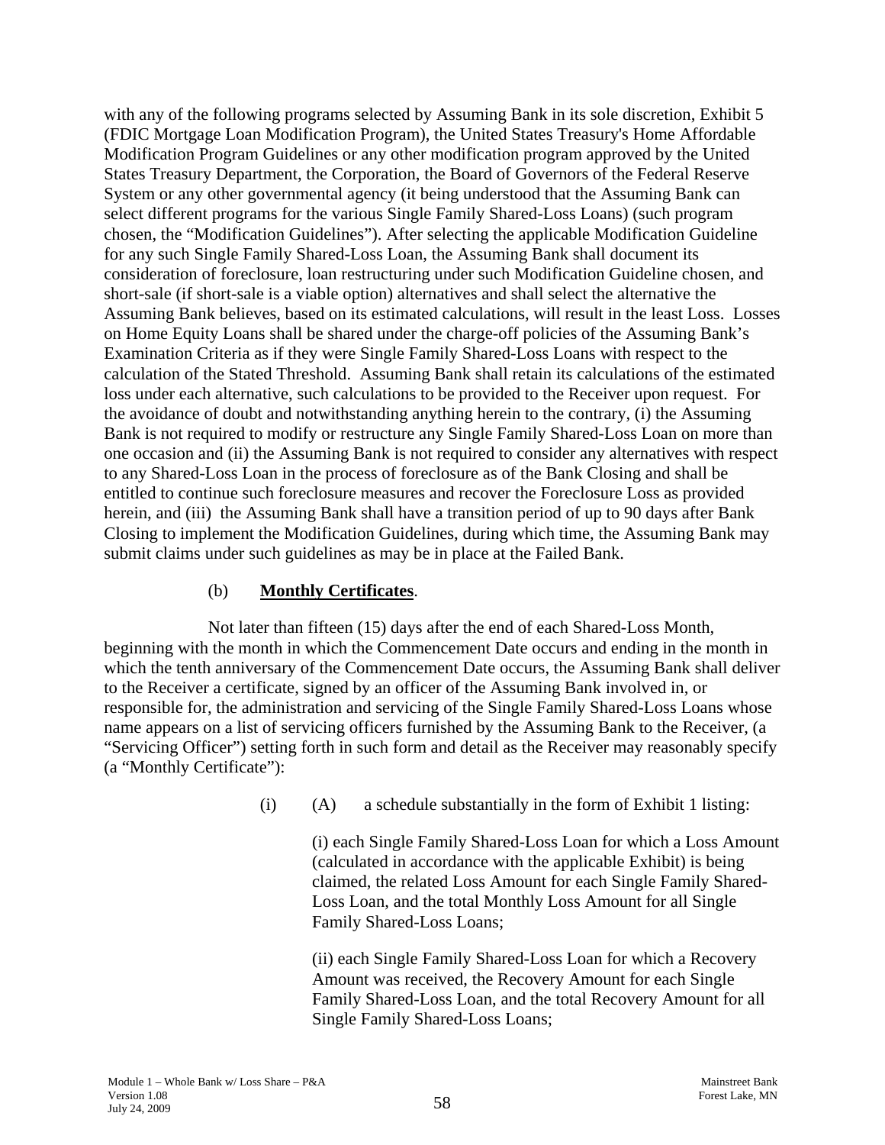with any of the following programs selected by Assuming Bank in its sole discretion, Exhibit 5 (FDIC Mortgage Loan Modification Program), the United States Treasury's Home Affordable Modification Program Guidelines or any other modification program approved by the United States Treasury Department, the Corporation, the Board of Governors of the Federal Reserve System or any other governmental agency (it being understood that the Assuming Bank can select different programs for the various Single Family Shared-Loss Loans) (such program chosen, the "Modification Guidelines"). After selecting the applicable Modification Guideline for any such Single Family Shared-Loss Loan, the Assuming Bank shall document its consideration of foreclosure, loan restructuring under such Modification Guideline chosen, and short-sale (if short-sale is a viable option) alternatives and shall select the alternative the Assuming Bank believes, based on its estimated calculations, will result in the least Loss. Losses on Home Equity Loans shall be shared under the charge-off policies of the Assuming Bank's Examination Criteria as if they were Single Family Shared-Loss Loans with respect to the calculation of the Stated Threshold. Assuming Bank shall retain its calculations of the estimated loss under each alternative, such calculations to be provided to the Receiver upon request. For the avoidance of doubt and notwithstanding anything herein to the contrary, (i) the Assuming Bank is not required to modify or restructure any Single Family Shared-Loss Loan on more than one occasion and (ii) the Assuming Bank is not required to consider any alternatives with respect to any Shared-Loss Loan in the process of foreclosure as of the Bank Closing and shall be entitled to continue such foreclosure measures and recover the Foreclosure Loss as provided herein, and (iii) the Assuming Bank shall have a transition period of up to 90 days after Bank Closing to implement the Modification Guidelines, during which time, the Assuming Bank may submit claims under such guidelines as may be in place at the Failed Bank.

### (b) **Monthly Certificates**.

Not later than fifteen (15) days after the end of each Shared-Loss Month, beginning with the month in which the Commencement Date occurs and ending in the month in which the tenth anniversary of the Commencement Date occurs, the Assuming Bank shall deliver to the Receiver a certificate, signed by an officer of the Assuming Bank involved in, or responsible for, the administration and servicing of the Single Family Shared-Loss Loans whose name appears on a list of servicing officers furnished by the Assuming Bank to the Receiver, (a "Servicing Officer") setting forth in such form and detail as the Receiver may reasonably specify (a "Monthly Certificate"):

 $(i)$  (A) a schedule substantially in the form of Exhibit 1 listing:

(i) each Single Family Shared-Loss Loan for which a Loss Amount (calculated in accordance with the applicable Exhibit) is being claimed, the related Loss Amount for each Single Family Shared-Loss Loan, and the total Monthly Loss Amount for all Single Family Shared-Loss Loans;

(ii) each Single Family Shared-Loss Loan for which a Recovery Amount was received, the Recovery Amount for each Single Family Shared-Loss Loan, and the total Recovery Amount for all Single Family Shared-Loss Loans;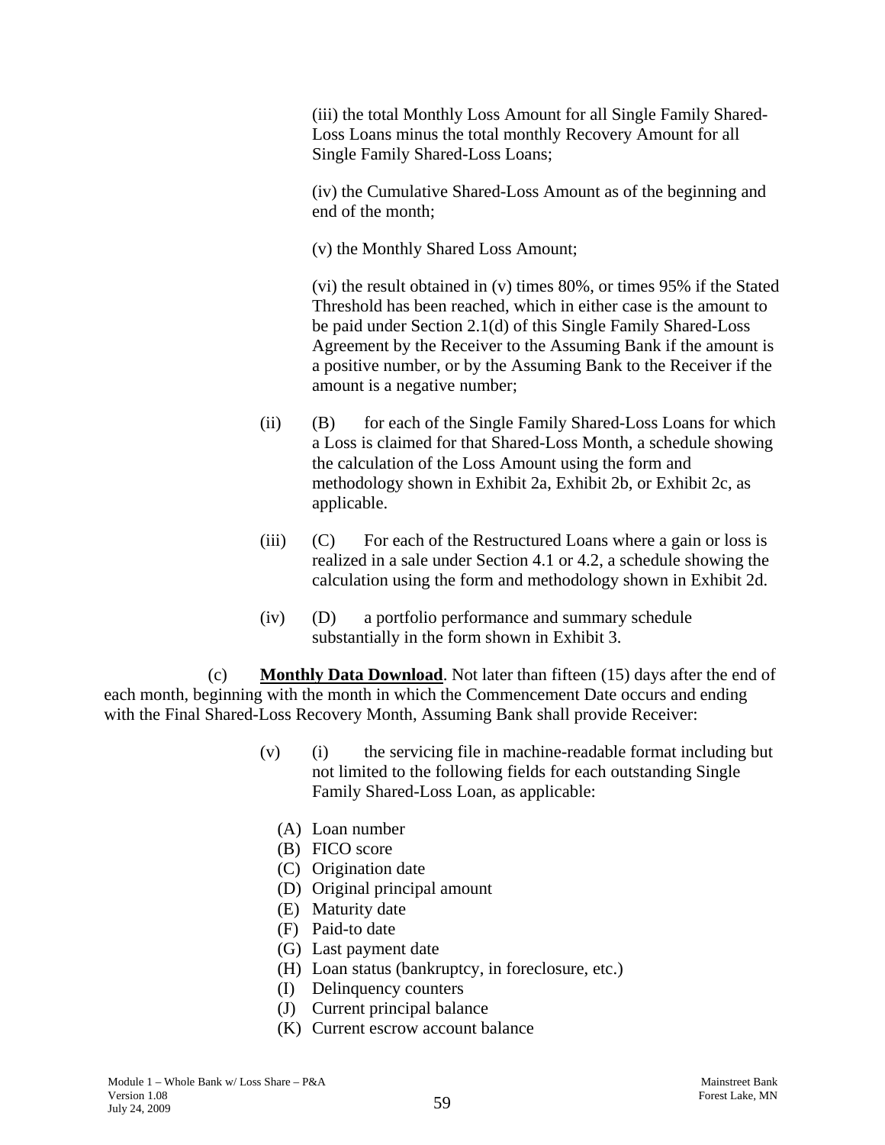(iii) the total Monthly Loss Amount for all Single Family Shared-Loss Loans minus the total monthly Recovery Amount for all Single Family Shared-Loss Loans;

(iv) the Cumulative Shared-Loss Amount as of the beginning and end of the month;

(v) the Monthly Shared Loss Amount;

(vi) the result obtained in (v) times 80%, or times 95% if the Stated Threshold has been reached, which in either case is the amount to be paid under Section 2.1(d) of this Single Family Shared-Loss Agreement by the Receiver to the Assuming Bank if the amount is a positive number, or by the Assuming Bank to the Receiver if the amount is a negative number;

- (ii) (B) for each of the Single Family Shared-Loss Loans for which a Loss is claimed for that Shared-Loss Month, a schedule showing the calculation of the Loss Amount using the form and methodology shown in Exhibit 2a, Exhibit 2b, or Exhibit 2c, as applicable.
- (iii) (C) For each of the Restructured Loans where a gain or loss is realized in a sale under Section 4.1 or 4.2, a schedule showing the calculation using the form and methodology shown in Exhibit 2d.
- (iv) (D) a portfolio performance and summary schedule substantially in the form shown in Exhibit 3.

(c) **Monthly Data Download**. Not later than fifteen (15) days after the end of each month, beginning with the month in which the Commencement Date occurs and ending with the Final Shared-Loss Recovery Month, Assuming Bank shall provide Receiver:

- $(v)$  (i) the servicing file in machine-readable format including but not limited to the following fields for each outstanding Single Family Shared-Loss Loan, as applicable:
	- (A) Loan number
	- (B) FICO score
	- (C) Origination date
	- (D) Original principal amount
	- (E) Maturity date
	- (F) Paid-to date
	- (G) Last payment date
	- (H) Loan status (bankruptcy, in foreclosure, etc.)
	- (I) Delinquency counters
	- (J) Current principal balance
	- (K) Current escrow account balance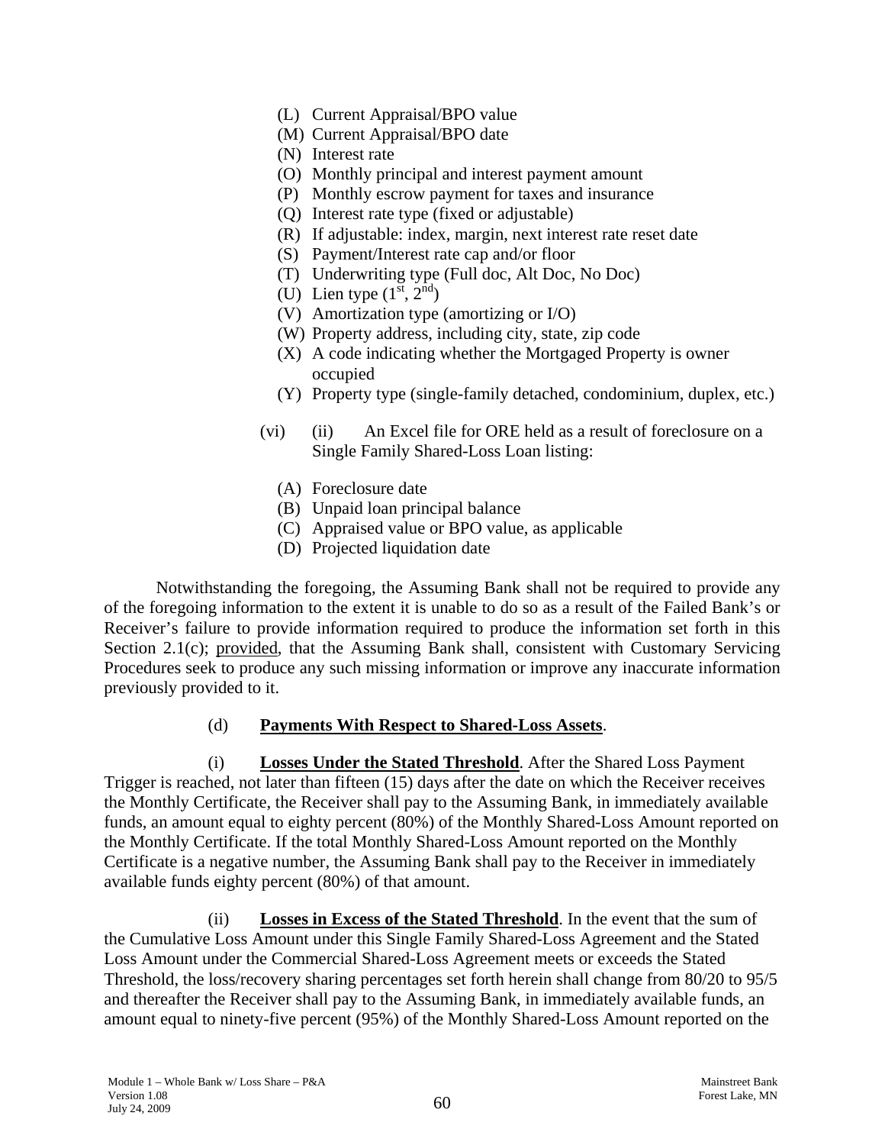- (L) Current Appraisal/BPO value
- (M) Current Appraisal/BPO date
- (N) Interest rate
- (O) Monthly principal and interest payment amount
- (P) Monthly escrow payment for taxes and insurance
- (Q) Interest rate type (fixed or adjustable)
- (R) If adjustable: index, margin, next interest rate reset date
- (S) Payment/Interest rate cap and/or floor
- (T) Underwriting type (Full doc, Alt Doc, No Doc)
- (U) Lien type  $(1<sup>st</sup>, 2<sup>nd</sup>)$
- (V) Amortization type (amortizing or I/O)
- (W) Property address, including city, state, zip code
- (X) A code indicating whether the Mortgaged Property is owner occupied
- (Y) Property type (single-family detached, condominium, duplex, etc.)
- (vi) (ii) An Excel file for ORE held as a result of foreclosure on a Single Family Shared-Loss Loan listing:
	- (A) Foreclosure date
	- (B) Unpaid loan principal balance
	- (C) Appraised value or BPO value, as applicable
	- (D) Projected liquidation date

Notwithstanding the foregoing, the Assuming Bank shall not be required to provide any of the foregoing information to the extent it is unable to do so as a result of the Failed Bank's or Receiver's failure to provide information required to produce the information set forth in this Section 2.1(c); provided, that the Assuming Bank shall, consistent with Customary Servicing Procedures seek to produce any such missing information or improve any inaccurate information previously provided to it.

### (d) **Payments With Respect to Shared-Loss Assets**.

(i) **Losses Under the Stated Threshold**. After the Shared Loss Payment Trigger is reached, not later than fifteen (15) days after the date on which the Receiver receives the Monthly Certificate, the Receiver shall pay to the Assuming Bank, in immediately available funds, an amount equal to eighty percent (80%) of the Monthly Shared-Loss Amount reported on the Monthly Certificate. If the total Monthly Shared-Loss Amount reported on the Monthly Certificate is a negative number, the Assuming Bank shall pay to the Receiver in immediately available funds eighty percent (80%) of that amount.

(ii) **Losses in Excess of the Stated Threshold**. In the event that the sum of the Cumulative Loss Amount under this Single Family Shared-Loss Agreement and the Stated Loss Amount under the Commercial Shared-Loss Agreement meets or exceeds the Stated Threshold, the loss/recovery sharing percentages set forth herein shall change from 80/20 to 95/5 and thereafter the Receiver shall pay to the Assuming Bank, in immediately available funds, an amount equal to ninety-five percent (95%) of the Monthly Shared-Loss Amount reported on the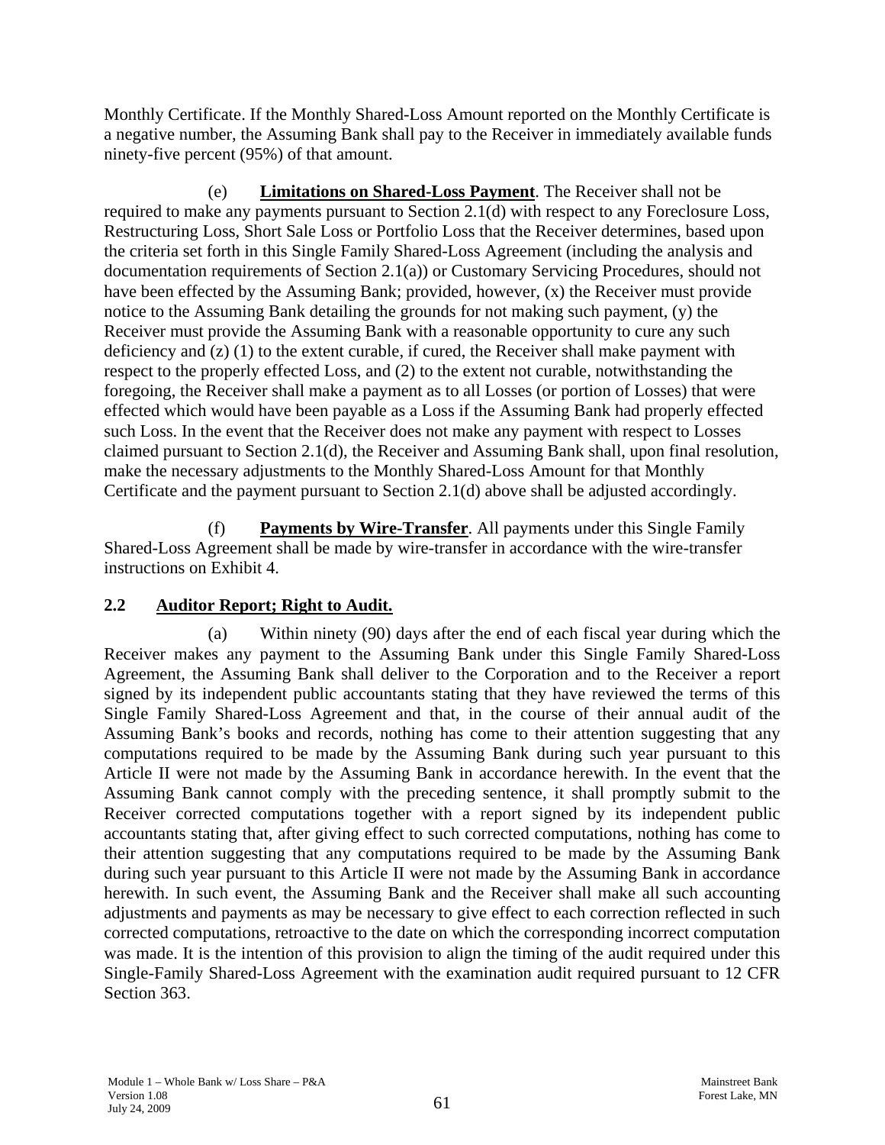Monthly Certificate. If the Monthly Shared-Loss Amount reported on the Monthly Certificate is a negative number, the Assuming Bank shall pay to the Receiver in immediately available funds ninety-five percent (95%) of that amount.

(e) **Limitations on Shared-Loss Payment**. The Receiver shall not be required to make any payments pursuant to Section 2.1(d) with respect to any Foreclosure Loss, Restructuring Loss, Short Sale Loss or Portfolio Loss that the Receiver determines, based upon the criteria set forth in this Single Family Shared-Loss Agreement (including the analysis and documentation requirements of Section 2.1(a)) or Customary Servicing Procedures, should not have been effected by the Assuming Bank; provided, however, (x) the Receiver must provide notice to the Assuming Bank detailing the grounds for not making such payment, (y) the Receiver must provide the Assuming Bank with a reasonable opportunity to cure any such deficiency and (z) (1) to the extent curable, if cured, the Receiver shall make payment with respect to the properly effected Loss, and (2) to the extent not curable, notwithstanding the foregoing, the Receiver shall make a payment as to all Losses (or portion of Losses) that were effected which would have been payable as a Loss if the Assuming Bank had properly effected such Loss. In the event that the Receiver does not make any payment with respect to Losses claimed pursuant to Section 2.1(d), the Receiver and Assuming Bank shall, upon final resolution, make the necessary adjustments to the Monthly Shared-Loss Amount for that Monthly Certificate and the payment pursuant to Section 2.1(d) above shall be adjusted accordingly.

(f) **Payments by Wire-Transfer**. All payments under this Single Family Shared-Loss Agreement shall be made by wire-transfer in accordance with the wire-transfer instructions on Exhibit 4.

# **2.2 Auditor Report; Right to Audit.**

(a) Within ninety (90) days after the end of each fiscal year during which the Receiver makes any payment to the Assuming Bank under this Single Family Shared-Loss Agreement, the Assuming Bank shall deliver to the Corporation and to the Receiver a report signed by its independent public accountants stating that they have reviewed the terms of this Single Family Shared-Loss Agreement and that, in the course of their annual audit of the Assuming Bank's books and records, nothing has come to their attention suggesting that any computations required to be made by the Assuming Bank during such year pursuant to this Article II were not made by the Assuming Bank in accordance herewith. In the event that the Assuming Bank cannot comply with the preceding sentence, it shall promptly submit to the Receiver corrected computations together with a report signed by its independent public accountants stating that, after giving effect to such corrected computations, nothing has come to their attention suggesting that any computations required to be made by the Assuming Bank during such year pursuant to this Article II were not made by the Assuming Bank in accordance herewith. In such event, the Assuming Bank and the Receiver shall make all such accounting adjustments and payments as may be necessary to give effect to each correction reflected in such corrected computations, retroactive to the date on which the corresponding incorrect computation was made. It is the intention of this provision to align the timing of the audit required under this Single-Family Shared-Loss Agreement with the examination audit required pursuant to 12 CFR Section 363.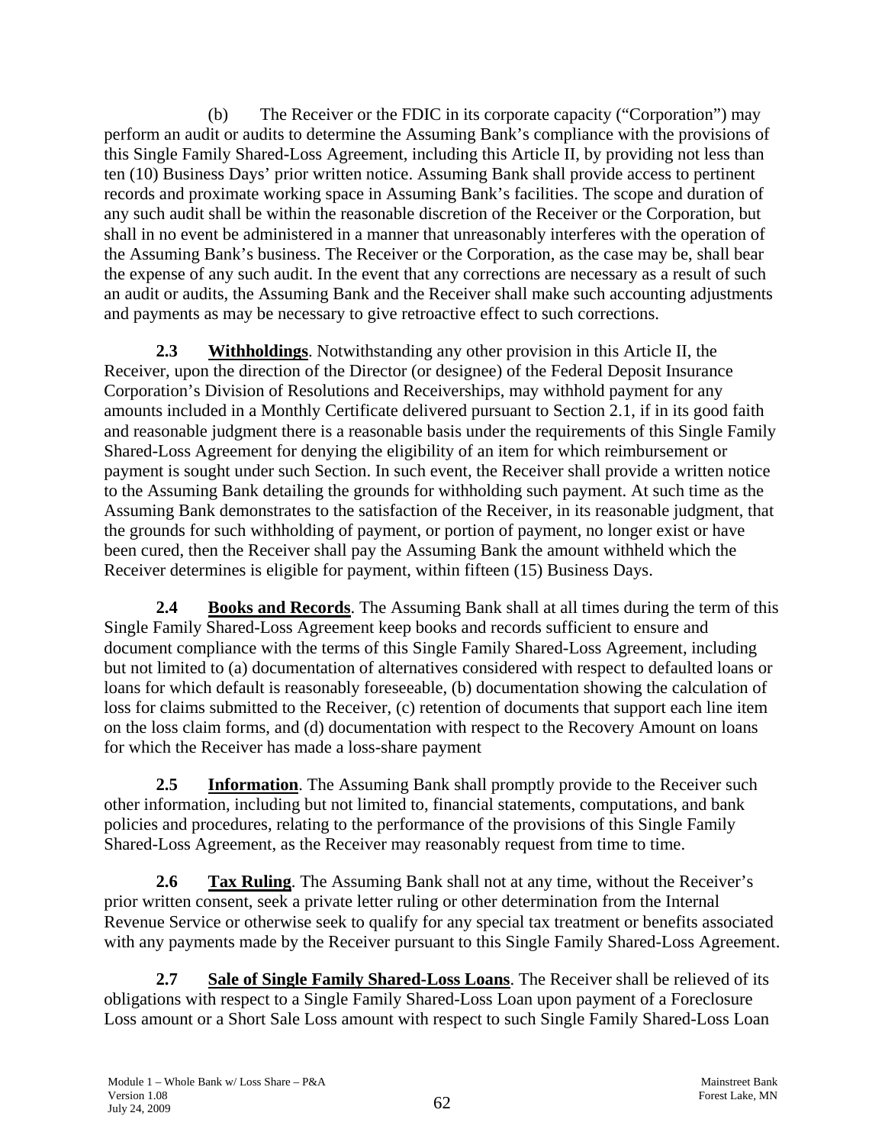(b) The Receiver or the FDIC in its corporate capacity ("Corporation") may perform an audit or audits to determine the Assuming Bank's compliance with the provisions of this Single Family Shared-Loss Agreement, including this Article II, by providing not less than ten (10) Business Days' prior written notice. Assuming Bank shall provide access to pertinent records and proximate working space in Assuming Bank's facilities. The scope and duration of any such audit shall be within the reasonable discretion of the Receiver or the Corporation, but shall in no event be administered in a manner that unreasonably interferes with the operation of the Assuming Bank's business. The Receiver or the Corporation, as the case may be, shall bear the expense of any such audit. In the event that any corrections are necessary as a result of such an audit or audits, the Assuming Bank and the Receiver shall make such accounting adjustments and payments as may be necessary to give retroactive effect to such corrections.

**2.3 Withholdings**. Notwithstanding any other provision in this Article II, the Receiver, upon the direction of the Director (or designee) of the Federal Deposit Insurance Corporation's Division of Resolutions and Receiverships, may withhold payment for any amounts included in a Monthly Certificate delivered pursuant to Section 2.1, if in its good faith and reasonable judgment there is a reasonable basis under the requirements of this Single Family Shared-Loss Agreement for denying the eligibility of an item for which reimbursement or payment is sought under such Section. In such event, the Receiver shall provide a written notice to the Assuming Bank detailing the grounds for withholding such payment. At such time as the Assuming Bank demonstrates to the satisfaction of the Receiver, in its reasonable judgment, that the grounds for such withholding of payment, or portion of payment, no longer exist or have been cured, then the Receiver shall pay the Assuming Bank the amount withheld which the Receiver determines is eligible for payment, within fifteen (15) Business Days.

**2.4 Books and Records**. The Assuming Bank shall at all times during the term of this Single Family Shared-Loss Agreement keep books and records sufficient to ensure and document compliance with the terms of this Single Family Shared-Loss Agreement, including but not limited to (a) documentation of alternatives considered with respect to defaulted loans or loans for which default is reasonably foreseeable, (b) documentation showing the calculation of loss for claims submitted to the Receiver, (c) retention of documents that support each line item on the loss claim forms, and (d) documentation with respect to the Recovery Amount on loans for which the Receiver has made a loss-share payment

**2.5 Information**. The Assuming Bank shall promptly provide to the Receiver such other information, including but not limited to, financial statements, computations, and bank policies and procedures, relating to the performance of the provisions of this Single Family Shared-Loss Agreement, as the Receiver may reasonably request from time to time.

**2.6** Tax Ruling. The Assuming Bank shall not at any time, without the Receiver's prior written consent, seek a private letter ruling or other determination from the Internal Revenue Service or otherwise seek to qualify for any special tax treatment or benefits associated with any payments made by the Receiver pursuant to this Single Family Shared-Loss Agreement.

**2.7 Sale of Single Family Shared-Loss Loans**. The Receiver shall be relieved of its obligations with respect to a Single Family Shared-Loss Loan upon payment of a Foreclosure Loss amount or a Short Sale Loss amount with respect to such Single Family Shared-Loss Loan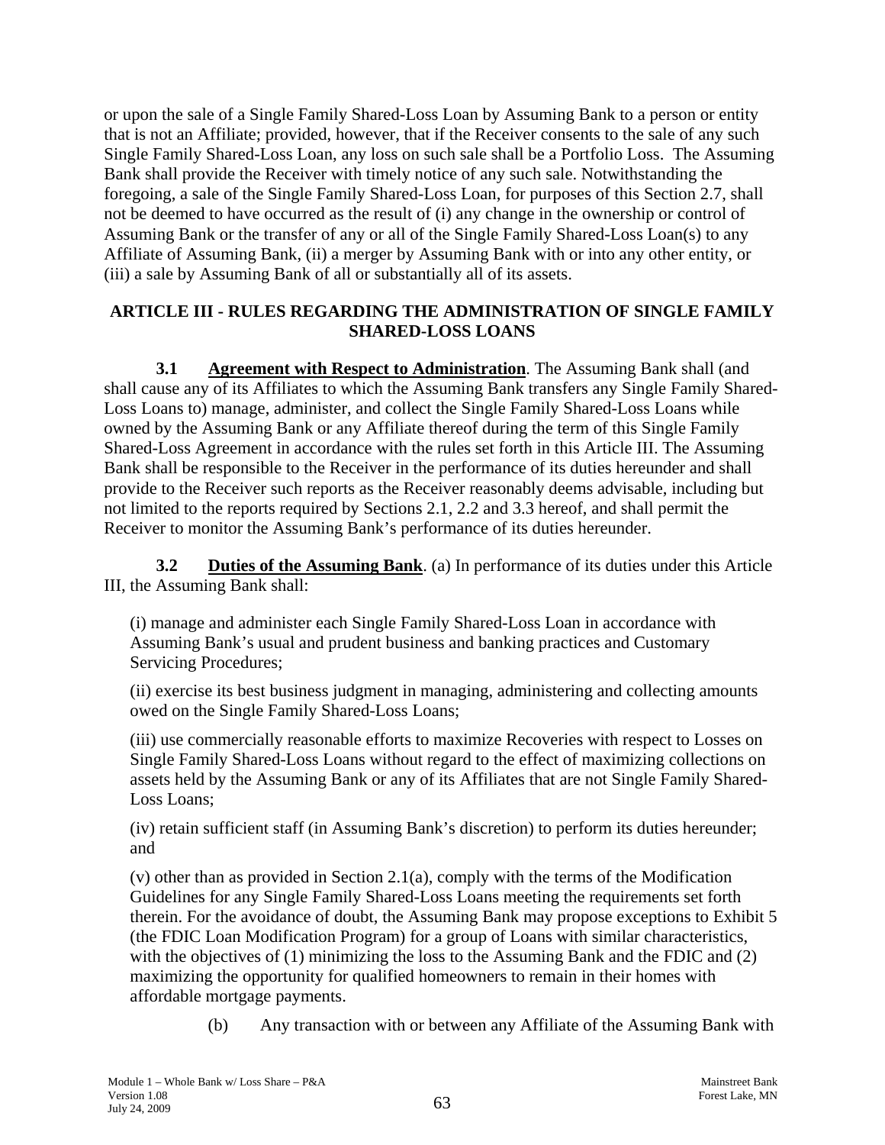or upon the sale of a Single Family Shared-Loss Loan by Assuming Bank to a person or entity that is not an Affiliate; provided, however, that if the Receiver consents to the sale of any such Single Family Shared-Loss Loan, any loss on such sale shall be a Portfolio Loss. The Assuming Bank shall provide the Receiver with timely notice of any such sale. Notwithstanding the foregoing, a sale of the Single Family Shared-Loss Loan, for purposes of this Section 2.7, shall not be deemed to have occurred as the result of (i) any change in the ownership or control of Assuming Bank or the transfer of any or all of the Single Family Shared-Loss Loan(s) to any Affiliate of Assuming Bank, (ii) a merger by Assuming Bank with or into any other entity, or (iii) a sale by Assuming Bank of all or substantially all of its assets.

## **ARTICLE III - RULES REGARDING THE ADMINISTRATION OF SINGLE FAMILY SHARED-LOSS LOANS**

**3.1 Agreement with Respect to Administration**. The Assuming Bank shall (and shall cause any of its Affiliates to which the Assuming Bank transfers any Single Family Shared-Loss Loans to) manage, administer, and collect the Single Family Shared-Loss Loans while owned by the Assuming Bank or any Affiliate thereof during the term of this Single Family Shared-Loss Agreement in accordance with the rules set forth in this Article III. The Assuming Bank shall be responsible to the Receiver in the performance of its duties hereunder and shall provide to the Receiver such reports as the Receiver reasonably deems advisable, including but not limited to the reports required by Sections 2.1, 2.2 and 3.3 hereof, and shall permit the Receiver to monitor the Assuming Bank's performance of its duties hereunder.

**3.2** Duties of the Assuming Bank. (a) In performance of its duties under this Article III, the Assuming Bank shall:

(i) manage and administer each Single Family Shared-Loss Loan in accordance with Assuming Bank's usual and prudent business and banking practices and Customary Servicing Procedures;

(ii) exercise its best business judgment in managing, administering and collecting amounts owed on the Single Family Shared-Loss Loans;

(iii) use commercially reasonable efforts to maximize Recoveries with respect to Losses on Single Family Shared-Loss Loans without regard to the effect of maximizing collections on assets held by the Assuming Bank or any of its Affiliates that are not Single Family Shared-Loss Loans;

(iv) retain sufficient staff (in Assuming Bank's discretion) to perform its duties hereunder; and

(v) other than as provided in Section 2.1(a), comply with the terms of the Modification Guidelines for any Single Family Shared-Loss Loans meeting the requirements set forth therein. For the avoidance of doubt, the Assuming Bank may propose exceptions to Exhibit 5 (the FDIC Loan Modification Program) for a group of Loans with similar characteristics, with the objectives of (1) minimizing the loss to the Assuming Bank and the FDIC and (2) maximizing the opportunity for qualified homeowners to remain in their homes with affordable mortgage payments.

(b) Any transaction with or between any Affiliate of the Assuming Bank with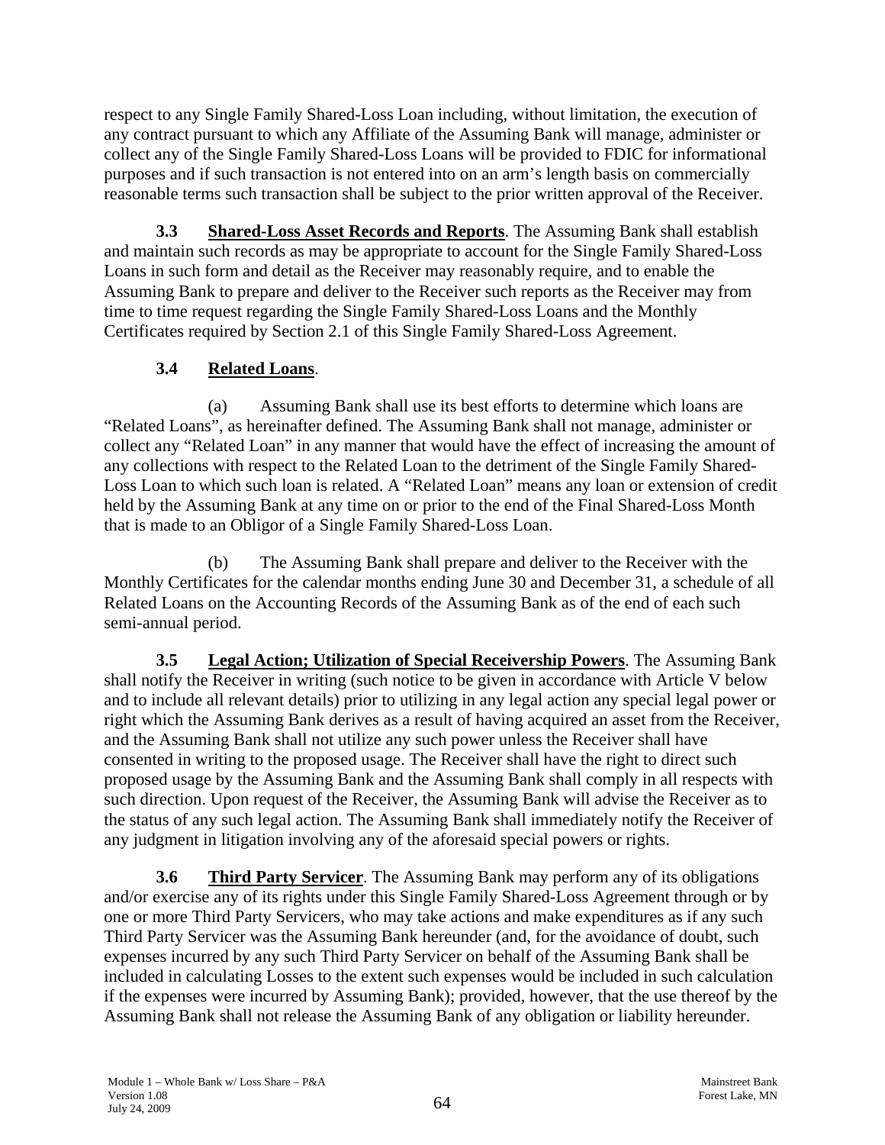respect to any Single Family Shared-Loss Loan including, without limitation, the execution of any contract pursuant to which any Affiliate of the Assuming Bank will manage, administer or collect any of the Single Family Shared-Loss Loans will be provided to FDIC for informational purposes and if such transaction is not entered into on an arm's length basis on commercially reasonable terms such transaction shall be subject to the prior written approval of the Receiver.

**3.3 Shared-Loss Asset Records and Reports**. The Assuming Bank shall establish and maintain such records as may be appropriate to account for the Single Family Shared-Loss Loans in such form and detail as the Receiver may reasonably require, and to enable the Assuming Bank to prepare and deliver to the Receiver such reports as the Receiver may from time to time request regarding the Single Family Shared-Loss Loans and the Monthly Certificates required by Section 2.1 of this Single Family Shared-Loss Agreement.

# **3.4 Related Loans**.

(a) Assuming Bank shall use its best efforts to determine which loans are "Related Loans", as hereinafter defined. The Assuming Bank shall not manage, administer or collect any "Related Loan" in any manner that would have the effect of increasing the amount of any collections with respect to the Related Loan to the detriment of the Single Family Shared-Loss Loan to which such loan is related. A "Related Loan" means any loan or extension of credit held by the Assuming Bank at any time on or prior to the end of the Final Shared-Loss Month that is made to an Obligor of a Single Family Shared-Loss Loan.

(b) The Assuming Bank shall prepare and deliver to the Receiver with the Monthly Certificates for the calendar months ending June 30 and December 31, a schedule of all Related Loans on the Accounting Records of the Assuming Bank as of the end of each such semi-annual period.

**3.5 Legal Action; Utilization of Special Receivership Powers**. The Assuming Bank shall notify the Receiver in writing (such notice to be given in accordance with Article V below and to include all relevant details) prior to utilizing in any legal action any special legal power or right which the Assuming Bank derives as a result of having acquired an asset from the Receiver, and the Assuming Bank shall not utilize any such power unless the Receiver shall have consented in writing to the proposed usage. The Receiver shall have the right to direct such proposed usage by the Assuming Bank and the Assuming Bank shall comply in all respects with such direction. Upon request of the Receiver, the Assuming Bank will advise the Receiver as to the status of any such legal action. The Assuming Bank shall immediately notify the Receiver of any judgment in litigation involving any of the aforesaid special powers or rights.

**3.6 Third Party Servicer**. The Assuming Bank may perform any of its obligations and/or exercise any of its rights under this Single Family Shared-Loss Agreement through or by one or more Third Party Servicers, who may take actions and make expenditures as if any such Third Party Servicer was the Assuming Bank hereunder (and, for the avoidance of doubt, such expenses incurred by any such Third Party Servicer on behalf of the Assuming Bank shall be included in calculating Losses to the extent such expenses would be included in such calculation if the expenses were incurred by Assuming Bank); provided, however, that the use thereof by the Assuming Bank shall not release the Assuming Bank of any obligation or liability hereunder.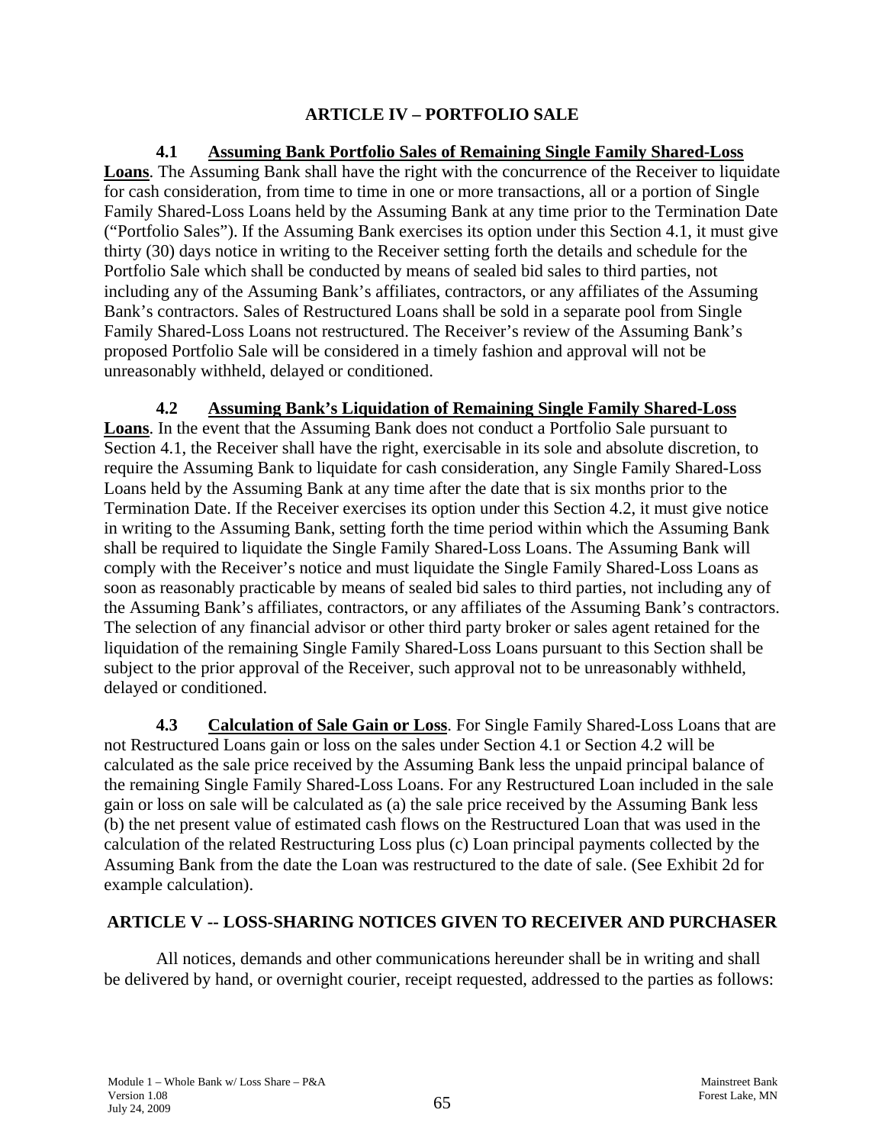# **ARTICLE IV – PORTFOLIO SALE**

# **4.1 Assuming Bank Portfolio Sales of Remaining Single Family Shared-Loss**

**Loans**. The Assuming Bank shall have the right with the concurrence of the Receiver to liquidate for cash consideration, from time to time in one or more transactions, all or a portion of Single Family Shared-Loss Loans held by the Assuming Bank at any time prior to the Termination Date ("Portfolio Sales"). If the Assuming Bank exercises its option under this Section 4.1, it must give thirty (30) days notice in writing to the Receiver setting forth the details and schedule for the Portfolio Sale which shall be conducted by means of sealed bid sales to third parties, not including any of the Assuming Bank's affiliates, contractors, or any affiliates of the Assuming Bank's contractors. Sales of Restructured Loans shall be sold in a separate pool from Single Family Shared-Loss Loans not restructured. The Receiver's review of the Assuming Bank's proposed Portfolio Sale will be considered in a timely fashion and approval will not be unreasonably withheld, delayed or conditioned.

### **4.2 Assuming Bank's Liquidation of Remaining Single Family Shared-Loss**

**Loans**. In the event that the Assuming Bank does not conduct a Portfolio Sale pursuant to Section 4.1, the Receiver shall have the right, exercisable in its sole and absolute discretion, to require the Assuming Bank to liquidate for cash consideration, any Single Family Shared-Loss Loans held by the Assuming Bank at any time after the date that is six months prior to the Termination Date. If the Receiver exercises its option under this Section 4.2, it must give notice in writing to the Assuming Bank, setting forth the time period within which the Assuming Bank shall be required to liquidate the Single Family Shared-Loss Loans. The Assuming Bank will comply with the Receiver's notice and must liquidate the Single Family Shared-Loss Loans as soon as reasonably practicable by means of sealed bid sales to third parties, not including any of the Assuming Bank's affiliates, contractors, or any affiliates of the Assuming Bank's contractors. The selection of any financial advisor or other third party broker or sales agent retained for the liquidation of the remaining Single Family Shared-Loss Loans pursuant to this Section shall be subject to the prior approval of the Receiver, such approval not to be unreasonably withheld, delayed or conditioned.

**4.3 Calculation of Sale Gain or Loss**. For Single Family Shared-Loss Loans that are not Restructured Loans gain or loss on the sales under Section 4.1 or Section 4.2 will be calculated as the sale price received by the Assuming Bank less the unpaid principal balance of the remaining Single Family Shared-Loss Loans. For any Restructured Loan included in the sale gain or loss on sale will be calculated as (a) the sale price received by the Assuming Bank less (b) the net present value of estimated cash flows on the Restructured Loan that was used in the calculation of the related Restructuring Loss plus (c) Loan principal payments collected by the Assuming Bank from the date the Loan was restructured to the date of sale. (See Exhibit 2d for example calculation).

### **ARTICLE V -- LOSS-SHARING NOTICES GIVEN TO RECEIVER AND PURCHASER**

All notices, demands and other communications hereunder shall be in writing and shall be delivered by hand, or overnight courier, receipt requested, addressed to the parties as follows: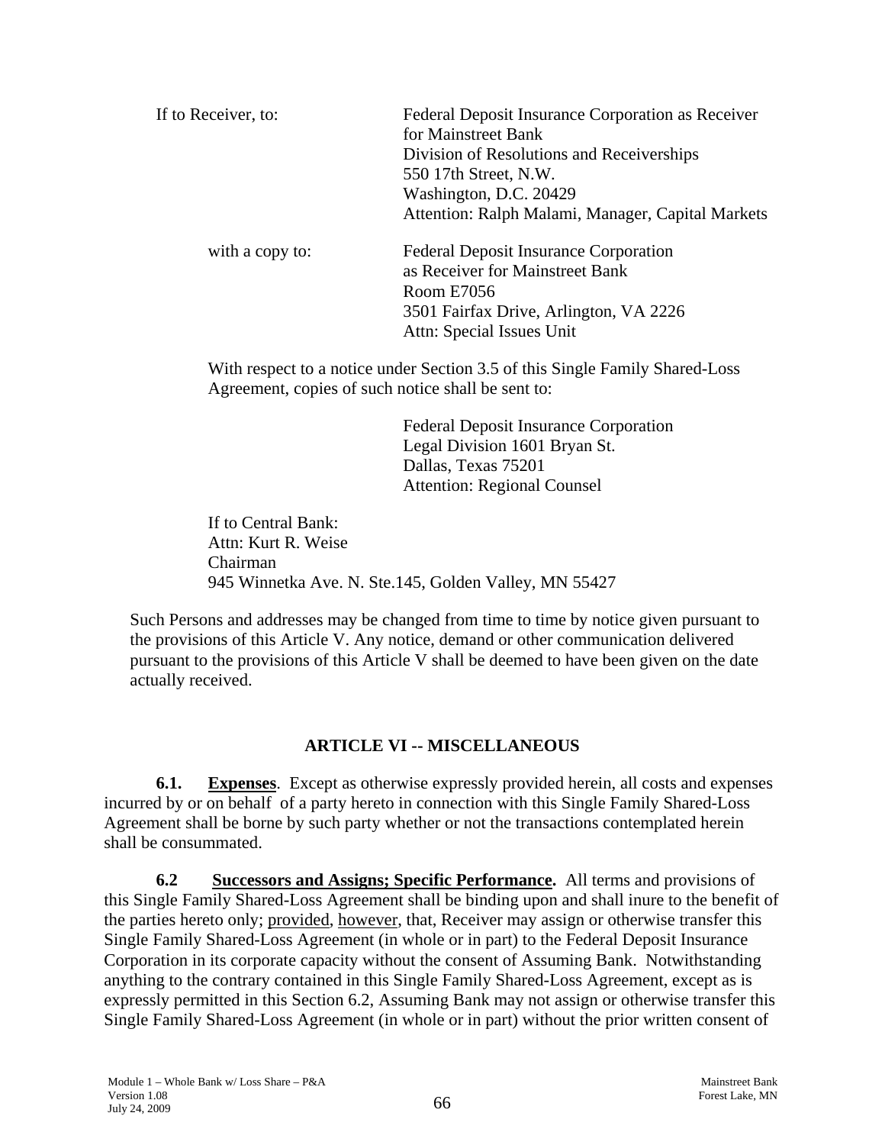| If to Receiver, to: | Federal Deposit Insurance Corporation as Receiver<br>for Mainstreet Bank |  |  |
|---------------------|--------------------------------------------------------------------------|--|--|
|                     | Division of Resolutions and Receiverships                                |  |  |
|                     | 550 17th Street, N.W.                                                    |  |  |
|                     | Washington, D.C. 20429                                                   |  |  |
|                     | Attention: Ralph Malami, Manager, Capital Markets                        |  |  |
| with a copy to:     | <b>Federal Deposit Insurance Corporation</b>                             |  |  |
|                     | as Receiver for Mainstreet Bank                                          |  |  |
|                     | Room E7056                                                               |  |  |
|                     | 3501 Fairfax Drive, Arlington, VA 2226                                   |  |  |
|                     | Attn: Special Issues Unit                                                |  |  |

With respect to a notice under Section 3.5 of this Single Family Shared-Loss Agreement, copies of such notice shall be sent to:

> Federal Deposit Insurance Corporation Legal Division 1601 Bryan St. Dallas, Texas 75201 Attention: Regional Counsel

If to Central Bank: Attn: Kurt R. Weise Chairman 945 Winnetka Ave. N. Ste.145, Golden Valley, MN 55427

Such Persons and addresses may be changed from time to time by notice given pursuant to the provisions of this Article V. Any notice, demand or other communication delivered pursuant to the provisions of this Article V shall be deemed to have been given on the date actually received.

# **ARTICLE VI -- MISCELLANEOUS**

**6.1. Expenses**. Except as otherwise expressly provided herein, all costs and expenses incurred by or on behalf of a party hereto in connection with this Single Family Shared-Loss Agreement shall be borne by such party whether or not the transactions contemplated herein shall be consummated.

**6.2 Successors and Assigns; Specific Performance.** All terms and provisions of this Single Family Shared-Loss Agreement shall be binding upon and shall inure to the benefit of the parties hereto only; provided, however, that, Receiver may assign or otherwise transfer this Single Family Shared-Loss Agreement (in whole or in part) to the Federal Deposit Insurance Corporation in its corporate capacity without the consent of Assuming Bank. Notwithstanding anything to the contrary contained in this Single Family Shared-Loss Agreement, except as is expressly permitted in this Section 6.2, Assuming Bank may not assign or otherwise transfer this Single Family Shared-Loss Agreement (in whole or in part) without the prior written consent of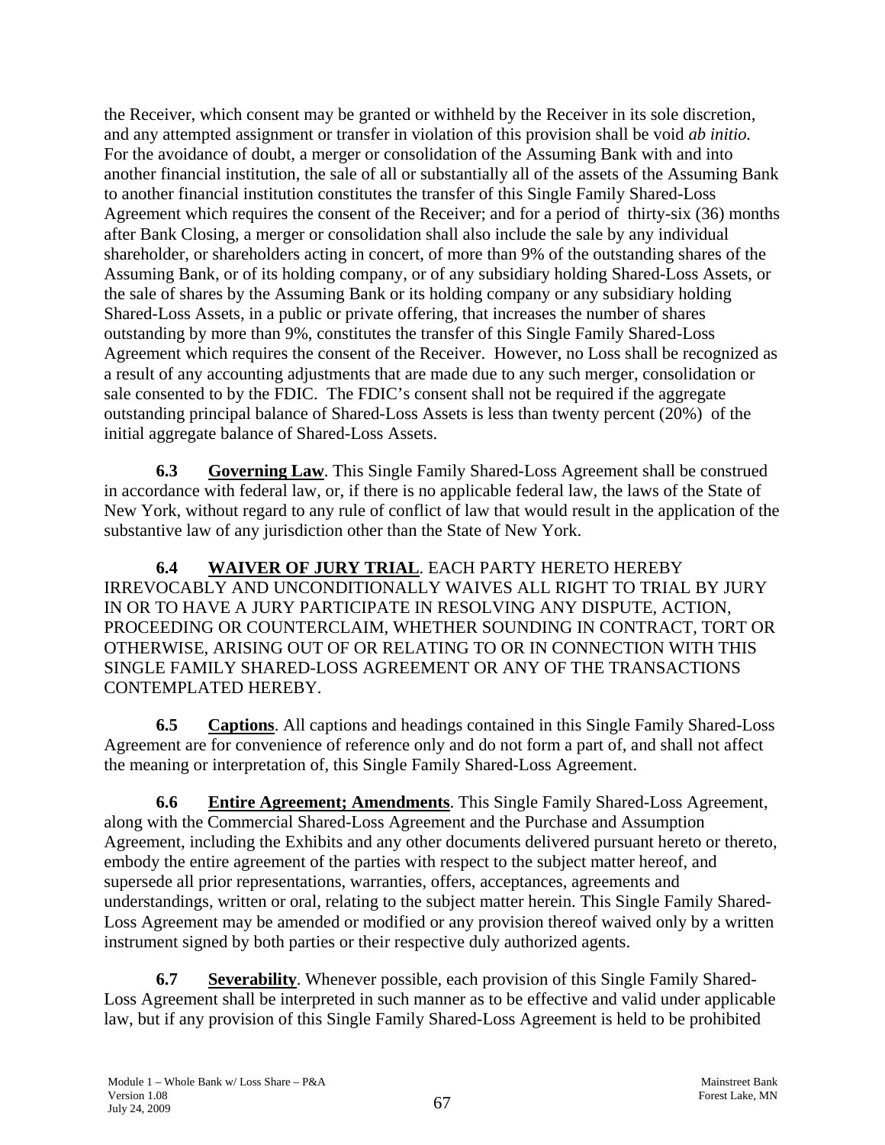the Receiver, which consent may be granted or withheld by the Receiver in its sole discretion, and any attempted assignment or transfer in violation of this provision shall be void *ab initio.*  For the avoidance of doubt, a merger or consolidation of the Assuming Bank with and into another financial institution, the sale of all or substantially all of the assets of the Assuming Bank to another financial institution constitutes the transfer of this Single Family Shared-Loss Agreement which requires the consent of the Receiver; and for a period of thirty-six (36) months after Bank Closing, a merger or consolidation shall also include the sale by any individual shareholder, or shareholders acting in concert, of more than 9% of the outstanding shares of the Assuming Bank, or of its holding company, or of any subsidiary holding Shared-Loss Assets, or the sale of shares by the Assuming Bank or its holding company or any subsidiary holding Shared-Loss Assets, in a public or private offering, that increases the number of shares outstanding by more than 9%, constitutes the transfer of this Single Family Shared-Loss Agreement which requires the consent of the Receiver. However, no Loss shall be recognized as a result of any accounting adjustments that are made due to any such merger, consolidation or sale consented to by the FDIC. The FDIC's consent shall not be required if the aggregate outstanding principal balance of Shared-Loss Assets is less than twenty percent (20%) of the initial aggregate balance of Shared-Loss Assets.

**6.3 Governing Law**. This Single Family Shared-Loss Agreement shall be construed in accordance with federal law, or, if there is no applicable federal law, the laws of the State of New York, without regard to any rule of conflict of law that would result in the application of the substantive law of any jurisdiction other than the State of New York.

**6.4 WAIVER OF JURY TRIAL**. EACH PARTY HERETO HEREBY IRREVOCABLY AND UNCONDITIONALLY WAIVES ALL RIGHT TO TRIAL BY JURY IN OR TO HAVE A JURY PARTICIPATE IN RESOLVING ANY DISPUTE, ACTION, PROCEEDING OR COUNTERCLAIM, WHETHER SOUNDING IN CONTRACT, TORT OR OTHERWISE, ARISING OUT OF OR RELATING TO OR IN CONNECTION WITH THIS SINGLE FAMILY SHARED-LOSS AGREEMENT OR ANY OF THE TRANSACTIONS CONTEMPLATED HEREBY.

**6.5 Captions**. All captions and headings contained in this Single Family Shared-Loss Agreement are for convenience of reference only and do not form a part of, and shall not affect the meaning or interpretation of, this Single Family Shared-Loss Agreement.

**6.6 Entire Agreement; Amendments**. This Single Family Shared-Loss Agreement, along with the Commercial Shared-Loss Agreement and the Purchase and Assumption Agreement, including the Exhibits and any other documents delivered pursuant hereto or thereto, embody the entire agreement of the parties with respect to the subject matter hereof, and supersede all prior representations, warranties, offers, acceptances, agreements and understandings, written or oral, relating to the subject matter herein. This Single Family Shared-Loss Agreement may be amended or modified or any provision thereof waived only by a written instrument signed by both parties or their respective duly authorized agents.

**6.7 Severability**. Whenever possible, each provision of this Single Family Shared-Loss Agreement shall be interpreted in such manner as to be effective and valid under applicable law, but if any provision of this Single Family Shared-Loss Agreement is held to be prohibited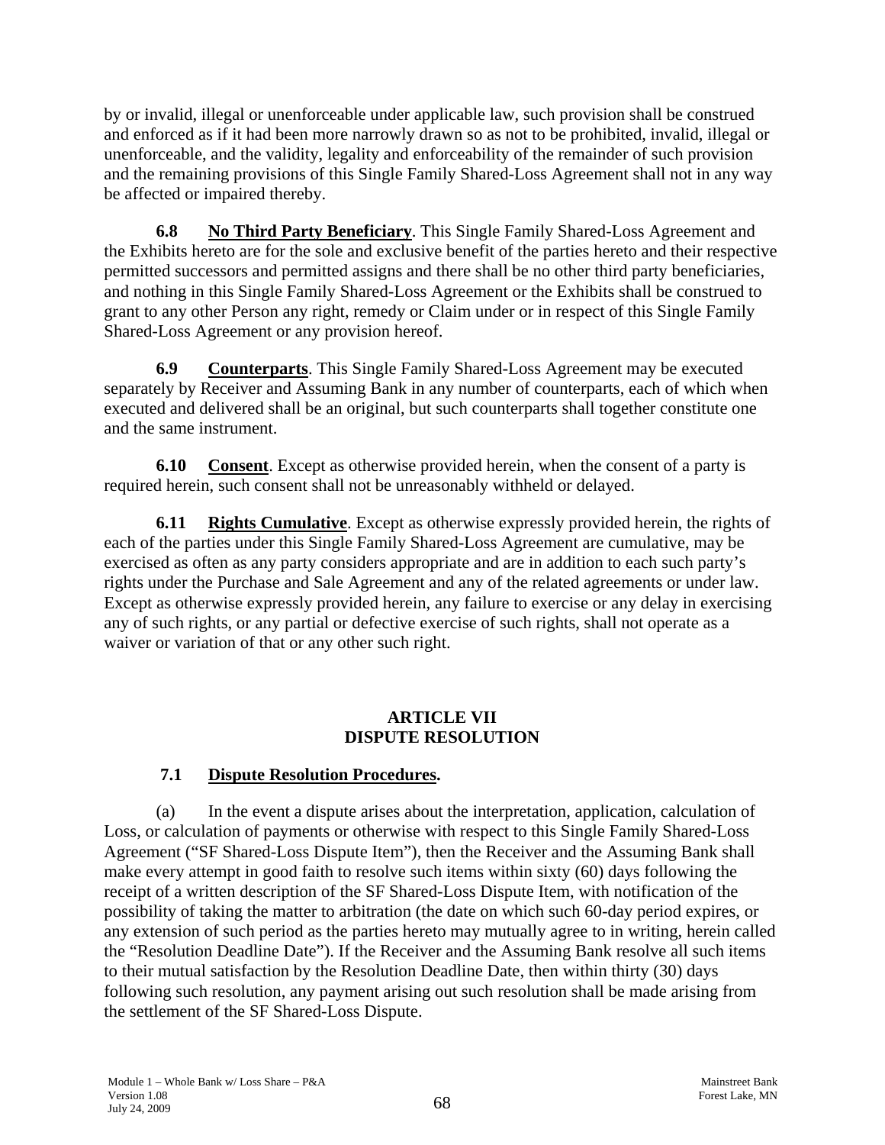by or invalid, illegal or unenforceable under applicable law, such provision shall be construed and enforced as if it had been more narrowly drawn so as not to be prohibited, invalid, illegal or unenforceable, and the validity, legality and enforceability of the remainder of such provision and the remaining provisions of this Single Family Shared-Loss Agreement shall not in any way be affected or impaired thereby.

**6.8 No Third Party Beneficiary**. This Single Family Shared-Loss Agreement and the Exhibits hereto are for the sole and exclusive benefit of the parties hereto and their respective permitted successors and permitted assigns and there shall be no other third party beneficiaries, and nothing in this Single Family Shared-Loss Agreement or the Exhibits shall be construed to grant to any other Person any right, remedy or Claim under or in respect of this Single Family Shared-Loss Agreement or any provision hereof.

**6.9 Counterparts**. This Single Family Shared-Loss Agreement may be executed separately by Receiver and Assuming Bank in any number of counterparts, each of which when executed and delivered shall be an original, but such counterparts shall together constitute one and the same instrument.

**6.10** Consent. Except as otherwise provided herein, when the consent of a party is required herein, such consent shall not be unreasonably withheld or delayed.

**6.11 Rights Cumulative**. Except as otherwise expressly provided herein, the rights of each of the parties under this Single Family Shared-Loss Agreement are cumulative, may be exercised as often as any party considers appropriate and are in addition to each such party's rights under the Purchase and Sale Agreement and any of the related agreements or under law. Except as otherwise expressly provided herein, any failure to exercise or any delay in exercising any of such rights, or any partial or defective exercise of such rights, shall not operate as a waiver or variation of that or any other such right.

### **ARTICLE VII DISPUTE RESOLUTION**

# **7.1 Dispute Resolution Procedures.**

(a) In the event a dispute arises about the interpretation, application, calculation of Loss, or calculation of payments or otherwise with respect to this Single Family Shared-Loss Agreement ("SF Shared-Loss Dispute Item"), then the Receiver and the Assuming Bank shall make every attempt in good faith to resolve such items within sixty (60) days following the receipt of a written description of the SF Shared-Loss Dispute Item, with notification of the possibility of taking the matter to arbitration (the date on which such 60-day period expires, or any extension of such period as the parties hereto may mutually agree to in writing, herein called the "Resolution Deadline Date"). If the Receiver and the Assuming Bank resolve all such items to their mutual satisfaction by the Resolution Deadline Date, then within thirty (30) days following such resolution, any payment arising out such resolution shall be made arising from the settlement of the SF Shared-Loss Dispute.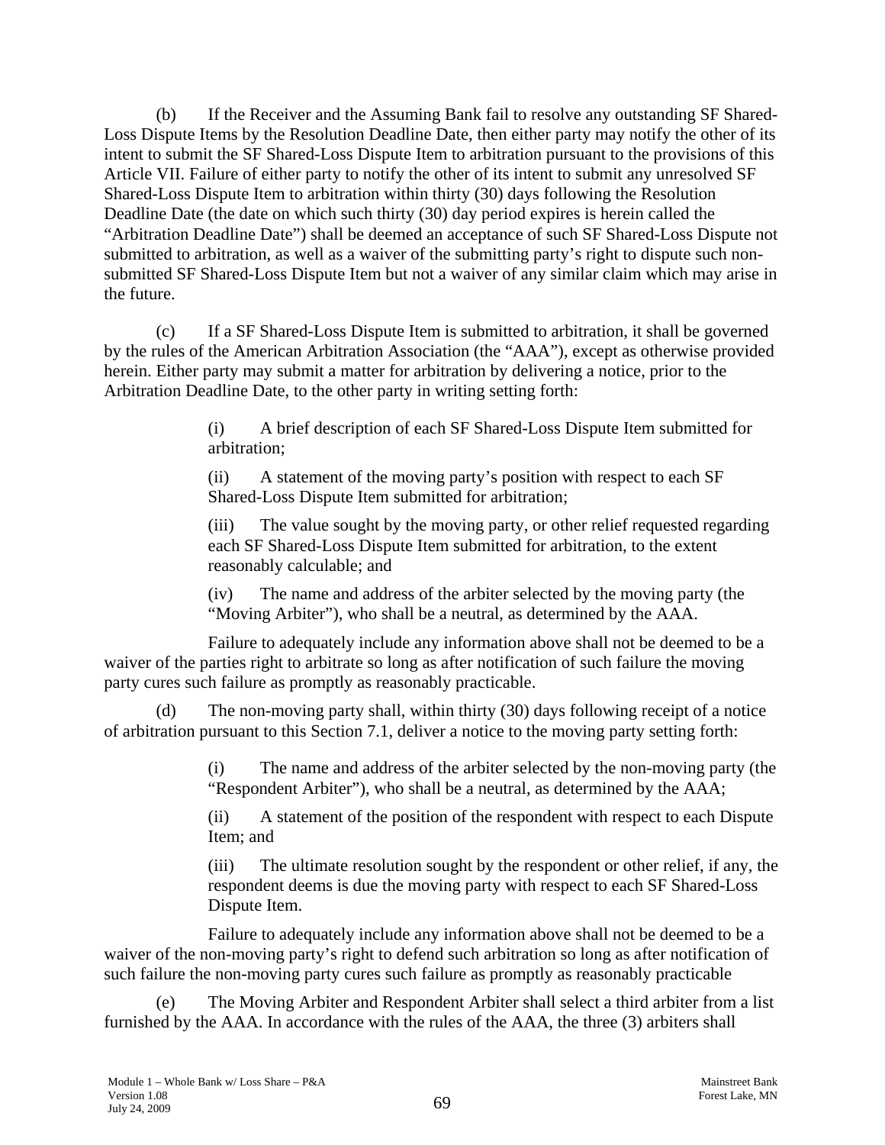(b) If the Receiver and the Assuming Bank fail to resolve any outstanding SF Shared-Loss Dispute Items by the Resolution Deadline Date, then either party may notify the other of its intent to submit the SF Shared-Loss Dispute Item to arbitration pursuant to the provisions of this Article VII. Failure of either party to notify the other of its intent to submit any unresolved SF Shared-Loss Dispute Item to arbitration within thirty (30) days following the Resolution Deadline Date (the date on which such thirty (30) day period expires is herein called the "Arbitration Deadline Date") shall be deemed an acceptance of such SF Shared-Loss Dispute not submitted to arbitration, as well as a waiver of the submitting party's right to dispute such nonsubmitted SF Shared-Loss Dispute Item but not a waiver of any similar claim which may arise in the future.

(c) If a SF Shared-Loss Dispute Item is submitted to arbitration, it shall be governed by the rules of the American Arbitration Association (the "AAA"), except as otherwise provided herein. Either party may submit a matter for arbitration by delivering a notice, prior to the Arbitration Deadline Date, to the other party in writing setting forth:

> (i) A brief description of each SF Shared-Loss Dispute Item submitted for arbitration;

(ii) A statement of the moving party's position with respect to each SF Shared-Loss Dispute Item submitted for arbitration;

(iii) The value sought by the moving party, or other relief requested regarding each SF Shared-Loss Dispute Item submitted for arbitration, to the extent reasonably calculable; and

(iv) The name and address of the arbiter selected by the moving party (the "Moving Arbiter"), who shall be a neutral, as determined by the AAA.

Failure to adequately include any information above shall not be deemed to be a waiver of the parties right to arbitrate so long as after notification of such failure the moving party cures such failure as promptly as reasonably practicable.

(d) The non-moving party shall, within thirty (30) days following receipt of a notice of arbitration pursuant to this Section 7.1, deliver a notice to the moving party setting forth:

> (i) The name and address of the arbiter selected by the non-moving party (the "Respondent Arbiter"), who shall be a neutral, as determined by the AAA;

> (ii) A statement of the position of the respondent with respect to each Dispute Item; and

> (iii) The ultimate resolution sought by the respondent or other relief, if any, the respondent deems is due the moving party with respect to each SF Shared-Loss Dispute Item.

Failure to adequately include any information above shall not be deemed to be a waiver of the non-moving party's right to defend such arbitration so long as after notification of such failure the non-moving party cures such failure as promptly as reasonably practicable

The Moving Arbiter and Respondent Arbiter shall select a third arbiter from a list furnished by the AAA. In accordance with the rules of the AAA, the three (3) arbiters shall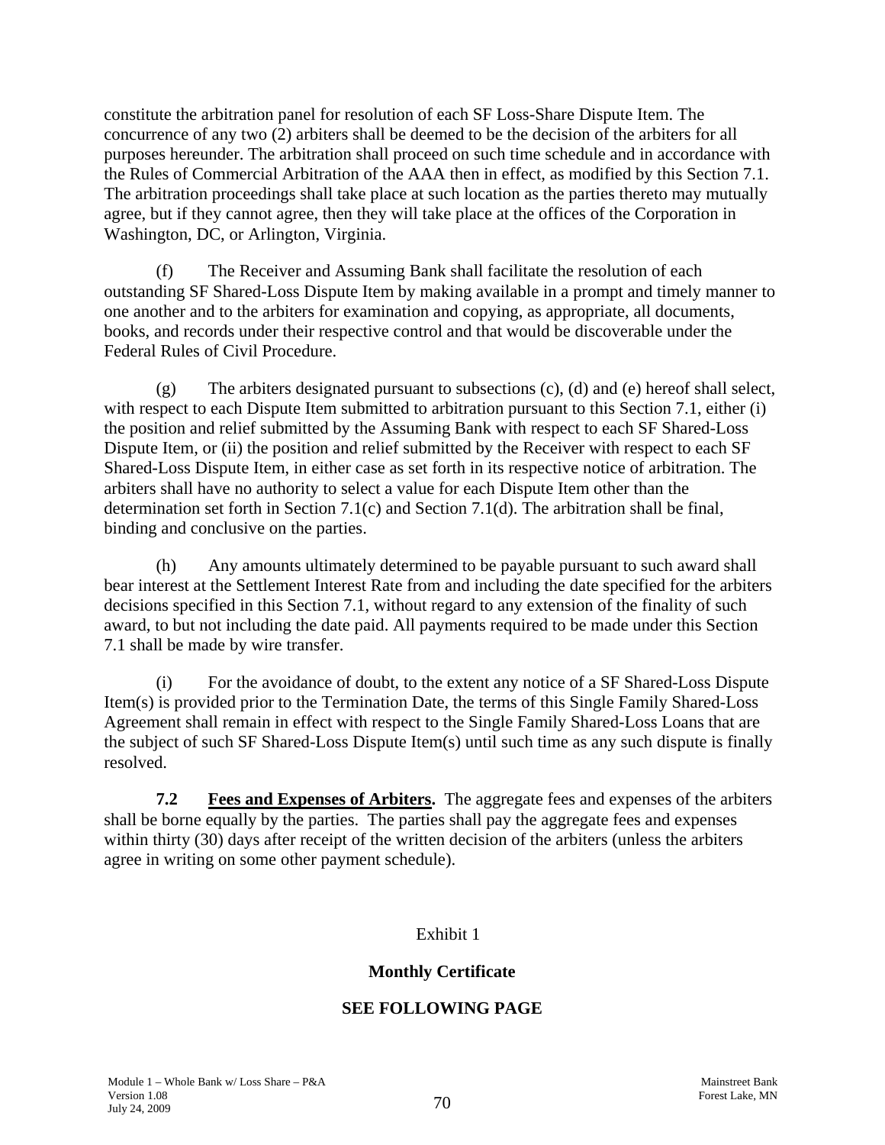constitute the arbitration panel for resolution of each SF Loss-Share Dispute Item. The concurrence of any two (2) arbiters shall be deemed to be the decision of the arbiters for all purposes hereunder. The arbitration shall proceed on such time schedule and in accordance with the Rules of Commercial Arbitration of the AAA then in effect, as modified by this Section 7.1. The arbitration proceedings shall take place at such location as the parties thereto may mutually agree, but if they cannot agree, then they will take place at the offices of the Corporation in Washington, DC, or Arlington, Virginia.

(f) The Receiver and Assuming Bank shall facilitate the resolution of each outstanding SF Shared-Loss Dispute Item by making available in a prompt and timely manner to one another and to the arbiters for examination and copying, as appropriate, all documents, books, and records under their respective control and that would be discoverable under the Federal Rules of Civil Procedure.

(g) The arbiters designated pursuant to subsections (c), (d) and (e) hereof shall select, with respect to each Dispute Item submitted to arbitration pursuant to this Section 7.1, either (i) the position and relief submitted by the Assuming Bank with respect to each SF Shared-Loss Dispute Item, or (ii) the position and relief submitted by the Receiver with respect to each SF Shared-Loss Dispute Item, in either case as set forth in its respective notice of arbitration. The arbiters shall have no authority to select a value for each Dispute Item other than the determination set forth in Section 7.1(c) and Section 7.1(d). The arbitration shall be final, binding and conclusive on the parties.

(h) Any amounts ultimately determined to be payable pursuant to such award shall bear interest at the Settlement Interest Rate from and including the date specified for the arbiters decisions specified in this Section 7.1, without regard to any extension of the finality of such award, to but not including the date paid. All payments required to be made under this Section 7.1 shall be made by wire transfer.

(i) For the avoidance of doubt, to the extent any notice of a SF Shared-Loss Dispute Item(s) is provided prior to the Termination Date, the terms of this Single Family Shared-Loss Agreement shall remain in effect with respect to the Single Family Shared-Loss Loans that are the subject of such SF Shared-Loss Dispute Item(s) until such time as any such dispute is finally resolved.

**7.2** Frees and Expenses of Arbiters. The aggregate fees and expenses of the arbiters shall be borne equally by the parties. The parties shall pay the aggregate fees and expenses within thirty (30) days after receipt of the written decision of the arbiters (unless the arbiters agree in writing on some other payment schedule).

#### Exhibit 1

#### **Monthly Certificate**

#### **SEE FOLLOWING PAGE**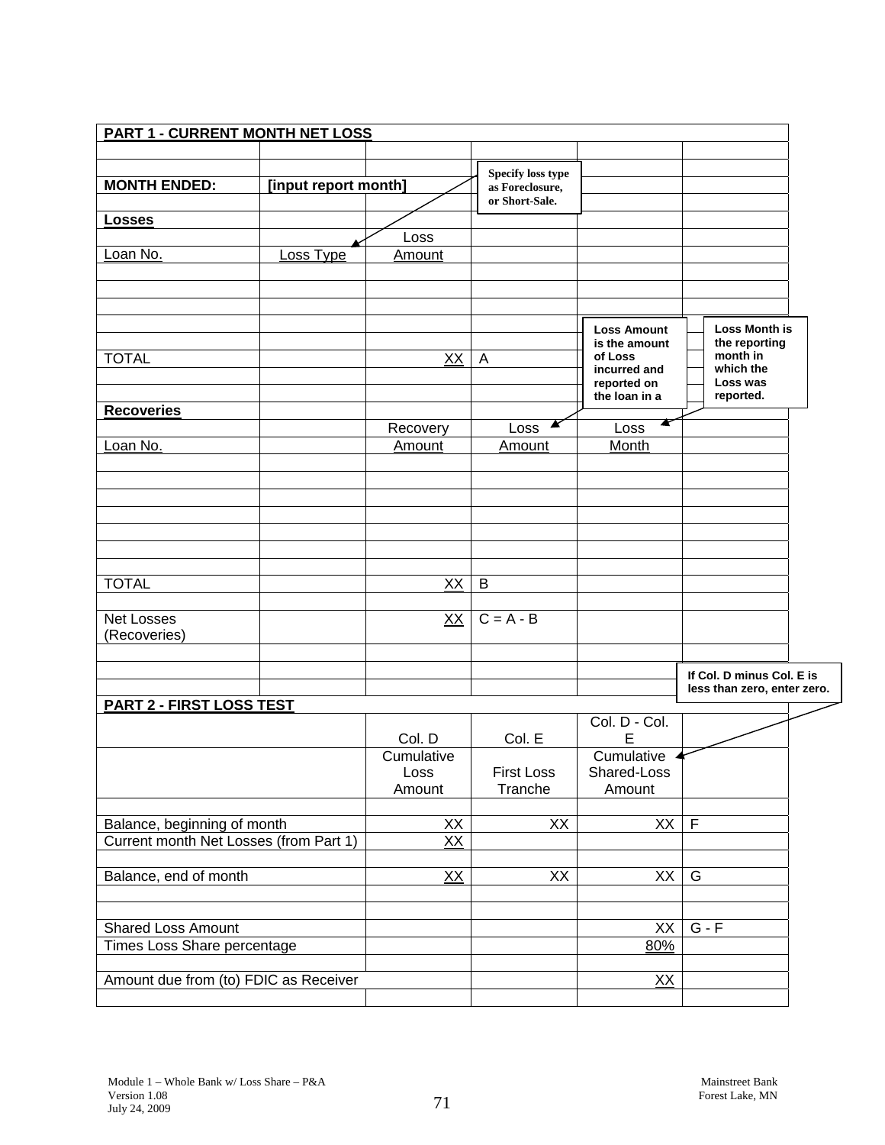| <b>PART 1 - CURRENT MONTH NET LOSS</b> |                      |            |                                   |                             |                                                          |
|----------------------------------------|----------------------|------------|-----------------------------------|-----------------------------|----------------------------------------------------------|
|                                        |                      |            |                                   |                             |                                                          |
|                                        |                      |            | <b>Specify loss type</b>          |                             |                                                          |
| <b>MONTH ENDED:</b>                    | [input report month] |            | as Foreclosure,<br>or Short-Sale. |                             |                                                          |
| <b>Losses</b>                          |                      |            |                                   |                             |                                                          |
|                                        |                      | Loss       |                                   |                             |                                                          |
| Loan No.                               | Loss Type            | Amount     |                                   |                             |                                                          |
|                                        |                      |            |                                   |                             |                                                          |
|                                        |                      |            |                                   |                             |                                                          |
|                                        |                      |            |                                   |                             |                                                          |
|                                        |                      |            |                                   | <b>Loss Amount</b>          | <b>Loss Month is</b>                                     |
|                                        |                      |            |                                   | is the amount               | the reporting                                            |
| <b>TOTAL</b>                           |                      | XX         | A                                 | of Loss                     | month in                                                 |
|                                        |                      |            |                                   | incurred and<br>reported on | which the<br>Loss was                                    |
|                                        |                      |            |                                   | the loan in a               | reported.                                                |
| <b>Recoveries</b>                      |                      |            |                                   | z                           |                                                          |
|                                        |                      | Recovery   | $Loss^{\mathbf{Z}}$               | Loss                        |                                                          |
| Loan No.                               |                      | Amount     | Amount                            | Month                       |                                                          |
|                                        |                      |            |                                   |                             |                                                          |
|                                        |                      |            |                                   |                             |                                                          |
|                                        |                      |            |                                   |                             |                                                          |
|                                        |                      |            |                                   |                             |                                                          |
|                                        |                      |            |                                   |                             |                                                          |
|                                        |                      |            |                                   |                             |                                                          |
| <b>TOTAL</b>                           |                      |            | B                                 |                             |                                                          |
|                                        |                      | XX         |                                   |                             |                                                          |
| <b>Net Losses</b>                      |                      | XX         | $C = A - B$                       |                             |                                                          |
| (Recoveries)                           |                      |            |                                   |                             |                                                          |
|                                        |                      |            |                                   |                             |                                                          |
|                                        |                      |            |                                   |                             |                                                          |
|                                        |                      |            |                                   |                             | If Col. D minus Col. E is<br>less than zero, enter zero. |
| <b>PART 2 - FIRST LOSS TEST</b>        |                      |            |                                   |                             |                                                          |
|                                        |                      |            |                                   | Col. D - Col.               |                                                          |
|                                        |                      | Col. D     | Col. E                            | E                           |                                                          |
|                                        |                      | Cumulative |                                   | Cumulative                  |                                                          |
|                                        |                      | Loss       | <b>First Loss</b>                 | Shared-Loss                 |                                                          |
|                                        |                      | Amount     | Tranche                           | Amount                      |                                                          |
|                                        |                      |            |                                   |                             |                                                          |
| Balance, beginning of month            |                      | XX         | XX                                | XX                          | $\mathsf{F}$                                             |
| Current month Net Losses (from Part 1) |                      | XX         |                                   |                             |                                                          |
|                                        |                      |            |                                   |                             |                                                          |
| Balance, end of month                  |                      | <u>XX</u>  | XX                                | XX                          | G                                                        |
|                                        |                      |            |                                   |                             |                                                          |
|                                        |                      |            |                                   |                             |                                                          |
| <b>Shared Loss Amount</b>              |                      |            |                                   | XX                          | $G - F$                                                  |
| Times Loss Share percentage            |                      |            |                                   | 80%                         |                                                          |
|                                        |                      |            |                                   |                             |                                                          |
| Amount due from (to) FDIC as Receiver  |                      |            |                                   | <u>XX</u>                   |                                                          |
|                                        |                      |            |                                   |                             |                                                          |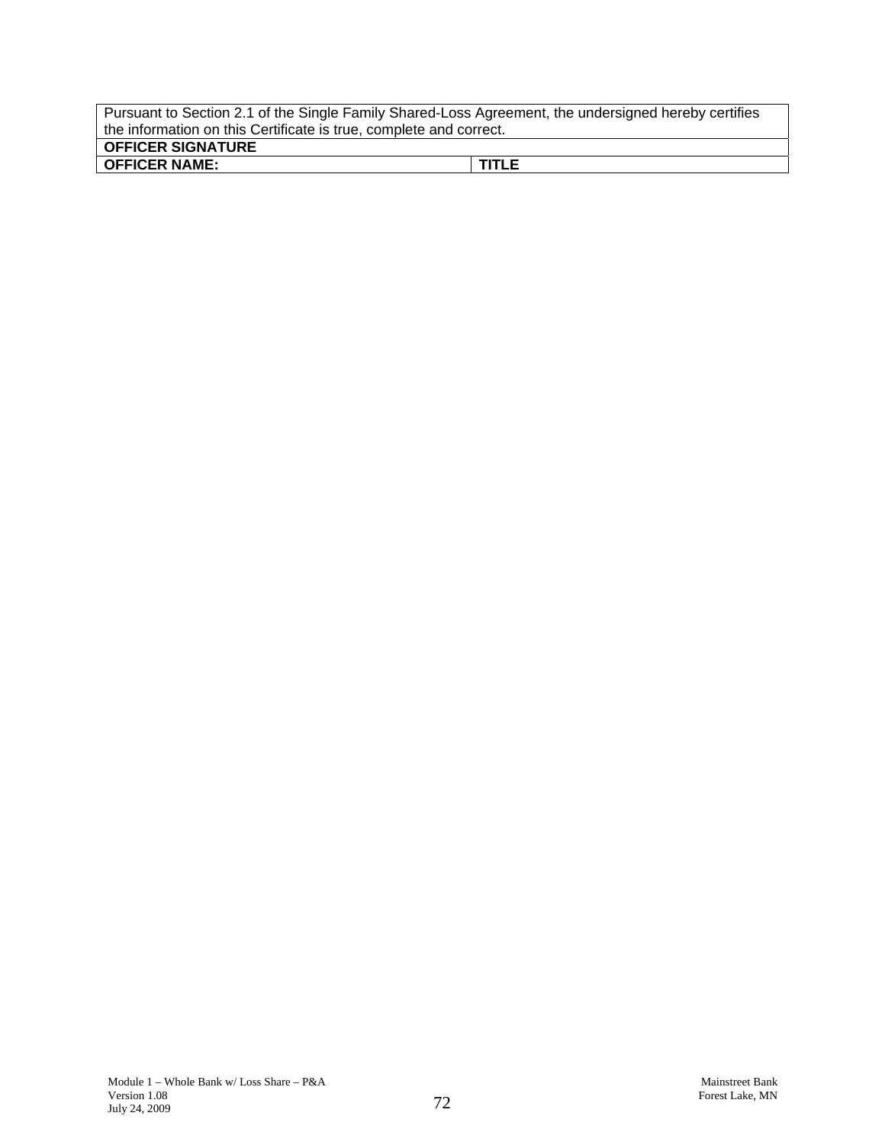| Pursuant to Section 2.1 of the Single Family Shared-Loss Agreement, the undersigned hereby certifies |  |  |  |  |
|------------------------------------------------------------------------------------------------------|--|--|--|--|
| the information on this Certificate is true, complete and correct.                                   |  |  |  |  |
| <b>OFFICER SIGNATURE</b>                                                                             |  |  |  |  |
| <b>TITLE</b><br><b>OFFICER NAME:</b>                                                                 |  |  |  |  |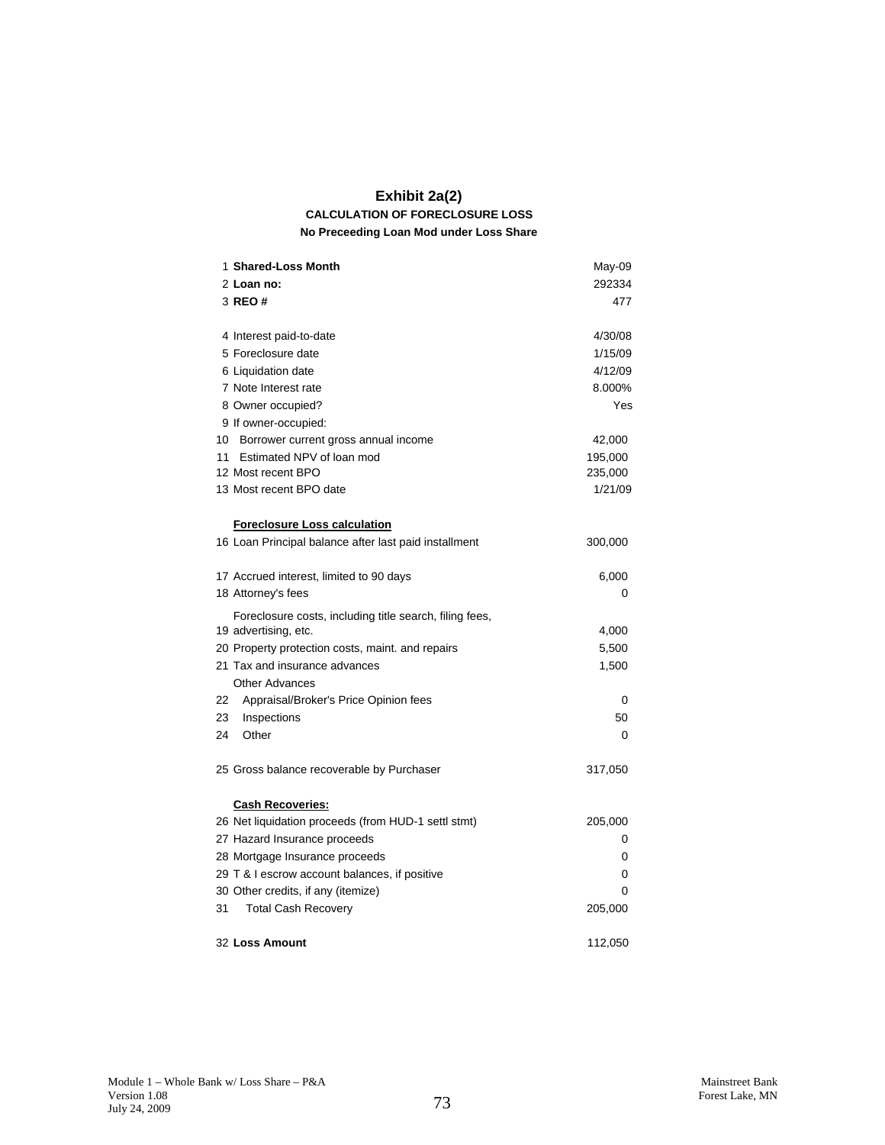#### **Exhibit 2a(2)**

#### **CALCULATION OF FORECLOSURE LOSS No Preceeding Loan Mod under Loss Share**

1 **Shared-Loss Month** May-09 2 **Loan no:** 292334 3 **REO #** 477 4/30/08 4/30/08 5 Foreclosure date 1/15/09 6 Liquidation date 4/12/09 7 Note Interest rate 8.000% 8 Owner occupied? Yes 9 If owner-occupied: 10 Borrower current gross annual income 42,000 11 Estimated NPV of loan mod<br>
195,000 12 Most recent BPO 235,000 13 Most recent BPO date 1/21/09 **Foreclosure Loss calculation**  16 Loan Principal balance after last paid installment 300,000 17 Accrued interest, limited to 90 days 6,000 18 Attorney's fees 0 Foreclosure costs, including title search, filing fees, 19 advertising, etc. 4,000 20 Property protection costs, maint. and repairs 6,500 21 Tax and insurance advances 1,500 Other Advances 22 Appraisal/Broker's Price Opinion fees 0 23 Inspections 50 24 Other 0

25 Gross balance recoverable by Purchaser 317,050

# **Cash Recoveries:**

| 26 Net liquidation proceeds (from HUD-1 settl stmt) | 205.000 |
|-----------------------------------------------------|---------|
| 27 Hazard Insurance proceeds                        |         |
| 28 Mortgage Insurance proceeds                      | 0       |
| 29 T & I escrow account balances, if positive       | 0       |
| 30 Other credits, if any (itemize)                  | 0       |
| 31<br><b>Total Cash Recovery</b>                    | 205.000 |
|                                                     |         |
| 32 Loss Amount                                      | 112,050 |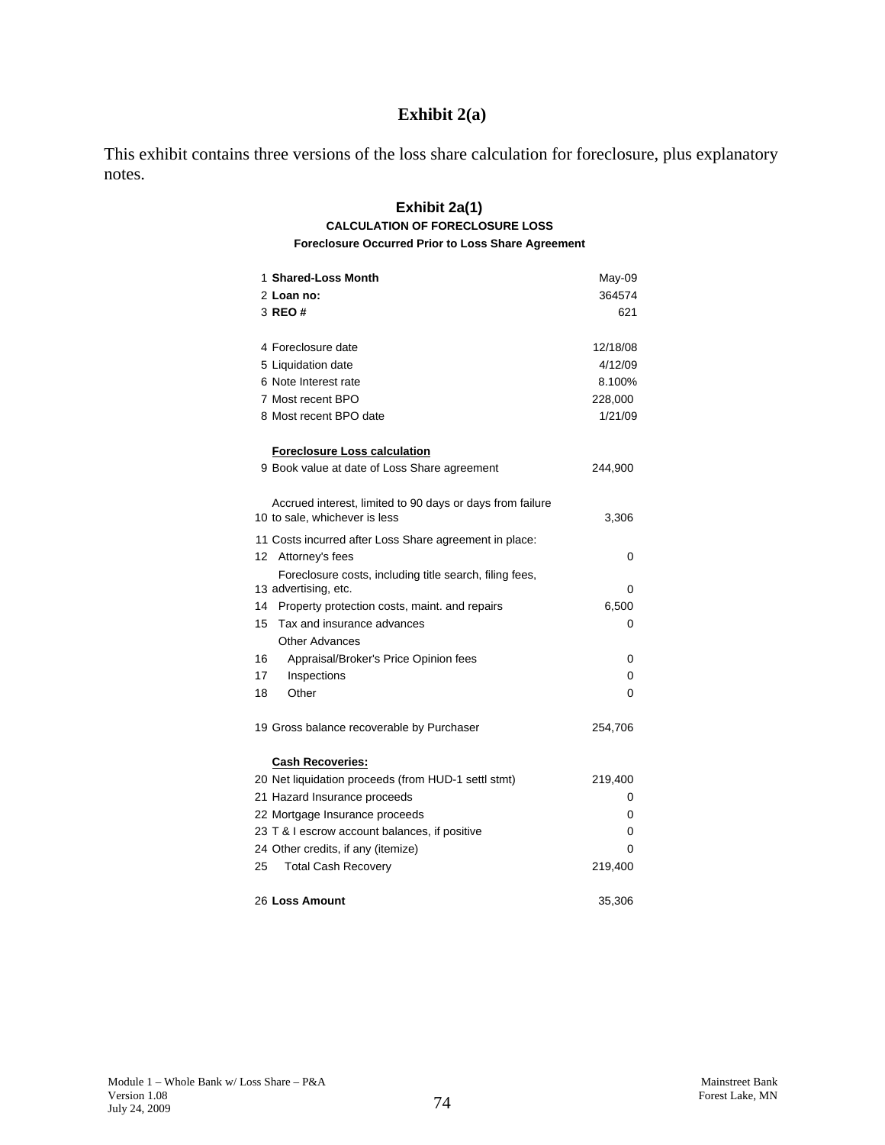## **Exhibit 2(a)**

This exhibit contains three versions of the loss share calculation for foreclosure, plus explanatory notes.

#### **Exhibit 2a(1) CALCULATION OF FORECLOSURE LOSS Foreclosure Occurred Prior to Loss Share Agreement**

|    | 1 Shared-Loss Month                                       | May-09   |
|----|-----------------------------------------------------------|----------|
|    | 2 Loan no:                                                | 364574   |
|    | 3 REO #                                                   | 621      |
|    |                                                           |          |
|    | 4 Foreclosure date                                        | 12/18/08 |
|    | 5 Liquidation date                                        | 4/12/09  |
|    | 6 Note Interest rate                                      | 8.100%   |
|    | 7 Most recent BPO                                         | 228,000  |
|    | 8 Most recent BPO date                                    | 1/21/09  |
|    | <b>Foreclosure Loss calculation</b>                       |          |
|    | 9 Book value at date of Loss Share agreement              | 244,900  |
|    |                                                           |          |
|    | Accrued interest, limited to 90 days or days from failure |          |
|    | 10 to sale, whichever is less                             | 3,306    |
|    | 11 Costs incurred after Loss Share agreement in place:    |          |
| 12 | Attorney's fees                                           | 0        |
|    | Foreclosure costs, including title search, filing fees,   |          |
|    | 13 advertising, etc.                                      | 0        |
| 14 | Property protection costs, maint. and repairs             | 6,500    |
| 15 | Tax and insurance advances                                | 0        |
|    | <b>Other Advances</b>                                     |          |
| 16 | Appraisal/Broker's Price Opinion fees                     | 0        |
| 17 | Inspections                                               | 0        |
| 18 | Other                                                     | 0        |
|    |                                                           |          |
|    | 19 Gross balance recoverable by Purchaser                 | 254,706  |
|    | <b>Cash Recoveries:</b>                                   |          |
|    | 20 Net liquidation proceeds (from HUD-1 settl stmt)       | 219,400  |
|    | 21 Hazard Insurance proceeds                              | 0        |
|    | 22 Mortgage Insurance proceeds                            | 0        |
|    | 23 T & I escrow account balances, if positive             | 0        |
|    | 24 Other credits, if any (itemize)                        | 0        |
| 25 | <b>Total Cash Recovery</b>                                | 219,400  |
|    |                                                           |          |
|    | 26 Loss Amount                                            | 35,306   |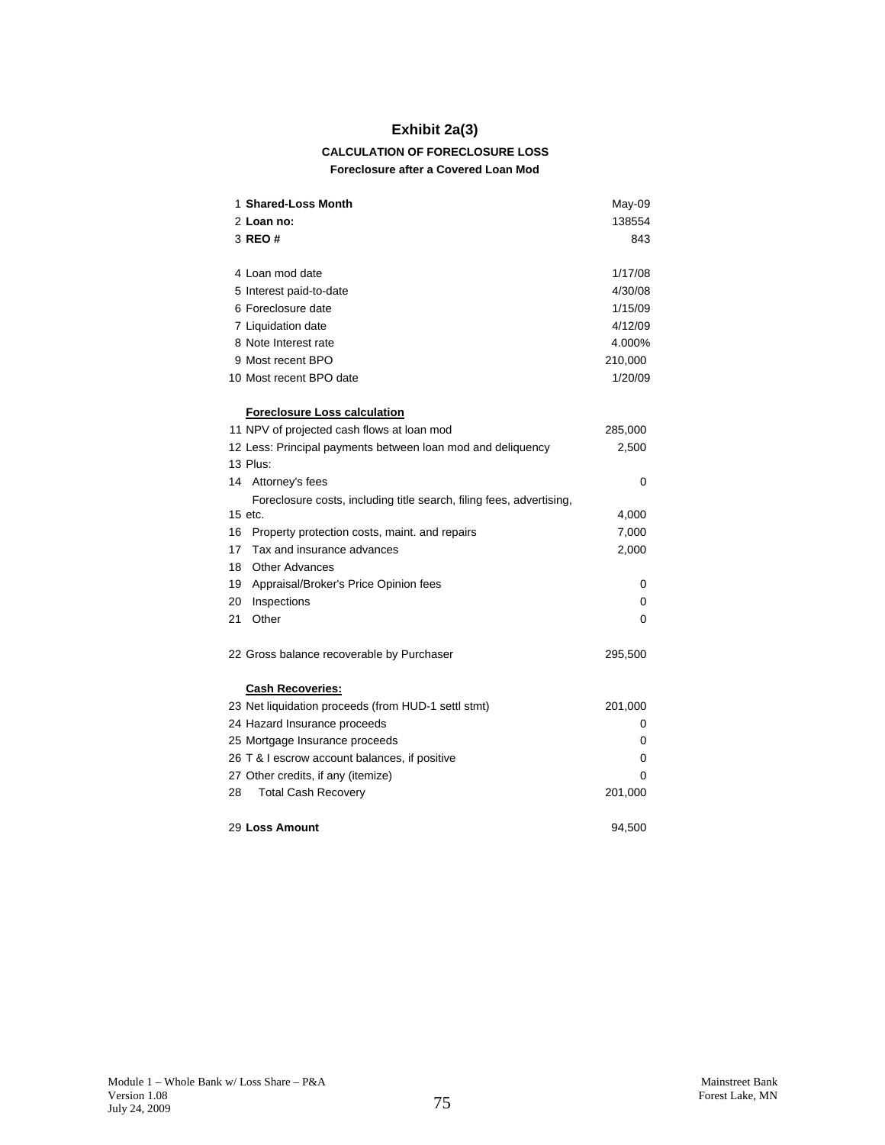### **Exhibit 2a(3)**

# **CALCULATION OF FORECLOSURE LOSS**

**Foreclosure after a Covered Loan Mod** 

| 1 Shared-Loss Month                                                               | May-09  |
|-----------------------------------------------------------------------------------|---------|
| 2 Loan no:                                                                        | 138554  |
| 3 REO #                                                                           | 843     |
|                                                                                   |         |
| 4 Loan mod date                                                                   | 1/17/08 |
| 5 Interest paid-to-date                                                           | 4/30/08 |
| 6 Foreclosure date                                                                | 1/15/09 |
| 7 Liquidation date                                                                | 4/12/09 |
| 8 Note Interest rate                                                              | 4.000%  |
| 9 Most recent BPO                                                                 | 210,000 |
| 10 Most recent BPO date                                                           | 1/20/09 |
|                                                                                   |         |
| <b>Foreclosure Loss calculation</b>                                               |         |
| 11 NPV of projected cash flows at loan mod                                        | 285,000 |
| 12 Less: Principal payments between loan mod and deliquency<br>13 Plus:           | 2,500   |
|                                                                                   | 0       |
| 14<br>Attorney's fees                                                             |         |
| Foreclosure costs, including title search, filing fees, advertising,<br>$15$ etc. | 4,000   |
| 16<br>Property protection costs, maint. and repairs                               | 7,000   |
| 17<br>Tax and insurance advances                                                  | 2,000   |
| 18<br>Other Advances                                                              |         |
|                                                                                   |         |
| 19<br>Appraisal/Broker's Price Opinion fees                                       | 0       |
| 20<br>Inspections                                                                 | 0       |
| 21<br>Other                                                                       | 0       |
| 22 Gross balance recoverable by Purchaser                                         | 295,500 |
| <b>Cash Recoveries:</b>                                                           |         |
| 23 Net liquidation proceeds (from HUD-1 settl stmt)                               | 201,000 |
| 24 Hazard Insurance proceeds                                                      | 0       |
| 25 Mortgage Insurance proceeds                                                    | 0       |
| 26 T & I escrow account balances, if positive                                     | 0       |
| 27 Other credits, if any (itemize)                                                | 0       |
| 28<br><b>Total Cash Recovery</b>                                                  | 201,000 |
|                                                                                   |         |
| 29 Loss Amount                                                                    | 94,500  |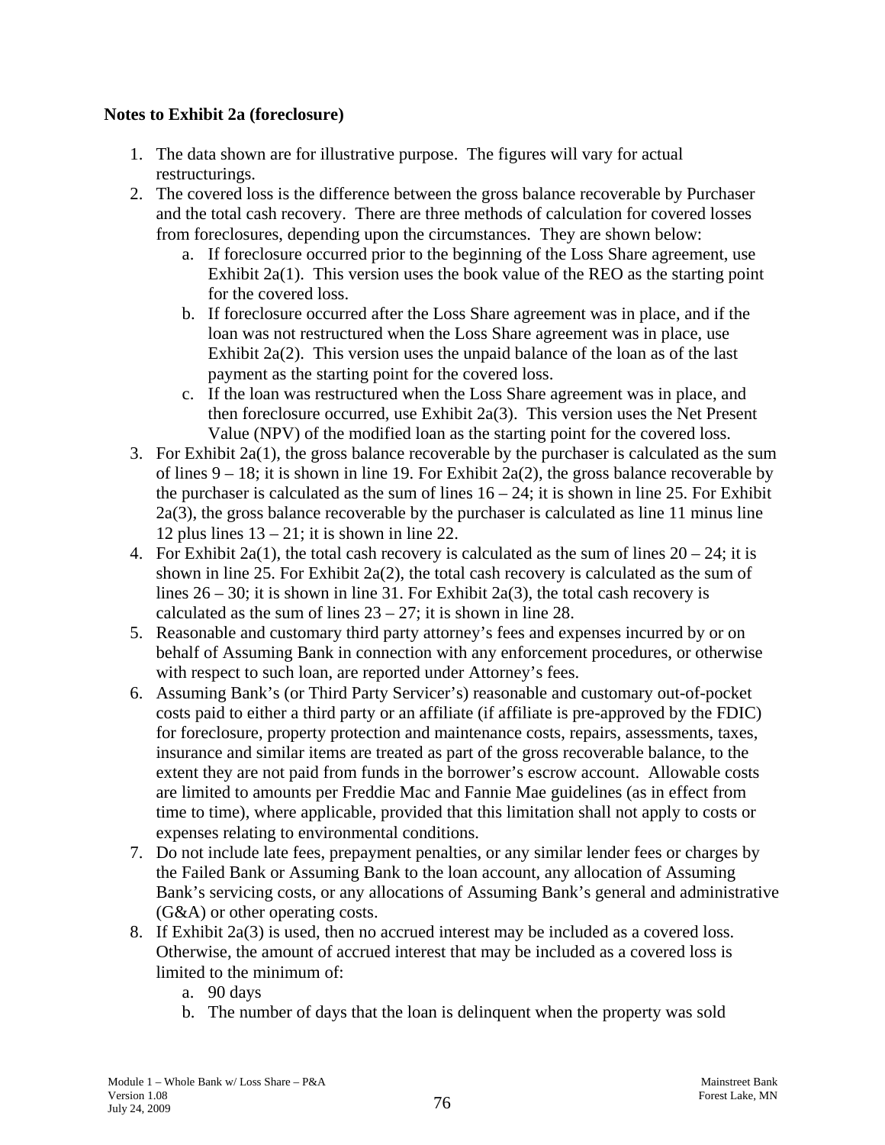### **Notes to Exhibit 2a (foreclosure)**

- 1. The data shown are for illustrative purpose. The figures will vary for actual restructurings.
- 2. The covered loss is the difference between the gross balance recoverable by Purchaser and the total cash recovery. There are three methods of calculation for covered losses from foreclosures, depending upon the circumstances. They are shown below:
	- a. If foreclosure occurred prior to the beginning of the Loss Share agreement, use Exhibit 2a(1). This version uses the book value of the REO as the starting point for the covered loss.
	- b. If foreclosure occurred after the Loss Share agreement was in place, and if the loan was not restructured when the Loss Share agreement was in place, use Exhibit 2a(2). This version uses the unpaid balance of the loan as of the last payment as the starting point for the covered loss.
	- c. If the loan was restructured when the Loss Share agreement was in place, and then foreclosure occurred, use Exhibit 2a(3). This version uses the Net Present Value (NPV) of the modified loan as the starting point for the covered loss.
- 3. For Exhibit  $2a(1)$ , the gross balance recoverable by the purchaser is calculated as the sum of lines  $9 - 18$ ; it is shown in line 19. For Exhibit 2a(2), the gross balance recoverable by the purchaser is calculated as the sum of lines  $16 - 24$ ; it is shown in line 25. For Exhibit 2a(3), the gross balance recoverable by the purchaser is calculated as line 11 minus line 12 plus lines  $13 - 21$ ; it is shown in line 22.
- 4. For Exhibit 2a(1), the total cash recovery is calculated as the sum of lines  $20 24$ ; it is shown in line 25. For Exhibit 2a(2), the total cash recovery is calculated as the sum of lines  $26 - 30$ ; it is shown in line 31. For Exhibit 2a(3), the total cash recovery is calculated as the sum of lines  $23 - 27$ ; it is shown in line 28.
- 5. Reasonable and customary third party attorney's fees and expenses incurred by or on behalf of Assuming Bank in connection with any enforcement procedures, or otherwise with respect to such loan, are reported under Attorney's fees.
- 6. Assuming Bank's (or Third Party Servicer's) reasonable and customary out-of-pocket costs paid to either a third party or an affiliate (if affiliate is pre-approved by the FDIC) for foreclosure, property protection and maintenance costs, repairs, assessments, taxes, insurance and similar items are treated as part of the gross recoverable balance, to the extent they are not paid from funds in the borrower's escrow account. Allowable costs are limited to amounts per Freddie Mac and Fannie Mae guidelines (as in effect from time to time), where applicable, provided that this limitation shall not apply to costs or expenses relating to environmental conditions.
- 7. Do not include late fees, prepayment penalties, or any similar lender fees or charges by the Failed Bank or Assuming Bank to the loan account, any allocation of Assuming Bank's servicing costs, or any allocations of Assuming Bank's general and administrative (G&A) or other operating costs.
- 8. If Exhibit  $2a(3)$  is used, then no accrued interest may be included as a covered loss. Otherwise, the amount of accrued interest that may be included as a covered loss is limited to the minimum of:
	- a. 90 days
	- b. The number of days that the loan is delinquent when the property was sold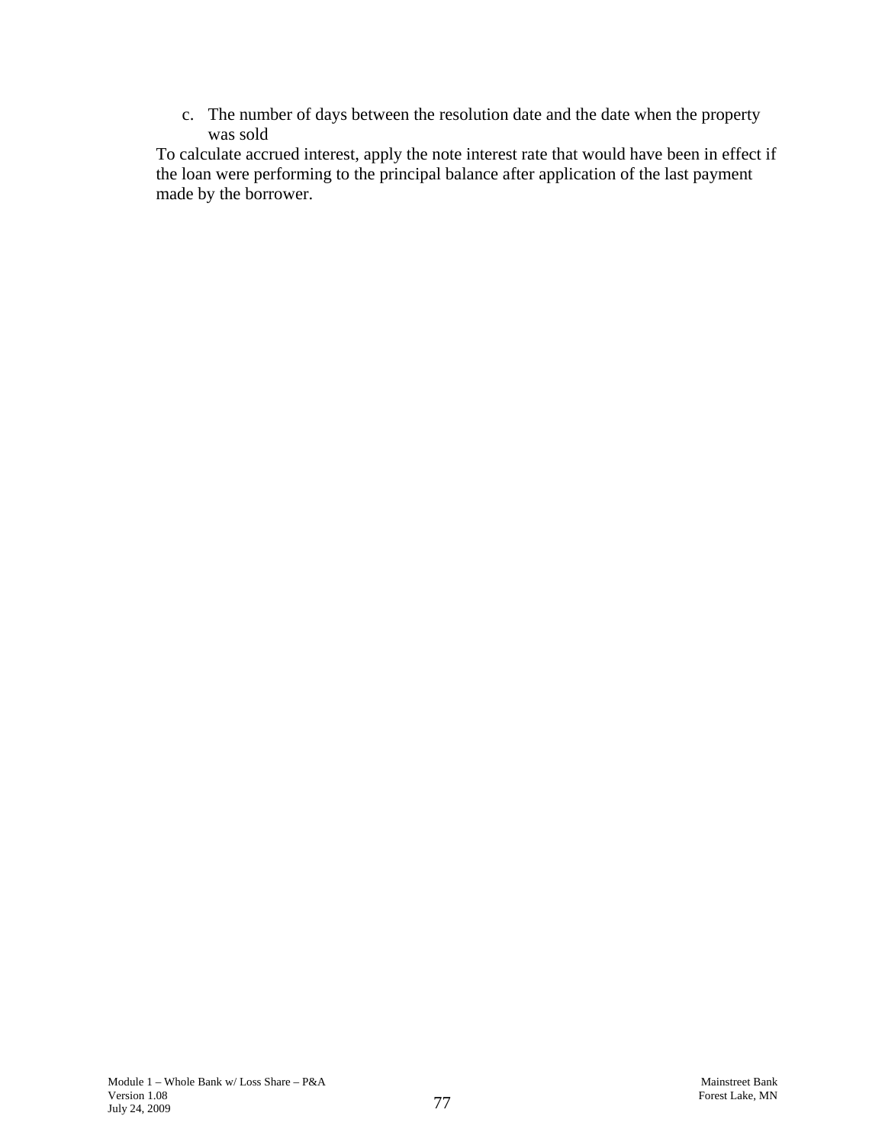c. The number of days between the resolution date and the date when the property was sold

To calculate accrued interest, apply the note interest rate that would have been in effect if the loan were performing to the principal balance after application of the last payment made by the borrower.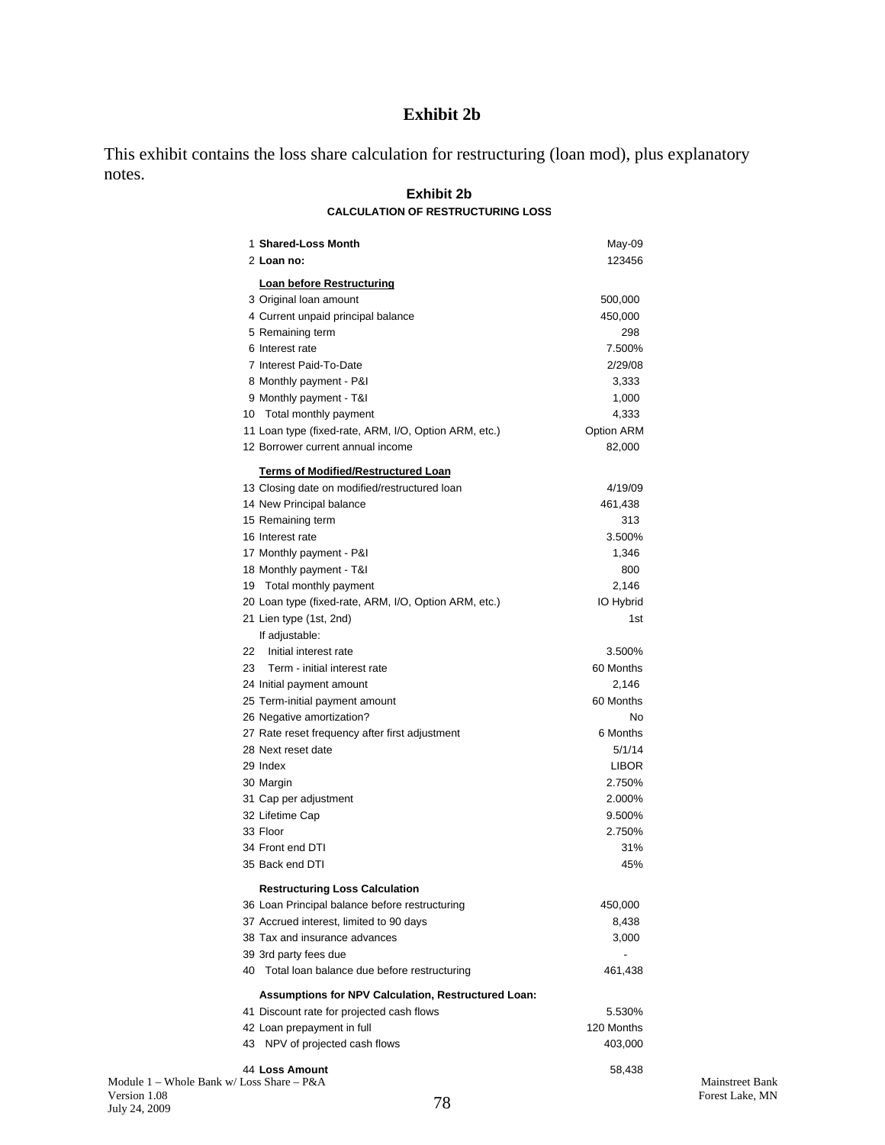# **Exhibit 2b**

This exhibit contains the loss share calculation for restructuring (loan mod), plus explanatory notes.

#### **Exhibit 2b CALCULATION OF RESTRUCTURING LOSS**

|                                               | 1 Shared-Loss Month                                                                        | May-09            |                        |
|-----------------------------------------------|--------------------------------------------------------------------------------------------|-------------------|------------------------|
|                                               | 2 Loan no:                                                                                 | 123456            |                        |
|                                               |                                                                                            |                   |                        |
|                                               | <b>Loan before Restructuring</b><br>3 Original loan amount                                 | 500,000           |                        |
|                                               | 4 Current unpaid principal balance                                                         | 450,000           |                        |
|                                               | 5 Remaining term                                                                           | 298               |                        |
|                                               | 6 Interest rate                                                                            | 7.500%            |                        |
|                                               | 7 Interest Paid-To-Date                                                                    | 2/29/08           |                        |
|                                               |                                                                                            |                   |                        |
|                                               | 8 Monthly payment - P&I                                                                    | 3,333             |                        |
|                                               | 9 Monthly payment - T&I                                                                    | 1,000             |                        |
|                                               | 10 Total monthly payment                                                                   | 4,333             |                        |
|                                               | 11 Loan type (fixed-rate, ARM, I/O, Option ARM, etc.)<br>12 Borrower current annual income | <b>Option ARM</b> |                        |
|                                               |                                                                                            | 82,000            |                        |
|                                               | <b>Terms of Modified/Restructured Loan</b>                                                 |                   |                        |
|                                               | 13 Closing date on modified/restructured loan                                              | 4/19/09           |                        |
|                                               | 14 New Principal balance                                                                   | 461,438           |                        |
|                                               | 15 Remaining term                                                                          | 313               |                        |
|                                               | 16 Interest rate                                                                           | 3.500%            |                        |
|                                               | 17 Monthly payment - P&I                                                                   | 1,346             |                        |
|                                               | 18 Monthly payment - T&I                                                                   | 800               |                        |
|                                               | 19 Total monthly payment                                                                   | 2,146             |                        |
|                                               | 20 Loan type (fixed-rate, ARM, I/O, Option ARM, etc.)                                      | IO Hybrid         |                        |
|                                               | 21 Lien type (1st, 2nd)                                                                    | 1st               |                        |
|                                               | If adjustable:                                                                             |                   |                        |
|                                               | 22 Initial interest rate                                                                   | 3.500%            |                        |
| 23                                            | Term - initial interest rate                                                               | 60 Months         |                        |
|                                               | 24 Initial payment amount                                                                  | 2,146             |                        |
|                                               | 25 Term-initial payment amount                                                             | 60 Months         |                        |
|                                               | 26 Negative amortization?                                                                  | No                |                        |
|                                               | 27 Rate reset frequency after first adjustment                                             | 6 Months          |                        |
|                                               | 28 Next reset date                                                                         | 5/1/14            |                        |
|                                               | 29 Index                                                                                   | <b>LIBOR</b>      |                        |
|                                               | 30 Margin                                                                                  | 2.750%            |                        |
|                                               | 31 Cap per adjustment                                                                      | 2.000%            |                        |
|                                               | 32 Lifetime Cap                                                                            | 9.500%            |                        |
|                                               | 33 Floor                                                                                   | 2.750%            |                        |
|                                               | 34 Front end DTI                                                                           | 31%               |                        |
|                                               | 35 Back end DTI                                                                            | 45%               |                        |
|                                               |                                                                                            |                   |                        |
|                                               | <b>Restructuring Loss Calculation</b>                                                      |                   |                        |
|                                               | 36 Loan Principal balance before restructuring                                             | 450,000           |                        |
|                                               | 37 Accrued interest, limited to 90 days                                                    | 8,438             |                        |
|                                               | 38 Tax and insurance advances                                                              | 3,000             |                        |
|                                               | 39 3rd party fees due                                                                      |                   |                        |
|                                               | 40 Total loan balance due before restructuring                                             | 461,438           |                        |
|                                               | Assumptions for NPV Calculation, Restructured Loan:                                        |                   |                        |
|                                               | 41 Discount rate for projected cash flows                                                  | 5.530%            |                        |
|                                               | 42 Loan prepayment in full                                                                 | 120 Months        |                        |
|                                               | 43 NPV of projected cash flows                                                             | 403,000           |                        |
|                                               |                                                                                            |                   |                        |
| Module $1$ – Whole Bank w/ Loss Share – $P&A$ | 44 Loss Amount                                                                             | 58,438            | <b>Mainstreet Bank</b> |
| Version 1.08                                  | $\neg$ $\cap$                                                                              |                   | Forest Lake, MN        |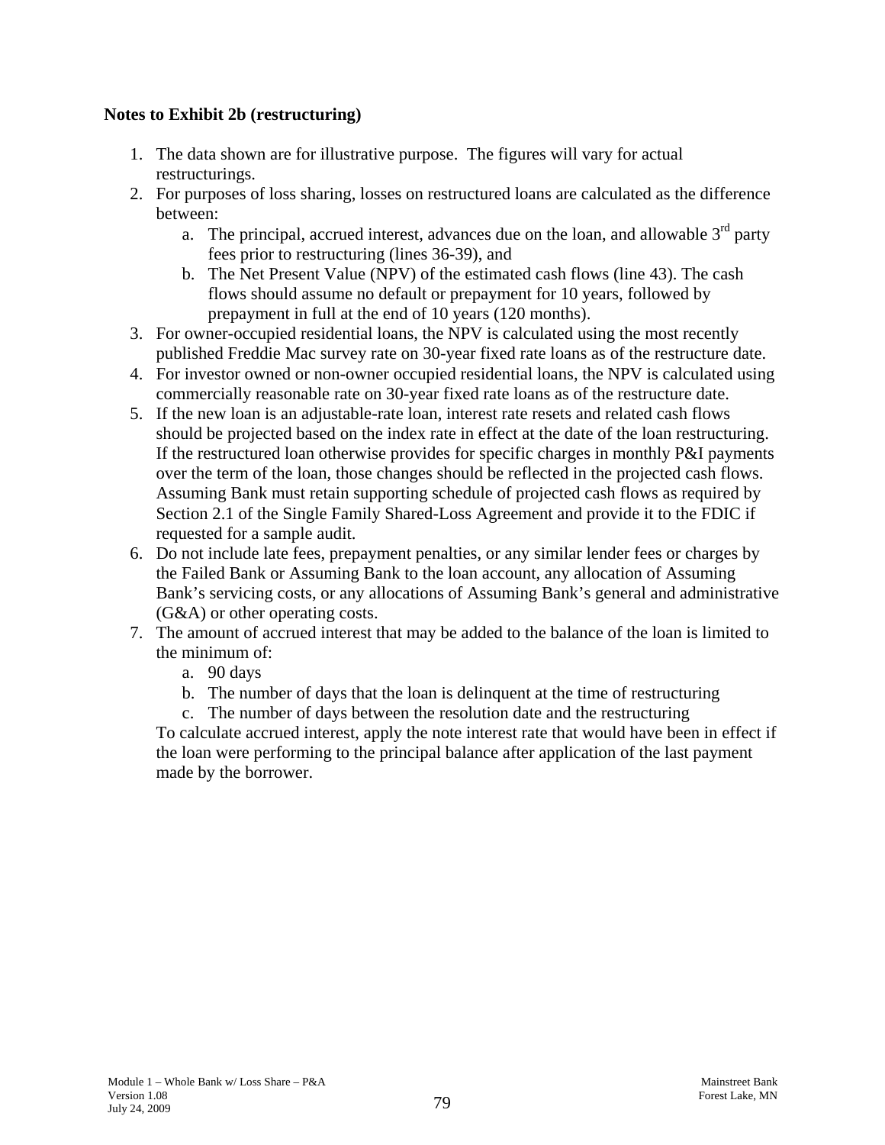#### **Notes to Exhibit 2b (restructuring)**

- 1. The data shown are for illustrative purpose. The figures will vary for actual restructurings.
- 2. For purposes of loss sharing, losses on restructured loans are calculated as the difference between:
	- a. The principal, accrued interest, advances due on the loan, and allowable  $3<sup>rd</sup>$  party fees prior to restructuring (lines 36-39), and
	- b. The Net Present Value (NPV) of the estimated cash flows (line 43). The cash flows should assume no default or prepayment for 10 years, followed by prepayment in full at the end of 10 years (120 months).
- 3. For owner-occupied residential loans, the NPV is calculated using the most recently published Freddie Mac survey rate on 30-year fixed rate loans as of the restructure date.
- 4. For investor owned or non-owner occupied residential loans, the NPV is calculated using commercially reasonable rate on 30-year fixed rate loans as of the restructure date.
- 5. If the new loan is an adjustable-rate loan, interest rate resets and related cash flows should be projected based on the index rate in effect at the date of the loan restructuring. If the restructured loan otherwise provides for specific charges in monthly P&I payments over the term of the loan, those changes should be reflected in the projected cash flows. Assuming Bank must retain supporting schedule of projected cash flows as required by Section 2.1 of the Single Family Shared-Loss Agreement and provide it to the FDIC if requested for a sample audit.
- 6. Do not include late fees, prepayment penalties, or any similar lender fees or charges by the Failed Bank or Assuming Bank to the loan account, any allocation of Assuming Bank's servicing costs, or any allocations of Assuming Bank's general and administrative (G&A) or other operating costs.
- 7. The amount of accrued interest that may be added to the balance of the loan is limited to the minimum of:
	- a. 90 days
	- b. The number of days that the loan is delinquent at the time of restructuring

c. The number of days between the resolution date and the restructuring To calculate accrued interest, apply the note interest rate that would have been in effect if the loan were performing to the principal balance after application of the last payment made by the borrower.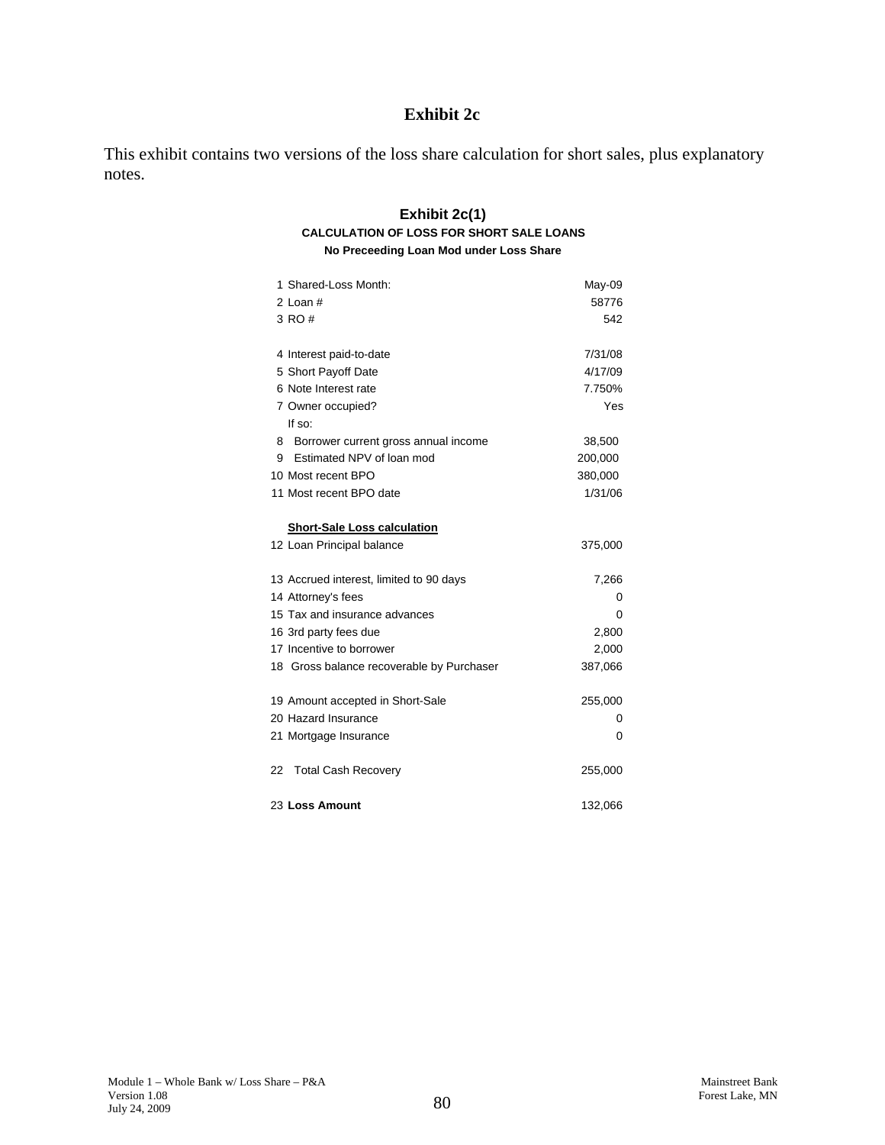#### **Exhibit 2c**

This exhibit contains two versions of the loss share calculation for short sales, plus explanatory notes.

#### **Exhibit 2c(1) CALCULATION OF LOSS FOR SHORT SALE LOANS No Preceeding Loan Mod under Loss Share**

| 1 Shared-Loss Month:<br>2 Loan #<br>3 RO # | May-09<br>58776<br>542 |
|--------------------------------------------|------------------------|
|                                            |                        |
| 4 Interest paid-to-date                    | 7/31/08                |
| 5 Short Payoff Date                        | 4/17/09                |
| 6 Note Interest rate                       | 7.750%                 |
| 7 Owner occupied?                          | Yes                    |
| If so:                                     |                        |
| Borrower current gross annual income<br>8  | 38,500                 |
| Estimated NPV of loan mod<br>g             | 200,000                |
| 10 Most recent BPO                         | 380,000                |
| 11 Most recent BPO date                    | 1/31/06                |
|                                            |                        |
| <b>Short-Sale Loss calculation</b>         |                        |
| 12 Loan Principal balance                  | 375,000                |
|                                            |                        |
| 13 Accrued interest, limited to 90 days    | 7,266                  |
| 14 Attorney's fees                         | 0                      |
| 15 Tax and insurance advances              | 0                      |
| 16 3rd party fees due                      | 2,800                  |
| 17 Incentive to borrower                   | 2,000                  |
| 18 Gross balance recoverable by Purchaser  | 387,066                |
|                                            |                        |
| 19 Amount accepted in Short-Sale           | 255,000                |
| 20 Hazard Insurance                        | 0                      |
| 21 Mortgage Insurance                      | 0                      |
|                                            |                        |
| 22 Total Cash Recovery                     | 255,000                |
|                                            |                        |
| 23 Loss Amount                             | 132,066                |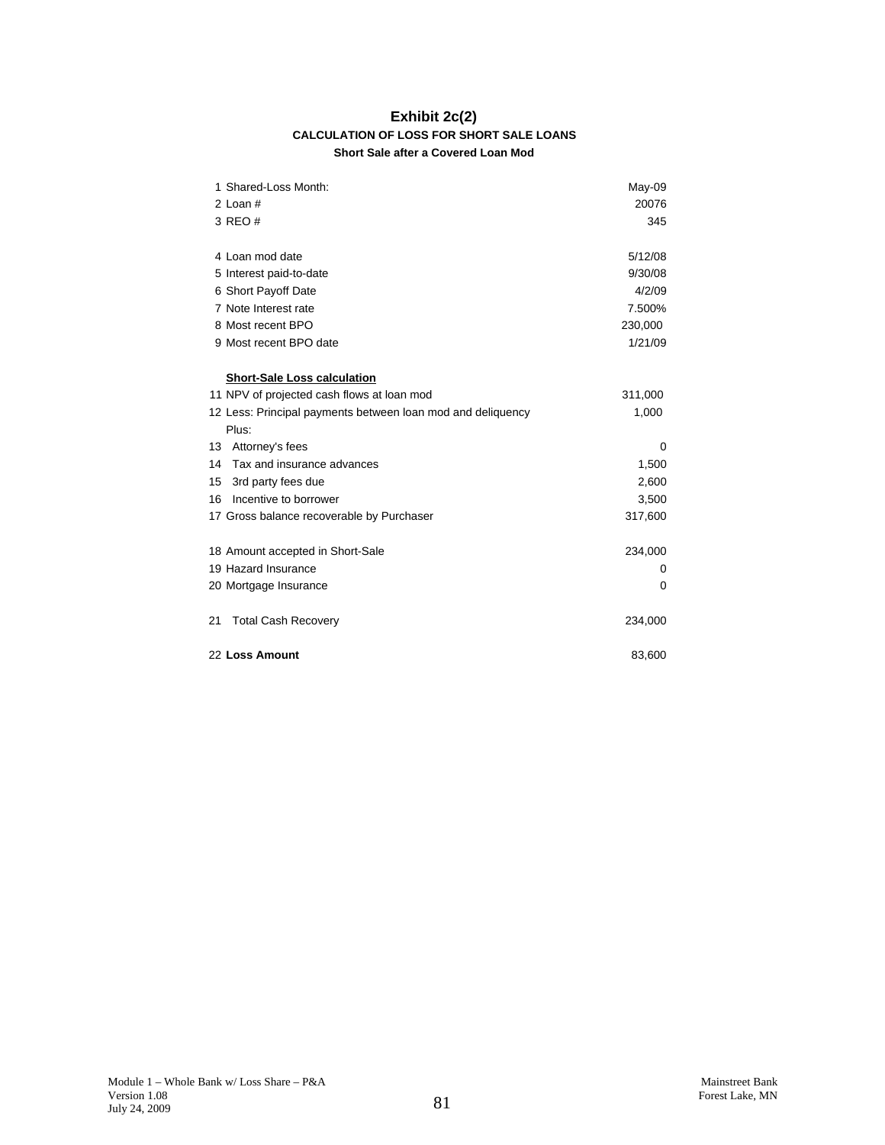#### **Exhibit 2c(2) CALCULATION OF LOSS FOR SHORT SALE LOANS Short Sale after a Covered Loan Mod**

| 1 Shared-Loss Month:                                        | May-09  |
|-------------------------------------------------------------|---------|
| 2 Loan $#$                                                  | 20076   |
| 3 REO #                                                     | 345     |
|                                                             |         |
| 4 Loan mod date                                             | 5/12/08 |
| 5 Interest paid-to-date                                     | 9/30/08 |
| 6 Short Payoff Date                                         | 4/2/09  |
| 7 Note Interest rate                                        | 7.500%  |
| 8 Most recent BPO                                           | 230,000 |
| 9 Most recent BPO date                                      | 1/21/09 |
|                                                             |         |
| <b>Short-Sale Loss calculation</b>                          |         |
| 11 NPV of projected cash flows at loan mod                  | 311,000 |
| 12 Less: Principal payments between loan mod and deliquency | 1,000   |
| Plus:                                                       |         |
| Attorney's fees<br>13                                       | 0       |
| Tax and insurance advances<br>14                            | 1,500   |
| 3rd party fees due<br>15                                    | 2,600   |
| Incentive to borrower<br>16                                 | 3,500   |
| 17 Gross balance recoverable by Purchaser                   | 317,600 |
|                                                             |         |
| 18 Amount accepted in Short-Sale                            | 234,000 |
| 19 Hazard Insurance                                         | 0       |
| 20 Mortgage Insurance                                       | 0       |
|                                                             |         |
| 21<br><b>Total Cash Recovery</b>                            | 234,000 |
|                                                             |         |
| 22 Loss Amount                                              | 83,600  |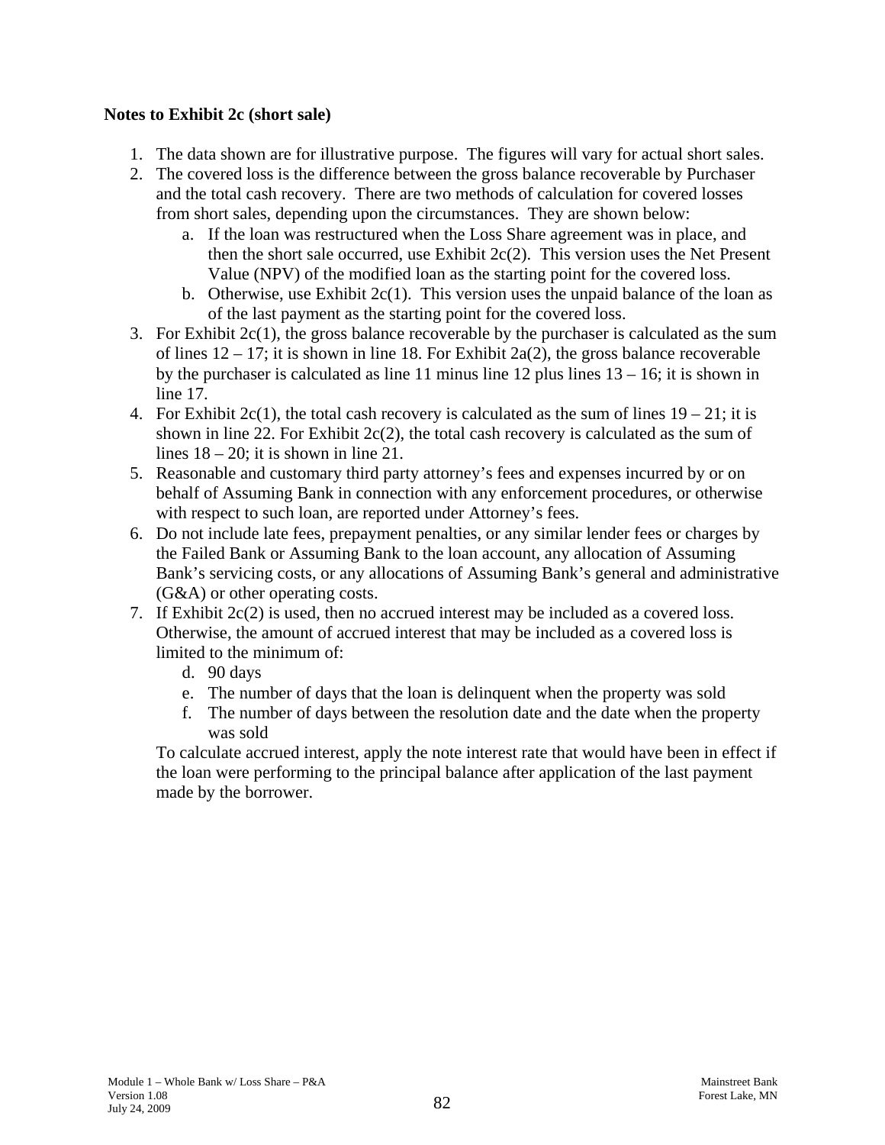#### **Notes to Exhibit 2c (short sale)**

- 1. The data shown are for illustrative purpose. The figures will vary for actual short sales.
- 2. The covered loss is the difference between the gross balance recoverable by Purchaser and the total cash recovery. There are two methods of calculation for covered losses from short sales, depending upon the circumstances. They are shown below:
	- a. If the loan was restructured when the Loss Share agreement was in place, and then the short sale occurred, use Exhibit  $2c(2)$ . This version uses the Net Present Value (NPV) of the modified loan as the starting point for the covered loss.
	- b. Otherwise, use Exhibit  $2c(1)$ . This version uses the unpaid balance of the loan as of the last payment as the starting point for the covered loss.
- 3. For Exhibit  $2c(1)$ , the gross balance recoverable by the purchaser is calculated as the sum of lines  $12 - 17$ ; it is shown in line 18. For Exhibit 2a(2), the gross balance recoverable by the purchaser is calculated as line 11 minus line 12 plus lines 13 – 16; it is shown in line 17.
- 4. For Exhibit 2c(1), the total cash recovery is calculated as the sum of lines  $19 21$ ; it is shown in line 22. For Exhibit  $2c(2)$ , the total cash recovery is calculated as the sum of lines  $18 - 20$ ; it is shown in line 21.
- 5. Reasonable and customary third party attorney's fees and expenses incurred by or on behalf of Assuming Bank in connection with any enforcement procedures, or otherwise with respect to such loan, are reported under Attorney's fees.
- 6. Do not include late fees, prepayment penalties, or any similar lender fees or charges by the Failed Bank or Assuming Bank to the loan account, any allocation of Assuming Bank's servicing costs, or any allocations of Assuming Bank's general and administrative (G&A) or other operating costs.
- 7. If Exhibit  $2c(2)$  is used, then no accrued interest may be included as a covered loss. Otherwise, the amount of accrued interest that may be included as a covered loss is limited to the minimum of:
	- d. 90 days
	- e. The number of days that the loan is delinquent when the property was sold
	- f. The number of days between the resolution date and the date when the property was sold

To calculate accrued interest, apply the note interest rate that would have been in effect if the loan were performing to the principal balance after application of the last payment made by the borrower.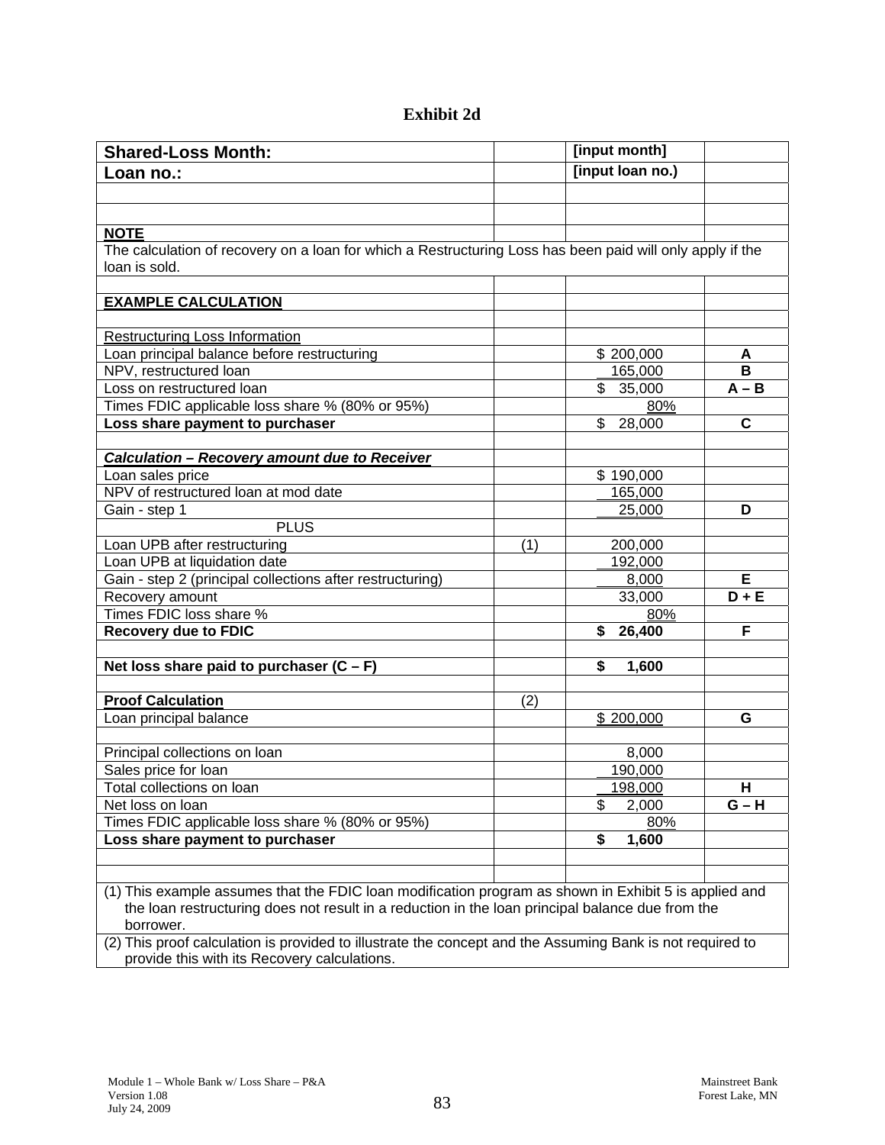# **Exhibit 2d**

| <b>Shared-Loss Month:</b>                                                                                                                                 |     |                  |         |
|-----------------------------------------------------------------------------------------------------------------------------------------------------------|-----|------------------|---------|
| Loan no.:                                                                                                                                                 |     | [input loan no.) |         |
|                                                                                                                                                           |     |                  |         |
|                                                                                                                                                           |     |                  |         |
| <b>NOTE</b>                                                                                                                                               |     |                  |         |
| The calculation of recovery on a loan for which a Restructuring Loss has been paid will only apply if the                                                 |     |                  |         |
| loan is sold.                                                                                                                                             |     |                  |         |
|                                                                                                                                                           |     |                  |         |
| <b>EXAMPLE CALCULATION</b>                                                                                                                                |     |                  |         |
|                                                                                                                                                           |     |                  |         |
| <b>Restructuring Loss Information</b>                                                                                                                     |     |                  |         |
| Loan principal balance before restructuring                                                                                                               |     | \$200,000        | A       |
| NPV, restructured loan                                                                                                                                    |     | 165,000          | B       |
| Loss on restructured loan                                                                                                                                 |     | \$35,000         | $A - B$ |
| Times FDIC applicable loss share % (80% or 95%)                                                                                                           |     | 80%              |         |
| Loss share payment to purchaser                                                                                                                           |     | \$28,000         | C       |
|                                                                                                                                                           |     |                  |         |
| Calculation - Recovery amount due to Receiver                                                                                                             |     |                  |         |
| Loan sales price                                                                                                                                          |     | \$190,000        |         |
| NPV of restructured loan at mod date                                                                                                                      |     | 165,000          |         |
| Gain - step 1                                                                                                                                             |     | 25,000           | D       |
| <b>PLUS</b>                                                                                                                                               |     |                  |         |
| Loan UPB after restructuring                                                                                                                              | (1) | 200,000          |         |
| Loan UPB at liquidation date                                                                                                                              |     | 192,000          | Е       |
| Gain - step 2 (principal collections after restructuring)<br>Recovery amount                                                                              |     | 8,000<br>33,000  | $D + E$ |
| Times FDIC loss share %                                                                                                                                   |     | 80%              |         |
| <b>Recovery due to FDIC</b>                                                                                                                               |     | \$26,400         | F       |
|                                                                                                                                                           |     |                  |         |
| Net loss share paid to purchaser $(C - F)$                                                                                                                |     | \$<br>1,600      |         |
|                                                                                                                                                           |     |                  |         |
| <b>Proof Calculation</b>                                                                                                                                  | (2) |                  |         |
| Loan principal balance                                                                                                                                    |     | \$200,000        | G       |
|                                                                                                                                                           |     |                  |         |
| Principal collections on loan                                                                                                                             |     | 8,000            |         |
| Sales price for loan                                                                                                                                      |     | 190,000          |         |
| Total collections on loan                                                                                                                                 |     | 198,000          | H       |
| Net loss on loan                                                                                                                                          |     | \$<br>2,000      | G – H   |
| Times FDIC applicable loss share % (80% or 95%)                                                                                                           |     | 80%              |         |
| Loss share payment to purchaser                                                                                                                           |     | 1,600<br>\$      |         |
|                                                                                                                                                           |     |                  |         |
|                                                                                                                                                           |     |                  |         |
| (1) This example assumes that the FDIC loan modification program as shown in Exhibit 5 is applied and                                                     |     |                  |         |
| the loan restructuring does not result in a reduction in the loan principal balance due from the                                                          |     |                  |         |
| borrower.                                                                                                                                                 |     |                  |         |
| (2) This proof calculation is provided to illustrate the concept and the Assuming Bank is not required to<br>provide this with its Recovery calculations. |     |                  |         |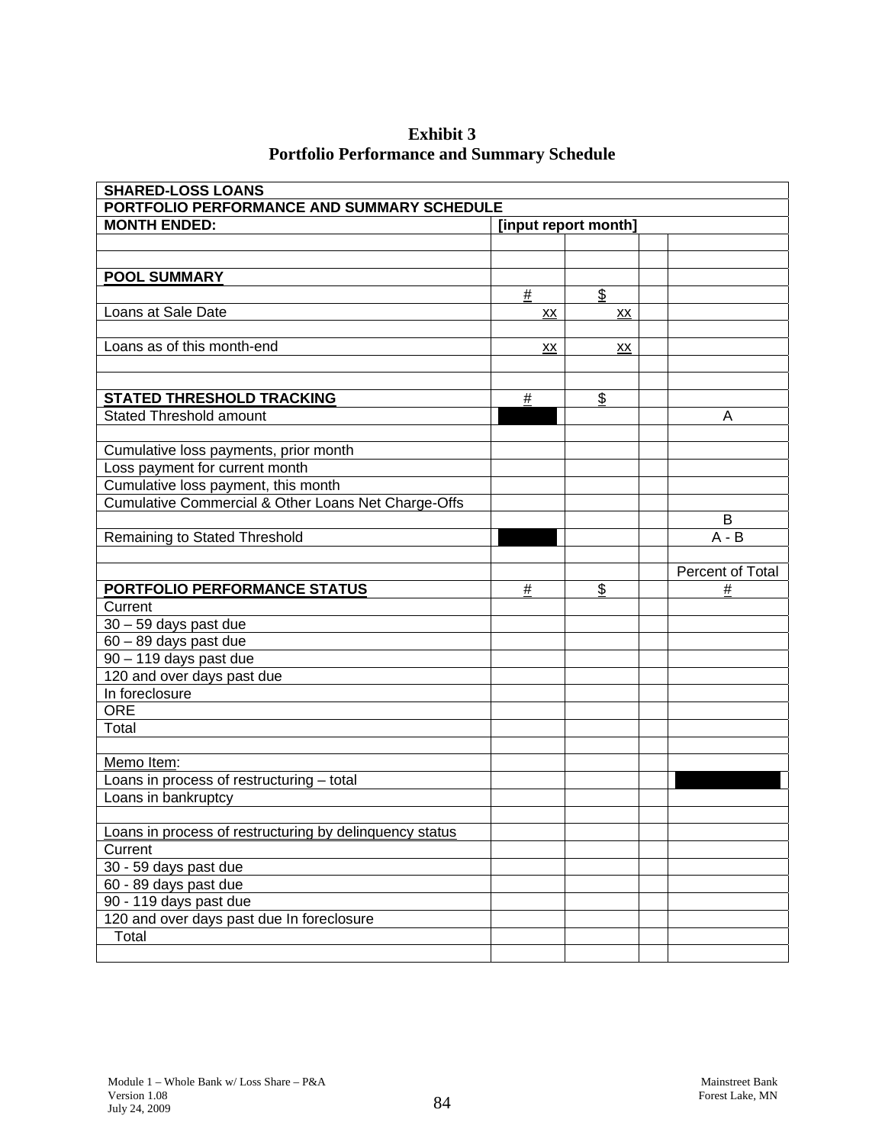| <b>SHARED-LOSS LOANS</b><br>PORTFOLIO PERFORMANCE AND SUMMARY SCHEDULE |      |               |                  |  |
|------------------------------------------------------------------------|------|---------------|------------------|--|
| <b>MONTH ENDED:</b><br>[input report month]                            |      |               |                  |  |
|                                                                        |      |               |                  |  |
|                                                                        |      |               |                  |  |
| <b>POOL SUMMARY</b>                                                    |      |               |                  |  |
|                                                                        | #    | $\frac{1}{2}$ |                  |  |
| Loans at Sale Date                                                     | XX   | XX            |                  |  |
|                                                                        |      |               |                  |  |
| Loans as of this month-end                                             | XX   | XX            |                  |  |
| <b>STATED THRESHOLD TRACKING</b>                                       | $\#$ | $\frac{1}{2}$ |                  |  |
| <b>Stated Threshold amount</b>                                         |      |               | A                |  |
| Cumulative loss payments, prior month                                  |      |               |                  |  |
| Loss payment for current month                                         |      |               |                  |  |
| Cumulative loss payment, this month                                    |      |               |                  |  |
| Cumulative Commercial & Other Loans Net Charge-Offs                    |      |               |                  |  |
|                                                                        |      |               | B                |  |
| Remaining to Stated Threshold                                          |      |               | $A - B$          |  |
|                                                                        |      |               |                  |  |
|                                                                        |      |               | Percent of Total |  |
| <b>PORTFOLIO PERFORMANCE STATUS</b>                                    | $\#$ | $\frac{1}{2}$ | #                |  |
| Current                                                                |      |               |                  |  |
| $30 - 59$ days past due                                                |      |               |                  |  |
| $60 - 89$ days past due                                                |      |               |                  |  |
| $90 - 119$ days past due                                               |      |               |                  |  |
| 120 and over days past due                                             |      |               |                  |  |
| In foreclosure                                                         |      |               |                  |  |
| <b>ORE</b>                                                             |      |               |                  |  |
| Total                                                                  |      |               |                  |  |
|                                                                        |      |               |                  |  |
| Memo Item:                                                             |      |               |                  |  |
| Loans in process of restructuring - total                              |      |               |                  |  |
| Loans in bankruptcy                                                    |      |               |                  |  |
|                                                                        |      |               |                  |  |
| Loans in process of restructuring by delinquency status                |      |               |                  |  |
| Current                                                                |      |               |                  |  |
| 30 - 59 days past due                                                  |      |               |                  |  |
| 60 - 89 days past due                                                  |      |               |                  |  |
| 90 - 119 days past due                                                 |      |               |                  |  |
| 120 and over days past due In foreclosure<br>Total                     |      |               |                  |  |
|                                                                        |      |               |                  |  |
|                                                                        |      |               |                  |  |

# **Exhibit 3 Portfolio Performance and Summary Schedule**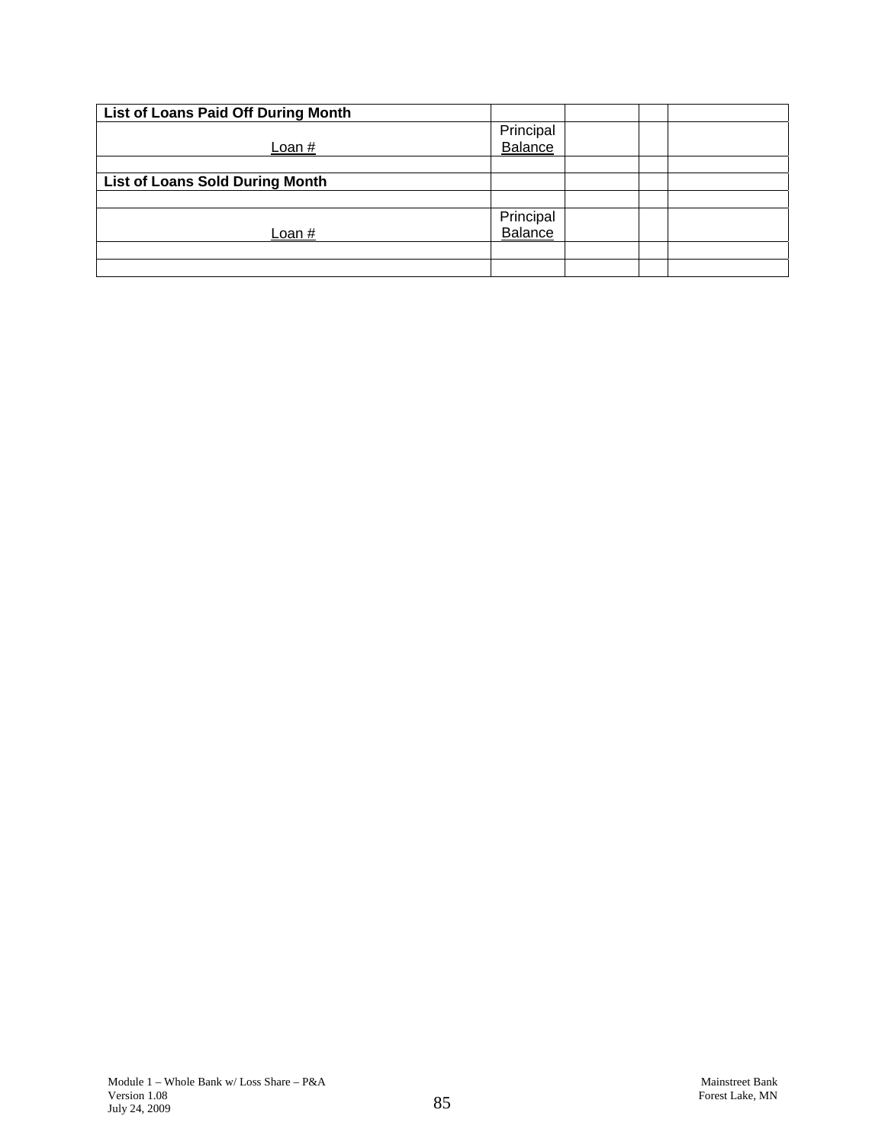| List of Loans Paid Off During Month    |                      |  |  |
|----------------------------------------|----------------------|--|--|
|                                        | Principal            |  |  |
| Loan #                                 | Balance              |  |  |
|                                        |                      |  |  |
| <b>List of Loans Sold During Month</b> |                      |  |  |
|                                        |                      |  |  |
|                                        | Principal<br>Balance |  |  |
| Loan #                                 |                      |  |  |
|                                        |                      |  |  |
|                                        |                      |  |  |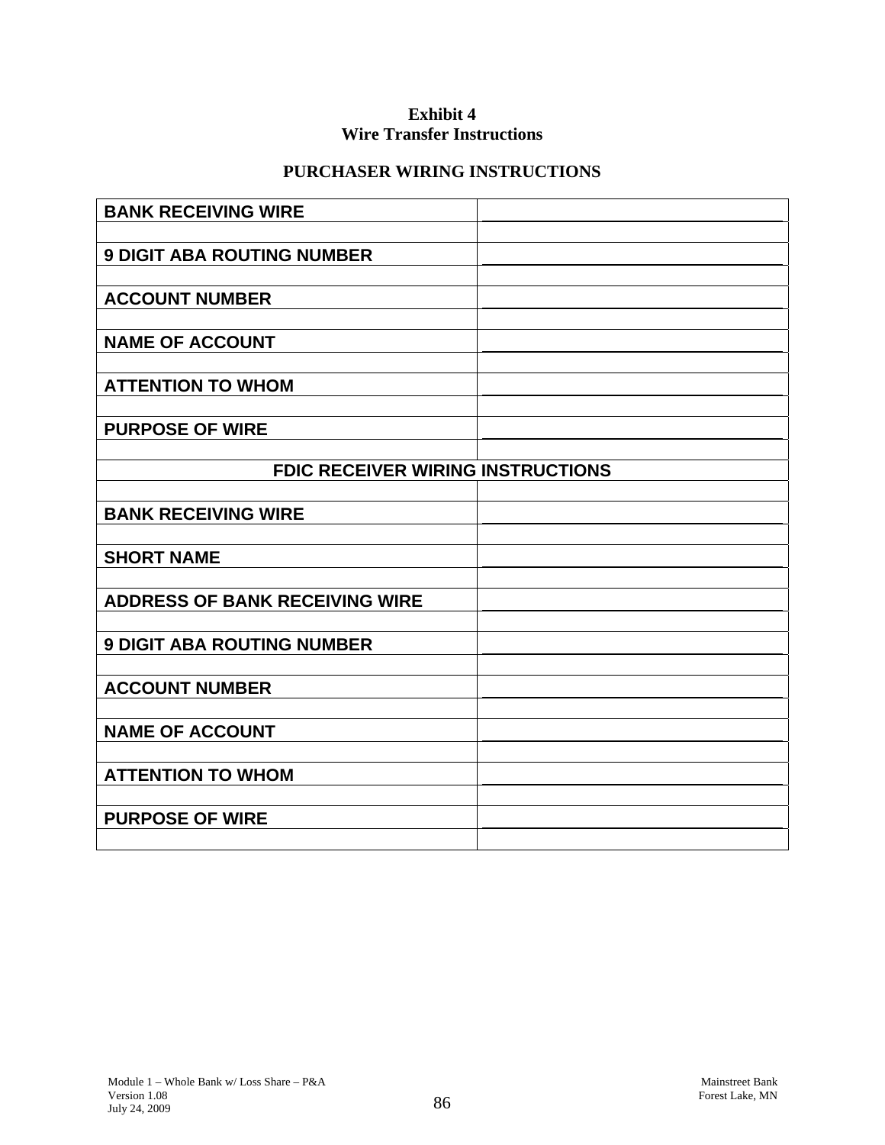### **Exhibit 4 Wire Transfer Instructions**

# **PURCHASER WIRING INSTRUCTIONS**

| <b>BANK RECEIVING WIRE</b>            |  |
|---------------------------------------|--|
|                                       |  |
| <b>9 DIGIT ABA ROUTING NUMBER</b>     |  |
|                                       |  |
| <b>ACCOUNT NUMBER</b>                 |  |
|                                       |  |
| <b>NAME OF ACCOUNT</b>                |  |
|                                       |  |
| <b>ATTENTION TO WHOM</b>              |  |
| <b>PURPOSE OF WIRE</b>                |  |
|                                       |  |
| FDIC RECEIVER WIRING INSTRUCTIONS     |  |
|                                       |  |
| <b>BANK RECEIVING WIRE</b>            |  |
|                                       |  |
| <b>SHORT NAME</b>                     |  |
|                                       |  |
| <b>ADDRESS OF BANK RECEIVING WIRE</b> |  |
|                                       |  |
| <b>9 DIGIT ABA ROUTING NUMBER</b>     |  |
|                                       |  |
| <b>ACCOUNT NUMBER</b>                 |  |
|                                       |  |
| <b>NAME OF ACCOUNT</b>                |  |
| <b>ATTENTION TO WHOM</b>              |  |
|                                       |  |
| <b>PURPOSE OF WIRE</b>                |  |
|                                       |  |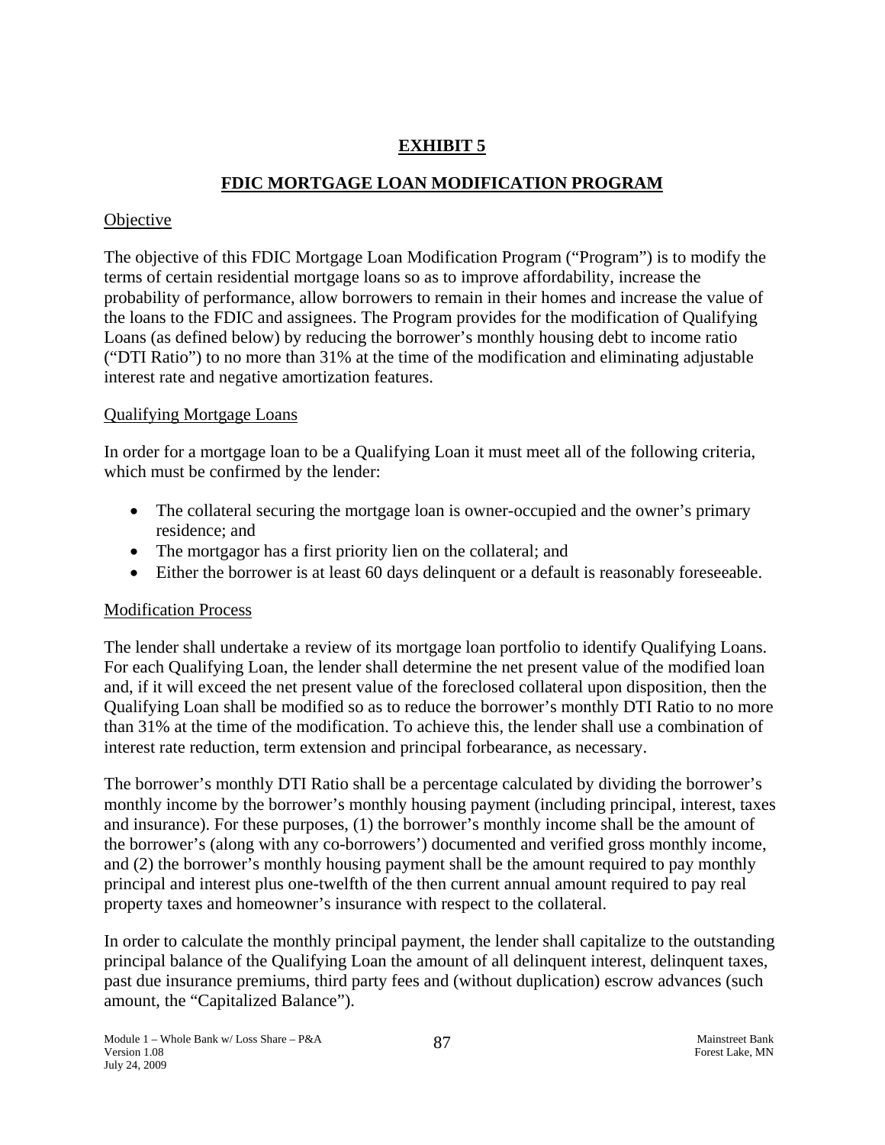# **EXHIBIT 5**

# **FDIC MORTGAGE LOAN MODIFICATION PROGRAM**

## **Objective**

The objective of this FDIC Mortgage Loan Modification Program ("Program") is to modify the terms of certain residential mortgage loans so as to improve affordability, increase the probability of performance, allow borrowers to remain in their homes and increase the value of the loans to the FDIC and assignees. The Program provides for the modification of Qualifying Loans (as defined below) by reducing the borrower's monthly housing debt to income ratio ("DTI Ratio") to no more than 31% at the time of the modification and eliminating adjustable interest rate and negative amortization features.

### Qualifying Mortgage Loans

In order for a mortgage loan to be a Qualifying Loan it must meet all of the following criteria, which must be confirmed by the lender:

- The collateral securing the mortgage loan is owner-occupied and the owner's primary residence; and
- The mortgagor has a first priority lien on the collateral; and
- Either the borrower is at least 60 days delinquent or a default is reasonably foreseeable.

#### Modification Process

The lender shall undertake a review of its mortgage loan portfolio to identify Qualifying Loans. For each Qualifying Loan, the lender shall determine the net present value of the modified loan and, if it will exceed the net present value of the foreclosed collateral upon disposition, then the Qualifying Loan shall be modified so as to reduce the borrower's monthly DTI Ratio to no more than 31% at the time of the modification. To achieve this, the lender shall use a combination of interest rate reduction, term extension and principal forbearance, as necessary.

The borrower's monthly DTI Ratio shall be a percentage calculated by dividing the borrower's monthly income by the borrower's monthly housing payment (including principal, interest, taxes and insurance). For these purposes, (1) the borrower's monthly income shall be the amount of the borrower's (along with any co-borrowers') documented and verified gross monthly income, and (2) the borrower's monthly housing payment shall be the amount required to pay monthly principal and interest plus one-twelfth of the then current annual amount required to pay real property taxes and homeowner's insurance with respect to the collateral.

In order to calculate the monthly principal payment, the lender shall capitalize to the outstanding principal balance of the Qualifying Loan the amount of all delinquent interest, delinquent taxes, past due insurance premiums, third party fees and (without duplication) escrow advances (such amount, the "Capitalized Balance").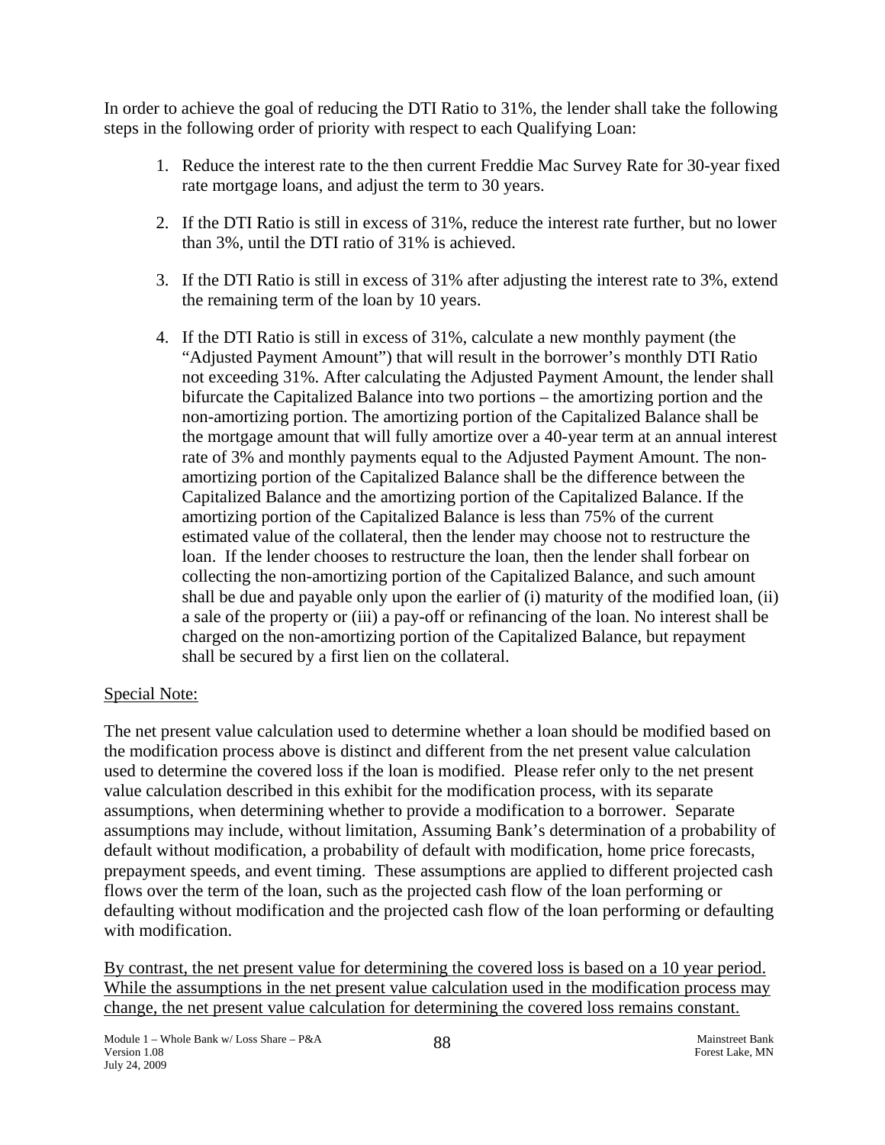In order to achieve the goal of reducing the DTI Ratio to 31%, the lender shall take the following steps in the following order of priority with respect to each Qualifying Loan:

- 1. Reduce the interest rate to the then current Freddie Mac Survey Rate for 30-year fixed rate mortgage loans, and adjust the term to 30 years.
- 2. If the DTI Ratio is still in excess of 31%, reduce the interest rate further, but no lower than 3%, until the DTI ratio of 31% is achieved.
- 3. If the DTI Ratio is still in excess of 31% after adjusting the interest rate to 3%, extend the remaining term of the loan by 10 years.
- 4. If the DTI Ratio is still in excess of 31%, calculate a new monthly payment (the "Adjusted Payment Amount") that will result in the borrower's monthly DTI Ratio not exceeding 31%. After calculating the Adjusted Payment Amount, the lender shall bifurcate the Capitalized Balance into two portions – the amortizing portion and the non-amortizing portion. The amortizing portion of the Capitalized Balance shall be the mortgage amount that will fully amortize over a 40-year term at an annual interest rate of 3% and monthly payments equal to the Adjusted Payment Amount. The nonamortizing portion of the Capitalized Balance shall be the difference between the Capitalized Balance and the amortizing portion of the Capitalized Balance. If the amortizing portion of the Capitalized Balance is less than 75% of the current estimated value of the collateral, then the lender may choose not to restructure the loan. If the lender chooses to restructure the loan, then the lender shall forbear on collecting the non-amortizing portion of the Capitalized Balance, and such amount shall be due and payable only upon the earlier of (i) maturity of the modified loan, (ii) a sale of the property or (iii) a pay-off or refinancing of the loan. No interest shall be charged on the non-amortizing portion of the Capitalized Balance, but repayment shall be secured by a first lien on the collateral.

#### Special Note:

The net present value calculation used to determine whether a loan should be modified based on the modification process above is distinct and different from the net present value calculation used to determine the covered loss if the loan is modified. Please refer only to the net present value calculation described in this exhibit for the modification process, with its separate assumptions, when determining whether to provide a modification to a borrower. Separate assumptions may include, without limitation, Assuming Bank's determination of a probability of default without modification, a probability of default with modification, home price forecasts, prepayment speeds, and event timing. These assumptions are applied to different projected cash flows over the term of the loan, such as the projected cash flow of the loan performing or defaulting without modification and the projected cash flow of the loan performing or defaulting with modification.

change, the net present value calculation for determining the covered loss remains constant.<br>
Module 1 – Whole Bank w/ Loss Share – P&A Mainstreet Bank Forest Lake, MN<br>
Version 1.08 Forest Lake, MN By contrast, the net present value for determining the covered loss is based on a 10 year period. While the assumptions in the net present value calculation used in the modification process may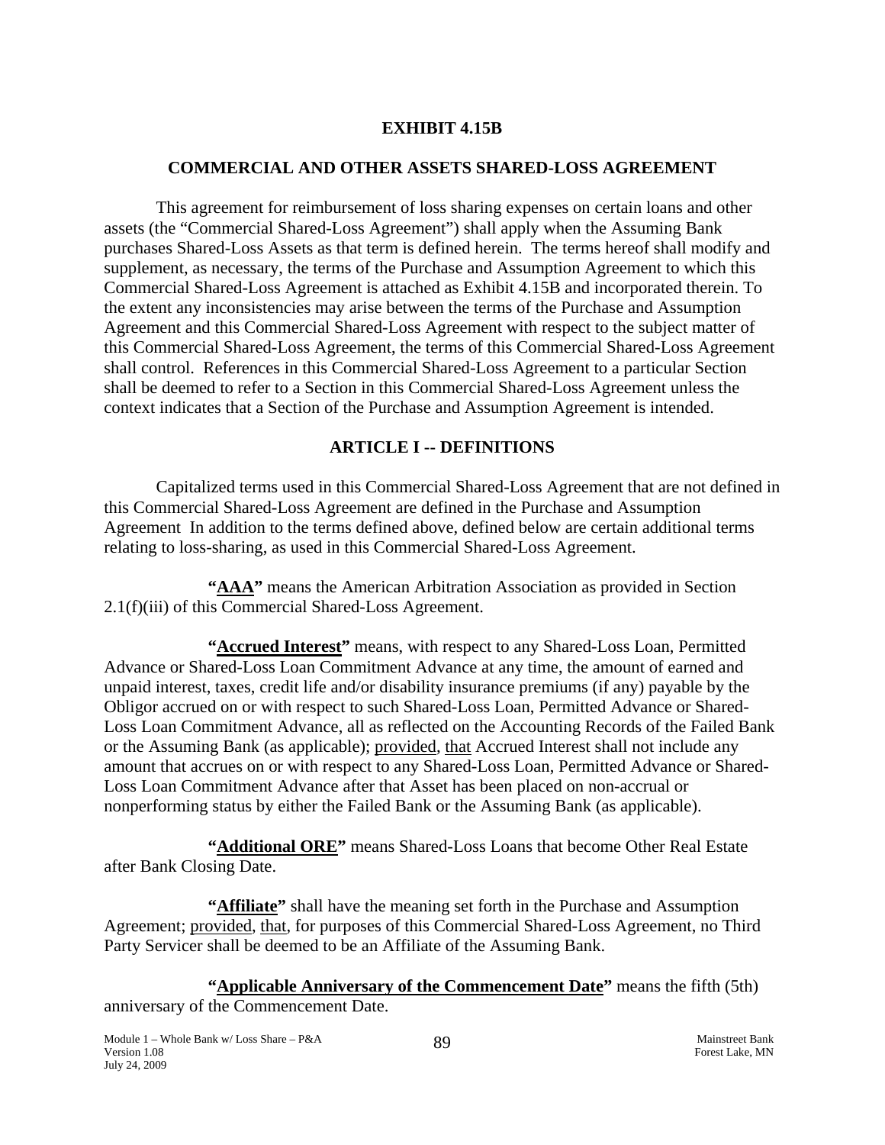#### **EXHIBIT 4.15B**

#### **COMMERCIAL AND OTHER ASSETS SHARED-LOSS AGREEMENT**

This agreement for reimbursement of loss sharing expenses on certain loans and other assets (the "Commercial Shared-Loss Agreement") shall apply when the Assuming Bank purchases Shared-Loss Assets as that term is defined herein. The terms hereof shall modify and supplement, as necessary, the terms of the Purchase and Assumption Agreement to which this Commercial Shared-Loss Agreement is attached as Exhibit 4.15B and incorporated therein. To the extent any inconsistencies may arise between the terms of the Purchase and Assumption Agreement and this Commercial Shared-Loss Agreement with respect to the subject matter of this Commercial Shared-Loss Agreement, the terms of this Commercial Shared-Loss Agreement shall control. References in this Commercial Shared-Loss Agreement to a particular Section shall be deemed to refer to a Section in this Commercial Shared-Loss Agreement unless the context indicates that a Section of the Purchase and Assumption Agreement is intended.

#### **ARTICLE I -- DEFINITIONS**

Capitalized terms used in this Commercial Shared-Loss Agreement that are not defined in this Commercial Shared-Loss Agreement are defined in the Purchase and Assumption Agreement In addition to the terms defined above, defined below are certain additional terms relating to loss-sharing, as used in this Commercial Shared-Loss Agreement.

**"AAA"** means the American Arbitration Association as provided in Section 2.1(f)(iii) of this Commercial Shared-Loss Agreement.

**"Accrued Interest"** means, with respect to any Shared-Loss Loan, Permitted Advance or Shared-Loss Loan Commitment Advance at any time, the amount of earned and unpaid interest, taxes, credit life and/or disability insurance premiums (if any) payable by the Obligor accrued on or with respect to such Shared-Loss Loan, Permitted Advance or Shared-Loss Loan Commitment Advance, all as reflected on the Accounting Records of the Failed Bank or the Assuming Bank (as applicable); provided, that Accrued Interest shall not include any amount that accrues on or with respect to any Shared-Loss Loan, Permitted Advance or Shared-Loss Loan Commitment Advance after that Asset has been placed on non-accrual or nonperforming status by either the Failed Bank or the Assuming Bank (as applicable).

"**Additional ORE**" means Shared-Loss Loans that become Other Real Estate after Bank Closing Date.

"**Affiliate**" shall have the meaning set forth in the Purchase and Assumption Agreement; provided, that, for purposes of this Commercial Shared-Loss Agreement, no Third Party Servicer shall be deemed to be an Affiliate of the Assuming Bank.

**Examplicable Anniversary of the Commencement Date**" means the fifth (5th) anniversary of the Commencement Date.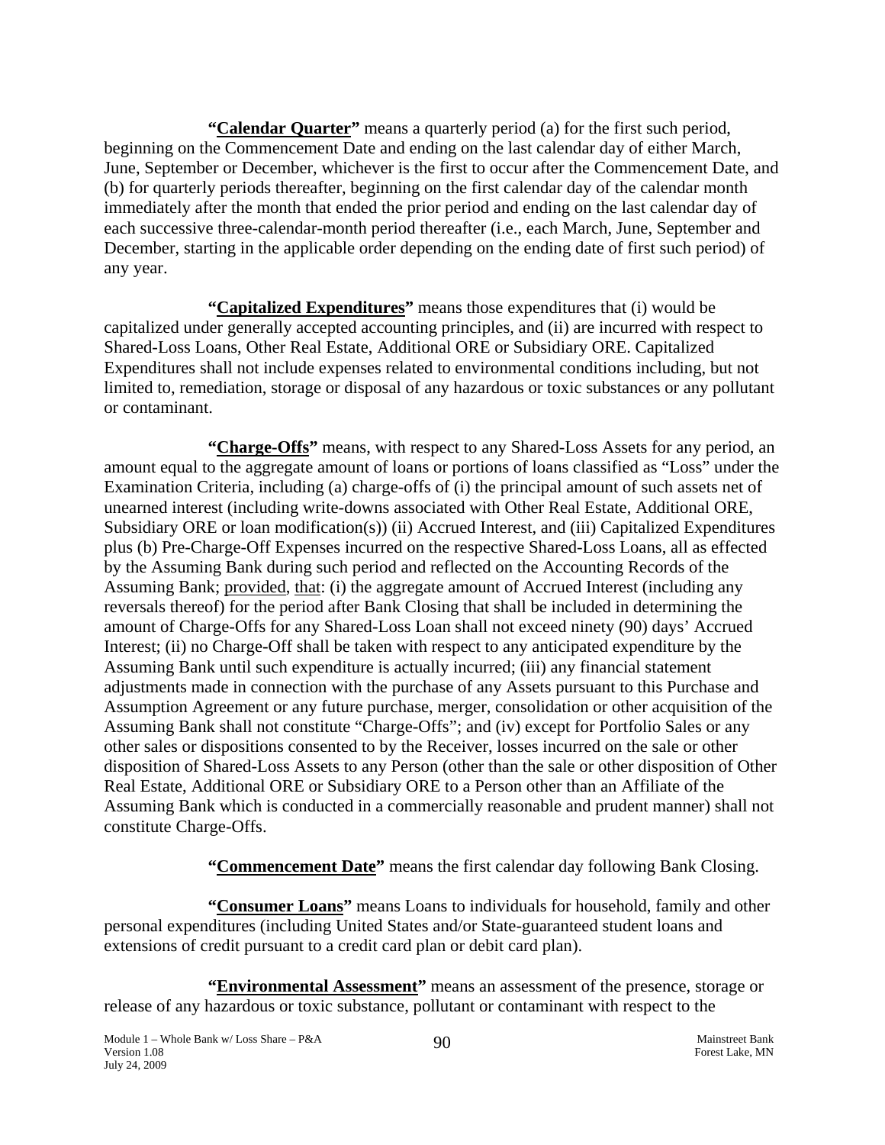"Calendar Quarter" means a quarterly period (a) for the first such period, beginning on the Commencement Date and ending on the last calendar day of either March, June, September or December, whichever is the first to occur after the Commencement Date, and (b) for quarterly periods thereafter, beginning on the first calendar day of the calendar month immediately after the month that ended the prior period and ending on the last calendar day of each successive three-calendar-month period thereafter (i.e., each March, June, September and December, starting in the applicable order depending on the ending date of first such period) of any year.

**"Capitalized Expenditures"** means those expenditures that (i) would be capitalized under generally accepted accounting principles, and (ii) are incurred with respect to Shared-Loss Loans, Other Real Estate, Additional ORE or Subsidiary ORE. Capitalized Expenditures shall not include expenses related to environmental conditions including, but not limited to, remediation, storage or disposal of any hazardous or toxic substances or any pollutant or contaminant.

**"Charge-Offs"** means, with respect to any Shared-Loss Assets for any period, an amount equal to the aggregate amount of loans or portions of loans classified as "Loss" under the Examination Criteria, including (a) charge-offs of (i) the principal amount of such assets net of unearned interest (including write-downs associated with Other Real Estate, Additional ORE, Subsidiary ORE or loan modification(s)) (ii) Accrued Interest, and (iii) Capitalized Expenditures plus (b) Pre-Charge-Off Expenses incurred on the respective Shared-Loss Loans, all as effected by the Assuming Bank during such period and reflected on the Accounting Records of the Assuming Bank; provided, that: (i) the aggregate amount of Accrued Interest (including any reversals thereof) for the period after Bank Closing that shall be included in determining the amount of Charge-Offs for any Shared-Loss Loan shall not exceed ninety (90) days' Accrued Interest; (ii) no Charge-Off shall be taken with respect to any anticipated expenditure by the Assuming Bank until such expenditure is actually incurred; (iii) any financial statement adjustments made in connection with the purchase of any Assets pursuant to this Purchase and Assumption Agreement or any future purchase, merger, consolidation or other acquisition of the Assuming Bank shall not constitute "Charge-Offs"; and (iv) except for Portfolio Sales or any other sales or dispositions consented to by the Receiver, losses incurred on the sale or other disposition of Shared-Loss Assets to any Person (other than the sale or other disposition of Other Real Estate, Additional ORE or Subsidiary ORE to a Person other than an Affiliate of the Assuming Bank which is conducted in a commercially reasonable and prudent manner) shall not constitute Charge-Offs.

**"Commencement Date"** means the first calendar day following Bank Closing.

**"Consumer Loans"** means Loans to individuals for household, family and other personal expenditures (including United States and/or State-guaranteed student loans and extensions of credit pursuant to a credit card plan or debit card plan).

**"Environmental Assessment"** means an assessment of the presence, storage or release of any hazardous or toxic substance, pollutant or contaminant with respect to the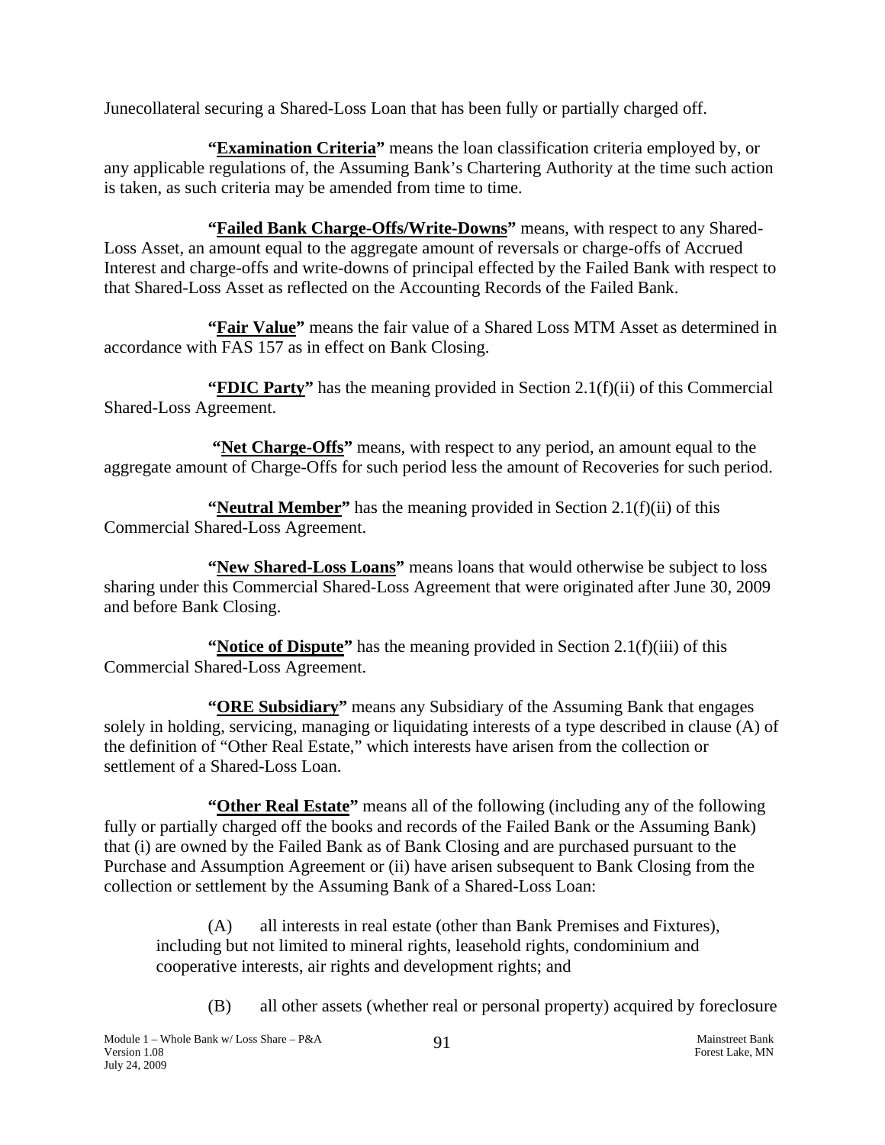Junecollateral securing a Shared-Loss Loan that has been fully or partially charged off.

**"Examination Criteria"** means the loan classification criteria employed by, or any applicable regulations of, the Assuming Bank's Chartering Authority at the time such action is taken, as such criteria may be amended from time to time.

"Failed Bank Charge-Offs/Write-Downs" means, with respect to any Shared-Loss Asset, an amount equal to the aggregate amount of reversals or charge-offs of Accrued Interest and charge-offs and write-downs of principal effected by the Failed Bank with respect to that Shared-Loss Asset as reflected on the Accounting Records of the Failed Bank.

**"Fair Value"** means the fair value of a Shared Loss MTM Asset as determined in accordance with FAS 157 as in effect on Bank Closing.

**"FDIC Party"** has the meaning provided in Section 2.1(f)(ii) of this Commercial Shared-Loss Agreement.

**"Net Charge-Offs"** means, with respect to any period, an amount equal to the aggregate amount of Charge-Offs for such period less the amount of Recoveries for such period.

 Commercial Shared-Loss Agreement. **"Neutral Member"** has the meaning provided in Section 2.1(f)(ii) of this

**"New Shared-Loss Loans"** means loans that would otherwise be subject to loss sharing under this Commercial Shared-Loss Agreement that were originated after June 30, 2009 and before Bank Closing.

**"Notice of Dispute"** has the meaning provided in Section 2.1(f)(iii) of this Commercial Shared-Loss Agreement.

**"ORE Subsidiary"** means any Subsidiary of the Assuming Bank that engages solely in holding, servicing, managing or liquidating interests of a type described in clause (A) of the definition of "Other Real Estate," which interests have arisen from the collection or settlement of a Shared-Loss Loan.

**"Other Real Estate"** means all of the following (including any of the following fully or partially charged off the books and records of the Failed Bank or the Assuming Bank) that (i) are owned by the Failed Bank as of Bank Closing and are purchased pursuant to the Purchase and Assumption Agreement or (ii) have arisen subsequent to Bank Closing from the collection or settlement by the Assuming Bank of a Shared-Loss Loan:

(A) all interests in real estate (other than Bank Premises and Fixtures), including but not limited to mineral rights, leasehold rights, condominium and cooperative interests, air rights and development rights; and

(B) all other assets (whether real or personal property) acquired by foreclosure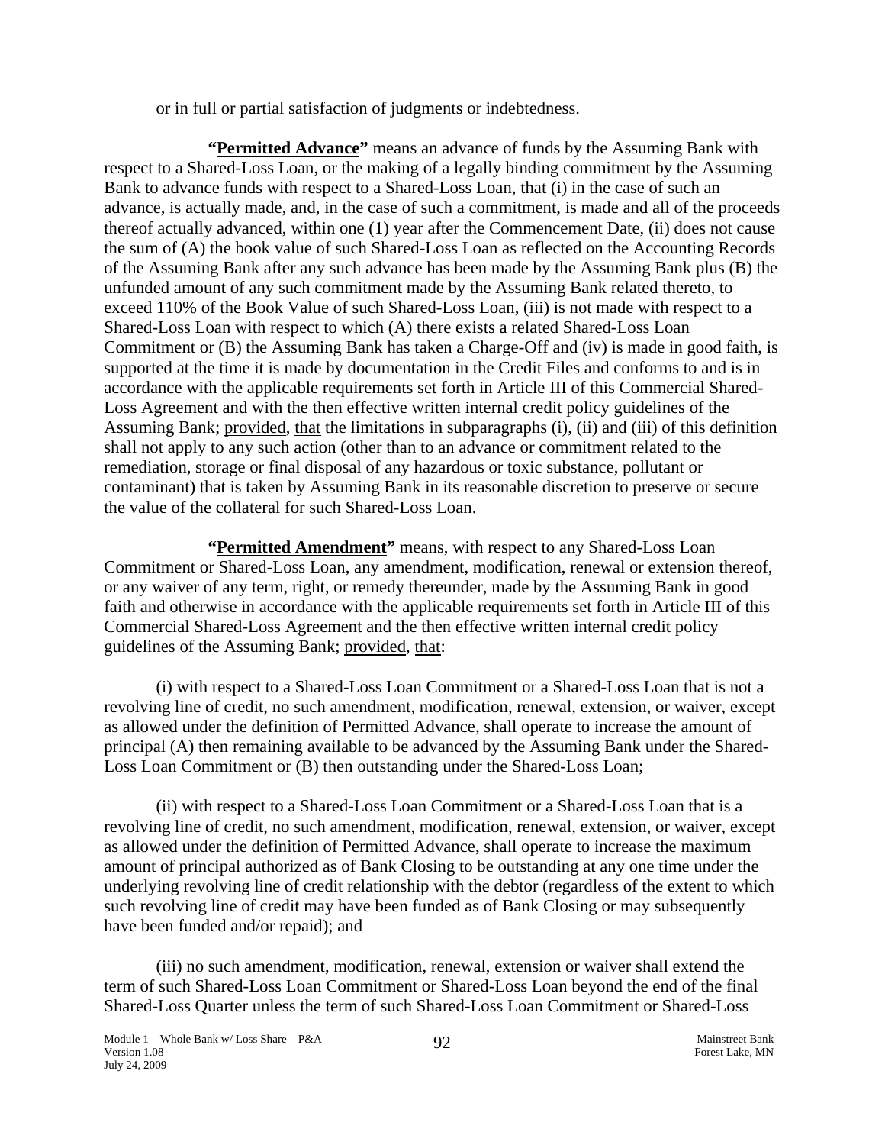or in full or partial satisfaction of judgments or indebtedness.

**"Permitted Advance"** means an advance of funds by the Assuming Bank with respect to a Shared-Loss Loan, or the making of a legally binding commitment by the Assuming Bank to advance funds with respect to a Shared-Loss Loan, that (i) in the case of such an advance, is actually made, and, in the case of such a commitment, is made and all of the proceeds thereof actually advanced, within one (1) year after the Commencement Date, (ii) does not cause the sum of (A) the book value of such Shared-Loss Loan as reflected on the Accounting Records of the Assuming Bank after any such advance has been made by the Assuming Bank plus (B) the unfunded amount of any such commitment made by the Assuming Bank related thereto, to exceed 110% of the Book Value of such Shared-Loss Loan, (iii) is not made with respect to a Shared-Loss Loan with respect to which (A) there exists a related Shared-Loss Loan Commitment or (B) the Assuming Bank has taken a Charge-Off and (iv) is made in good faith, is supported at the time it is made by documentation in the Credit Files and conforms to and is in accordance with the applicable requirements set forth in Article III of this Commercial Shared-Loss Agreement and with the then effective written internal credit policy guidelines of the Assuming Bank; provided, that the limitations in subparagraphs (i), (ii) and (iii) of this definition shall not apply to any such action (other than to an advance or commitment related to the remediation, storage or final disposal of any hazardous or toxic substance, pollutant or contaminant) that is taken by Assuming Bank in its reasonable discretion to preserve or secure the value of the collateral for such Shared-Loss Loan.

**"Permitted Amendment"** means, with respect to any Shared-Loss Loan Commitment or Shared-Loss Loan, any amendment, modification, renewal or extension thereof, or any waiver of any term, right, or remedy thereunder, made by the Assuming Bank in good faith and otherwise in accordance with the applicable requirements set forth in Article III of this Commercial Shared-Loss Agreement and the then effective written internal credit policy guidelines of the Assuming Bank; provided, that:

(i) with respect to a Shared-Loss Loan Commitment or a Shared-Loss Loan that is not a revolving line of credit, no such amendment, modification, renewal, extension, or waiver, except as allowed under the definition of Permitted Advance, shall operate to increase the amount of principal (A) then remaining available to be advanced by the Assuming Bank under the Shared-Loss Loan Commitment or (B) then outstanding under the Shared-Loss Loan;

(ii) with respect to a Shared-Loss Loan Commitment or a Shared-Loss Loan that is a revolving line of credit, no such amendment, modification, renewal, extension, or waiver, except as allowed under the definition of Permitted Advance, shall operate to increase the maximum amount of principal authorized as of Bank Closing to be outstanding at any one time under the underlying revolving line of credit relationship with the debtor (regardless of the extent to which such revolving line of credit may have been funded as of Bank Closing or may subsequently have been funded and/or repaid); and

(iii) no such amendment, modification, renewal, extension or waiver shall extend the term of such Shared-Loss Loan Commitment or Shared-Loss Loan beyond the end of the final Shared-Loss Quarter unless the term of such Shared-Loss Loan Commitment or Shared-Loss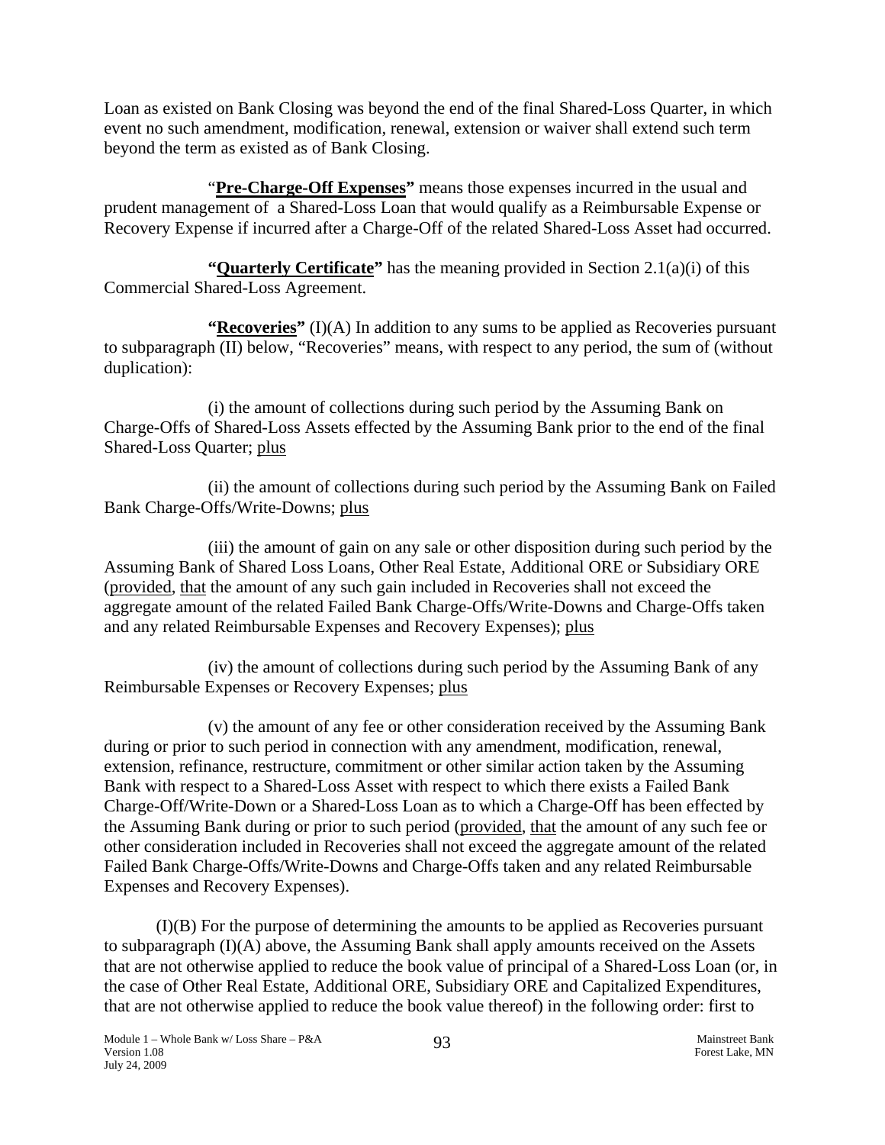Loan as existed on Bank Closing was beyond the end of the final Shared-Loss Quarter, in which event no such amendment, modification, renewal, extension or waiver shall extend such term beyond the term as existed as of Bank Closing.

"**Pre-Charge-Off Expenses"** means those expenses incurred in the usual and prudent management of a Shared-Loss Loan that would qualify as a Reimbursable Expense or Recovery Expense if incurred after a Charge-Off of the related Shared-Loss Asset had occurred.

**"Quarterly Certificate"** has the meaning provided in Section 2.1(a)(i) of this Commercial Shared-Loss Agreement.

**"Recoveries"** (I)(A) In addition to any sums to be applied as Recoveries pursuant to subparagraph (II) below, "Recoveries" means, with respect to any period, the sum of (without duplication):

**Shared-Loss Quarter; plus** (i) the amount of collections during such period by the Assuming Bank on Charge-Offs of Shared-Loss Assets effected by the Assuming Bank prior to the end of the final

(ii) the amount of collections during such period by the Assuming Bank on Failed Bank Charge-Offs/Write-Downs; plus

(iii) the amount of gain on any sale or other disposition during such period by the Assuming Bank of Shared Loss Loans, Other Real Estate, Additional ORE or Subsidiary ORE (provided, that the amount of any such gain included in Recoveries shall not exceed the aggregate amount of the related Failed Bank Charge-Offs/Write-Downs and Charge-Offs taken and any related Reimbursable Expenses and Recovery Expenses); plus

(iv) the amount of collections during such period by the Assuming Bank of any Reimbursable Expenses or Recovery Expenses; plus

(v) the amount of any fee or other consideration received by the Assuming Bank during or prior to such period in connection with any amendment, modification, renewal, extension, refinance, restructure, commitment or other similar action taken by the Assuming Bank with respect to a Shared-Loss Asset with respect to which there exists a Failed Bank Charge-Off/Write-Down or a Shared-Loss Loan as to which a Charge-Off has been effected by the Assuming Bank during or prior to such period (provided, that the amount of any such fee or other consideration included in Recoveries shall not exceed the aggregate amount of the related Failed Bank Charge-Offs/Write-Downs and Charge-Offs taken and any related Reimbursable Expenses and Recovery Expenses).

(I)(B) For the purpose of determining the amounts to be applied as Recoveries pursuant to subparagraph (I)(A) above, the Assuming Bank shall apply amounts received on the Assets that are not otherwise applied to reduce the book value of principal of a Shared-Loss Loan (or, in the case of Other Real Estate, Additional ORE, Subsidiary ORE and Capitalized Expenditures, that are not otherwise applied to reduce the book value thereof) in the following order: first to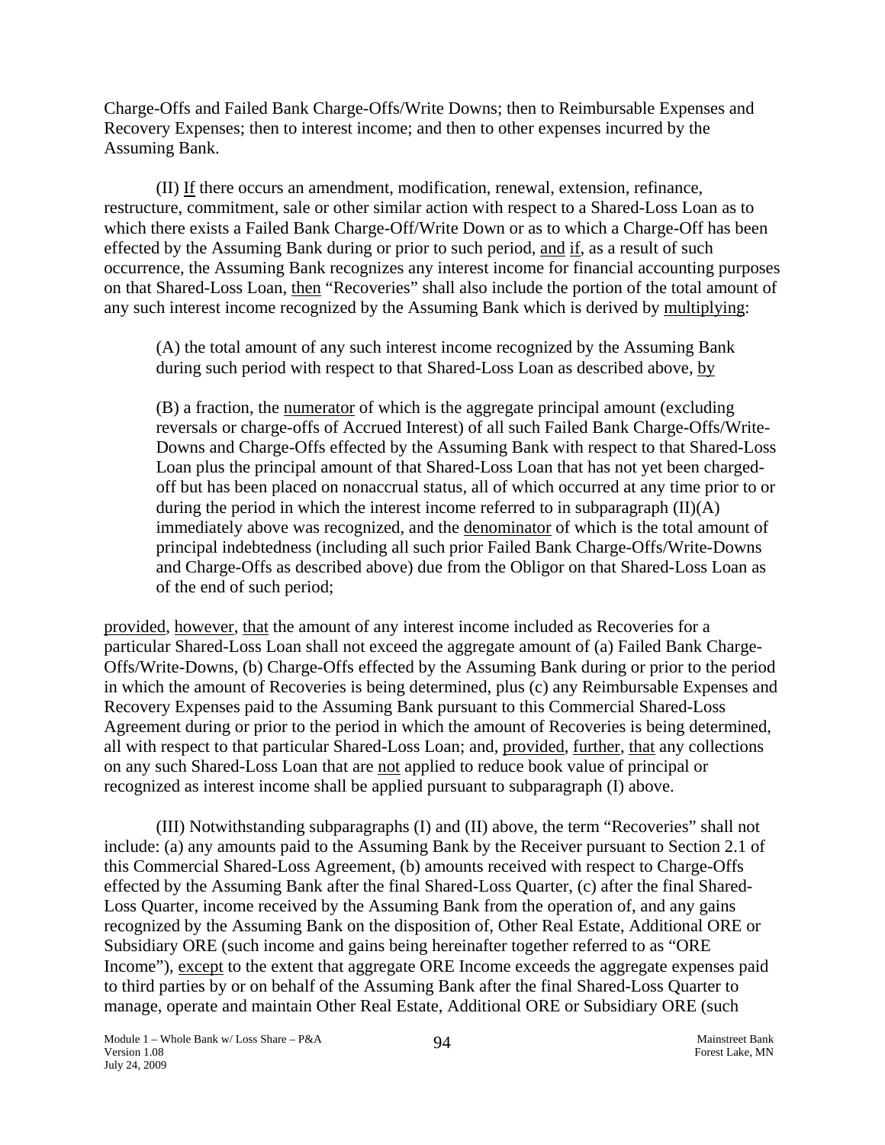Charge-Offs and Failed Bank Charge-Offs/Write Downs; then to Reimbursable Expenses and Recovery Expenses; then to interest income; and then to other expenses incurred by the Assuming Bank.

(II) If there occurs an amendment, modification, renewal, extension, refinance, restructure, commitment, sale or other similar action with respect to a Shared-Loss Loan as to which there exists a Failed Bank Charge-Off/Write Down or as to which a Charge-Off has been effected by the Assuming Bank during or prior to such period, and if, as a result of such occurrence, the Assuming Bank recognizes any interest income for financial accounting purposes on that Shared-Loss Loan, then "Recoveries" shall also include the portion of the total amount of any such interest income recognized by the Assuming Bank which is derived by multiplying:

(A) the total amount of any such interest income recognized by the Assuming Bank during such period with respect to that Shared-Loss Loan as described above, by

(B) a fraction, the numerator of which is the aggregate principal amount (excluding reversals or charge-offs of Accrued Interest) of all such Failed Bank Charge-Offs/Write-Downs and Charge-Offs effected by the Assuming Bank with respect to that Shared-Loss Loan plus the principal amount of that Shared-Loss Loan that has not yet been chargedoff but has been placed on nonaccrual status, all of which occurred at any time prior to or during the period in which the interest income referred to in subparagraph (II)(A) immediately above was recognized, and the denominator of which is the total amount of principal indebtedness (including all such prior Failed Bank Charge-Offs/Write-Downs and Charge-Offs as described above) due from the Obligor on that Shared-Loss Loan as of the end of such period;

provided, however, that the amount of any interest income included as Recoveries for a particular Shared-Loss Loan shall not exceed the aggregate amount of (a) Failed Bank Charge-Offs/Write-Downs, (b) Charge-Offs effected by the Assuming Bank during or prior to the period in which the amount of Recoveries is being determined, plus (c) any Reimbursable Expenses and Recovery Expenses paid to the Assuming Bank pursuant to this Commercial Shared-Loss Agreement during or prior to the period in which the amount of Recoveries is being determined, all with respect to that particular Shared-Loss Loan; and, provided, further, that any collections on any such Shared-Loss Loan that are not applied to reduce book value of principal or recognized as interest income shall be applied pursuant to subparagraph (I) above.

(III) Notwithstanding subparagraphs (I) and (II) above, the term "Recoveries" shall not include: (a) any amounts paid to the Assuming Bank by the Receiver pursuant to Section 2.1 of this Commercial Shared-Loss Agreement, (b) amounts received with respect to Charge-Offs effected by the Assuming Bank after the final Shared-Loss Quarter, (c) after the final Shared-Loss Quarter, income received by the Assuming Bank from the operation of, and any gains recognized by the Assuming Bank on the disposition of, Other Real Estate, Additional ORE or Subsidiary ORE (such income and gains being hereinafter together referred to as "ORE Income"), except to the extent that aggregate ORE Income exceeds the aggregate expenses paid to third parties by or on behalf of the Assuming Bank after the final Shared-Loss Quarter to manage, operate and maintain Other Real Estate, Additional ORE or Subsidiary ORE (such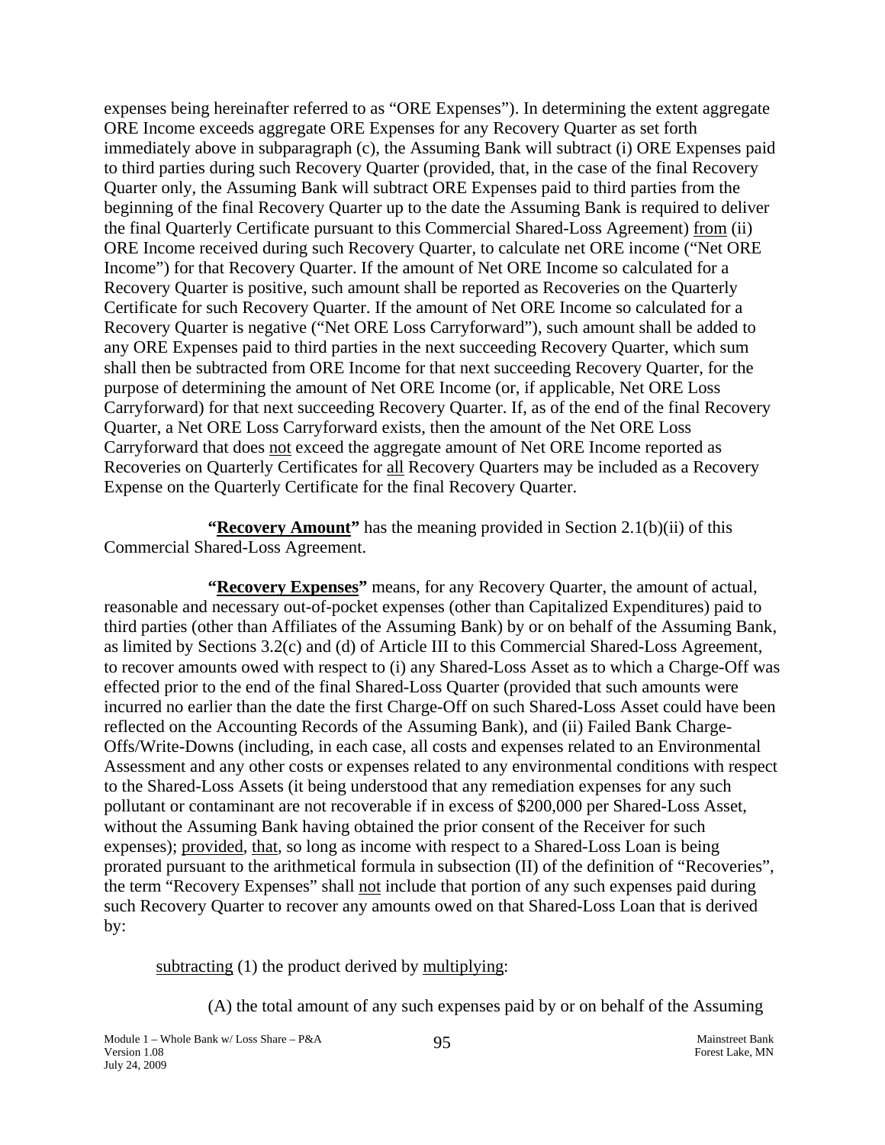expenses being hereinafter referred to as "ORE Expenses"). In determining the extent aggregate ORE Income exceeds aggregate ORE Expenses for any Recovery Quarter as set forth immediately above in subparagraph (c), the Assuming Bank will subtract (i) ORE Expenses paid to third parties during such Recovery Quarter (provided, that, in the case of the final Recovery Quarter only, the Assuming Bank will subtract ORE Expenses paid to third parties from the beginning of the final Recovery Quarter up to the date the Assuming Bank is required to deliver the final Quarterly Certificate pursuant to this Commercial Shared-Loss Agreement) from (ii) ORE Income received during such Recovery Quarter, to calculate net ORE income ("Net ORE Income") for that Recovery Quarter. If the amount of Net ORE Income so calculated for a Recovery Quarter is positive, such amount shall be reported as Recoveries on the Quarterly Certificate for such Recovery Quarter. If the amount of Net ORE Income so calculated for a Recovery Quarter is negative ("Net ORE Loss Carryforward"), such amount shall be added to any ORE Expenses paid to third parties in the next succeeding Recovery Quarter, which sum shall then be subtracted from ORE Income for that next succeeding Recovery Quarter, for the purpose of determining the amount of Net ORE Income (or, if applicable, Net ORE Loss Carryforward) for that next succeeding Recovery Quarter. If, as of the end of the final Recovery Quarter, a Net ORE Loss Carryforward exists, then the amount of the Net ORE Loss Carryforward that does not exceed the aggregate amount of Net ORE Income reported as Recoveries on Quarterly Certificates for all Recovery Quarters may be included as a Recovery Expense on the Quarterly Certificate for the final Recovery Quarter.

**"Recovery Amount"** has the meaning provided in Section 2.1(b)(ii) of this Commercial Shared-Loss Agreement.

**"Recovery Expenses"** means, for any Recovery Quarter, the amount of actual, reasonable and necessary out-of-pocket expenses (other than Capitalized Expenditures) paid to third parties (other than Affiliates of the Assuming Bank) by or on behalf of the Assuming Bank, as limited by Sections 3.2(c) and (d) of Article III to this Commercial Shared-Loss Agreement, to recover amounts owed with respect to (i) any Shared-Loss Asset as to which a Charge-Off was effected prior to the end of the final Shared-Loss Quarter (provided that such amounts were incurred no earlier than the date the first Charge-Off on such Shared-Loss Asset could have been reflected on the Accounting Records of the Assuming Bank), and (ii) Failed Bank Charge-Offs/Write-Downs (including, in each case, all costs and expenses related to an Environmental Assessment and any other costs or expenses related to any environmental conditions with respect to the Shared-Loss Assets (it being understood that any remediation expenses for any such pollutant or contaminant are not recoverable if in excess of \$200,000 per Shared-Loss Asset, without the Assuming Bank having obtained the prior consent of the Receiver for such expenses); provided, that, so long as income with respect to a Shared-Loss Loan is being prorated pursuant to the arithmetical formula in subsection (II) of the definition of "Recoveries", the term "Recovery Expenses" shall not include that portion of any such expenses paid during such Recovery Quarter to recover any amounts owed on that Shared-Loss Loan that is derived by:

subtracting (1) the product derived by multiplying:

(A) the total amount of any such expenses paid by or on behalf of the Assuming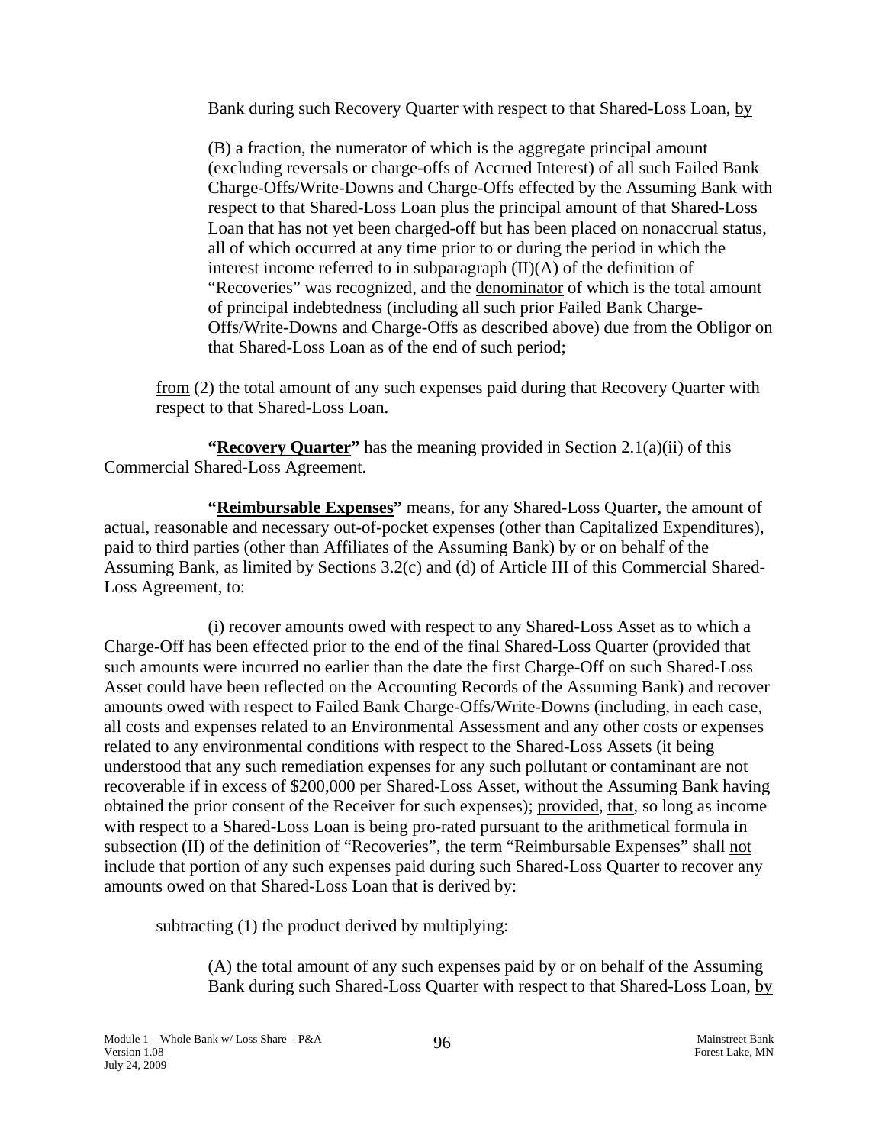Bank during such Recovery Quarter with respect to that Shared-Loss Loan, by

(B) a fraction, the numerator of which is the aggregate principal amount (excluding reversals or charge-offs of Accrued Interest) of all such Failed Bank Charge-Offs/Write-Downs and Charge-Offs effected by the Assuming Bank with respect to that Shared-Loss Loan plus the principal amount of that Shared-Loss Loan that has not yet been charged-off but has been placed on nonaccrual status, all of which occurred at any time prior to or during the period in which the interest income referred to in subparagraph  $(II)(A)$  of the definition of "Recoveries" was recognized, and the denominator of which is the total amount of principal indebtedness (including all such prior Failed Bank Charge-Offs/Write-Downs and Charge-Offs as described above) due from the Obligor on that Shared-Loss Loan as of the end of such period;

from (2) the total amount of any such expenses paid during that Recovery Quarter with respect to that Shared-Loss Loan.

**"Recovery Quarter"** has the meaning provided in Section 2.1(a)(ii) of this Commercial Shared-Loss Agreement.

**"Reimbursable Expenses"** means, for any Shared-Loss Quarter, the amount of actual, reasonable and necessary out-of-pocket expenses (other than Capitalized Expenditures), paid to third parties (other than Affiliates of the Assuming Bank) by or on behalf of the Assuming Bank, as limited by Sections 3.2(c) and (d) of Article III of this Commercial Shared-Loss Agreement, to:

(i) recover amounts owed with respect to any Shared-Loss Asset as to which a Charge-Off has been effected prior to the end of the final Shared-Loss Quarter (provided that such amounts were incurred no earlier than the date the first Charge-Off on such Shared-Loss Asset could have been reflected on the Accounting Records of the Assuming Bank) and recover amounts owed with respect to Failed Bank Charge-Offs/Write-Downs (including, in each case, all costs and expenses related to an Environmental Assessment and any other costs or expenses related to any environmental conditions with respect to the Shared-Loss Assets (it being understood that any such remediation expenses for any such pollutant or contaminant are not recoverable if in excess of \$200,000 per Shared-Loss Asset, without the Assuming Bank having obtained the prior consent of the Receiver for such expenses); provided, that, so long as income with respect to a Shared-Loss Loan is being pro-rated pursuant to the arithmetical formula in subsection (II) of the definition of "Recoveries", the term "Reimbursable Expenses" shall not include that portion of any such expenses paid during such Shared-Loss Quarter to recover any amounts owed on that Shared-Loss Loan that is derived by:

subtracting (1) the product derived by multiplying:

(A) the total amount of any such expenses paid by or on behalf of the Assuming Bank during such Shared-Loss Quarter with respect to that Shared-Loss Loan, by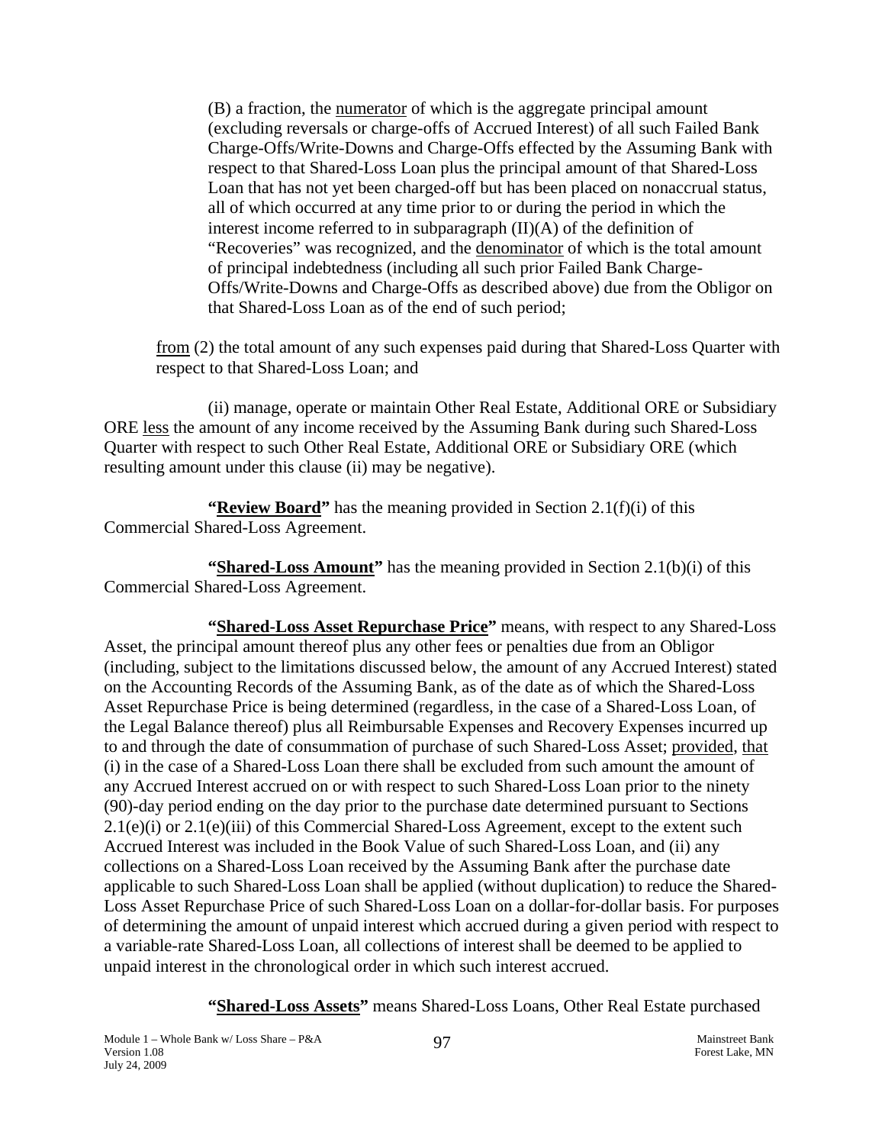(B) a fraction, the numerator of which is the aggregate principal amount (excluding reversals or charge-offs of Accrued Interest) of all such Failed Bank Charge-Offs/Write-Downs and Charge-Offs effected by the Assuming Bank with respect to that Shared-Loss Loan plus the principal amount of that Shared-Loss Loan that has not yet been charged-off but has been placed on nonaccrual status, all of which occurred at any time prior to or during the period in which the interest income referred to in subparagraph  $(II)(A)$  of the definition of "Recoveries" was recognized, and the denominator of which is the total amount of principal indebtedness (including all such prior Failed Bank Charge-Offs/Write-Downs and Charge-Offs as described above) due from the Obligor on that Shared-Loss Loan as of the end of such period;

from (2) the total amount of any such expenses paid during that Shared-Loss Quarter with respect to that Shared-Loss Loan; and

(ii) manage, operate or maintain Other Real Estate, Additional ORE or Subsidiary ORE less the amount of any income received by the Assuming Bank during such Shared-Loss Quarter with respect to such Other Real Estate, Additional ORE or Subsidiary ORE (which resulting amount under this clause (ii) may be negative).

**"Review Board"** has the meaning provided in Section 2.1(f)(i) of this Commercial Shared-Loss Agreement.

**"Shared-Loss Amount"** has the meaning provided in Section 2.1(b)(i) of this Commercial Shared-Loss Agreement.

**"Shared-Loss Asset Repurchase Price"** means, with respect to any Shared-Loss Asset, the principal amount thereof plus any other fees or penalties due from an Obligor (including, subject to the limitations discussed below, the amount of any Accrued Interest) stated on the Accounting Records of the Assuming Bank, as of the date as of which the Shared-Loss Asset Repurchase Price is being determined (regardless, in the case of a Shared-Loss Loan, of the Legal Balance thereof) plus all Reimbursable Expenses and Recovery Expenses incurred up to and through the date of consummation of purchase of such Shared-Loss Asset; provided, that (i) in the case of a Shared-Loss Loan there shall be excluded from such amount the amount of any Accrued Interest accrued on or with respect to such Shared-Loss Loan prior to the ninety (90)-day period ending on the day prior to the purchase date determined pursuant to Sections 2.1(e)(i) or 2.1(e)(iii) of this Commercial Shared-Loss Agreement, except to the extent such Accrued Interest was included in the Book Value of such Shared-Loss Loan, and (ii) any collections on a Shared-Loss Loan received by the Assuming Bank after the purchase date applicable to such Shared-Loss Loan shall be applied (without duplication) to reduce the Shared-Loss Asset Repurchase Price of such Shared-Loss Loan on a dollar-for-dollar basis. For purposes of determining the amount of unpaid interest which accrued during a given period with respect to a variable-rate Shared-Loss Loan, all collections of interest shall be deemed to be applied to unpaid interest in the chronological order in which such interest accrued.

**"Shared-Loss Assets"** means Shared-Loss Loans, Other Real Estate purchased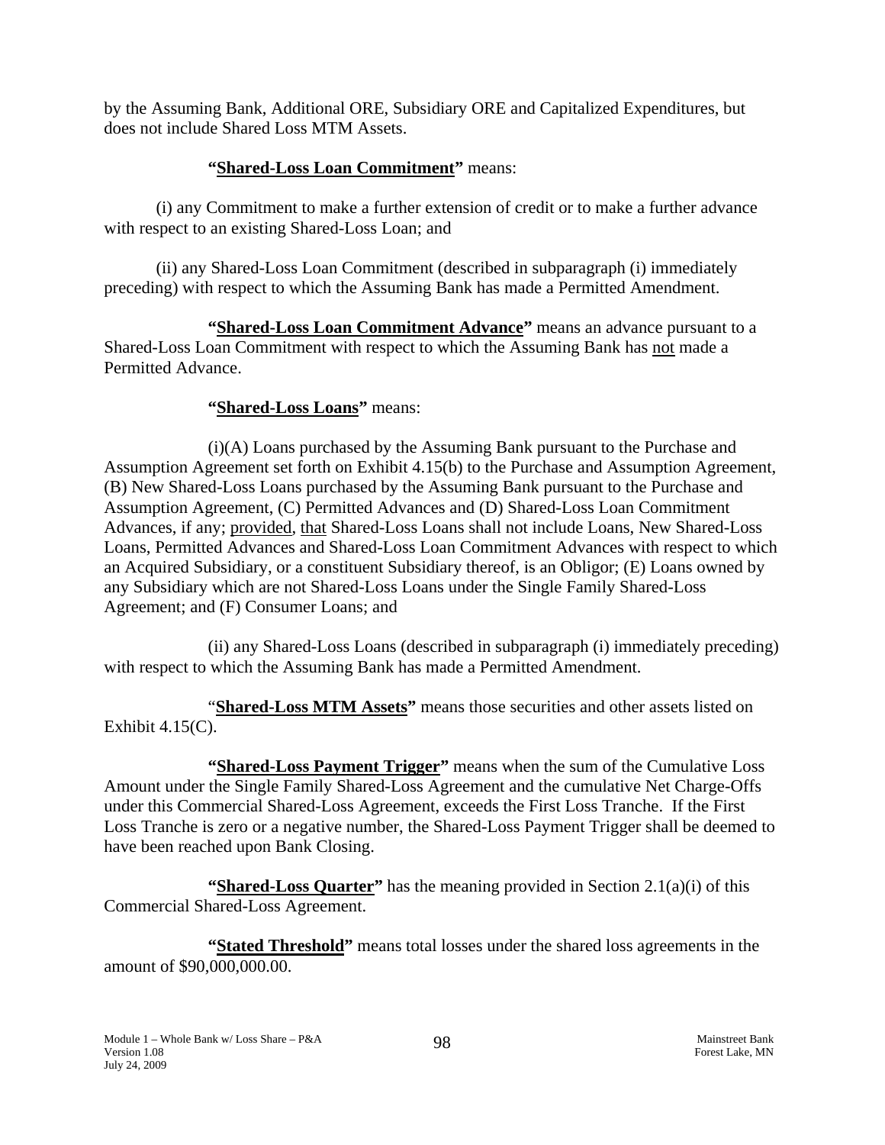by the Assuming Bank, Additional ORE, Subsidiary ORE and Capitalized Expenditures, but does not include Shared Loss MTM Assets.

# **"Shared-Loss Loan Commitment"** means:

(i) any Commitment to make a further extension of credit or to make a further advance with respect to an existing Shared-Loss Loan; and

(ii) any Shared-Loss Loan Commitment (described in subparagraph (i) immediately preceding) with respect to which the Assuming Bank has made a Permitted Amendment.

**"Shared-Loss Loan Commitment Advance"** means an advance pursuant to a Shared-Loss Loan Commitment with respect to which the Assuming Bank has not made a Permitted Advance.

# **"Shared-Loss Loans"** means:

(i)(A) Loans purchased by the Assuming Bank pursuant to the Purchase and Assumption Agreement set forth on Exhibit 4.15(b) to the Purchase and Assumption Agreement, (B) New Shared-Loss Loans purchased by the Assuming Bank pursuant to the Purchase and Assumption Agreement, (C) Permitted Advances and (D) Shared-Loss Loan Commitment Advances, if any; provided, that Shared-Loss Loans shall not include Loans, New Shared-Loss Loans, Permitted Advances and Shared-Loss Loan Commitment Advances with respect to which an Acquired Subsidiary, or a constituent Subsidiary thereof, is an Obligor; (E) Loans owned by any Subsidiary which are not Shared-Loss Loans under the Single Family Shared-Loss Agreement; and (F) Consumer Loans; and

(ii) any Shared-Loss Loans (described in subparagraph (i) immediately preceding) with respect to which the Assuming Bank has made a Permitted Amendment.

"**Shared-Loss MTM Assets"** means those securities and other assets listed on Exhibit  $4.15(C)$ .

**"Shared-Loss Payment Trigger"** means when the sum of the Cumulative Loss Amount under the Single Family Shared-Loss Agreement and the cumulative Net Charge-Offs under this Commercial Shared-Loss Agreement, exceeds the First Loss Tranche. If the First Loss Tranche is zero or a negative number, the Shared-Loss Payment Trigger shall be deemed to have been reached upon Bank Closing.

**"Shared-Loss Quarter"** has the meaning provided in Section 2.1(a)(i) of this Commercial Shared-Loss Agreement.

**"Stated Threshold"** means total losses under the shared loss agreements in the amount of \$90,000,000.00.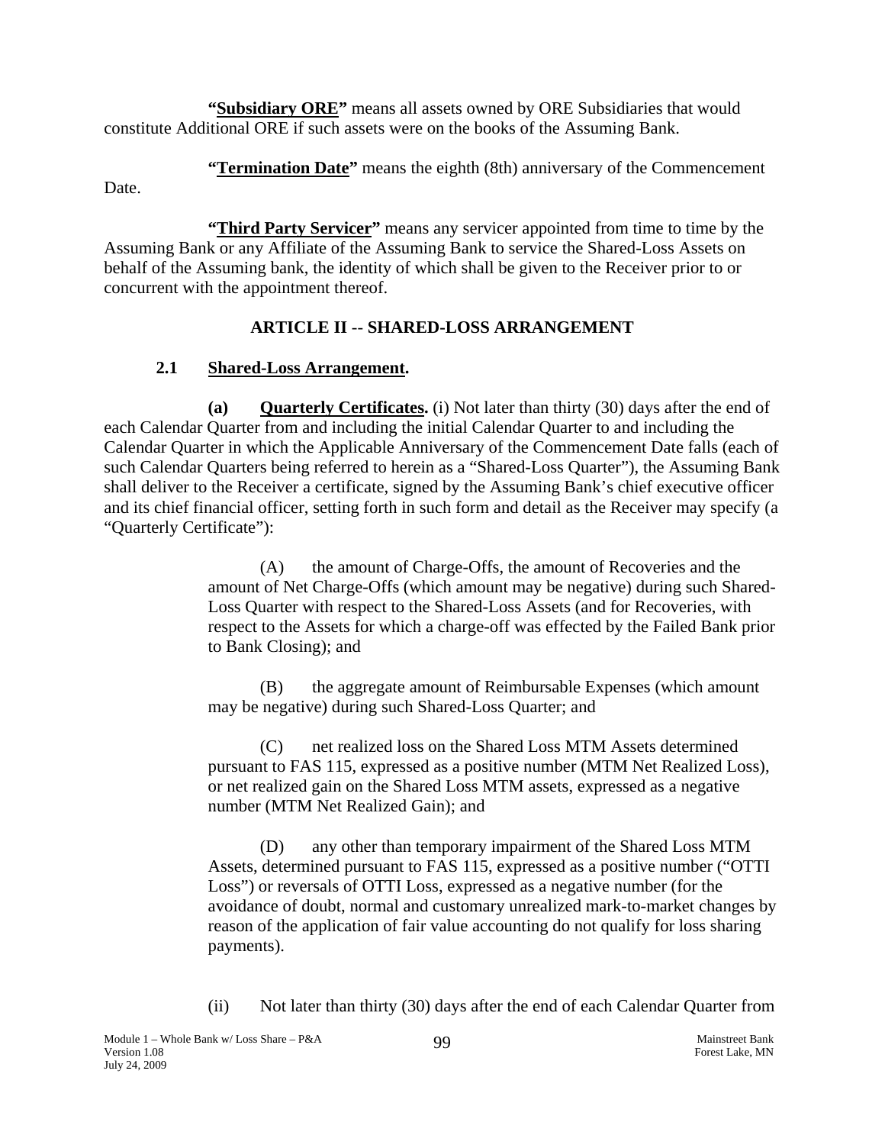**"Subsidiary ORE"** means all assets owned by ORE Subsidiaries that would constitute Additional ORE if such assets were on the books of the Assuming Bank.

**"Termination Date"** means the eighth (8th) anniversary of the Commencement Date.

**"Third Party Servicer"** means any servicer appointed from time to time by the Assuming Bank or any Affiliate of the Assuming Bank to service the Shared-Loss Assets on behalf of the Assuming bank, the identity of which shall be given to the Receiver prior to or concurrent with the appointment thereof.

### **ARTICLE II** -- **SHARED-LOSS ARRANGEMENT**

### **2.1 Shared-Loss Arrangement.**

**(a) Quarterly Certificates.** (i) Not later than thirty (30) days after the end of each Calendar Quarter from and including the initial Calendar Quarter to and including the Calendar Quarter in which the Applicable Anniversary of the Commencement Date falls (each of such Calendar Quarters being referred to herein as a "Shared-Loss Quarter"), the Assuming Bank shall deliver to the Receiver a certificate, signed by the Assuming Bank's chief executive officer and its chief financial officer, setting forth in such form and detail as the Receiver may specify (a "Quarterly Certificate"):

> (A) the amount of Charge-Offs, the amount of Recoveries and the amount of Net Charge-Offs (which amount may be negative) during such Shared-Loss Quarter with respect to the Shared-Loss Assets (and for Recoveries, with respect to the Assets for which a charge-off was effected by the Failed Bank prior to Bank Closing); and

(B) the aggregate amount of Reimbursable Expenses (which amount may be negative) during such Shared-Loss Quarter; and

(C) net realized loss on the Shared Loss MTM Assets determined pursuant to FAS 115, expressed as a positive number (MTM Net Realized Loss), or net realized gain on the Shared Loss MTM assets, expressed as a negative number (MTM Net Realized Gain); and

(D) any other than temporary impairment of the Shared Loss MTM Assets, determined pursuant to FAS 115, expressed as a positive number ("OTTI Loss") or reversals of OTTI Loss, expressed as a negative number (for the avoidance of doubt, normal and customary unrealized mark-to-market changes by reason of the application of fair value accounting do not qualify for loss sharing payments).

(ii) Not later than thirty (30) days after the end of each Calendar Quarter from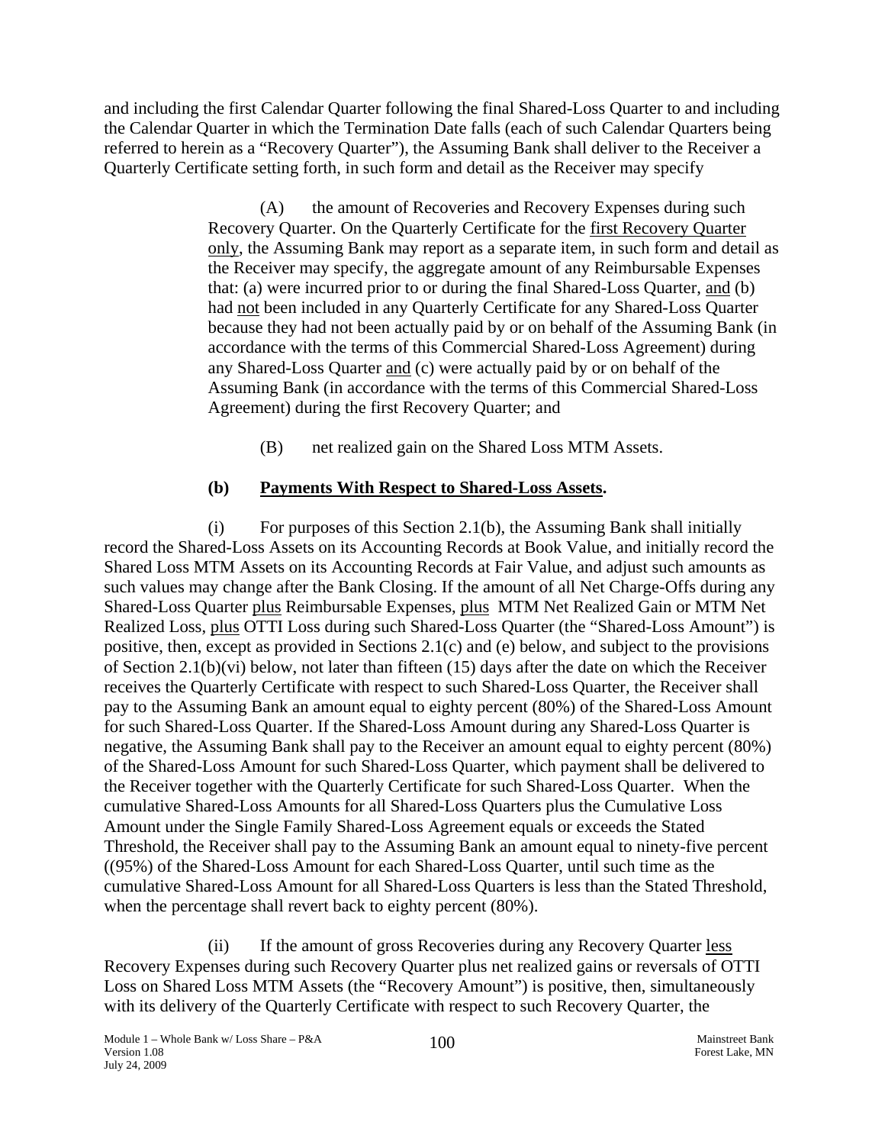and including the first Calendar Quarter following the final Shared-Loss Quarter to and including the Calendar Quarter in which the Termination Date falls (each of such Calendar Quarters being referred to herein as a "Recovery Quarter"), the Assuming Bank shall deliver to the Receiver a Quarterly Certificate setting forth, in such form and detail as the Receiver may specify

> (A) the amount of Recoveries and Recovery Expenses during such Recovery Quarter. On the Quarterly Certificate for the first Recovery Quarter only, the Assuming Bank may report as a separate item, in such form and detail as the Receiver may specify, the aggregate amount of any Reimbursable Expenses that: (a) were incurred prior to or during the final Shared-Loss Quarter, and (b) had not been included in any Quarterly Certificate for any Shared-Loss Quarter because they had not been actually paid by or on behalf of the Assuming Bank (in accordance with the terms of this Commercial Shared-Loss Agreement) during any Shared-Loss Quarter and (c) were actually paid by or on behalf of the Assuming Bank (in accordance with the terms of this Commercial Shared-Loss Agreement) during the first Recovery Quarter; and

(B) net realized gain on the Shared Loss MTM Assets.

# **(b) Payments With Respect to Shared-Loss Assets.**

(i) For purposes of this Section 2.1(b), the Assuming Bank shall initially record the Shared-Loss Assets on its Accounting Records at Book Value, and initially record the Shared Loss MTM Assets on its Accounting Records at Fair Value, and adjust such amounts as such values may change after the Bank Closing. If the amount of all Net Charge-Offs during any Shared-Loss Quarter plus Reimbursable Expenses, plus MTM Net Realized Gain or MTM Net Realized Loss, plus OTTI Loss during such Shared-Loss Quarter (the "Shared-Loss Amount") is positive, then, except as provided in Sections 2.1(c) and (e) below, and subject to the provisions of Section 2.1(b)(vi) below, not later than fifteen (15) days after the date on which the Receiver receives the Quarterly Certificate with respect to such Shared-Loss Quarter, the Receiver shall pay to the Assuming Bank an amount equal to eighty percent (80%) of the Shared-Loss Amount for such Shared-Loss Quarter. If the Shared-Loss Amount during any Shared-Loss Quarter is negative, the Assuming Bank shall pay to the Receiver an amount equal to eighty percent (80%) of the Shared-Loss Amount for such Shared-Loss Quarter, which payment shall be delivered to the Receiver together with the Quarterly Certificate for such Shared-Loss Quarter. When the cumulative Shared-Loss Amounts for all Shared-Loss Quarters plus the Cumulative Loss Amount under the Single Family Shared-Loss Agreement equals or exceeds the Stated Threshold, the Receiver shall pay to the Assuming Bank an amount equal to ninety-five percent ((95%) of the Shared-Loss Amount for each Shared-Loss Quarter, until such time as the cumulative Shared-Loss Amount for all Shared-Loss Quarters is less than the Stated Threshold, when the percentage shall revert back to eighty percent (80%).

(ii) If the amount of gross Recoveries during any Recovery Quarter less Recovery Expenses during such Recovery Quarter plus net realized gains or reversals of OTTI Loss on Shared Loss MTM Assets (the "Recovery Amount") is positive, then, simultaneously with its delivery of the Quarterly Certificate with respect to such Recovery Quarter, the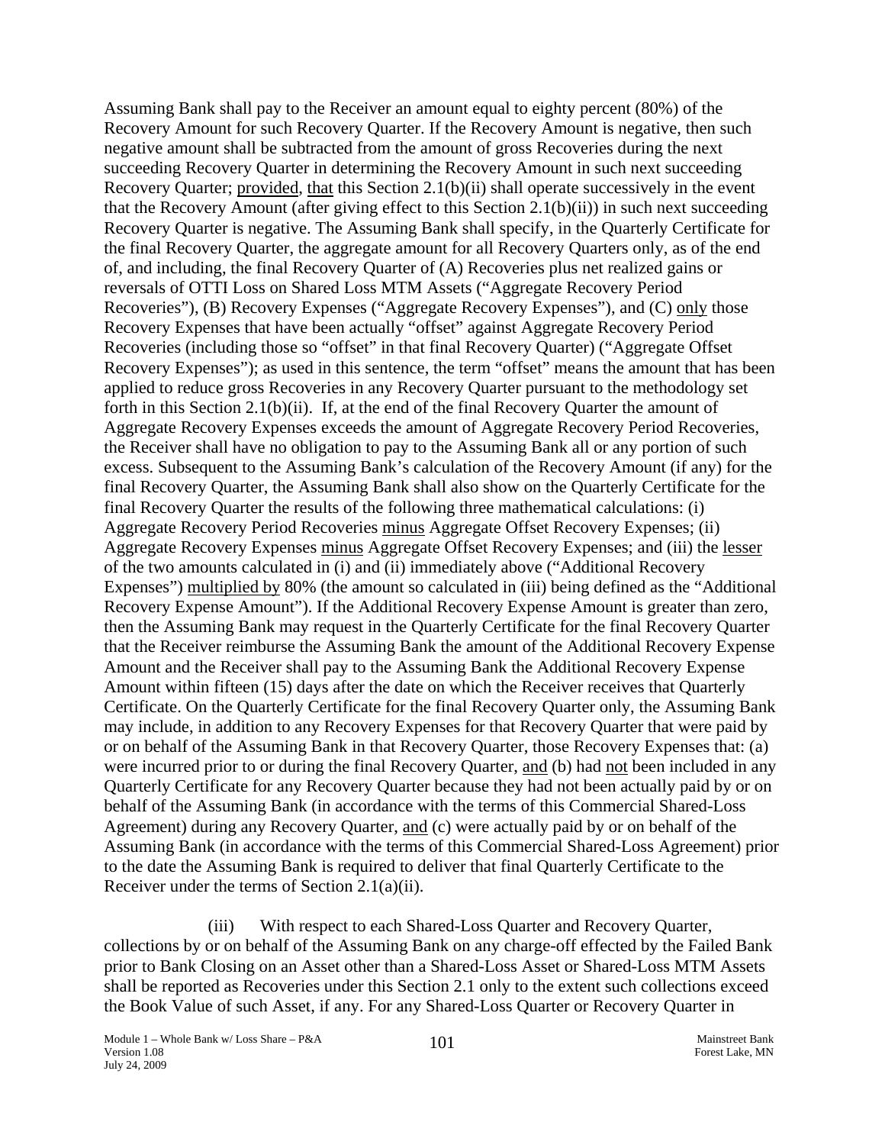Assuming Bank shall pay to the Receiver an amount equal to eighty percent (80%) of the Recovery Amount for such Recovery Quarter. If the Recovery Amount is negative, then such negative amount shall be subtracted from the amount of gross Recoveries during the next succeeding Recovery Quarter in determining the Recovery Amount in such next succeeding Recovery Quarter; provided, that this Section 2.1(b)(ii) shall operate successively in the event that the Recovery Amount (after giving effect to this Section 2.1(b)(ii)) in such next succeeding Recovery Quarter is negative. The Assuming Bank shall specify, in the Quarterly Certificate for the final Recovery Quarter, the aggregate amount for all Recovery Quarters only, as of the end of, and including, the final Recovery Quarter of (A) Recoveries plus net realized gains or reversals of OTTI Loss on Shared Loss MTM Assets ("Aggregate Recovery Period Recoveries"), (B) Recovery Expenses ("Aggregate Recovery Expenses"), and (C) only those Recovery Expenses that have been actually "offset" against Aggregate Recovery Period Recoveries (including those so "offset" in that final Recovery Quarter) ("Aggregate Offset Recovery Expenses"); as used in this sentence, the term "offset" means the amount that has been applied to reduce gross Recoveries in any Recovery Quarter pursuant to the methodology set forth in this Section 2.1(b)(ii). If, at the end of the final Recovery Quarter the amount of Aggregate Recovery Expenses exceeds the amount of Aggregate Recovery Period Recoveries, the Receiver shall have no obligation to pay to the Assuming Bank all or any portion of such excess. Subsequent to the Assuming Bank's calculation of the Recovery Amount (if any) for the final Recovery Quarter, the Assuming Bank shall also show on the Quarterly Certificate for the final Recovery Quarter the results of the following three mathematical calculations: (i) Aggregate Recovery Period Recoveries minus Aggregate Offset Recovery Expenses; (ii) Aggregate Recovery Expenses minus Aggregate Offset Recovery Expenses; and (iii) the lesser of the two amounts calculated in (i) and (ii) immediately above ("Additional Recovery Expenses") multiplied by 80% (the amount so calculated in (iii) being defined as the "Additional Recovery Expense Amount"). If the Additional Recovery Expense Amount is greater than zero, then the Assuming Bank may request in the Quarterly Certificate for the final Recovery Quarter that the Receiver reimburse the Assuming Bank the amount of the Additional Recovery Expense Amount and the Receiver shall pay to the Assuming Bank the Additional Recovery Expense Amount within fifteen (15) days after the date on which the Receiver receives that Quarterly Certificate. On the Quarterly Certificate for the final Recovery Quarter only, the Assuming Bank may include, in addition to any Recovery Expenses for that Recovery Quarter that were paid by or on behalf of the Assuming Bank in that Recovery Quarter, those Recovery Expenses that: (a) were incurred prior to or during the final Recovery Quarter, and (b) had not been included in any Quarterly Certificate for any Recovery Quarter because they had not been actually paid by or on behalf of the Assuming Bank (in accordance with the terms of this Commercial Shared-Loss Agreement) during any Recovery Quarter, and (c) were actually paid by or on behalf of the Assuming Bank (in accordance with the terms of this Commercial Shared-Loss Agreement) prior to the date the Assuming Bank is required to deliver that final Quarterly Certificate to the Receiver under the terms of Section 2.1(a)(ii).

(iii) With respect to each Shared-Loss Quarter and Recovery Quarter, collections by or on behalf of the Assuming Bank on any charge-off effected by the Failed Bank prior to Bank Closing on an Asset other than a Shared-Loss Asset or Shared-Loss MTM Assets shall be reported as Recoveries under this Section 2.1 only to the extent such collections exceed the Book Value of such Asset, if any. For any Shared-Loss Quarter or Recovery Quarter in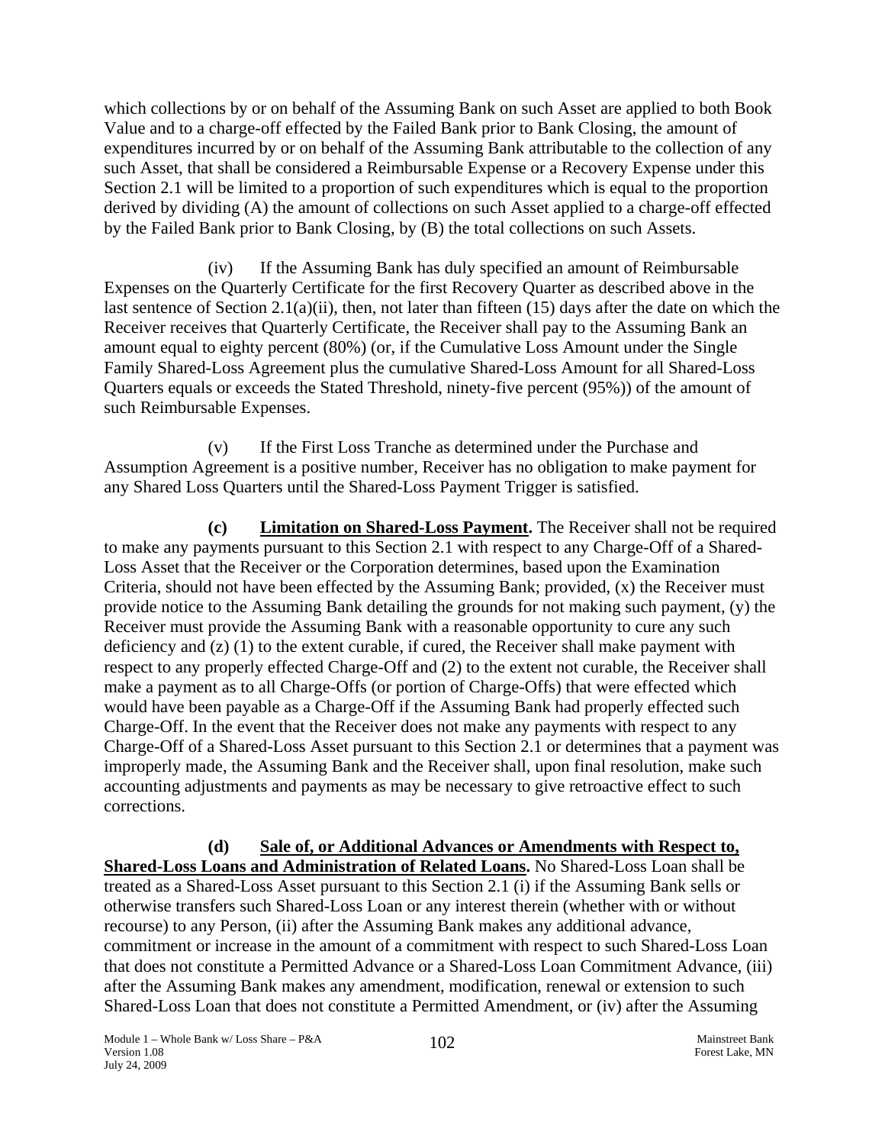which collections by or on behalf of the Assuming Bank on such Asset are applied to both Book Value and to a charge-off effected by the Failed Bank prior to Bank Closing, the amount of expenditures incurred by or on behalf of the Assuming Bank attributable to the collection of any such Asset, that shall be considered a Reimbursable Expense or a Recovery Expense under this Section 2.1 will be limited to a proportion of such expenditures which is equal to the proportion derived by dividing (A) the amount of collections on such Asset applied to a charge-off effected by the Failed Bank prior to Bank Closing, by (B) the total collections on such Assets.

(iv) If the Assuming Bank has duly specified an amount of Reimbursable Expenses on the Quarterly Certificate for the first Recovery Quarter as described above in the last sentence of Section 2.1(a)(ii), then, not later than fifteen (15) days after the date on which the Receiver receives that Quarterly Certificate, the Receiver shall pay to the Assuming Bank an amount equal to eighty percent (80%) (or, if the Cumulative Loss Amount under the Single Family Shared-Loss Agreement plus the cumulative Shared-Loss Amount for all Shared-Loss Quarters equals or exceeds the Stated Threshold, ninety-five percent (95%)) of the amount of such Reimbursable Expenses.

(v) If the First Loss Tranche as determined under the Purchase and Assumption Agreement is a positive number, Receiver has no obligation to make payment for any Shared Loss Quarters until the Shared-Loss Payment Trigger is satisfied.

**(c) Limitation on Shared-Loss Payment.** The Receiver shall not be required to make any payments pursuant to this Section 2.1 with respect to any Charge-Off of a Shared-Loss Asset that the Receiver or the Corporation determines, based upon the Examination Criteria, should not have been effected by the Assuming Bank; provided, (x) the Receiver must provide notice to the Assuming Bank detailing the grounds for not making such payment, (y) the Receiver must provide the Assuming Bank with a reasonable opportunity to cure any such deficiency and (z) (1) to the extent curable, if cured, the Receiver shall make payment with respect to any properly effected Charge-Off and (2) to the extent not curable, the Receiver shall make a payment as to all Charge-Offs (or portion of Charge-Offs) that were effected which would have been payable as a Charge-Off if the Assuming Bank had properly effected such Charge-Off. In the event that the Receiver does not make any payments with respect to any Charge-Off of a Shared-Loss Asset pursuant to this Section 2.1 or determines that a payment was improperly made, the Assuming Bank and the Receiver shall, upon final resolution, make such accounting adjustments and payments as may be necessary to give retroactive effect to such corrections.

**(d) Sale of, or Additional Advances or Amendments with Respect to, Shared-Loss Loans and Administration of Related Loans.** No Shared-Loss Loan shall be treated as a Shared-Loss Asset pursuant to this Section 2.1 (i) if the Assuming Bank sells or otherwise transfers such Shared-Loss Loan or any interest therein (whether with or without recourse) to any Person, (ii) after the Assuming Bank makes any additional advance, commitment or increase in the amount of a commitment with respect to such Shared-Loss Loan that does not constitute a Permitted Advance or a Shared-Loss Loan Commitment Advance, (iii) after the Assuming Bank makes any amendment, modification, renewal or extension to such Shared-Loss Loan that does not constitute a Permitted Amendment, or (iv) after the Assuming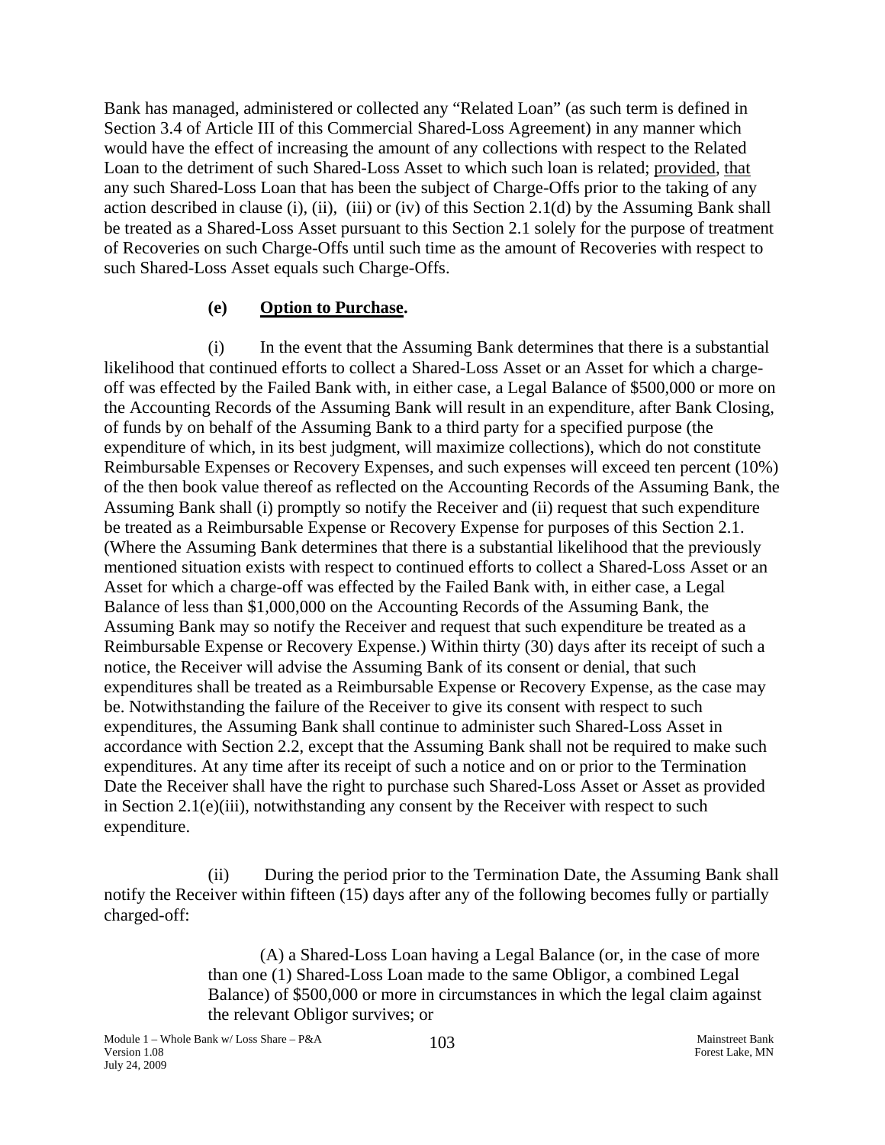Loan to the detriment of such Shared-Loss Asset to which such loan is related; provided, that Bank has managed, administered or collected any "Related Loan" (as such term is defined in Section 3.4 of Article III of this Commercial Shared-Loss Agreement) in any manner which would have the effect of increasing the amount of any collections with respect to the Related any such Shared-Loss Loan that has been the subject of Charge-Offs prior to the taking of any action described in clause (i), (ii), (iii) or (iv) of this Section 2.1(d) by the Assuming Bank shall be treated as a Shared-Loss Asset pursuant to this Section 2.1 solely for the purpose of treatment of Recoveries on such Charge-Offs until such time as the amount of Recoveries with respect to such Shared-Loss Asset equals such Charge-Offs.

#### **(e) Option to Purchase.**

(i) In the event that the Assuming Bank determines that there is a substantial likelihood that continued efforts to collect a Shared-Loss Asset or an Asset for which a chargeoff was effected by the Failed Bank with, in either case, a Legal Balance of \$500,000 or more on the Accounting Records of the Assuming Bank will result in an expenditure, after Bank Closing, of funds by on behalf of the Assuming Bank to a third party for a specified purpose (the expenditure of which, in its best judgment, will maximize collections), which do not constitute Reimbursable Expenses or Recovery Expenses, and such expenses will exceed ten percent (10%) of the then book value thereof as reflected on the Accounting Records of the Assuming Bank, the Assuming Bank shall (i) promptly so notify the Receiver and (ii) request that such expenditure be treated as a Reimbursable Expense or Recovery Expense for purposes of this Section 2.1. (Where the Assuming Bank determines that there is a substantial likelihood that the previously mentioned situation exists with respect to continued efforts to collect a Shared-Loss Asset or an Asset for which a charge-off was effected by the Failed Bank with, in either case, a Legal Balance of less than \$1,000,000 on the Accounting Records of the Assuming Bank, the Assuming Bank may so notify the Receiver and request that such expenditure be treated as a Reimbursable Expense or Recovery Expense.) Within thirty (30) days after its receipt of such a notice, the Receiver will advise the Assuming Bank of its consent or denial, that such expenditures shall be treated as a Reimbursable Expense or Recovery Expense, as the case may be. Notwithstanding the failure of the Receiver to give its consent with respect to such expenditures, the Assuming Bank shall continue to administer such Shared-Loss Asset in accordance with Section 2.2, except that the Assuming Bank shall not be required to make such expenditures. At any time after its receipt of such a notice and on or prior to the Termination Date the Receiver shall have the right to purchase such Shared-Loss Asset or Asset as provided in Section 2.1(e)(iii), notwithstanding any consent by the Receiver with respect to such expenditure.

(ii) During the period prior to the Termination Date, the Assuming Bank shall notify the Receiver within fifteen (15) days after any of the following becomes fully or partially charged-off:

> (A) a Shared-Loss Loan having a Legal Balance (or, in the case of more than one (1) Shared-Loss Loan made to the same Obligor, a combined Legal Balance) of \$500,000 or more in circumstances in which the legal claim against the relevant Obligor survives; or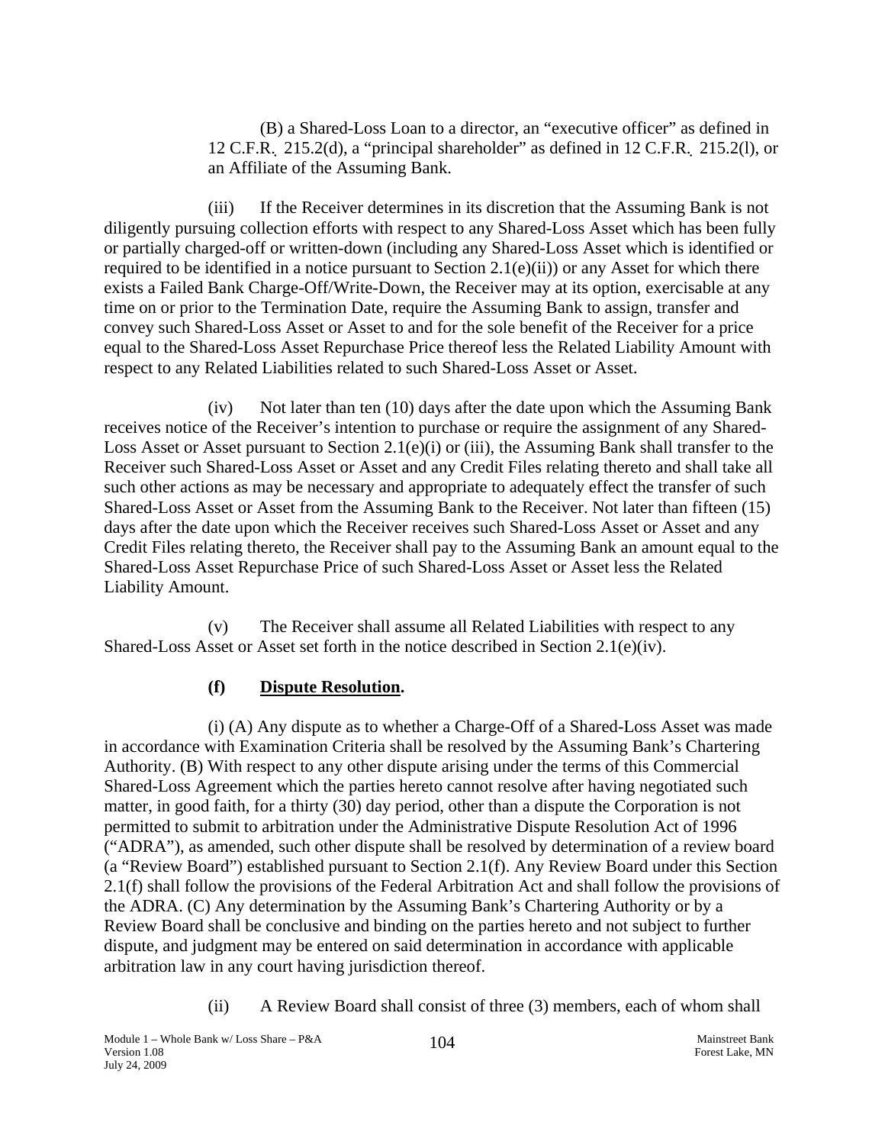(B) a Shared-Loss Loan to a director, an "executive officer" as defined in 12 C.F.R. 215.2(d), a "principal shareholder" as defined in 12 C.F.R. 215.2(l), or an Affiliate of the Assuming Bank.

(iii) If the Receiver determines in its discretion that the Assuming Bank is not diligently pursuing collection efforts with respect to any Shared-Loss Asset which has been fully or partially charged-off or written-down (including any Shared-Loss Asset which is identified or required to be identified in a notice pursuant to Section  $2.1(e)(ii)$  or any Asset for which there exists a Failed Bank Charge-Off/Write-Down, the Receiver may at its option, exercisable at any time on or prior to the Termination Date, require the Assuming Bank to assign, transfer and convey such Shared-Loss Asset or Asset to and for the sole benefit of the Receiver for a price equal to the Shared-Loss Asset Repurchase Price thereof less the Related Liability Amount with respect to any Related Liabilities related to such Shared-Loss Asset or Asset.

(iv) Not later than ten (10) days after the date upon which the Assuming Bank receives notice of the Receiver's intention to purchase or require the assignment of any Shared-Loss Asset or Asset pursuant to Section 2.1(e)(i) or (iii), the Assuming Bank shall transfer to the Receiver such Shared-Loss Asset or Asset and any Credit Files relating thereto and shall take all such other actions as may be necessary and appropriate to adequately effect the transfer of such Shared-Loss Asset or Asset from the Assuming Bank to the Receiver. Not later than fifteen (15) days after the date upon which the Receiver receives such Shared-Loss Asset or Asset and any Credit Files relating thereto, the Receiver shall pay to the Assuming Bank an amount equal to the Shared-Loss Asset Repurchase Price of such Shared-Loss Asset or Asset less the Related Liability Amount.

(v) The Receiver shall assume all Related Liabilities with respect to any Shared-Loss Asset or Asset set forth in the notice described in Section 2.1(e)(iv).

# **(f) Dispute Resolution.**

(i) (A) Any dispute as to whether a Charge-Off of a Shared-Loss Asset was made in accordance with Examination Criteria shall be resolved by the Assuming Bank's Chartering Authority. (B) With respect to any other dispute arising under the terms of this Commercial Shared-Loss Agreement which the parties hereto cannot resolve after having negotiated such matter, in good faith, for a thirty (30) day period, other than a dispute the Corporation is not permitted to submit to arbitration under the Administrative Dispute Resolution Act of 1996 ("ADRA"), as amended, such other dispute shall be resolved by determination of a review board (a "Review Board") established pursuant to Section 2.1(f). Any Review Board under this Section 2.1(f) shall follow the provisions of the Federal Arbitration Act and shall follow the provisions of the ADRA. (C) Any determination by the Assuming Bank's Chartering Authority or by a Review Board shall be conclusive and binding on the parties hereto and not subject to further dispute, and judgment may be entered on said determination in accordance with applicable arbitration law in any court having jurisdiction thereof.

(ii) A Review Board shall consist of three (3) members, each of whom shall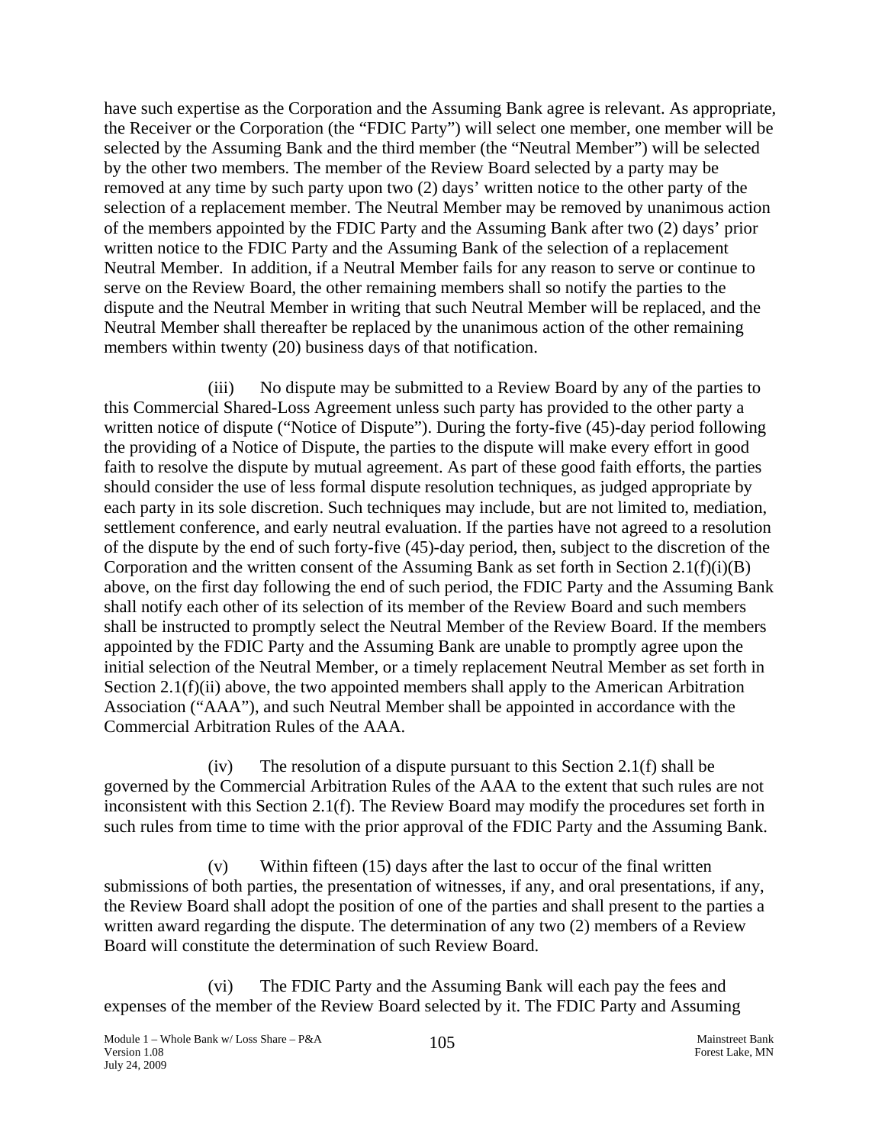have such expertise as the Corporation and the Assuming Bank agree is relevant. As appropriate, the Receiver or the Corporation (the "FDIC Party") will select one member, one member will be selected by the Assuming Bank and the third member (the "Neutral Member") will be selected by the other two members. The member of the Review Board selected by a party may be removed at any time by such party upon two (2) days' written notice to the other party of the selection of a replacement member. The Neutral Member may be removed by unanimous action of the members appointed by the FDIC Party and the Assuming Bank after two (2) days' prior written notice to the FDIC Party and the Assuming Bank of the selection of a replacement Neutral Member. In addition, if a Neutral Member fails for any reason to serve or continue to serve on the Review Board, the other remaining members shall so notify the parties to the dispute and the Neutral Member in writing that such Neutral Member will be replaced, and the Neutral Member shall thereafter be replaced by the unanimous action of the other remaining members within twenty (20) business days of that notification.

(iii) No dispute may be submitted to a Review Board by any of the parties to this Commercial Shared-Loss Agreement unless such party has provided to the other party a written notice of dispute ("Notice of Dispute"). During the forty-five (45)-day period following the providing of a Notice of Dispute, the parties to the dispute will make every effort in good faith to resolve the dispute by mutual agreement. As part of these good faith efforts, the parties should consider the use of less formal dispute resolution techniques, as judged appropriate by each party in its sole discretion. Such techniques may include, but are not limited to, mediation, settlement conference, and early neutral evaluation. If the parties have not agreed to a resolution of the dispute by the end of such forty-five (45)-day period, then, subject to the discretion of the Corporation and the written consent of the Assuming Bank as set forth in Section 2.1(f)(i)(B) above, on the first day following the end of such period, the FDIC Party and the Assuming Bank shall notify each other of its selection of its member of the Review Board and such members shall be instructed to promptly select the Neutral Member of the Review Board. If the members appointed by the FDIC Party and the Assuming Bank are unable to promptly agree upon the initial selection of the Neutral Member, or a timely replacement Neutral Member as set forth in Section 2.1(f)(ii) above, the two appointed members shall apply to the American Arbitration Association ("AAA"), and such Neutral Member shall be appointed in accordance with the Commercial Arbitration Rules of the AAA.

(iv) The resolution of a dispute pursuant to this Section 2.1(f) shall be governed by the Commercial Arbitration Rules of the AAA to the extent that such rules are not inconsistent with this Section 2.1(f). The Review Board may modify the procedures set forth in such rules from time to time with the prior approval of the FDIC Party and the Assuming Bank.

(v) Within fifteen (15) days after the last to occur of the final written submissions of both parties, the presentation of witnesses, if any, and oral presentations, if any, the Review Board shall adopt the position of one of the parties and shall present to the parties a written award regarding the dispute. The determination of any two (2) members of a Review Board will constitute the determination of such Review Board.

(vi) The FDIC Party and the Assuming Bank will each pay the fees and expenses of the member of the Review Board selected by it. The FDIC Party and Assuming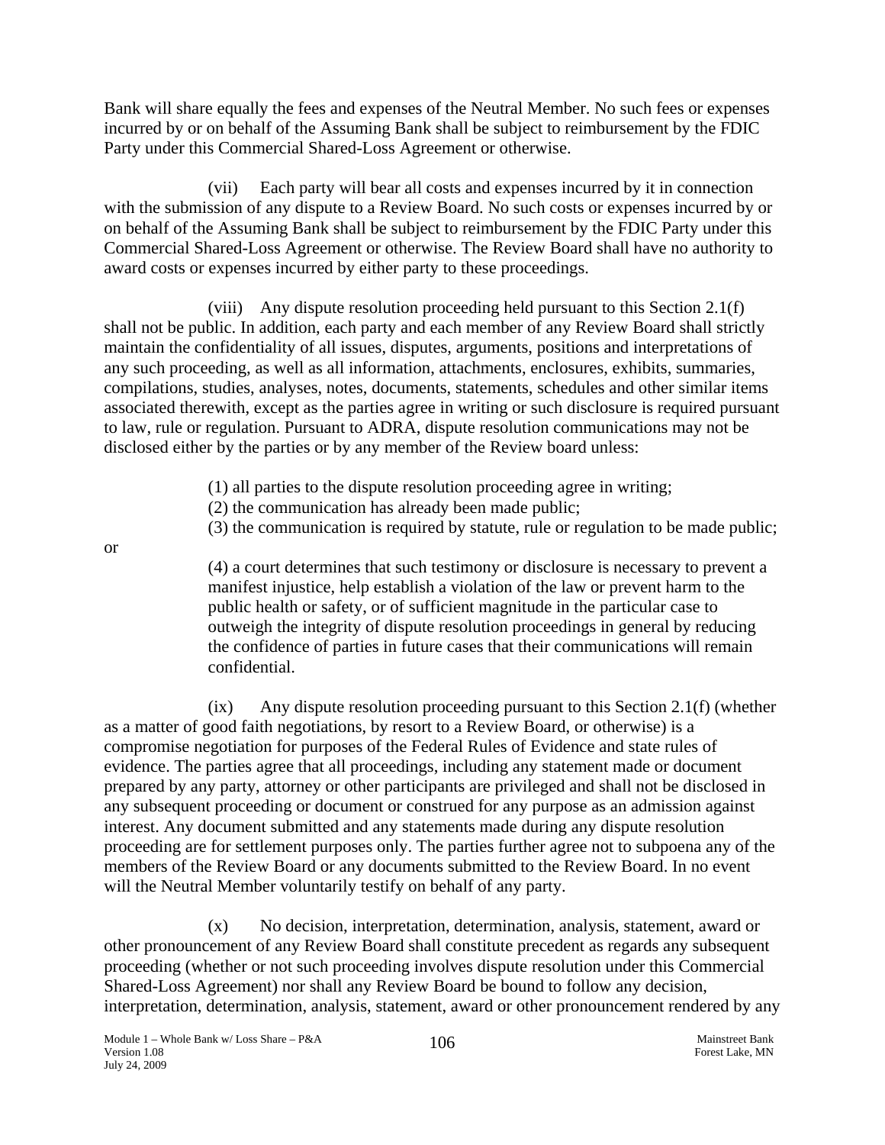Bank will share equally the fees and expenses of the Neutral Member. No such fees or expenses incurred by or on behalf of the Assuming Bank shall be subject to reimbursement by the FDIC Party under this Commercial Shared-Loss Agreement or otherwise.

(vii) Each party will bear all costs and expenses incurred by it in connection with the submission of any dispute to a Review Board. No such costs or expenses incurred by or on behalf of the Assuming Bank shall be subject to reimbursement by the FDIC Party under this Commercial Shared-Loss Agreement or otherwise. The Review Board shall have no authority to award costs or expenses incurred by either party to these proceedings.

(viii) Any dispute resolution proceeding held pursuant to this Section 2.1(f) shall not be public. In addition, each party and each member of any Review Board shall strictly maintain the confidentiality of all issues, disputes, arguments, positions and interpretations of any such proceeding, as well as all information, attachments, enclosures, exhibits, summaries, compilations, studies, analyses, notes, documents, statements, schedules and other similar items associated therewith, except as the parties agree in writing or such disclosure is required pursuant to law, rule or regulation. Pursuant to ADRA, dispute resolution communications may not be disclosed either by the parties or by any member of the Review board unless:

- (1) all parties to the dispute resolution proceeding agree in writing;
- (2) the communication has already been made public;
- (3) the communication is required by statute, rule or regulation to be made public;

or

(4) a court determines that such testimony or disclosure is necessary to prevent a manifest injustice, help establish a violation of the law or prevent harm to the public health or safety, or of sufficient magnitude in the particular case to outweigh the integrity of dispute resolution proceedings in general by reducing the confidence of parties in future cases that their communications will remain confidential.

(ix) Any dispute resolution proceeding pursuant to this Section 2.1(f) (whether as a matter of good faith negotiations, by resort to a Review Board, or otherwise) is a compromise negotiation for purposes of the Federal Rules of Evidence and state rules of evidence. The parties agree that all proceedings, including any statement made or document prepared by any party, attorney or other participants are privileged and shall not be disclosed in any subsequent proceeding or document or construed for any purpose as an admission against interest. Any document submitted and any statements made during any dispute resolution proceeding are for settlement purposes only. The parties further agree not to subpoena any of the members of the Review Board or any documents submitted to the Review Board. In no event will the Neutral Member voluntarily testify on behalf of any party.

(x) No decision, interpretation, determination, analysis, statement, award or other pronouncement of any Review Board shall constitute precedent as regards any subsequent proceeding (whether or not such proceeding involves dispute resolution under this Commercial Shared-Loss Agreement) nor shall any Review Board be bound to follow any decision, interpretation, determination, analysis, statement, award or other pronouncement rendered by any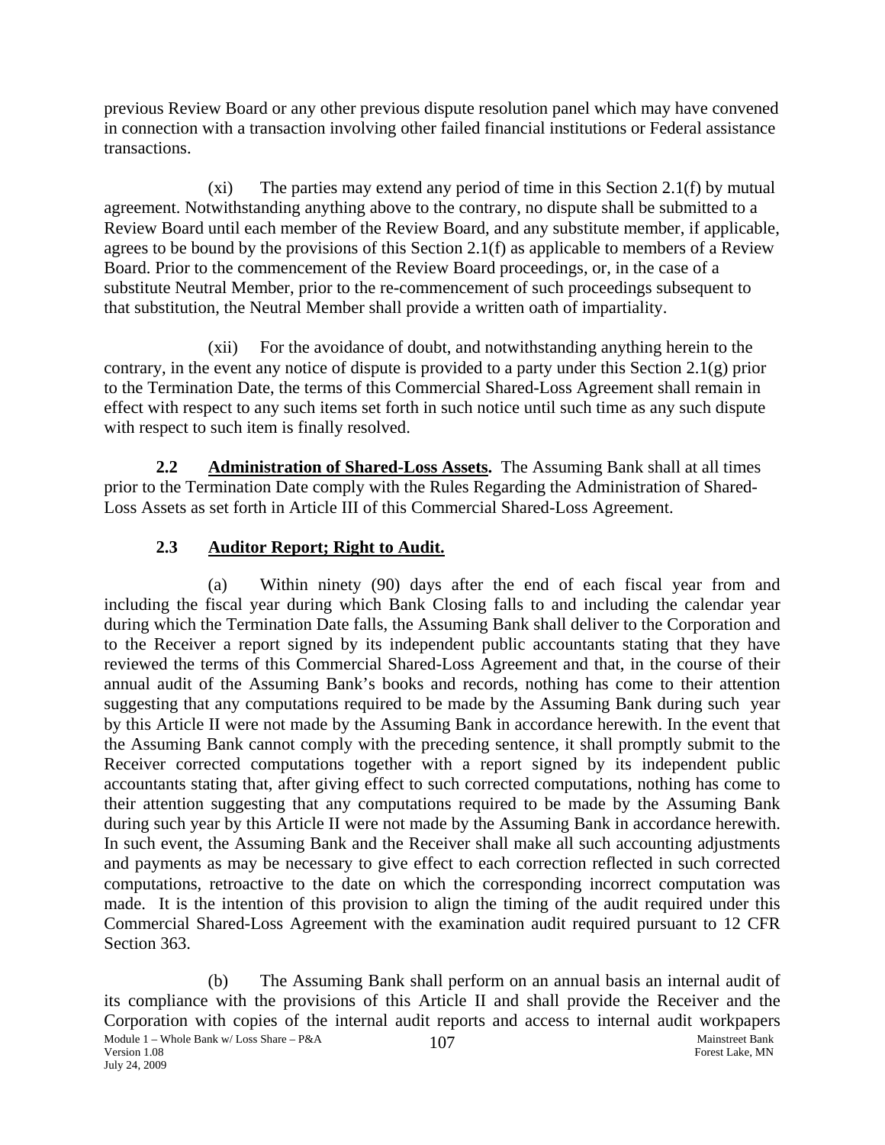previous Review Board or any other previous dispute resolution panel which may have convened in connection with a transaction involving other failed financial institutions or Federal assistance transactions.

(xi) The parties may extend any period of time in this Section 2.1(f) by mutual agreement. Notwithstanding anything above to the contrary, no dispute shall be submitted to a Review Board until each member of the Review Board, and any substitute member, if applicable, agrees to be bound by the provisions of this Section 2.1(f) as applicable to members of a Review Board. Prior to the commencement of the Review Board proceedings, or, in the case of a substitute Neutral Member, prior to the re-commencement of such proceedings subsequent to that substitution, the Neutral Member shall provide a written oath of impartiality.

(xii) For the avoidance of doubt, and notwithstanding anything herein to the contrary, in the event any notice of dispute is provided to a party under this Section 2.1(g) prior to the Termination Date, the terms of this Commercial Shared-Loss Agreement shall remain in effect with respect to any such items set forth in such notice until such time as any such dispute with respect to such item is finally resolved.

**2.2 Administration of Shared-Loss Assets.** The Assuming Bank shall at all times prior to the Termination Date comply with the Rules Regarding the Administration of Shared-Loss Assets as set forth in Article III of this Commercial Shared-Loss Agreement.

## **2.3 Auditor Report; Right to Audit.**

(a) Within ninety (90) days after the end of each fiscal year from and including the fiscal year during which Bank Closing falls to and including the calendar year during which the Termination Date falls, the Assuming Bank shall deliver to the Corporation and to the Receiver a report signed by its independent public accountants stating that they have reviewed the terms of this Commercial Shared-Loss Agreement and that, in the course of their annual audit of the Assuming Bank's books and records, nothing has come to their attention suggesting that any computations required to be made by the Assuming Bank during such year by this Article II were not made by the Assuming Bank in accordance herewith. In the event that the Assuming Bank cannot comply with the preceding sentence, it shall promptly submit to the Receiver corrected computations together with a report signed by its independent public accountants stating that, after giving effect to such corrected computations, nothing has come to their attention suggesting that any computations required to be made by the Assuming Bank during such year by this Article II were not made by the Assuming Bank in accordance herewith. In such event, the Assuming Bank and the Receiver shall make all such accounting adjustments and payments as may be necessary to give effect to each correction reflected in such corrected computations, retroactive to the date on which the corresponding incorrect computation was made. It is the intention of this provision to align the timing of the audit required under this Commercial Shared-Loss Agreement with the examination audit required pursuant to 12 CFR Section 363.

(b) The Assuming Bank shall perform on an annual basis an internal audit of its compliance with the provisions of this Article II and shall provide the Receiver and the Corporation with copies of the internal audit reports and access to internal audit workpapers Module 1 – Whole Bank w/ Loss Share – P&A 107 Mainstreet Bank 107 Mainstreet Bank 108 Forest Lake, MN July 24, 2009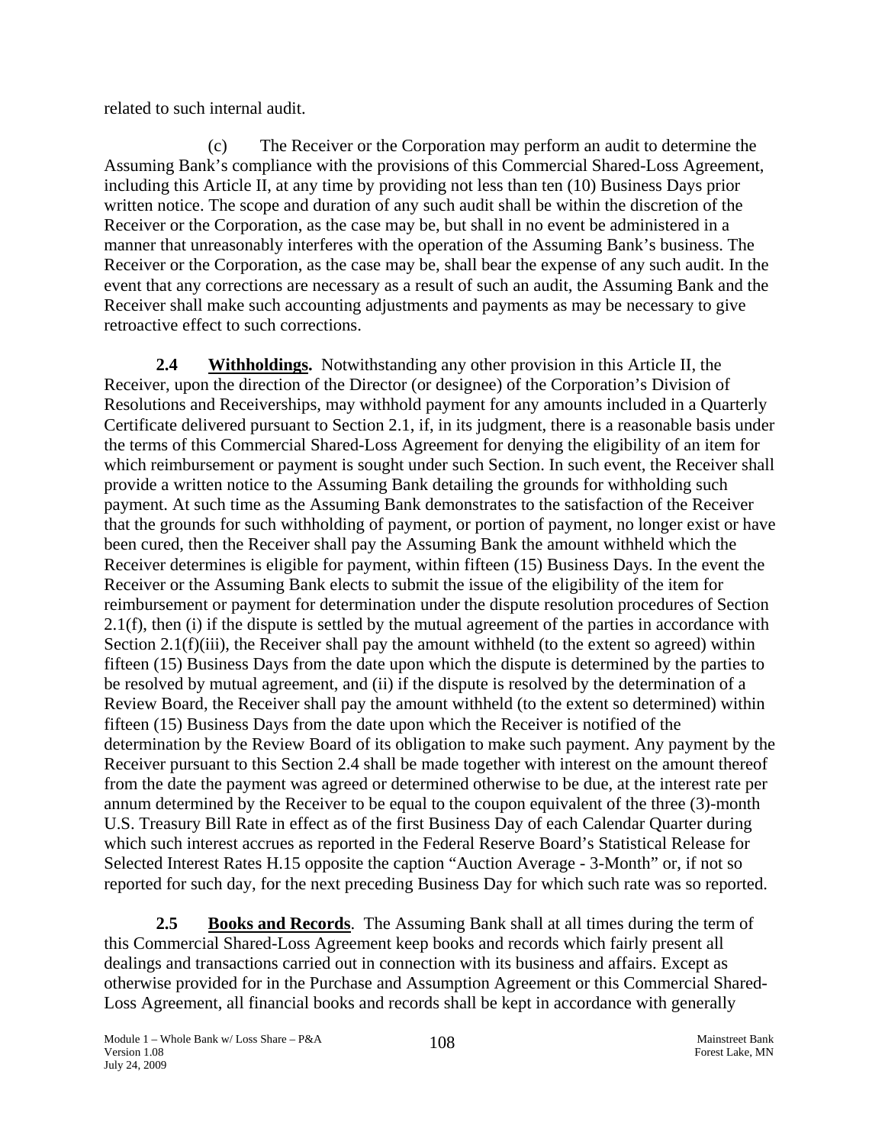related to such internal audit.

(c) The Receiver or the Corporation may perform an audit to determine the Assuming Bank's compliance with the provisions of this Commercial Shared-Loss Agreement, including this Article II, at any time by providing not less than ten (10) Business Days prior written notice. The scope and duration of any such audit shall be within the discretion of the Receiver or the Corporation, as the case may be, but shall in no event be administered in a manner that unreasonably interferes with the operation of the Assuming Bank's business. The Receiver or the Corporation, as the case may be, shall bear the expense of any such audit. In the event that any corrections are necessary as a result of such an audit, the Assuming Bank and the Receiver shall make such accounting adjustments and payments as may be necessary to give retroactive effect to such corrections.

**2.4 Withholdings.** Notwithstanding any other provision in this Article II, the Receiver, upon the direction of the Director (or designee) of the Corporation's Division of Resolutions and Receiverships, may withhold payment for any amounts included in a Quarterly Certificate delivered pursuant to Section 2.1, if, in its judgment, there is a reasonable basis under the terms of this Commercial Shared-Loss Agreement for denying the eligibility of an item for which reimbursement or payment is sought under such Section. In such event, the Receiver shall provide a written notice to the Assuming Bank detailing the grounds for withholding such payment. At such time as the Assuming Bank demonstrates to the satisfaction of the Receiver that the grounds for such withholding of payment, or portion of payment, no longer exist or have been cured, then the Receiver shall pay the Assuming Bank the amount withheld which the Receiver determines is eligible for payment, within fifteen (15) Business Days. In the event the Receiver or the Assuming Bank elects to submit the issue of the eligibility of the item for reimbursement or payment for determination under the dispute resolution procedures of Section 2.1(f), then (i) if the dispute is settled by the mutual agreement of the parties in accordance with Section 2.1(f)(iii), the Receiver shall pay the amount withheld (to the extent so agreed) within fifteen (15) Business Days from the date upon which the dispute is determined by the parties to be resolved by mutual agreement, and (ii) if the dispute is resolved by the determination of a Review Board, the Receiver shall pay the amount withheld (to the extent so determined) within fifteen (15) Business Days from the date upon which the Receiver is notified of the determination by the Review Board of its obligation to make such payment. Any payment by the Receiver pursuant to this Section 2.4 shall be made together with interest on the amount thereof from the date the payment was agreed or determined otherwise to be due, at the interest rate per annum determined by the Receiver to be equal to the coupon equivalent of the three (3)-month U.S. Treasury Bill Rate in effect as of the first Business Day of each Calendar Quarter during which such interest accrues as reported in the Federal Reserve Board's Statistical Release for Selected Interest Rates H.15 opposite the caption "Auction Average - 3-Month" or, if not so reported for such day, for the next preceding Business Day for which such rate was so reported.

**2.5 Books and Records**. The Assuming Bank shall at all times during the term of this Commercial Shared-Loss Agreement keep books and records which fairly present all dealings and transactions carried out in connection with its business and affairs. Except as otherwise provided for in the Purchase and Assumption Agreement or this Commercial Shared-Loss Agreement, all financial books and records shall be kept in accordance with generally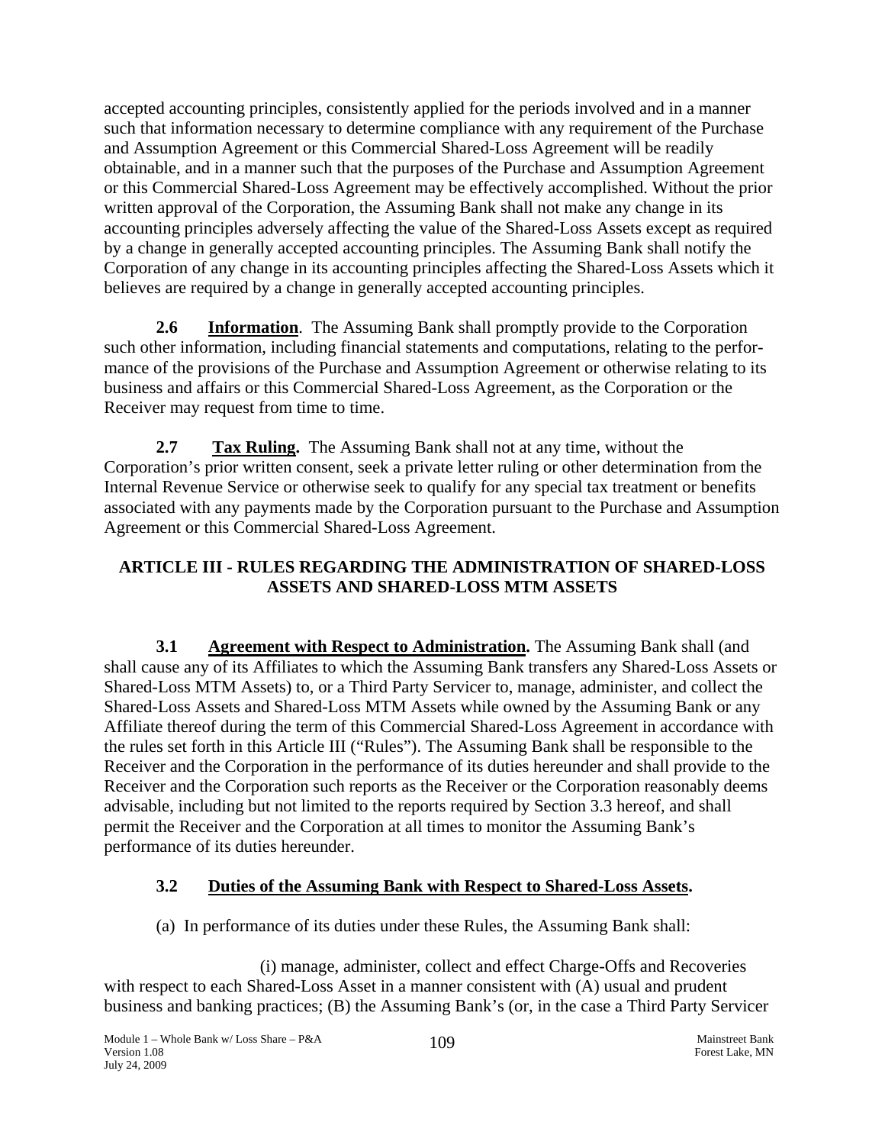accepted accounting principles, consistently applied for the periods involved and in a manner such that information necessary to determine compliance with any requirement of the Purchase and Assumption Agreement or this Commercial Shared-Loss Agreement will be readily obtainable, and in a manner such that the purposes of the Purchase and Assumption Agreement or this Commercial Shared-Loss Agreement may be effectively accomplished. Without the prior written approval of the Corporation, the Assuming Bank shall not make any change in its accounting principles adversely affecting the value of the Shared-Loss Assets except as required by a change in generally accepted accounting principles. The Assuming Bank shall notify the Corporation of any change in its accounting principles affecting the Shared-Loss Assets which it believes are required by a change in generally accepted accounting principles.

**2.6 Information**. The Assuming Bank shall promptly provide to the Corporation such other information, including financial statements and computations, relating to the performance of the provisions of the Purchase and Assumption Agreement or otherwise relating to its business and affairs or this Commercial Shared-Loss Agreement, as the Corporation or the Receiver may request from time to time.

**2.7 Tax Ruling.** The Assuming Bank shall not at any time, without the Corporation's prior written consent, seek a private letter ruling or other determination from the Internal Revenue Service or otherwise seek to qualify for any special tax treatment or benefits associated with any payments made by the Corporation pursuant to the Purchase and Assumption Agreement or this Commercial Shared-Loss Agreement.

## **ARTICLE III - RULES REGARDING THE ADMINISTRATION OF SHARED-LOSS ASSETS AND SHARED-LOSS MTM ASSETS**

**3.1** Agreement with Respect to Administration. The Assuming Bank shall (and shall cause any of its Affiliates to which the Assuming Bank transfers any Shared-Loss Assets or Shared-Loss MTM Assets) to, or a Third Party Servicer to, manage, administer, and collect the Shared-Loss Assets and Shared-Loss MTM Assets while owned by the Assuming Bank or any Affiliate thereof during the term of this Commercial Shared-Loss Agreement in accordance with the rules set forth in this Article III ("Rules"). The Assuming Bank shall be responsible to the Receiver and the Corporation in the performance of its duties hereunder and shall provide to the Receiver and the Corporation such reports as the Receiver or the Corporation reasonably deems advisable, including but not limited to the reports required by Section 3.3 hereof, and shall permit the Receiver and the Corporation at all times to monitor the Assuming Bank's performance of its duties hereunder.

## **3.2 Duties of the Assuming Bank with Respect to Shared-Loss Assets.**

(a) In performance of its duties under these Rules, the Assuming Bank shall:

(i) manage, administer, collect and effect Charge-Offs and Recoveries with respect to each Shared-Loss Asset in a manner consistent with (A) usual and prudent business and banking practices; (B) the Assuming Bank's (or, in the case a Third Party Servicer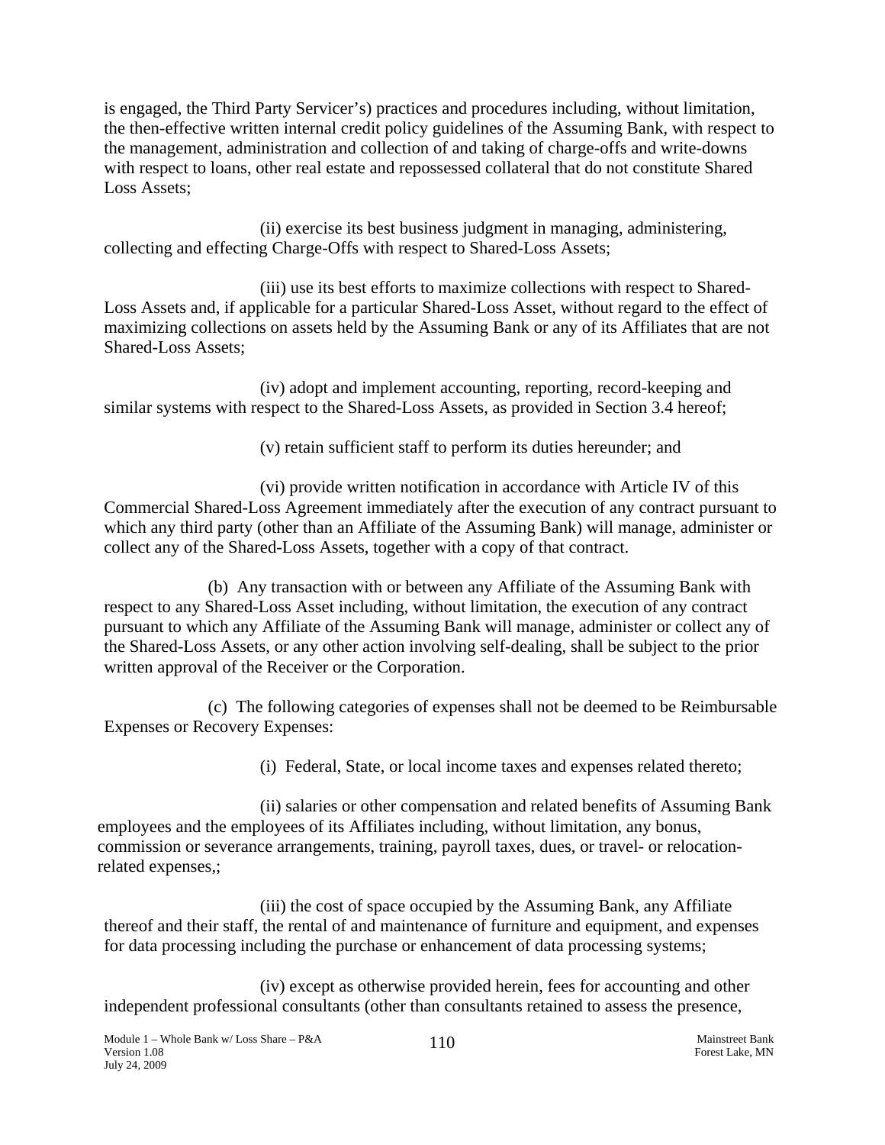is engaged, the Third Party Servicer's) practices and procedures including, without limitation, the then-effective written internal credit policy guidelines of the Assuming Bank, with respect to the management, administration and collection of and taking of charge-offs and write-downs with respect to loans, other real estate and repossessed collateral that do not constitute Shared Loss Assets;

(ii) exercise its best business judgment in managing, administering, collecting and effecting Charge-Offs with respect to Shared-Loss Assets;

(iii) use its best efforts to maximize collections with respect to Shared-Loss Assets and, if applicable for a particular Shared-Loss Asset, without regard to the effect of maximizing collections on assets held by the Assuming Bank or any of its Affiliates that are not Shared-Loss Assets;

(iv) adopt and implement accounting, reporting, record-keeping and similar systems with respect to the Shared-Loss Assets, as provided in Section 3.4 hereof;

(v) retain sufficient staff to perform its duties hereunder; and

(vi) provide written notification in accordance with Article IV of this Commercial Shared-Loss Agreement immediately after the execution of any contract pursuant to which any third party (other than an Affiliate of the Assuming Bank) will manage, administer or collect any of the Shared-Loss Assets, together with a copy of that contract.

(b) Any transaction with or between any Affiliate of the Assuming Bank with respect to any Shared-Loss Asset including, without limitation, the execution of any contract pursuant to which any Affiliate of the Assuming Bank will manage, administer or collect any of the Shared-Loss Assets, or any other action involving self-dealing, shall be subject to the prior written approval of the Receiver or the Corporation.

(c) The following categories of expenses shall not be deemed to be Reimbursable Expenses or Recovery Expenses:

(i) Federal, State, or local income taxes and expenses related thereto;

(ii) salaries or other compensation and related benefits of Assuming Bank employees and the employees of its Affiliates including, without limitation, any bonus, commission or severance arrangements, training, payroll taxes, dues, or travel- or relocationrelated expenses,;

(iii) the cost of space occupied by the Assuming Bank, any Affiliate thereof and their staff, the rental of and maintenance of furniture and equipment, and expenses for data processing including the purchase or enhancement of data processing systems;

(iv) except as otherwise provided herein, fees for accounting and other independent professional consultants (other than consultants retained to assess the presence,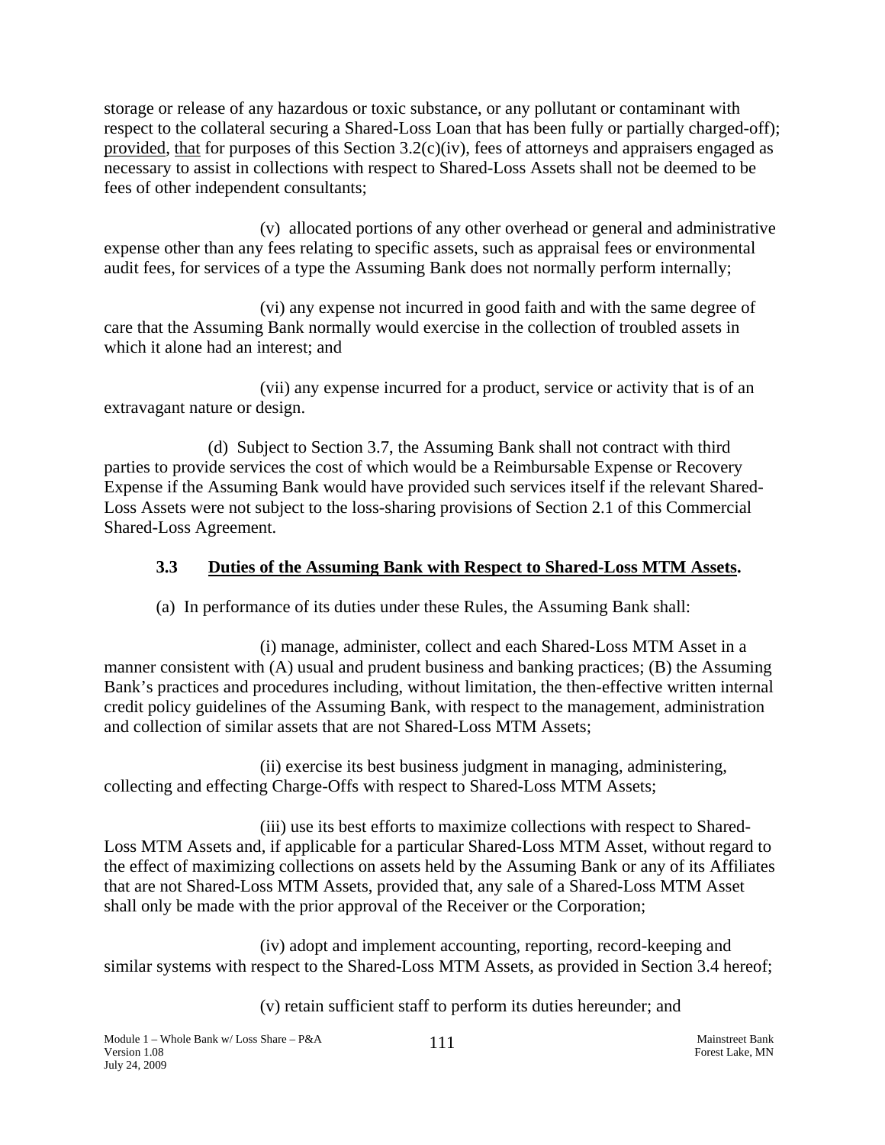storage or release of any hazardous or toxic substance, or any pollutant or contaminant with respect to the collateral securing a Shared-Loss Loan that has been fully or partially charged-off); provided, that for purposes of this Section 3.2(c)(iv), fees of attorneys and appraisers engaged as necessary to assist in collections with respect to Shared-Loss Assets shall not be deemed to be fees of other independent consultants;

(v) allocated portions of any other overhead or general and administrative expense other than any fees relating to specific assets, such as appraisal fees or environmental audit fees, for services of a type the Assuming Bank does not normally perform internally;

(vi) any expense not incurred in good faith and with the same degree of care that the Assuming Bank normally would exercise in the collection of troubled assets in which it alone had an interest; and

(vii) any expense incurred for a product, service or activity that is of an extravagant nature or design.

(d) Subject to Section 3.7, the Assuming Bank shall not contract with third parties to provide services the cost of which would be a Reimbursable Expense or Recovery Expense if the Assuming Bank would have provided such services itself if the relevant Shared-Loss Assets were not subject to the loss-sharing provisions of Section 2.1 of this Commercial Shared-Loss Agreement.

# **3.3 Duties of the Assuming Bank with Respect to Shared-Loss MTM Assets.**

(a) In performance of its duties under these Rules, the Assuming Bank shall:

(i) manage, administer, collect and each Shared-Loss MTM Asset in a manner consistent with (A) usual and prudent business and banking practices; (B) the Assuming Bank's practices and procedures including, without limitation, the then-effective written internal credit policy guidelines of the Assuming Bank, with respect to the management, administration and collection of similar assets that are not Shared-Loss MTM Assets;

(ii) exercise its best business judgment in managing, administering, collecting and effecting Charge-Offs with respect to Shared-Loss MTM Assets;

(iii) use its best efforts to maximize collections with respect to Shared-Loss MTM Assets and, if applicable for a particular Shared-Loss MTM Asset, without regard to the effect of maximizing collections on assets held by the Assuming Bank or any of its Affiliates that are not Shared-Loss MTM Assets, provided that, any sale of a Shared-Loss MTM Asset shall only be made with the prior approval of the Receiver or the Corporation;

(iv) adopt and implement accounting, reporting, record-keeping and similar systems with respect to the Shared-Loss MTM Assets, as provided in Section 3.4 hereof;

(v) retain sufficient staff to perform its duties hereunder; and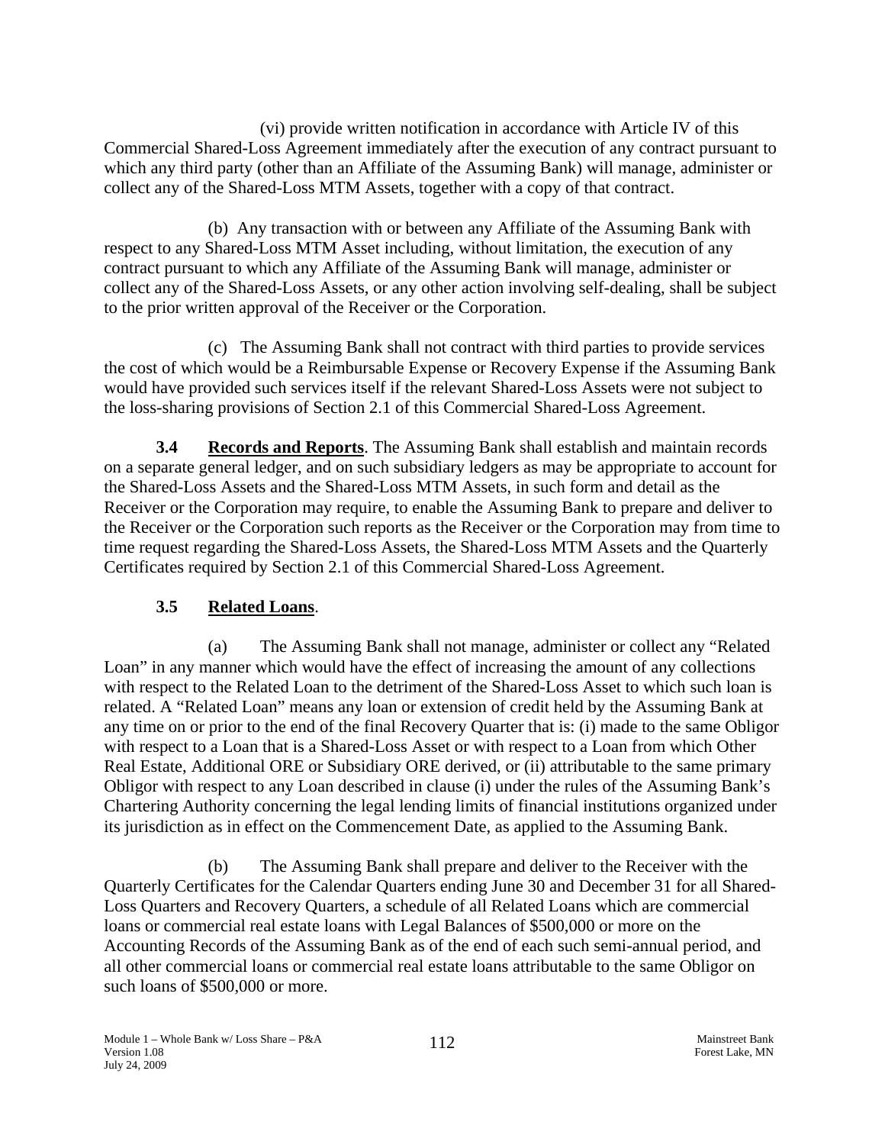(vi) provide written notification in accordance with Article IV of this Commercial Shared-Loss Agreement immediately after the execution of any contract pursuant to which any third party (other than an Affiliate of the Assuming Bank) will manage, administer or collect any of the Shared-Loss MTM Assets, together with a copy of that contract.

(b) Any transaction with or between any Affiliate of the Assuming Bank with respect to any Shared-Loss MTM Asset including, without limitation, the execution of any contract pursuant to which any Affiliate of the Assuming Bank will manage, administer or collect any of the Shared-Loss Assets, or any other action involving self-dealing, shall be subject to the prior written approval of the Receiver or the Corporation.

(c) The Assuming Bank shall not contract with third parties to provide services the cost of which would be a Reimbursable Expense or Recovery Expense if the Assuming Bank would have provided such services itself if the relevant Shared-Loss Assets were not subject to the loss-sharing provisions of Section 2.1 of this Commercial Shared-Loss Agreement.

**3.4 Records and Reports**. The Assuming Bank shall establish and maintain records on a separate general ledger, and on such subsidiary ledgers as may be appropriate to account for the Shared-Loss Assets and the Shared-Loss MTM Assets, in such form and detail as the Receiver or the Corporation may require, to enable the Assuming Bank to prepare and deliver to the Receiver or the Corporation such reports as the Receiver or the Corporation may from time to time request regarding the Shared-Loss Assets, the Shared-Loss MTM Assets and the Quarterly Certificates required by Section 2.1 of this Commercial Shared-Loss Agreement.

## **3.5 Related Loans**.

(a) The Assuming Bank shall not manage, administer or collect any "Related Loan" in any manner which would have the effect of increasing the amount of any collections with respect to the Related Loan to the detriment of the Shared-Loss Asset to which such loan is related. A "Related Loan" means any loan or extension of credit held by the Assuming Bank at any time on or prior to the end of the final Recovery Quarter that is: (i) made to the same Obligor with respect to a Loan that is a Shared-Loss Asset or with respect to a Loan from which Other Real Estate, Additional ORE or Subsidiary ORE derived, or (ii) attributable to the same primary Obligor with respect to any Loan described in clause (i) under the rules of the Assuming Bank's Chartering Authority concerning the legal lending limits of financial institutions organized under its jurisdiction as in effect on the Commencement Date, as applied to the Assuming Bank.

(b) The Assuming Bank shall prepare and deliver to the Receiver with the Quarterly Certificates for the Calendar Quarters ending June 30 and December 31 for all Shared-Loss Quarters and Recovery Quarters, a schedule of all Related Loans which are commercial loans or commercial real estate loans with Legal Balances of \$500,000 or more on the Accounting Records of the Assuming Bank as of the end of each such semi-annual period, and all other commercial loans or commercial real estate loans attributable to the same Obligor on such loans of \$500,000 or more.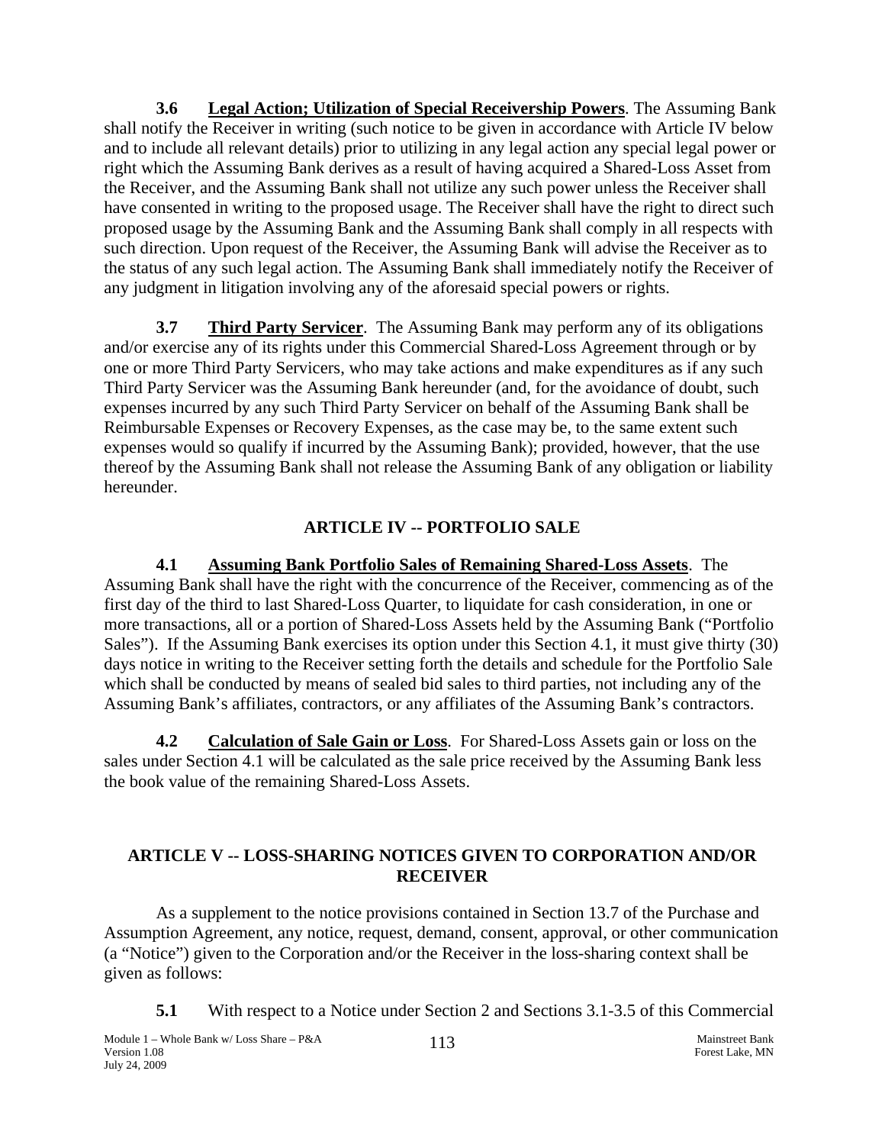**3.6 Legal Action; Utilization of Special Receivership Powers**. The Assuming Bank shall notify the Receiver in writing (such notice to be given in accordance with Article IV below and to include all relevant details) prior to utilizing in any legal action any special legal power or right which the Assuming Bank derives as a result of having acquired a Shared-Loss Asset from the Receiver, and the Assuming Bank shall not utilize any such power unless the Receiver shall have consented in writing to the proposed usage. The Receiver shall have the right to direct such proposed usage by the Assuming Bank and the Assuming Bank shall comply in all respects with such direction. Upon request of the Receiver, the Assuming Bank will advise the Receiver as to the status of any such legal action. The Assuming Bank shall immediately notify the Receiver of any judgment in litigation involving any of the aforesaid special powers or rights.

**3.7** Third Party Servicer. The Assuming Bank may perform any of its obligations and/or exercise any of its rights under this Commercial Shared-Loss Agreement through or by one or more Third Party Servicers, who may take actions and make expenditures as if any such Third Party Servicer was the Assuming Bank hereunder (and, for the avoidance of doubt, such expenses incurred by any such Third Party Servicer on behalf of the Assuming Bank shall be Reimbursable Expenses or Recovery Expenses, as the case may be, to the same extent such expenses would so qualify if incurred by the Assuming Bank); provided, however, that the use thereof by the Assuming Bank shall not release the Assuming Bank of any obligation or liability hereunder.

#### **ARTICLE IV -- PORTFOLIO SALE**

**4.1 Assuming Bank Portfolio Sales of Remaining Shared-Loss Assets**. The Assuming Bank shall have the right with the concurrence of the Receiver, commencing as of the first day of the third to last Shared-Loss Quarter, to liquidate for cash consideration, in one or more transactions, all or a portion of Shared-Loss Assets held by the Assuming Bank ("Portfolio Sales"). If the Assuming Bank exercises its option under this Section 4.1, it must give thirty (30) days notice in writing to the Receiver setting forth the details and schedule for the Portfolio Sale which shall be conducted by means of sealed bid sales to third parties, not including any of the Assuming Bank's affiliates, contractors, or any affiliates of the Assuming Bank's contractors.

**4.2 Calculation of Sale Gain or Loss**. For Shared-Loss Assets gain or loss on the sales under Section 4.1 will be calculated as the sale price received by the Assuming Bank less the book value of the remaining Shared-Loss Assets.

#### **ARTICLE V -- LOSS-SHARING NOTICES GIVEN TO CORPORATION AND/OR RECEIVER**

As a supplement to the notice provisions contained in Section 13.7 of the Purchase and Assumption Agreement, any notice, request, demand, consent, approval, or other communication (a "Notice") given to the Corporation and/or the Receiver in the loss-sharing context shall be given as follows:

**5.1** With respect to a Notice under Section 2 and Sections 3.1-3.5 of this Commercial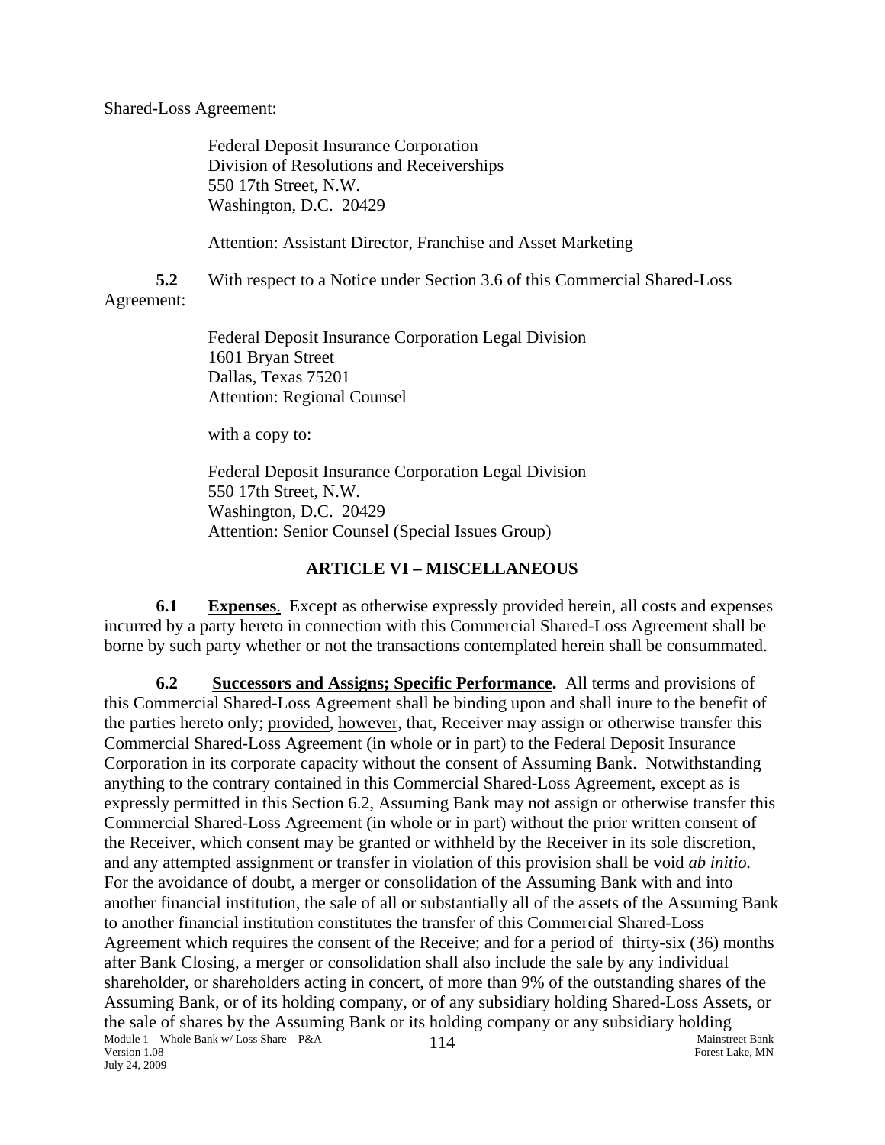Shared-Loss Agreement:

Federal Deposit Insurance Corporation Division of Resolutions and Receiverships 550 17th Street, N.W. Washington, D.C. 20429

Attention: Assistant Director, Franchise and Asset Marketing

**5.2** With respect to a Notice under Section 3.6 of this Commercial Shared-Loss Agreement:

> Federal Deposit Insurance Corporation Legal Division 1601 Bryan Street Dallas, Texas 75201 Attention: Regional Counsel

with a copy to:

Federal Deposit Insurance Corporation Legal Division 550 17th Street, N.W. Washington, D.C. 20429 Attention: Senior Counsel (Special Issues Group)

#### **ARTICLE VI – MISCELLANEOUS**

**6.1 Expenses**. Except as otherwise expressly provided herein, all costs and expenses incurred by a party hereto in connection with this Commercial Shared-Loss Agreement shall be borne by such party whether or not the transactions contemplated herein shall be consummated.

**6.2** Successors and Assigns; Specific Performance. All terms and provisions of this Commercial Shared-Loss Agreement shall be binding upon and shall inure to the benefit of the parties hereto only; provided, however, that, Receiver may assign or otherwise transfer this Commercial Shared-Loss Agreement (in whole or in part) to the Federal Deposit Insurance Corporation in its corporate capacity without the consent of Assuming Bank. Notwithstanding anything to the contrary contained in this Commercial Shared-Loss Agreement, except as is expressly permitted in this Section 6.2, Assuming Bank may not assign or otherwise transfer this Commercial Shared-Loss Agreement (in whole or in part) without the prior written consent of the Receiver, which consent may be granted or withheld by the Receiver in its sole discretion, and any attempted assignment or transfer in violation of this provision shall be void *ab initio.*  For the avoidance of doubt, a merger or consolidation of the Assuming Bank with and into another financial institution, the sale of all or substantially all of the assets of the Assuming Bank to another financial institution constitutes the transfer of this Commercial Shared-Loss Agreement which requires the consent of the Receive; and for a period of thirty-six (36) months after Bank Closing, a merger or consolidation shall also include the sale by any individual shareholder, or shareholders acting in concert, of more than 9% of the outstanding shares of the Assuming Bank, or of its holding company, or of any subsidiary holding Shared-Loss Assets, or the sale of shares by the Assuming Bank or its holding company or any subsidiary holding<br>Module 1 – Whole Bank w/Loss Share – P&A<br>Mainstreet Bank Module 1 – Whole Bank w/Loss Share – P&A 114 Mainstreet Bank 108 Forest Lake, MN July 24, 2009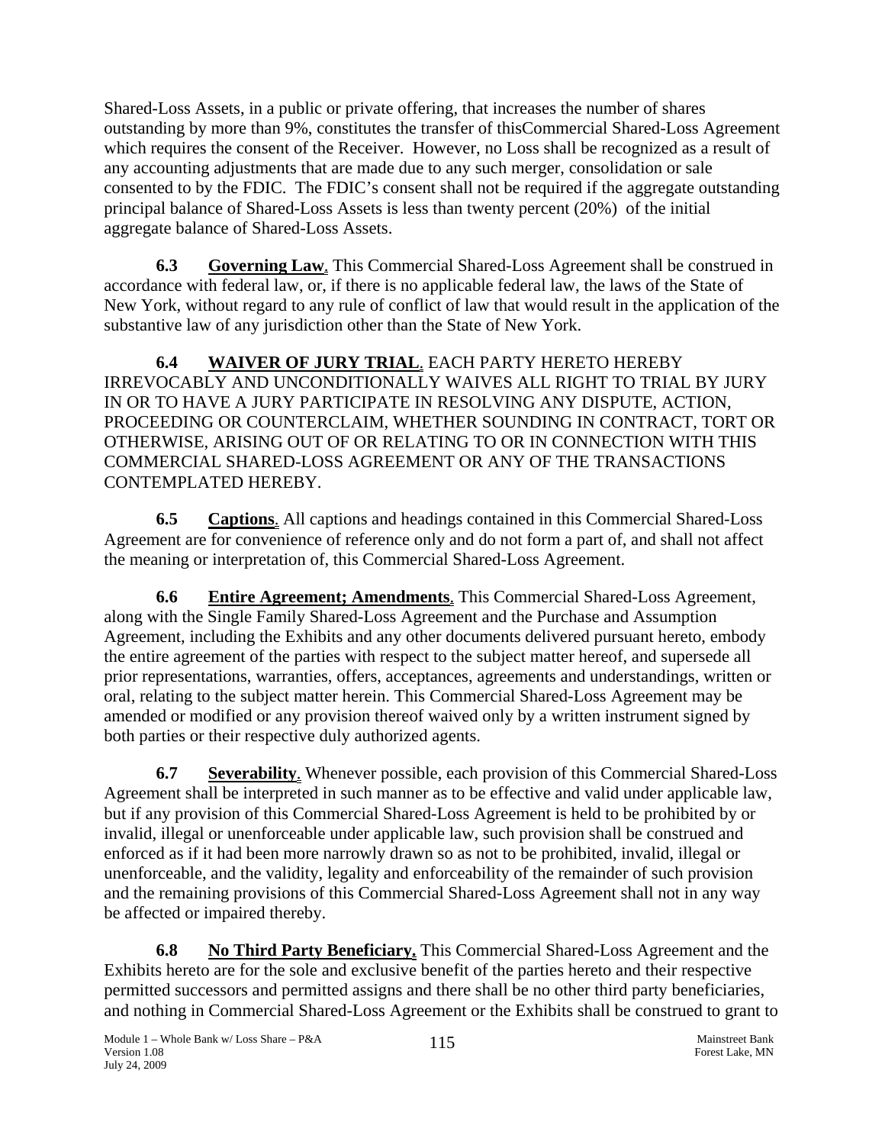Shared-Loss Assets, in a public or private offering, that increases the number of shares outstanding by more than 9%, constitutes the transfer of thisCommercial Shared-Loss Agreement which requires the consent of the Receiver. However, no Loss shall be recognized as a result of any accounting adjustments that are made due to any such merger, consolidation or sale consented to by the FDIC. The FDIC's consent shall not be required if the aggregate outstanding principal balance of Shared-Loss Assets is less than twenty percent (20%) of the initial aggregate balance of Shared-Loss Assets.

**6.3 Governing Law**. This Commercial Shared-Loss Agreement shall be construed in accordance with federal law, or, if there is no applicable federal law, the laws of the State of New York, without regard to any rule of conflict of law that would result in the application of the substantive law of any jurisdiction other than the State of New York.

**6.4 WAIVER OF JURY TRIAL**. EACH PARTY HERETO HEREBY IRREVOCABLY AND UNCONDITIONALLY WAIVES ALL RIGHT TO TRIAL BY JURY IN OR TO HAVE A JURY PARTICIPATE IN RESOLVING ANY DISPUTE, ACTION, PROCEEDING OR COUNTERCLAIM, WHETHER SOUNDING IN CONTRACT, TORT OR OTHERWISE, ARISING OUT OF OR RELATING TO OR IN CONNECTION WITH THIS COMMERCIAL SHARED-LOSS AGREEMENT OR ANY OF THE TRANSACTIONS CONTEMPLATED HEREBY.

**6.5 Captions**. All captions and headings contained in this Commercial Shared-Loss Agreement are for convenience of reference only and do not form a part of, and shall not affect the meaning or interpretation of, this Commercial Shared-Loss Agreement.

**6.6 Entire Agreement; Amendments**. This Commercial Shared-Loss Agreement, along with the Single Family Shared-Loss Agreement and the Purchase and Assumption Agreement, including the Exhibits and any other documents delivered pursuant hereto, embody the entire agreement of the parties with respect to the subject matter hereof, and supersede all prior representations, warranties, offers, acceptances, agreements and understandings, written or oral, relating to the subject matter herein. This Commercial Shared-Loss Agreement may be amended or modified or any provision thereof waived only by a written instrument signed by both parties or their respective duly authorized agents.

**6.7 Severability**. Whenever possible, each provision of this Commercial Shared-Loss Agreement shall be interpreted in such manner as to be effective and valid under applicable law, but if any provision of this Commercial Shared-Loss Agreement is held to be prohibited by or invalid, illegal or unenforceable under applicable law, such provision shall be construed and enforced as if it had been more narrowly drawn so as not to be prohibited, invalid, illegal or unenforceable, and the validity, legality and enforceability of the remainder of such provision and the remaining provisions of this Commercial Shared-Loss Agreement shall not in any way be affected or impaired thereby.

**6.8 No Third Party Beneficiary.** This Commercial Shared-Loss Agreement and the Exhibits hereto are for the sole and exclusive benefit of the parties hereto and their respective permitted successors and permitted assigns and there shall be no other third party beneficiaries, and nothing in Commercial Shared-Loss Agreement or the Exhibits shall be construed to grant to